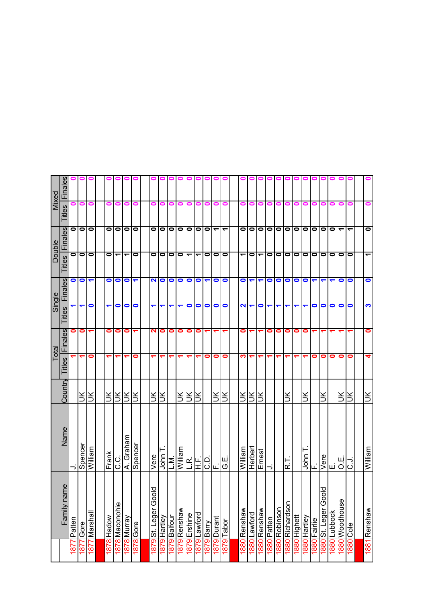|                      |                      |                          |         | Total                   |     | Single               |                      |           | <b>Double</b>            |                | Mixed   |
|----------------------|----------------------|--------------------------|---------|-------------------------|-----|----------------------|----------------------|-----------|--------------------------|----------------|---------|
|                      | ame<br>Family na     | Name                     | Country | <b>IFinal</b><br>Titles | les | $\frac{8}{9}$<br>言   | Finales              | Titles    | Finales                  | <b>Titles</b>  | Finales |
| $\frac{187}{2}$      | Patten               | ⊃                        |         |                         | ∍   |                      | 0                    | 0         | 0                        |                |         |
| 1877                 | Gore                 | Spencer                  | š       |                         | 0   | ↽                    | $\bullet$            | $\bullet$ | $\circ$                  | 0              |         |
|                      | 1877 Marshall        | William                  | š       | 0                       | ↽   | $\bullet$            | $\blacktriangledown$ | $\bullet$ |                          | 0              |         |
|                      |                      |                          |         |                         |     |                      |                      |           |                          |                |         |
|                      | 1878 Hadow           | Frank                    | ŠК      |                         | 0   | ↽                    | 0                    | 0         | $\bullet$                | 0              | 0       |
|                      | 1878 Maconohie       | ن<br>ن                   | š       |                         | 0   | 0                    | 0                    | ᠆         | $\bullet$                |                |         |
|                      | 1878 Murray          | A. Graham                | Ж       |                         | 0   | $\bullet$            | $\bullet$            | ᡪ         | $\bullet$                |                |         |
|                      | 1878 Gore            | Spencer                  | š       | 0                       | ↽   | 0                    | ↽                    | 0         | $\bullet$                |                |         |
|                      |                      |                          |         |                         |     |                      |                      |           |                          |                |         |
| 1879                 | poo<br>St. Leger G   | Vere                     | š       |                         | ິ   |                      | N                    | 0         | $\bullet$                |                |         |
| $\approx$            | Hartley<br><u>ଚ୍</u> | John                     | lК      |                         | 0   |                      | 0                    | $\bullet$ | $\bullet$                |                |         |
| 1879                 | Balfour              | Σ                        |         |                         | 0   | ↽                    | $\bullet$            | $\bullet$ | $\bullet$                |                |         |
| 6281                 | Renshaw              | <u>William</u>           | š       |                         | 0   | ↽                    | $\bullet$            | $\bullet$ | $\bullet$                |                |         |
| Ŏ.<br>781            | Ershine              |                          | š       |                         | 0   | 0                    | 0                    | ے         | 0   0                    |                |         |
| 1879                 | Lawford              | <b>REP</b><br>LEPO       | š       |                         | 0   | $\bullet$            | $\bullet$            | ᠆         |                          |                |         |
| თ<br>$\frac{187}{2}$ | Barry                |                          |         | 0                       |     | $\bullet$            |                      | 0         | $\bullet$                |                |         |
|                      | 1879 Durant          | ட                        | š       | 0                       |     | $\bullet$            | 0                    | $\bullet$ | $\overline{\phantom{0}}$ |                |         |
|                      | 1879 Tabor           | Η<br>Ο                   | š       | 0                       |     | 0                    | 0                    | $\bullet$ | $\overline{\phantom{0}}$ | Ξ              |         |
|                      |                      |                          |         |                         |     |                      |                      |           |                          |                |         |
| 1880                 | Renshaw              | William                  | Š       | ო                       | 0   | $\mathbf{N}$         | 0                    | ↽         | 0                        | -              |         |
| 1880                 | Lawford              | Herbert                  | š       |                         |     | $\blacktriangledown$ | ↽                    | $\bullet$ | $\bullet$                | 0              |         |
|                      | 1880 Renshaw         | Ernest                   | š       |                         |     | $\bullet$            | ↽                    | ᠆         | $\bullet$                | o              |         |
|                      | 1880 Patten          | $\overline{\phantom{a}}$ |         |                         | 0   | $\blacktriangledown$ | 0                    | 01        | 0                        | 0              |         |
|                      | 1880 Robinson        |                          |         |                         | 0   | $\blacktriangledown$ | $\bullet$            | $\bullet$ |                          | $\blacksquare$ |         |
|                      | 1880 Richardson      | ۳<br>œ                   | š       |                         | 0   | ↽                    | 0                    | $\bullet$ | $\bullet$                |                |         |
|                      | 1880 Highett         |                          |         |                         | 0   | $\blacktriangledown$ | $\bullet$            | $\bullet$ | $\bullet$                |                |         |
|                      | 1880 Hartley         | John                     | š       |                         | 0   | ↽                    | 0                    | $\bullet$ | $\bullet$                |                |         |
|                      | 1880 Fairlie         | ட்                       |         | 0                       |     | 0                    | ↽                    | $\bullet$ | $\bullet$                |                |         |
|                      | 1880 St. Leger Goold | Vere                     | š       | 0                       |     | 0                    |                      | 0         | $\bullet$                |                |         |
| 1880                 | Lubbock              | ш                        |         | 0                       |     | $\bullet$            |                      | $\bullet$ | $\bullet$                |                |         |
| 1880                 | Woodhouse            | O.E                      | ŠК      | 0                       |     | $\bullet$            | 0                    | $\bullet$ | $\overline{\phantom{0}}$ |                |         |
| 088                  | Cole                 | ر<br>ن                   | š       | 0                       |     | $\bullet$            | 0                    | $\bullet$ | $\overline{\phantom{0}}$ |                |         |
|                      |                      |                          |         |                         |     |                      |                      |           |                          |                |         |
| 1881                 | Renshaw              | William                  | ЪK      | 4                       | c   | က                    | 0                    | ᡪ         | $\bullet$                |                |         |
|                      |                      |                          |         |                         |     |                      |                      |           |                          |                |         |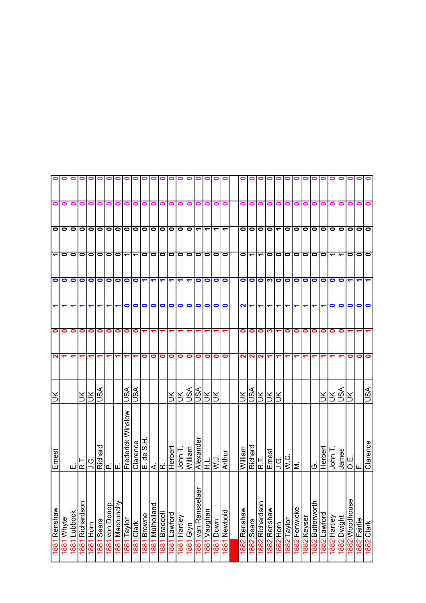|                      |       |           |            |                         |   |                             | 000000000000                               |                          |                          |                                |                      |                |           |                      |                          |                      |                 |                 | 000                      |               |                                 |                          |                       | 0000                     |           |           |             | 0                |         |                          |                          |                |           |            |
|----------------------|-------|-----------|------------|-------------------------|---|-----------------------------|--------------------------------------------|--------------------------|--------------------------|--------------------------------|----------------------|----------------|-----------|----------------------|--------------------------|----------------------|-----------------|-----------------|--------------------------|---------------|---------------------------------|--------------------------|-----------------------|--------------------------|-----------|-----------|-------------|------------------|---------|--------------------------|--------------------------|----------------|-----------|------------|
| 0                    | 0     | 0         | 0          | 0                       | 0 | 0                           | 0                                          |                          |                          |                                |                      |                | 0         |                      |                          | 0                    | 0               | 0               | 0                        | 0             |                                 |                          |                       |                          |           |           |             |                  |         |                          |                          |                |           |            |
|                      |       |           |            |                         |   |                             | 00000000                                   | $\bullet$                | $\overline{\phantom{0}}$ |                                |                      |                | O O O O O |                      | $\overline{\phantom{0}}$ | $\blacktriangledown$ |                 | $\tau$   $\tau$ | $\overline{\phantom{a}}$ |               | $\frac{\mathsf{0}}{\mathsf{0}}$ | $\bullet$                | $\vert \bullet \vert$ |                          | $\bullet$ |           |             | olololo          |         | 0   0                    |                          | $\bullet$      | $\bullet$ | $\bullet$  |
|                      |       |           |            |                         |   |                             | 00000000                                   | $\overline{\phantom{0}}$ | $\overline{\phantom{0}}$ |                                |                      |                | O O O O O |                      |                          | 00000                |                 |                 |                          | $\mathbf{C}$  |                                 | $\overline{\phantom{0}}$ | $\bullet$             | $\overline{\phantom{0}}$ | $\bullet$ |           |             | 0 0 0 0          |         | $\overline{\phantom{0}}$ | $\overline{\phantom{0}}$ | $\bullet$      | $\bullet$ | lo         |
|                      | OO    | $\bullet$ | $\bullet$  | O                       |   | <b>1000</b>                 |                                            | $\bullet$                | $\bullet$                | $\blacktriangledown$           | $\blacktriangledown$ | ↽              | ↽         | $\blacktriangledown$ | ↽                        | $\bullet$            |                 | O               |                          |               | $\circ$ $\circ$                 |                          | က                     | $\circ$                  |           | $\bullet$ | $\bullet$   | $\circ$          |         | $\bullet$                | $\bullet$                |                |           |            |
| $\blacktriangledown$ | ↽     |           |            | ᠆                       | ↽ | ↽                           |                                            | $\bullet$                | $\bullet$                | $\bullet$                      | $\bullet$            | $\bullet$      | $\bullet$ | $\bullet$            | $\bullet$                | $\bullet$            | $\bullet$       | $\bullet$       | $\bullet$                | $\frac{2}{1}$ |                                 | $\blacktriangledown$     | ↽                     | ↽                        |           |           |             |                  |         | 0                        | $\bullet$                | 0              | 0         | $\bullet$  |
| 0                    | 0     | 0         | 0          | 0                       | 0 | $\bullet$                   | 0                                          | 0                        | 0                        |                                |                      |                |           |                      |                          |                      |                 |                 |                          | $\bullet$     | $\bullet$                       | 0                        | ო                     |                          | $\bullet$ | $\bullet$ | 0           | 01               | 0       | 0                        | 0                        |                |           |            |
| $\mathbf{N}$         |       |           | ᠆          | ᠆                       | ᠆ | ↽                           | ↽                                          |                          |                          | 0                              | 0                    | 0              | 0         | 0                    | o                        | 0                    | 0               | $\bullet$       | $\bullet$                |               | <b>NN</b>                       | $\mathbf{N}$             |                       |                          |           |           |             |                  |         |                          |                          | 0              | 0         | 0          |
| ÌЮ                   |       |           |            | $\frac{1}{2}$           |   |                             |                                            | SSL                      | ASL                      |                                |                      |                | $\preceq$ | ŠЕ                   |                          | <b>ASL</b>           |                 | ЯĶ              |                          |               |                                 | ERFER<br>Før             |                       |                          |           |           |             |                  | š       | ¥,                       | ASL                      | š              |           | ASU        |
| Ernest               |       |           | ∏∑ا        |                         |   |                             | J.G.<br>Richard<br>E.<br>Frederick Winslow |                          | Clarence                 | H'S<br>$\frac{\omega}{\sigma}$ |                      | اىنا⊲ان        | Herbert   | John T               | William                  | Alexander            |                 | $\frac{1}{N}$   | Arthur                   | William       |                                 | Richard<br>R.T.          | Ernest                | <b>U.</b>                | W.C.      | M.        |             | ပ                | Herbert | John T                   | James                    | ш <br>О∣∟      |           | Clarence   |
| weusued 1881         | Whyte | Lubbock   | Richardson | 1881 Horn<br>1881 Sears |   | douog uon <mark>1881</mark> | 1881 Macounchy                             | Taylor                   | <b>Clark</b>             | <b>Browne</b>                  | puejjoujnyj          | <b>Braddel</b> | Lawford   | Hartley              | <b>Glyn</b>              | āer<br>van Renssel   | <u> Vaughan</u> | Down            | 1881 Newbold             | 1882 Renshaw  | 1882 Sears                      | 1882 Richardson          | 1882 Renshaw          | 1882 Horn                | Taylor    | Fenwicke  | 1882 Keyser | 1882 Butterworth | Lawford | Hartley                  | Dwight                   | 1882 Woodhouse | Fairlie   | 1882 Clark |
|                      | 1881  | 1881      | 1881       |                         |   |                             |                                            | 1881                     | 1881                     | 1881                           | 1881                 | 1881           | 1881      | 1881                 | 1881                     | 1881                 | 1881            | <b>881</b>      |                          |               |                                 |                          |                       |                          | 1882      | 1882      |             |                  | 1882    | 1882                     | 1882                     |                | 1882      |            |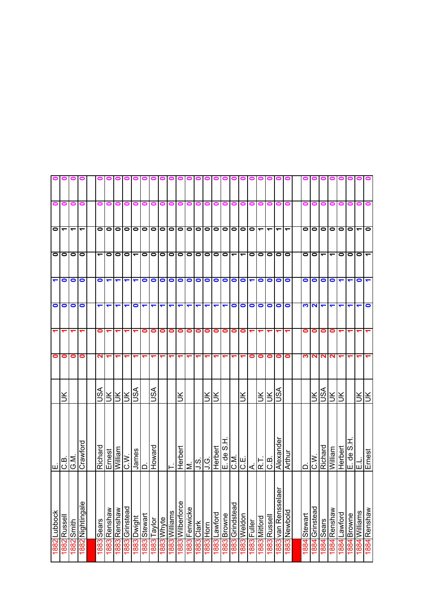|                      |                           |                      |                          |                          |                      |                            |                |                          | 0 O I        |            |            | 00            | o                |           |               |           |              |             | 000                      |                          |                      |              |                          |                         |              |         |           |                            |                      |           |                        |               |                                      |
|----------------------|---------------------------|----------------------|--------------------------|--------------------------|----------------------|----------------------------|----------------|--------------------------|--------------|------------|------------|---------------|------------------|-----------|---------------|-----------|--------------|-------------|--------------------------|--------------------------|----------------------|--------------|--------------------------|-------------------------|--------------|---------|-----------|----------------------------|----------------------|-----------|------------------------|---------------|--------------------------------------|
| 0                    | 0                         | o                    | 0                        | 0                        | 0                    |                            |                |                          |              |            |            |               |                  |           |               |           |              | o           | 0                        | 0                        | 0                    | 0            |                          |                         |              |         |           |                            |                      |           |                        |               |                                      |
|                      | $\frac{1}{1}$             | $\blacktriangledown$ | $\overline{\phantom{0}}$ | $\bullet$                | lolo                 |                            | $\bullet$      | $\bullet$                | $\bullet$    | $\bullet$  |            | olololo       |                  |           | $\bullet$     | $\bullet$ | $\bullet$    |             | O O O O <                |                          |                      |              | $\overline{\phantom{0}}$ | ے                       | ᠆            | 0       | $\bullet$ | 0 0 0                      |                      |           | $\bullet$              | ے             | $\bullet$                            |
|                      | 0                         | $\bullet$            | $\bullet$                | $\overline{\phantom{0}}$ | $\circ$              | $\bullet$                  | $\bullet$      | $\overline{\phantom{0}}$ | $\bullet$    | lo         | $\bullet$  | ololo         |                  |           | $\bullet$     | $\bullet$ | $\bullet$    | $\bullet$   | $\overline{\phantom{0}}$ | $\overline{\phantom{a}}$ |                      | 0            | $\bullet$                | $\bullet$               | $\bullet$    | 0       | $\bullet$ | $\blacktriangledown$       | $\blacktriangledown$ | $\bullet$ | $\bullet$              | $\bullet$     |                                      |
| $\blacktriangledown$ | $\bullet$                 | $\bullet$            | $\bullet$                | $\bullet$                | $\blacktriangledown$ | ↽                          | ↽              | ↽                        | 0            | $\bullet$  | $\bullet$  | $\bullet$     | $\circ$          |           | $\bullet$     | $\bullet$ | $\bullet$    | $\bullet$   | $\bullet$                | $\bullet$                | $\blacktriangledown$ | $\bullet$    | $\bullet$                | $\bullet$               | $\bullet$    | 0       | $\bullet$ | $\bullet$                  | $\bullet$            |           | ↽                      | $\bullet$     |                                      |
| $\bullet$            | $\bullet$                 | $\bullet$            | $\bullet$                | ↽                        | ↽                    | ↽                          |                | 0                        | ↽            | ↽          | ↽          | ↽             |                  |           |               |           |              |             | $\bullet$                | $\bullet$                | $\bullet$            | $\bullet$    | $\bullet$                | $\bullet$               | $\bullet$    | S       | $\sim$    |                            |                      |           |                        |               | 0                                    |
|                      |                           |                      |                          | 0                        |                      |                            |                |                          | 0            | 0          | 0          | 0             | $\bullet$        | $\bullet$ | 0             | 0         | 0            | 0           | 0                        | $\bullet$                | ᠆                    |              |                          |                         |              | 0       | 0         | $\bullet$                  | 0                    |           |                        |               |                                      |
| $\bullet$            | 0                         | 0                    | 0                        | N                        | ᠵ                    |                            |                |                          |              |            |            |               |                  |           |               |           |              |             |                          |                          | 0                    | 0            | $\bullet$                | 0                       | 0            | ო       | 2         | ี N                        | N                    |           |                        |               |                                      |
|                      | š                         |                      |                          | S∕SU                     |                      | <u>RRR</u>                 |                | JSA                      |              | vsn        |            |               | š                |           |               | š         | š            |             |                          | š                        |                      | ŠŠ           |                          | VSU                     |              |         | $\preceq$ | <u>iajzjz</u>              |                      |           |                        | ₹l₹           |                                      |
| ய்                   | $\frac{10}{\frac{10}{3}}$ |                      | Crawford                 | Richard                  |                      | <u>uvejlli/V</u><br>TsəuJ∃ | IC.W.          | James                    | $\Box$       | Howard     |            | ⊢             | Herbert          |           | $\frac{1}{2}$ |           | Herbert      | $E.$ de S.H |                          |                          |                      |              |                          | Alexander               | Arthur       | ≏       | W`O       | Richard                    | William              | Herbert   | 다.<br><u>H'S</u> ap 'ヨ |               | Ernest                               |
| 1882 Lubbock         | Russell                   | 1882 Smith           | 1882 Nightingale         | 1883 Sears               | 1883 Renshaw         | weusued c881               | 1883 Grinstead | 1883 Dwight              | 1883 Stewart | 883 Taylor | I883 Whyte | 1883 Williams | 1883 Wilberforce | Fenwicke  | 1883 Clark    | 1883 Horn | 1883 Lawford | 1883 Browne | 1883 Grindstead          | 1883 Weldon              | 1883 Fuller          | 1883 Mitford | 1883 Russell             | āēr<br>1883 van Renssel | 1883 Newbold | Stewart | Grinstead | 1884 Sears<br>1884 Renshaw |                      | Lawford   | Browne                 | 1884 Williams | weqsuə <del>d</del> <mark>ba4</mark> |
|                      | 1882                      |                      |                          |                          |                      |                            |                |                          |              |            |            |               |                  | 18831     |               |           |              |             |                          |                          |                      |              |                          |                         |              | 1884    | 1884      |                            |                      | 1884      | 1884                   |               |                                      |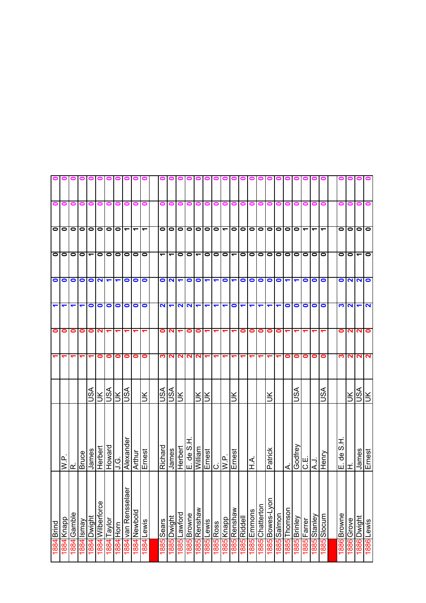|              |           | $\bullet$                | $\bullet$                | $\bullet$            | $\overline{\mathbf{c}}$ | 0         | $\sim$       | ŠК             | Ernest             | 1886 Lewis                    |      |
|--------------|-----------|--------------------------|--------------------------|----------------------|-------------------------|-----------|--------------|----------------|--------------------|-------------------------------|------|
|              |           | $\bullet$                | ᠆                        | <b>NN</b>            | ↽                       | ี่        | N            | VSU            | James              | 1886 Dwight                   |      |
|              |           | $\bullet$                | $\bullet$                |                      | $\mathbf{z}$            | ี         | 2            | š              | ェ                  | 1886 Grove                    |      |
|              |           | 0                        | 0                        | 0                    | ∾                       | 0         | ∾            |                | Į<br>ဟ<br>₽e<br>ய் | 1886 Browne                   |      |
|              |           |                          |                          |                      |                         |           |              |                |                    |                               |      |
|              |           | ↽                        | $\bullet$                | $\bullet$            | $\bullet$               |           | 0            | SSU            | Henry              | 1885 Slocum                   |      |
|              |           | $\blacktriangledown$     | $\bullet$                | $\bullet$            | $\bullet$               |           | 0            |                | <b>L.A</b>         | vejuezSp89                    |      |
|              |           | $\overline{\phantom{0}}$ | $\bullet$                | $\bullet$            | $\bullet$               |           | 0            |                | C.E.               | <b>1885</b> Farrer            |      |
|              |           | $\bullet$                | $\bullet$                |                      | $\bullet$               |           | 0            | SA             | Godfrey            | l 885 Brinley                 |      |
|              |           | $\bullet$                | $\bullet$                | ↽                    | $\bullet$               |           | 0            |                | ∢                  | Thomson                       | 1885 |
|              |           | $\bullet$                | $\bullet$                | 0                    |                         | 0         |              |                |                    | 1885<br>Salmon                |      |
|              |           | $\bullet$                | $\bullet$                | $\bullet$            | ᠆                       | 0         |              | š              | Patrick            | 1885 Bowes-Lyor               |      |
| 0000000      |           |                          | $\bullet$                | $\bullet$            |                         | $\bullet$ |              |                |                    | 1885 Chatterton               |      |
|              | 0         |                          | $\overline{\phantom{a}}$ | $\bullet$            | $\blacktriangledown$    | 0         | ᡪ            |                | <<br>∓             | 1885 Emmons                   |      |
|              | 0         | $\frac{1}{\sqrt{2}}$     | $\bullet$                | $\bullet$            | ↽                       | 0         |              |                |                    | 1885 Riddell                  |      |
|              | 0         |                          | $\overline{\phantom{0}}$ | $\blacktriangledown$ | $\bullet$               |           |              | š              | Ernest             | 1885 Renshaw                  |      |
|              |           | $\overline{\phantom{0}}$ | $\bullet$                | $\bullet$            | ↽                       |           |              |                | $\overline{W}$ .   | I885 Knapp                    |      |
|              | 0         | $\overline{\phantom{0}}$ | $\bullet$                | ↽                    | ↽                       |           |              |                | C.<br>Ernest       | <b>885 Ross</b>               |      |
|              |           | $\bullet$                | 0                        | ↽                    | ᠆                       |           |              | š              |                    | lLewis                        | 1885 |
|              |           | $\bullet$                | ے                        | $\bullet$            | ↽                       | 0         | N            | š              | William            | 1885 Renshaw                  |      |
|              |           |                          | $\bullet$                | $\bullet$            |                         | 0         | $\mathbf{N}$ |                | E. de S.           | 1885 Browne                   |      |
|              |           | $\overline{\phantom{a}}$ | $\circ$                  |                      | <b>NN</b>               |           | N            |                | Herbert            | 1885 Lawford                  |      |
|              |           |                          | ے                        | $\sim$               | ↽                       | N         | ี N          | <b>NSK</b>     | James              | Dwight                        | 1885 |
| o            |           | $\bullet$                | ᠆                        | $\bullet$            | 2                       | 0         | ∾            | VSL            | Richard            | Sears                         | 1885 |
|              |           |                          |                          |                      |                         |           |              |                |                    |                               |      |
|              |           | ٣                        | $\bullet$                | $\bullet$            | $\bullet$               |           | 0            | ÌЮ             | Ernest             | 1884 Lewis                    |      |
|              | 0         | ᠆                        | $\bullet$                | $\bullet$            | $\bullet$               |           | 0            |                | Arthur             | 1884 Newbold                  |      |
|              | 0         | ٣                        | $\bullet$                | $\bullet$            | $\bullet$               |           | 0            |                | Alexande           | aer<br>1884 van Renssel       |      |
| <b>OOOOO</b> | 0         |                          |                          | $\blacksquare$       | $\bullet$               |           | 0            | <b>NSL</b>     | .<br>כ             | 1884 Horn                     |      |
|              | 0         | 00                       | $\circ$  0               | $\blacktriangledown$ | $\bullet$               |           | 0            | $rac{NK}{150}$ | Herbert<br>Howard  | 1884 Taylor                   |      |
|              | 0         | $\bullet$                | $\bullet$                | $\mathbf{\Omega}$    | $\bullet$               | ຼ         | 0            |                |                    | 1884 Wilberforce              |      |
|              | 0         | $\bullet$                | ٣                        | $\bullet$            | 0                       | 0         |              | S∕S            | James              | 1884 Dwight                   |      |
|              | 0         | $\bullet$                | $\bullet$                | $\bullet$            |                         | 0         |              |                | <b>Bruce</b>       | Vewsl <b>b</b> <sub>881</sub> |      |
|              | 0         | $\bullet$                | 0                        | $\bullet$            |                         | 0         |              |                | œ                  | 1884 Gamble                   |      |
|              | 0         | 00                       | $\bullet$                | $\bullet$            | ↽                       | 0         | ↽            |                | ≏<br>≶             | Knapp                         | 884  |
|              | $\bullet$ |                          | $\bullet$                | $\bullet$            | $\blacktriangledown$    | $\bullet$ |              |                |                    | Brind                         | 1884 |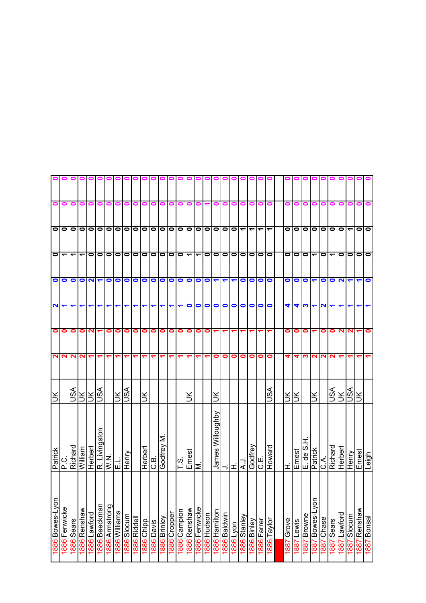|                 |                      |              |                          |                                                         |                            |                       | o o o o o o o o o o o o o |                |                     |            |            |           |                              |                            |              | 9                        |             |                               |              |                      |              | 000000                   |                          | 00                       | o         |           | 00        |            |           |                          |                   |                      |                      |                |
|-----------------|----------------------|--------------|--------------------------|---------------------------------------------------------|----------------------------|-----------------------|---------------------------|----------------|---------------------|------------|------------|-----------|------------------------------|----------------------------|--------------|--------------------------|-------------|-------------------------------|--------------|----------------------|--------------|--------------------------|--------------------------|--------------------------|-----------|-----------|-----------|------------|-----------|--------------------------|-------------------|----------------------|----------------------|----------------|
| 0               | $\bullet$            | 0            | 0                        | 0                                                       | 0                          | 0                     |                           |                |                     |            |            | 0         | 0                            |                            |              | 0                        |             | 0                             | 0            | 0                    | 0            |                          | 0                        |                          |           |           |           |            |           |                          |                   |                      |                      |                |
|                 | 0000000000000000000  |              |                          |                                                         |                            |                       |                           |                |                     |            |            |           |                              |                            |              | $\overline{\phantom{a}}$ |             |                               |              |                      |              |                          | $\overline{\phantom{a}}$ | $\overline{\phantom{0}}$ |           | ololol    |           | 0 0 0      |           |                          | $\bullet$         | $\blacktriangledown$ | 00                   |                |
| $\circ$         | $\blacktriangledown$ |              | $\overline{\phantom{0}}$ |                                                         | $\circ$                    | $\bullet$             | $\bullet$                 | $\bullet$      | $\bullet$           | 00         |            | 1010      |                              | $\bullet$                  | ᠆            | ᠆                        | $\bullet$   | $\bullet$                     | $\bullet$    | 00                   |              | $\bullet$                | 00                       |                          | $\bullet$ | lolo      |           | ے          | $\bullet$ | $\overline{\phantom{0}}$ | $\bullet$         | $\bullet$            | 0   0                |                |
| $\bullet$       | $\bullet$            | $\bullet$    | $\bullet$                | $\sim$                                                  |                            | $\bullet$             | O                         | 0              | $\bullet$           | $\bullet$  | $\bullet$  | $\bullet$ | $\bullet$                    | $\bullet$                  | $\bullet$    | 0                        | $\bullet$   | $\blacktriangledown$          | ↽            | $\blacktriangledown$ | $\bullet$    | $\bullet$                | $\bullet$                | $\bullet$                | $\bullet$ | $\bullet$ | $\bullet$ | ↽          | $\bullet$ | $\bullet$                | $\mathbf{\Omega}$ | $\blacktriangledown$ | $\blacktriangledown$ | $\bullet$      |
| $\mathbf{N}$    | ↽                    |              | ᠆                        | ᠆                                                       | $\blacktriangledown$       | ↽                     | ↽                         |                |                     |            |            |           | ↽                            |                            | 0            | 0                        | $\bullet$   | $\bullet$                     | $\bullet$    | $\circ$              |              |                          | $\circ$                  | $\bullet$                | 4         |           |           |            | N         |                          |                   |                      | ↽                    | $\blacksquare$ |
| 0               | 0                    | 0            | 0                        | 2                                                       |                            | 0                     | 0                         | 0              | 0                   | 0          | 0          | 0         | 0                            | 0                          | 0            | 0                        | 0           |                               |              | ᠆                    |              |                          |                          |                          | 0         | 0         | 0         |            | 0         | 0                        | N                 | 2                    |                      | 0              |
| $\mathbf{N}$    | $\mathbf{N}$         | $\mathbf{N}$ | $\mathbf{\Omega}$        | ᠆                                                       | ᠆                          | ↽                     | ↽                         |                |                     |            |            |           |                              |                            |              |                          |             | 0                             | $\bullet$    | 0                    | 0            | 0                        | $\bullet$                | $\bullet$                | 4         | 4         | S         | ິ          | N         | 2                        |                   |                      |                      |                |
| š               |                      | VSN          |                          | $\frac{1}{2}$ $\frac{1}{2}$ $\frac{1}{2}$ $\frac{1}{2}$ |                            |                       | ÌК                        | VSN            |                     |            |            |           |                              |                            | š            |                          |             | š                             |              |                      |              |                          |                          | S∕S                      | lЖ        | ŠЕ        |           | Ж          |           | VSN                      | š                 | <b>ASU</b>           | ÌХ                   |                |
| Patrick         | ن<br>۱ء              | Richard      | William                  | Herbert                                                 |                            | R. Livingston<br>W.N. | 忈                         | Henry          |                     | Herbert    | G.B        | Godfrey M |                              | က<br>$\vdash$              | Ernest       | Σ                        |             | James Willoughby<br> -<br> H. |              |                      | ۲.Y          | C.E.<br>Godfrey          |                          | Howard                   | ᆂ         | Ernest    | E. de S.  | Patrick    | ن<br>ن    | Richard                  | Herbert           | Henry                | Ernest               | µ6iə⊤          |
| 1886 Bowes-Lyor | Fenwicke             | 1886 Sears   | 1886 Renshaw             | 1886 Lawford                                            | <mark>1886</mark> Beeckman | 1886 Armstrong        | 1886 Williams             | 1886<br>Slocum | <b>1886</b> Riddell | 1886 Chipp | sived 9881 |           | 1886 Brinley<br>1886 Cropper | 1 <mark>886</mark> Campion | 1886 Renshaw | 1886 Fenwicke            | 1886 Hudson | 1886 Hamilton                 | 1886 Baldwin | 1886 Lyon            | T886 Stanley | ∕lapuia <mark>988</mark> | 1886 Farrer              | l 886 Taylor             | Grove     | Lewis     | Browne    | Bowes-Lyor | Chase     | Sears                    | Lawford           | Slocum               | 1887 Renshaw         | 1887 Bonsal    |
|                 | 1886                 |              |                          |                                                         |                            |                       |                           |                |                     |            |            |           |                              |                            |              |                          |             |                               |              |                      |              |                          |                          |                          | 1887      | 1887      | 1887      | 1887       | 1887      | 1887                     | 1887              | 1887                 |                      |                |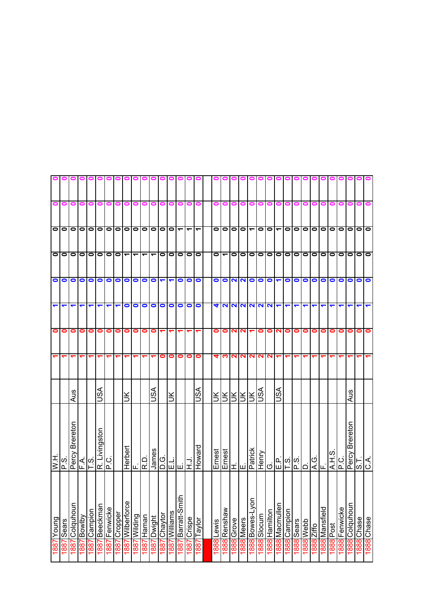|                      |               |                   |                       |                             |               |               | <b>OOOOOOOOOOOO</b> |                          |              |                      |                       |                      |                         |                           |                      |                          |            |                      |            |                 |                          |                           | 91            |                       |                      |                                                                                                                                                                                                                                                                                                                                                                                                       |           |                      |                   |                          |               |                   |            |            |
|----------------------|---------------|-------------------|-----------------------|-----------------------------|---------------|---------------|---------------------|--------------------------|--------------|----------------------|-----------------------|----------------------|-------------------------|---------------------------|----------------------|--------------------------|------------|----------------------|------------|-----------------|--------------------------|---------------------------|---------------|-----------------------|----------------------|-------------------------------------------------------------------------------------------------------------------------------------------------------------------------------------------------------------------------------------------------------------------------------------------------------------------------------------------------------------------------------------------------------|-----------|----------------------|-------------------|--------------------------|---------------|-------------------|------------|------------|
| 0                    | 0             | 0                 | 0                     | 0                           | 0             | 0             |                     | 0                        |              | 0                    | 0                     | o                    | 0                       | 0                         | o                    | 0                        | 0          | 0                    | 0          | 0               | o                        | o                         |               |                       |                      | 0                                                                                                                                                                                                                                                                                                                                                                                                     | 0         | o                    | o                 | 0                        |               | 0                 | o          |            |
|                      | 000           |                   |                       |                             |               |               | 0 0 0 0 0           |                          |              |                      |                       |                      | 0 0 0 0 0               | $\overline{\phantom{0}}$  | $\blacktriangledown$ | $\overline{\phantom{0}}$ | $\bullet$  | 000                  |            |                 | $\overline{\phantom{a}}$ | $\lceil \cdot \rceil$     |               |                       |                      |                                                                                                                                                                                                                                                                                                                                                                                                       |           | 0 0 0 0 0            |                   | $\overline{\phantom{0}}$ |               | O O O O           |            |            |
|                      | O O O         |                   |                       | lololo                      |               |               | $\bullet$           | $\overline{\phantom{0}}$ | ᠆            |                      | ↽                     | $\bullet$            | $\bullet$               | $\bullet$                 | $\bullet$            | $\bullet$                | $\bullet$  | $\blacktriangledown$ | $\circ$    |                 | $\bullet$                | $\circ$ $\circ$           |               |                       |                      | lololol                                                                                                                                                                                                                                                                                                                                                                                               |           |                      | $\bullet$         | $\blacksquare$           | $\circ$       | 0 0 0             |            |            |
|                      | $\bullet$     | $\bullet$         |                       | $\circ$                     | $\circ$       |               | $\bullet$           | $\bullet$                | $\bullet$    | $\bullet$            | O                     | $\blacktriangledown$ | $\blacktriangledown$    | $\bullet$                 | 0                    |                          | $\bullet$  |                      |            |                 |                          | 000000                    |               |                       |                      | 0000                                                                                                                                                                                                                                                                                                                                                                                                  |           |                      | $\bullet$         | $\bullet$                | $\bullet$     | $\bullet$         | $\circ$    |            |
| $\blacktriangledown$ | ↽             | ↽                 | ↽                     | ↽                           | ↽             | ↽             | ↽                   | $\bullet$                | 0            | $\bullet$            | $\bullet$             | $\bullet$            | $\bullet$               | $\bullet$                 | $\bullet$            | $\bullet$                | 4          |                      |            |                 |                          | $\frac{N N N N N }{\tau}$ |               |                       | $\blacktriangledown$ |                                                                                                                                                                                                                                                                                                                                                                                                       | ↽         |                      |                   |                          |               |                   |            | ↽          |
| $\bullet$            | 0             | 0                 | 0                     | $\bullet$                   | 0             | 0             | 0                   | 0                        | 0            | 0                    | $\bullet$             |                      |                         |                           |                      |                          | 0          | $\bullet$            | <b>NN</b>  |                 |                          | 0                         | ON            |                       | $\bullet$            | $\bullet$                                                                                                                                                                                                                                                                                                                                                                                             | $\bullet$ | 0                    | 0                 | 0                        | 0             | 0                 | $\bullet$  | $\bullet$  |
|                      |               |                   |                       |                             |               | ᡪ             |                     |                          |              |                      |                       | 0                    | 0                       | 0                         | 0                    | 0                        | 4          | က                    | <b>NN</b>  |                 |                          | <b>NNN</b>                |               |                       |                      |                                                                                                                                                                                                                                                                                                                                                                                                       |           |                      |                   |                          |               |                   |            |            |
|                      |               | Aus               |                       |                             | S∕S∪          |               |                     | š                        |              |                      | ASU                   |                      | š                       |                           |                      | §∧                       |            |                      |            | <u>RIRIRIRI</u> |                          | S∕S                       |               | Ast                   |                      |                                                                                                                                                                                                                                                                                                                                                                                                       |           |                      |                   |                          |               | Aus               |            |            |
| H<br>N               | w<br>௳        | Brereton<br>Percy |                       | $\frac{1}{2}$ $\frac{1}{2}$ | R. Livingston | ن<br>آ        |                     | Herbert                  |              | R.D                  | James                 | <u>ଠ</u> ି           | 몒뗸                      |                           |                      | Howard                   | Ernest     |                      |            |                 | Ernest<br>H.<br>Emick    | Henry<br>G.               |               |                       |                      | $\frac{1}{2} \frac{1}{2} \frac{1}{2} \frac{1}{2} \frac{1}{2} \frac{1}{2} \frac{1}{2} \frac{1}{2} \frac{1}{2} \frac{1}{2} \frac{1}{2} \frac{1}{2} \frac{1}{2} \frac{1}{2} \frac{1}{2} \frac{1}{2} \frac{1}{2} \frac{1}{2} \frac{1}{2} \frac{1}{2} \frac{1}{2} \frac{1}{2} \frac{1}{2} \frac{1}{2} \frac{1}{2} \frac{1}{2} \frac{1}{2} \frac{1}{2} \frac{1}{2} \frac{1}{2} \frac{1}{2} \frac{$<br>ا ۱ ا |           | $\overline{4}$ E.    |                   | လ<br>$\overline{A}$ .H.  | P.C.          | Percy Brereton    | 1 S        | C.A.       |
|                      |               |                   |                       | ⊢                           |               |               |                     |                          | ட்           |                      |                       |                      |                         |                           |                      |                          |            |                      |            |                 |                          |                           |               |                       |                      |                                                                                                                                                                                                                                                                                                                                                                                                       |           |                      |                   |                          |               |                   |            |            |
| 1887 Young           | Sears<br>1887 | Colquhoun<br>1887 | <b>Aqiwog</b><br>1887 | 1887 Campion                | 1887 Beeckman | 1887 Fenwicke | 1887 Cropper        | 1887 Wilberforce         | 1887 Wilding | <b>Haman</b><br>1887 | <b>µuBiwg</b><br>4887 | Chaytor<br>1887      | <b>Williams</b><br>1887 | ᇰ<br>Barratt-Smit<br>1887 | Crispe<br>1887       | Taylor<br>1887           | 1888 Lewis | 1888 Renshaw         | 1888 Grove | 1888 Meers      | 1888 Bowes-Lyor          | 1888 Slocum               | 1888 Hamilton | <b>1888 Macmullen</b> | 1888 Campion         | 1888 Sears<br>1888 Webb                                                                                                                                                                                                                                                                                                                                                                               |           | <b>Ziffo</b><br>1888 | Mansfield<br>1888 | 1888 Post                | 1888 Fenwicke | Colquhoun<br>1888 | 1888 Chase | 1888 Chase |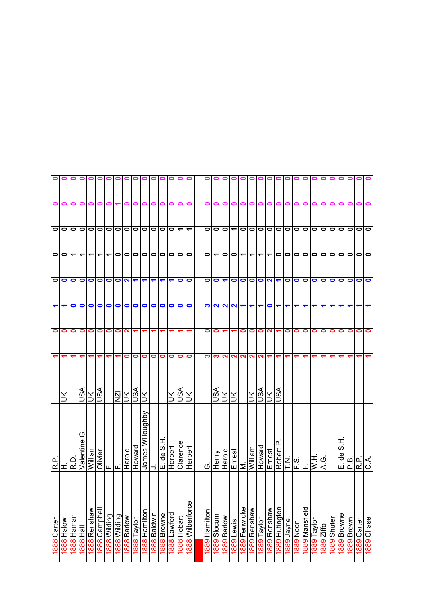|           |           | lo                       | 0   0                    | $\bullet$            |                      | $\bullet$ |                   |               |                                                       | 1889 Chase                |  |
|-----------|-----------|--------------------------|--------------------------|----------------------|----------------------|-----------|-------------------|---------------|-------------------------------------------------------|---------------------------|--|
|           |           | $\bullet$                |                          | $\bullet$            |                      | 0         |                   |               |                                                       | 1889 Carter               |  |
|           |           | $\bullet$                |                          | $\bullet$            |                      | 0         |                   |               | ا هزام ا<br>ا دار ا                                   | 1889 Brown                |  |
|           |           | $\bullet$                | $\circ$                  | $\bullet$            |                      | 0         |                   |               | エの<br>$\frac{\omega}{\sigma}$<br>щі                   | 1889 Browne               |  |
|           |           | $\bullet$                | $\bullet$                | 0                    |                      | 0         |                   |               |                                                       | 1889 Shuter               |  |
|           |           | $\bullet$                | $\bullet$                | $\bullet$            |                      | 0         |                   |               | ن<br>ج                                                | <b>Ziffo</b><br>1889      |  |
|           |           |                          |                          | $\bullet$            |                      | 0         |                   |               | $\overline{M.H}$                                      | Taylor<br>1889            |  |
|           | 0         |                          |                          | $\bullet$            |                      | 0         |                   |               |                                                       | <b>1889</b> Mansfield     |  |
|           |           | lololo                   | lololo                   | O                    |                      | $\bullet$ |                   |               |                                                       | uooN 6881                 |  |
|           |           | $\bullet$                | $\bullet$                | $\bullet$            |                      | 0         |                   |               | $\mathsf{E}^{\mathsf{loc}}_{\mathsf{I}^{\mathsf{L}}}$ | l889 Jayne                |  |
|           |           | $\bullet$                | $\bullet$                |                      |                      |           |                   | ASU           | Robert P                                              | 1889 Hutington            |  |
|           |           | $\bullet$                | $\blacktriangledown$     | $\sim$               | $\bullet$            | $\sim$    |                   | $\preceq$     | Ernest                                                | 1889 Renshaw              |  |
|           |           | $\bullet$                | $\overline{\phantom{0}}$ | $\bullet$            | ↽                    | 0         | $\mathbf{\Omega}$ |               | Howard                                                | 1889 Taylor               |  |
|           |           | $\bullet$                | $\blacktriangledown$     | $\bullet$            | $\blacktriangledown$ | 0         | $\mathbf{N}$      | $\frac{1}{2}$ |                                                       | 1889 Renshaw              |  |
|           | 0         | $\bullet$                |                          |                      |                      | 0         |                   |               | <u>Ernest</u><br>M.<br>William                        | 1889 Fenwicke             |  |
|           | o         | $\overline{\phantom{a}}$ | $O O -$                  | $\circ$              | $N$ $N$ $N$ $\tau$   |           | <b>NNN</b>        | Šl            |                                                       | 889 Lewis                 |  |
|           | 0         | $\bullet$                |                          | $\blacktriangledown$ |                      |           |                   | Šl            | Harold                                                | 1889 Barlow               |  |
|           |           | $\bullet$                | $\overline{\phantom{0}}$ | $\bullet$            |                      | 0         | ∾                 | vsn           | Henry                                                 | 1889<br>Slocum            |  |
|           |           | 0                        | 0                        | 0                    | <u>က</u>             | 0         | ო                 |               | Ö                                                     | 1889 Hamilton             |  |
|           |           |                          |                          |                      |                      |           |                   |               |                                                       |                           |  |
|           |           | ᠆                        | $\bullet$                | $\bullet$            | $\bullet$            |           | 0                 | ¥             | Herbert                                               | 1888 Wilberforce          |  |
|           |           |                          |                          | $\bullet$            |                      |           | 0                 | VSU           | Clarence                                              | 1888 Hobart               |  |
|           |           | 0 0 —                    | 10 IO                    | $\blacksquare$       | olo                  |           | 0                 | $\leq$        | Herbert                                               | 1888 Lawford              |  |
| $\bullet$ |           |                          | $\bullet$                | ↽                    | $\bullet$            |           | 0                 |               | de S.H.<br>Шi                                         | 888 Browne                |  |
| 0         |           | $\bullet$                | $\bullet$                | ↽                    | $\bullet$            |           | 0                 |               |                                                       | aiwbled <mark>B88</mark>  |  |
| o         |           | $\bullet$                | $\bullet$                | ↽                    | $\bullet$            |           | 0                 | ŠК            | James Willoughby                                      | 1888 Hamilton             |  |
| 0000      |           | $\bullet$                | $\bullet$                | $\frac{1}{2}$        | $\bullet$            |           | 0                 | ASU           | Howard                                                | 1888 Taylor               |  |
|           |           | $\bullet$                | $\bullet$                |                      | $\bullet$            | N         | 0                 | Ж             |                                                       | 1888 Barlow               |  |
|           |           |                          | $\bullet$                | $\bullet$            | $\bullet$            | 0         |                   | <b>IZN</b>    | F.<br>F.<br>Harold                                    | 1888 Wilding              |  |
|           | 0         | 0000                     | $\overline{\phantom{0}}$ | $\bullet$            | $\bullet$            | 0         | ᠆                 |               |                                                       | 1888 Wilding              |  |
|           |           |                          | $\blacktriangledown$     | O                    | $\bullet$            | 0         |                   | vsn           | Olivier                                               | 1888 Campbell             |  |
|           | 0         |                          | $\overline{\phantom{0}}$ | $\bullet$            | $\bullet$            | 0         |                   | $\leq$        | weilliw                                               | weusuay <mark>1888</mark> |  |
|           |           | $\bullet$                |                          | $\bullet$            | $\bullet$            | 0         |                   | vsn           | ৩<br>Valentine                                        | <b>IPH</b> 888            |  |
|           | 0         | $\circ$                  |                          | $\bullet$            | 0                    | 0         |                   |               | ص<br>م                                                | 1888 Haman                |  |
|           | 0         | 010                      | olo                      | $\bullet$            | ↽                    | 0         | ↽                 |               | ェ                                                     | <b>MoleH</b><br>1888      |  |
|           | $\bullet$ |                          |                          |                      | $\blacktriangledown$ | 0         |                   |               | ڢ<br>R.                                               | Carter<br>1888            |  |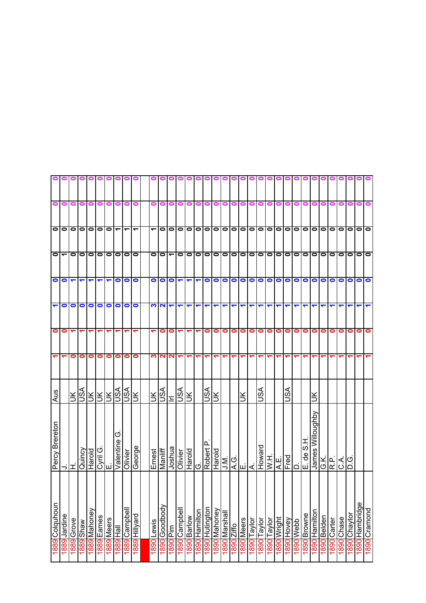|                      |                                                             |            |                      |                      |                         |            | 00000000                     |                          | $\blacksquare$           | $\blacksquare$       | o                            | $\blacksquare$   |                      |                      |                           |                 |                             |               |                      |                      |                      |                               |                    |              |                |           |                              |                  |                |             |            |              |                |              |
|----------------------|-------------------------------------------------------------|------------|----------------------|----------------------|-------------------------|------------|------------------------------|--------------------------|--------------------------|----------------------|------------------------------|------------------|----------------------|----------------------|---------------------------|-----------------|-----------------------------|---------------|----------------------|----------------------|----------------------|-------------------------------|--------------------|--------------|----------------|-----------|------------------------------|------------------|----------------|-------------|------------|--------------|----------------|--------------|
| 0                    | 0                                                           | 0          | 0                    | 0                    | 0                       | 0          |                              | 0                        | o                        | 0                    | o                            | 0                |                      | o                    | 0                         | 0               | 0                           | 0             | 0                    | 0                    | 0                    | o                             |                    |              |                |           | o                            |                  |                |             |            |              |                |              |
|                      | 000                                                         |            |                      | 00000                |                         |            |                              | $\overline{\phantom{0}}$ | $\overline{\phantom{0}}$ | $\blacktriangledown$ |                              | 0 0 0            |                      |                      |                           |                 |                             |               |                      |                      |                      | 0 0 0 0 0 0 0 0 0 0 0 0 0 0 0 |                    |              |                |           |                              |                  |                |             |            |              | O O O O        |              |
| O                    |                                                             | $\bullet$  |                      |                      |                         |            | 0 0 0 0 0                    |                          | $\bullet$                |                      | $\log$                       |                  | $\bullet$            | $\bullet$            |                           |                 |                             |               |                      |                      |                      | 0 0 0 0 0 0 0 0 0             |                    |              |                | 0 0 0 0   |                              |                  | $\bullet$      |             |            |              | 0 0 0 0 0      |              |
|                      | $\overline{\overline{\overline{O}}\overline{\overline{O}}}$ |            | $\blacktriangledown$ | $\blacktriangledown$ | $\overline{\mathbf{r}}$ |            | $\circ$                      |                          | $\bullet$                |                      |                              | $\circ$ $\circ$  | $\blacktriangledown$ | $\blacktriangledown$ | $\blacktriangledown$      | $\bullet$       |                             |               |                      |                      |                      | 00000000                      |                    |              |                | 0000      |                              |                  | $\bullet$      | $\bullet$   | $\bullet$  |              | 000            |              |
| $\blacktriangledown$ | $\bullet$                                                   | $\bullet$  | $\bullet$            | $\bullet$            | $\bullet$               | $\bullet$  | $\bullet$                    | $\bullet$                | $\bullet$                |                      | M <sub>1</sub>               |                  | ↽                    | ↽                    | ↽                         | ↽               | ↽                           | ↽             | $\blacktriangledown$ | $\blacktriangledown$ | $\blacktriangledown$ | ↽                             | ↽                  | ↽            |                |           |                              |                  |                |             |            |              |                | ↽            |
| $\bullet$            | 0                                                           |            |                      |                      |                         |            |                              |                          |                          |                      | 0                            | 0                |                      |                      |                           | 0               | 0                           | $\bullet$     | o                    | $\bullet$            | $\bullet$            | $\bullet$                     | $\bullet$          | $\bullet$    | $\bullet$      | $\circ$   |                              | 0                | 0              | 0           | 0          | 0            | $\bullet$      | $\bullet$    |
| $\blacktriangledown$ |                                                             | 0          | 0                    | $\bullet$            | 0                       | 0          | 0                            | 0                        | 0                        |                      | ကျပျ                         | N                |                      |                      |                           |                 |                             |               | ᠆                    | ↽                    | ᡪ                    |                               |                    |              |                |           |                              |                  |                |             |            |              |                |              |
| Aus                  |                                                             | ŠК         | ∀s∩                  |                      |                         |            | <u> R R R Q</u><br> K R Q    | vsn                      | Ж                        | Ιš                   | ASL                          | Ξ                | ∀s∩                  | ⋚                    |                           | vsn             | š                           |               |                      | š                    |                      | JSA                           |                    |              | S∕S            |           |                              |                  |                |             |            |              |                |              |
| Percy Brereton       | ⇒l≖                                                         |            | Quincy               | Harold               |                         |            | Valentine<br>E.<br>Valentine | Olivier                  | George                   | Ernest               | $\overline{\mathsf{Mainff}}$ | Joshua           | Olivier              |                      | Harold<br>G.<br>Robert P. |                 |                             |               |                      |                      |                      | Howard                        | $\overline{N}$ . H | A.E.         | Fred           | نىرات     | ᄑ<br>ဖ<br>$\frac{e}{\sigma}$ | James Willoughby | G.K.<br>R.P.   |             | )<br>ان    | ن<br>آ       |                |              |
| 1889 Colquhoun       | Jardine<br>1889                                             | 1889 Grove | weys 6881            | 1889 Mahoney         | 1889 Eames              | 1889 Meers | <b>II<sup>B</sup>H</b> 688   | 1889 Campbell            | 1889 Hillyard            | Lewis<br>1890        | Goodbody<br>0681             | im<br>Di<br>1890 | 1890 Campbell        | 1890 Barlow          | 1890 Hamilton             | l 890 Hutington | n <mark>1890 Mahoney</mark> | 1890 Marshall | 1890 Ziffo           | 1890 Meers           | 1890 Taylor          | 1890 Taylor                   | Taylor<br>1890     | I 890 Wright | VevoHj<br>1890 | ddeM 0681 | Browne<br>0681               | Hamilton<br>1890 | Belden<br>1890 | 1890 Carter | 1890 Chase | 1890 Chaytor | 1890 Hambridge | 1890 Cramond |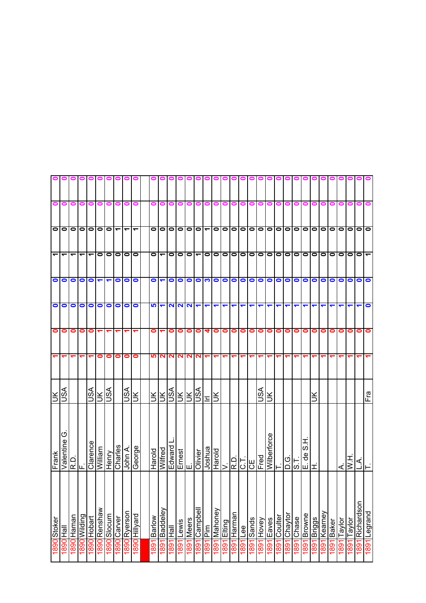|                          |                | 0                        |              |                          |                         |                           | <b>PPPPP</b> |                          | 0                 | $\blacksquare$ | 0                    | 01         |           |              |                          |                          |           |           |                                                         |           |           |               |                       |         |              |           |              |               |           |           |           |                   |                          |               |
|--------------------------|----------------|--------------------------|--------------|--------------------------|-------------------------|---------------------------|--------------|--------------------------|-------------------|----------------|----------------------|------------|-----------|--------------|--------------------------|--------------------------|-----------|-----------|---------------------------------------------------------|-----------|-----------|---------------|-----------------------|---------|--------------|-----------|--------------|---------------|-----------|-----------|-----------|-------------------|--------------------------|---------------|
| 0                        | 0              | 0                        | 0            | 0                        | 0                       | 0                         |              | o                        |                   |                |                      | 0          |           |              | 0                        | 0                        | 0         | 0         | 0                                                       | 0         |           |               |                       |         |              |           |              |               |           |           |           |                   |                          |               |
|                          | ololo          |                          |              |                          |                         | 00000                     |              | $\overline{\phantom{0}}$ | ے                 |                |                      | O          | $\bullet$ | $\bullet$    | $\overline{\phantom{0}}$ | $\overline{\phantom{a}}$ |           |           |                                                         |           |           | 0 0 0 0 0 0 0 |                       |         |              | 0 0 0 0   |              |               | $\bullet$ | lol       |           |                   | O O O O                  |               |
| $\overline{\phantom{0}}$ | ↽              | $\overline{\phantom{0}}$ | ↽            | $\overline{\phantom{0}}$ |                         | $\circ$                   | $\bullet$    | $\bullet$                | $\bullet$         | $\bullet$      | $\blacktriangledown$ | $\bullet$  | $\bullet$ | $\bullet$    | $\blacktriangledown$     | $\bullet$                | $\bullet$ |           |                                                         |           | 0 0 0 0   | 0 0 0         |                       |         |              | 0 0 0 0   |              |               | $\bullet$ | $\circ$   | $\bullet$ | $\bullet$         | $\overline{\phantom{a}}$ |               |
|                          | $\bullet$      | $\bullet$                |              | $\circ$                  | $\overline{\mathbf{r}}$ |                           | $\bullet$    | $\bullet$                | $\bullet$         | $\bullet$      | $\blacktriangledown$ | $\bullet$  | $\bullet$ | $\bullet$    | ဝေက                      |                          | O         |           |                                                         |           |           | 0000000       |                       |         |              | 0000      |              |               | $\bullet$ | $\bullet$ | $\bullet$ | $\bullet$         | $\circ$                  |               |
| $\bullet$                | $\bullet$      | 0                        | $\bullet$    | $\bullet$                | $\bullet$               | $\bullet$                 | $\bullet$    | $\bullet$                | 0                 | <b>SP</b>      | $\blacktriangledown$ |            |           | <b>NNN</b>   | ↽                        | ↽                        | ↽         | ↽         | ↽                                                       | ↽         | ↽         | ↽             | ↽                     |         |              |           |              |               |           |           |           |                   |                          | $\bullet$     |
| $\bullet$                | 0              | 0                        | 0            | $\bullet$                | ᠆                       |                           |              |                          |                   | 0              |                      | 0          | 0         | 0            | 0                        | 4                        | 0         | $\bullet$ | $\bullet$                                               | $\bullet$ | $\bullet$ | 0             | $\bullet$             | 0       | $\bullet$    | $\bullet$ | $\bullet$    | 0             | 0         | 0         | 0         | 0                 | 0                        | $\bullet$     |
|                          |                |                          |              |                          | 0                       | 0                         | 0            | 0                        | 0                 |                | <b>50 N</b>          | N.         | $\sim$    | $\mathbf{a}$ | N                        |                          |           |           | ᠆                                                       | ↽         |           |               |                       |         |              |           |              |               |           |           |           |                   |                          |               |
| ž.                       | VSN            |                          |              | vsn                      |                         | <b>NSU</b>                |              | ASU                      | $\breve{\preceq}$ | Ιš             | ΙŘ                   | <b>ASU</b> | ž.        | š            | vsn                      | 드                        | lЖ        |           |                                                         |           |           | JSA           | š                     |         |              |           |              | š             |           |           |           |                   |                          | Fra           |
| Frank                    | O<br>Valentine | R.D                      | ட            | Clarence                 | William                 | Henry                     | Charles      | John A                   | George            | Harold         | Wilfred              | Edward     |           | Ernest<br>E. | Olivier                  | Joshua                   | Harold    | $\vert$   | $\frac{1}{2}$ $\frac{1}{2}$ $\frac{1}{2}$ $\frac{1}{2}$ |           |           | Fred          | <u>ב</u><br>Mipeupuce |         | $rac{1}{50}$ | ≖انیا∣ت   | I<br>ഗ<br>కి |               |           |           | ₹         | $\overline{W}$ .H | بر<br>آ                  | ⊩             |
| 1890 Stoker              | lleH           | 1890 Haman               | puibliW 0681 | 1890 Hobart              | 1890 Renshaw            | 1 <mark>890</mark> Slocum | 1890 Carver  | 1890 Ryerson             | 1890 Hillyard     | <b>Barlow</b>  | Baddeley             | 高          | Lewis     | <b>Meers</b> | Campbell                 | $\frac{1}{2}$            | Mahoney   | Elting    | 1891 Harman                                             | Lee       | Sands     | Hovey         | Eaves                 | Coulter | Chaytor      | Chase     | Browne       | <b>Briggs</b> | Kearney   | Baker     | Taylor    | Taylor            | Richardson               | pueJohn   L68 |
|                          | 1890           |                          |              |                          |                         |                           |              |                          |                   | 1891           | 1891                 | 1891       | 1891      | 1891         | 1891                     | $\frac{89}{18}$          | 1891      | 1891      |                                                         | 1891      | 1891      | 1891          | 1891                  | 1891    | 1891         | 1891      | <b>L68</b>   | 1891          | 1891      | 1891      | 1891      | 1891              | 1891                     |               |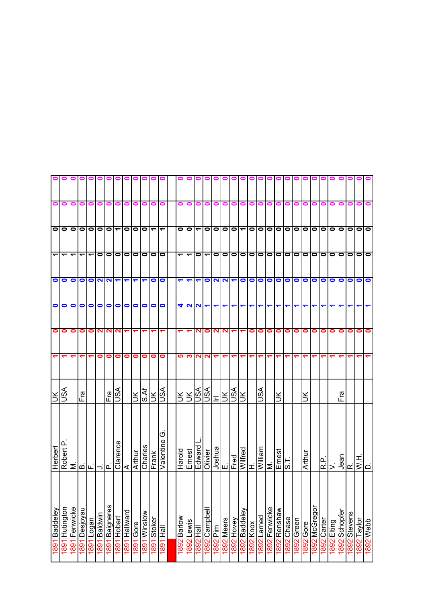|                      |                      |                          |           |                          |              |                | o o o o o o o o o o o o                                                                                |               |           |                      |                          |                          | 0                        |           |                          |                      |            |            |                      |                                       |                          |               |           |           |               |                                  |           |                 |           |                |           |               |                                |                                |
|----------------------|----------------------|--------------------------|-----------|--------------------------|--------------|----------------|--------------------------------------------------------------------------------------------------------|---------------|-----------|----------------------|--------------------------|--------------------------|--------------------------|-----------|--------------------------|----------------------|------------|------------|----------------------|---------------------------------------|--------------------------|---------------|-----------|-----------|---------------|----------------------------------|-----------|-----------------|-----------|----------------|-----------|---------------|--------------------------------|--------------------------------|
| 0                    | 0                    | 0                        | 0         | 0                        | 0            | 0              |                                                                                                        | o             |           |                      | 0                        | o                        |                          | o         | 0                        | 0                    | 0          | 0          | 0                    | 0                                     |                          |               |           |           |               |                                  |           |                 |           |                |           |               |                                |                                |
|                      | 000                  |                          |           |                          |              | 00000          |                                                                                                        | $\bullet$     | $\bullet$ | $\bullet$            | $\overline{\phantom{a}}$ | $\overline{\phantom{a}}$ | $\bullet$                | $\bullet$ | $\overline{\phantom{0}}$ | $\bullet$            | 0000       |            |                      |                                       |                          | O O O         |           |           |               |                                  |           | 0 0 0 0 0       |           | lol            | $\circ$   |               | lololo                         |                                |
| $\blacktriangledown$ | ↽                    | $\overline{\phantom{0}}$ | ↽         | $\overline{\phantom{0}}$ | 0 0          |                | $\bullet$                                                                                              | $\bullet$     | $\bullet$ | $\bullet$            | 00                       |                          | $\overline{\phantom{0}}$ | ᠆         | $\bullet$                | $\blacktriangledown$ | $\bullet$  |            | lololol              |                                       | $\overline{\phantom{0}}$ | O O O         |           |           |               | lololol                          |           |                 | $\bullet$ | $\blacksquare$ | $\bullet$ | $\bullet$     | 0   0                          |                                |
| $\bullet$            |                      | $\bullet$                |           |                          |              |                | O O N Q                                                                                                |               | ↽         | $\blacktriangledown$ | 0                        |                          | $\blacktriangledown$     | ↽         | $\blacktriangledown$     | $\bullet$            |            |            |                      |                                       |                          | NNFOOOOO      |           |           |               | 0000                             |           |                 | $\bullet$ | $\bullet$      | $\bullet$ | $\bullet$     | 0                              |                                |
| $\bullet$            | $\bullet$            | $\bullet$                | $\bullet$ | $\bullet$                | $\bullet$    | $\bullet$      | $\bullet$                                                                                              | $\bullet$     | 0         | $\bullet$            | $\circ$                  |                          |                          |           | <b>4 9 9</b>             | $\blacktriangledown$ | ↽          | ↽          | ↽                    | $\blacktriangledown$                  | ↽                        | ↽             | ↽         | ↽         |               |                                  |           |                 |           |                |           |               |                                | ↽                              |
| $\bullet$            | 0                    | 0                        | 0         | $\bullet$                |              | <b>NN</b>      | N                                                                                                      |               |           |                      |                          |                          |                          |           | N                        | $\bullet$            | <b>NIN</b> |            | $\blacktriangledown$ |                                       | $\bullet$                | 0             | $\bullet$ | $\bullet$ | $\bullet$     | $\bullet$                        | $\bullet$ | 0               | 0         | 0              | 0         | 0             | 0                              | $\bullet$                      |
|                      |                      |                          |           |                          | 0            | 0              | 0                                                                                                      | $\bullet$     | 0         | $\bullet$            | $\bullet$                | $\bullet$                | <u> ဟ</u>                | ∾         | N.                       | $\sim$               |            |            | ᠆                    |                                       |                          |               |           |           |               |                                  |           |                 |           |                |           |               |                                |                                |
| š.                   | ASU                  |                          | Fra       |                          |              |                | Er<br>USA                                                                                              |               | ŠК        | S.Af                 | Ιš                       | <b>ASU</b>               | Šl                       | Ж         | VSN                      | VSN                  | <b>ESS</b> |            |                      | ŠК                                    |                          | s∕s∪          |           | š         |               |                                  | š         |                 |           |                | Fra       |               |                                |                                |
| Herbert              | $\Omega$<br>Robert I |                          |           |                          |              |                | $\begin{array}{ c c c } \hline & & & \\\hline \hline & & & \\\hline \hline & & & \\\hline \end{array}$ |               | Arthur    | Charles              | Frank                    | ↺<br>Valentine           | Harold                   | Ernest    | Edward                   | Olivier              |            |            |                      | Joshua<br>E. Fred<br>Wilfred<br>H. H. |                          | William<br>M. |           | Emest     | $\frac{1}{3}$ |                                  | Arthur    |                 | ات<br>الا | >              |           | $J$ ean<br>R. | $\frac{1}{2}$<br>$\frac{1}{2}$ |                                |
| Baddeley             | Hutington            | Fenwicke                 | Desjoyau  | Logan                    | 1891 Baldwin | 1891 Baigneres | 1891 Hobart                                                                                            | 1891 Hallward | Gore      | Winslow              | Stoker                   | <b>IIBH</b>              | Barlow                   | Lewis     | 1892 Hall                | 892 Campbell         | 1892 Pim   | 1892 Meers | 1892 Hovey           | 1892 Baddeley                         | 1892 Knox                | 1892 Larned   | Fenwicke  | Renshaw   | Chase         | Green<br>1892 Greer<br>1892 Gore |           | <b>McGregor</b> | Carter    | 1892 Elting    | Schopfer  | Stevens       | 1892 Taylor                    | qqə <u>w <mark>z68</mark>t</u> |
| 1891                 | 1891                 | 1891                     | 1891      | 1891                     |              |                |                                                                                                        |               | 1891      | 1881                 | 1881                     | <b>L681</b>              | 1892                     | 1892      |                          |                      |            |            |                      |                                       |                          |               | 1892      | 1892      | 1892          |                                  |           | $\frac{1}{2}$   | 1892      |                | 1892      | 1892          |                                |                                |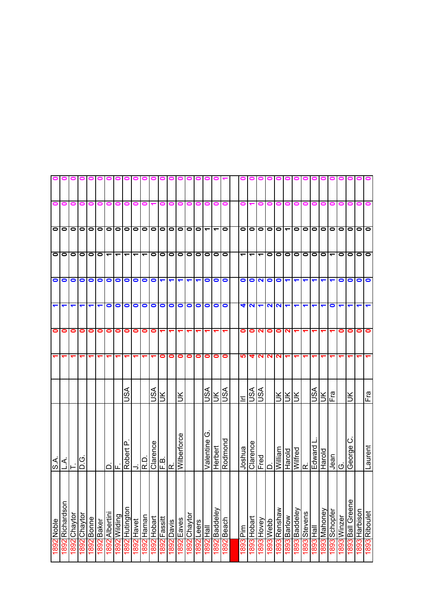|                      |                                                                     |                 |              | 000        |            |                          | 0 0 1        |                |            | 0000          |                | o                    | 01                   |               |                 |               |                          |                      |            |                      |                      |                                                                                                                                              | $\blacksquare$ |                        |                          |                               |   |           |                 |                      |             |                  |               |               |
|----------------------|---------------------------------------------------------------------|-----------------|--------------|------------|------------|--------------------------|--------------|----------------|------------|---------------|----------------|----------------------|----------------------|---------------|-----------------|---------------|--------------------------|----------------------|------------|----------------------|----------------------|----------------------------------------------------------------------------------------------------------------------------------------------|----------------|------------------------|--------------------------|-------------------------------|---|-----------|-----------------|----------------------|-------------|------------------|---------------|---------------|
| 0                    | 0                                                                   | 0               | 0            | 0          | 0          | 0                        |              | o              |            |               |                |                      | 0                    |               | o               | 0             | 0                        | 0                    | 0          |                      |                      |                                                                                                                                              |                |                        |                          |                               |   |           |                 |                      |             |                  |               |               |
|                      | 000                                                                 |                 |              |            |            | 0000                     | <u> 0</u>    |                | $\bullet$  | $\bullet$     |                |                      | 0000                 |               | $\bullet$       | $\bullet$     | $\overline{\phantom{0}}$ | $\blacktriangledown$ | $\bullet$  | $\bullet$            | $\bullet$            | $\bullet$                                                                                                                                    | $\circ$        |                        | $\overline{\phantom{0}}$ | O O O                         |   |           | $\bullet$       | $\circ$              | $\bullet$   | $\bullet$        | $\bullet$     | lo            |
| $\bullet$            | $\bullet$                                                           | $\bullet$       | 0            |            | $\bullet$  | $\overline{\phantom{0}}$ | ᠆            | ᠆              | ᠆          | ᠆             | $\bullet$      | $\bullet$            | $\bullet$            | $\bullet$     | $\bullet$       | $\circ$       | $\bullet$                | $\bullet$            | $\bullet$  | $\blacktriangledown$ | $\blacktriangledown$ | ᠆                                                                                                                                            | $\bullet$      | $\bullet$              | $\bullet$                | 0   0                         |   | $\bullet$ | $\bullet$       | $\blacktriangledown$ | $\bullet$   | $\bullet$        | $\bullet$     | lo            |
| $\bullet$            | $\bullet$                                                           | $\bullet$       | $\bullet$    | $\bullet$  | $\bullet$  | $\bullet$                | $\bullet$    | $\bullet$      | $\bullet$  | $\bullet$     | $\bullet$      | $\blacktriangledown$ | $\blacktriangledown$ | ↽             | ↽               | ↽             | $\bullet$                | $\bullet$            | $\bullet$  | $\bullet$            |                      | $ O $ $ O $ $ O $                                                                                                                            |                |                        | $\blacktriangledown$     |                               | ↽ | ↽         | ↽               | ↽                    | $\bullet$   | $\bullet$        | $\bullet$     | $\bullet$     |
| $\blacktriangledown$ | ↽                                                                   | ↽               |              |            | ᡪ          | 0                        | $\bullet$    | $\bullet$      | 0          | $\bullet$     | $\bullet$      | $\bullet$            | $\bullet$            | $\bullet$     | $\bullet$       | $\bullet$     | $\bullet$                | $\bullet$            | $\bullet$  | 4                    | $\sim$               |                                                                                                                                              | NN             |                        |                          |                               |   |           |                 | 0                    |             |                  |               | ↽             |
| $\bullet$            | 0                                                                   | 0               | 0            | 0          | 0          | 0                        | 0            | 0              | 0          | 0             | 0              |                      |                      |               |                 |               |                          |                      |            | 0                    | $\bullet$            | N                                                                                                                                            | 0              | 0                      | N                        |                               |   |           |                 |                      | 0           | 0                | 0             | 0             |
|                      |                                                                     |                 |              |            | ᠆          | ᡪ                        |              | ᡪ              |            |               |                | 0                    | 0                    | 0             | 0               | 0             | 0                        | 0                    | $\bullet$  | <u>ທ</u>             | 4                    | N                                                                                                                                            | N              | $\mathbf{\Omega}$      |                          |                               |   |           |                 |                      |             |                  |               |               |
|                      |                                                                     |                 |              |            |            |                          |              | JSA            |            |               | ASU            | Ě                    |                      | š             |                 |               | vsn                      | $\leq$               | vsn        | Ξ                    | VSN                  | S <b< td=""><td></td><td>šĶ</td><td></td><td>Ιš</td><td></td><td>vsn</td><td>š</td><td>Fra</td><td></td><td>š</td><td></td><td>Fra</td></b<> |                | šĶ                     |                          | Ιš                            |   | vsn       | š               | Fra                  |             | š                |               | Fra           |
| $rac{1}{\sqrt{2}}$   | $\frac{1}{\sqrt{2}}\left  \frac{1}{\sqrt{2}} \right  = \frac{1}{2}$ |                 | ن<br>۱       |            |            |                          | பட்          | Robert P       |            | R.D           | Clarence       | Φ<br>ய               | اغه                  | Wilberforce   |                 |               | ග<br>Valentine           | Herbert              | Rodmond    | Joshua               | Clarence             | $\frac{1}{2}$                                                                                                                                |                | William                | Harold                   | Edward<br>R.<br>Wilfred       |   |           | Harold          | Jean                 | Ö           | ပ<br>George      |               | Laurent       |
| 1892 Noble           | Richardson<br>1892                                                  | Chaytor<br>2681 | 1892 Chaytor | 1892 Bonne | 1892 Baker | 1892 Albertini           | 1892 Wilding | 1892 Hutington | 1892 Havet | Haman<br>1892 | Hobart<br>1892 | Fassitt<br>1892      | Davis<br>1892        | Eaves<br>1892 | Chaytor<br>1892 | Leers<br>1892 | <b>1892</b> Hall         | 892 Baddeley         | 1892 Beach | 1893 Pim             | 1893 Hobart          | 1893 Hovey                                                                                                                                   | qqəM S681      | weusuay<br><b>C681</b> | <b>1893</b> Barlow       | 1893 Baddeley<br>1893 Stevens |   | 1893 Hall | Mahoney<br>1893 | Schopfer<br>1893     | 1893 Winzer | 1893 Ball Greene | 1893 Harbison | 1893 Riboulet |
|                      |                                                                     |                 |              |            |            |                          |              |                |            |               |                |                      |                      |               |                 |               |                          |                      |            |                      |                      |                                                                                                                                              |                |                        |                          |                               |   |           |                 |                      |             |                  |               |               |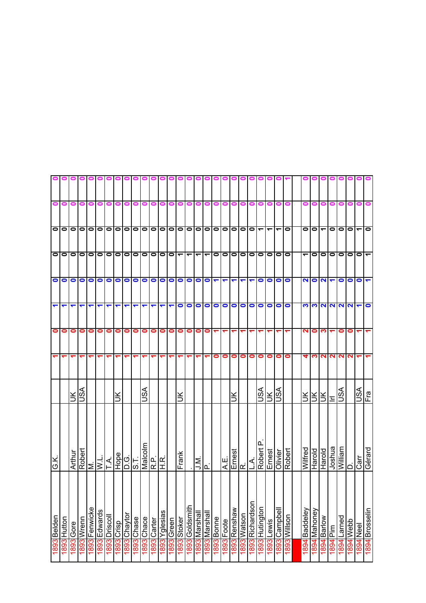|                      |        |           |            |               |              |                      | ololololololololo              |              |            |         |                      |           | 0                       |                          |                      |                      |                          |                      |            |                            |               |                            |                                     |                 |               |                          |                         |             |                          |                      |              |                         |                            |                      |
|----------------------|--------|-----------|------------|---------------|--------------|----------------------|--------------------------------|--------------|------------|---------|----------------------|-----------|-------------------------|--------------------------|----------------------|----------------------|--------------------------|----------------------|------------|----------------------------|---------------|----------------------------|-------------------------------------|-----------------|---------------|--------------------------|-------------------------|-------------|--------------------------|----------------------|--------------|-------------------------|----------------------------|----------------------|
| 0                    | 0      | 0         | 0          | 0             | 0            | 0                    | 0                              | 0            | 0          | 0       | 0                    | 0         | 0                       |                          | o                    | 0                    | o                        | 0                    | 0          | 0                          | 0             | 0                          | 0                                   |                 |               |                          | 0                       |             |                          |                      |              |                         |                            |                      |
|                      | 000    |           |            |               |              |                      |                                |              |            |         |                      |           | 0 0 0 0 0 0 0 0 0 0 0 0 |                          |                      | 00                   |                          | 0  0  0  0  0        |            |                            |               |                            |                                     | $\frac{1}{2}$   |               | $\bullet$                | $\overline{\bullet}$  0 |             | $\overline{\phantom{0}}$ | $\circ$              | $\bullet$    | $\bullet$               | $\overline{\mathbf{r}}$ 10 |                      |
|                      | ololo  |           |            | 0 0 0 0       |              |                      | 0                              |              | $\bullet$  |         |                      |           | 0 0 0 0                 | $\overline{\phantom{0}}$ | $\blacktriangledown$ | $\blacktriangledown$ | $\overline{\phantom{0}}$ | $\bullet$            |            |                            | $\frac{1}{2}$ |                            | $\frac{\overline{0}}{\overline{0}}$ |                 |               | $\overline{\phantom{a}}$ | $\blacktriangledown$    | $\bullet$   | $\bullet$                | $\circ$              | $\bullet$    | $\bullet$               | $\overline{\phantom{a}}$   |                      |
|                      |        |           | $\bullet$  |               | $\circ$      |                      | $\circ$                        |              | $\bullet$  |         |                      |           | 00000                   |                          | $\bullet$            | $\circ$              |                          | $\blacktriangledown$ |            | $\frac{1}{2}$              |               | $\blacktriangledown$       |                                     | $\circ$ $\circ$ |               | $\bullet$                |                         | <b>NON</b>  |                          | $\blacktriangledown$ | $\bullet$    | $\bullet$               | $\bullet$                  | $\blacktriangledown$ |
| $\blacktriangledown$ | ↽      | ↽         | ↽          | ↽             | ↽            | $\blacktriangledown$ | ↽                              | ↽            | ↽          | ↽       | $\blacktriangledown$ | ↽         | $\blacktriangledown$    | $\bullet$                | $\bullet$            | $\bullet$            | $\bullet$                | $\bullet$            | $\bullet$  | 0                          |               |                            | 0                                   | $\bullet$       | O             | $\bullet$                |                         | <b>2002</b> |                          | $\mathbf{N}$         | $\sim$       | $\overline{\mathbf{v}}$ | $\overline{\phantom{0}}$   | $\bullet$            |
| $\bullet$            | 0      | 0         | $\bullet$  | $\bullet$     | 0            | 0                    | 0                              | 0            | 0          | 0       | $\bullet$            | $\bullet$ | 0                       | 0                        | 0                    | 0                    | 0                        |                      |            | 7                          |               |                            |                                     |                 |               |                          | N                       | 0           | ო                        |                      | 0            | 0                       |                            |                      |
|                      |        |           |            |               | ᠆            | ᡪ                    |                                | ٣            |            |         |                      |           |                         |                          |                      |                      |                          | 0                    | $\bullet$  | $\bullet$                  | $\bullet$     | $\bullet$                  | $\bullet$                           | $\bullet$       | $\bullet$     | $\bullet$                | 4                       | ო           | $\mathbf{\Omega}$        | N                    | $\mathbf{N}$ | $\mathbf{N}$            |                            |                      |
|                      |        | š         | vsn        |               |              |                      | š                              |              |            | JSA     |                      |           |                         | š                        |                      |                      |                          |                      |            | š                          |               |                            | JSA                                 | $\leq$          | ASU           |                          | šl                      | ŠК          | ÌЯ                       | $\equiv$             | s∕s∪         |                         | VSV                        | Fra                  |
| λÖ                   |        | Arthur    |            | Robert<br>M.  |              |                      | $\frac{1}{\frac{N}{\sqrt{N}}}$ | $rac{G}{S}$  |            | Malcolm | $R$ H.R.             |           |                         | Frank                    |                      | .ׁ⊠<br>וב            | <u>г.</u>                |                      | A.E.       |                            | R.<br>Ernest  | $\overline{\mathcal{A}}$ . | Robert<br>Ernest                    |                 | Olivier       | Robert                   | Wilfred                 | Harold      | <b>Harold</b>            | lJoshua              | William      | $\overline{\mathsf{C}}$ | $\overline{C}$ arr         | pueueo               |
| 1893 Belden          | Hutton | 1893 Gore | 1893 Wrenn | 1893 Fenwicke | 1893 Edwards | 1893 Driscoll        | dsiJO <sub>ccia</sub>          | 1893 Chaytor | 1893 Chase | Chace   | 1893 Carter          | Yglesias  | 1893 Green              | Stoker                   | 1893 Goldsmith       | 1893 Marshall        | <b>I893</b> Marshal      | 893 Bonne            | 1893 Foote | 18 <mark>93</mark> Renshaw | 1893 Watson   | 1893 Richardson            | 1893 Hutington                      | 1893 Lewis      | 1893 Campbell | noslily 0881             | Baddeley                | Mahoney     | Barlow                   | im<br>A              | Larned       | 1894 Webb               | 1894 Neel                  | 1894 Brosselin       |
|                      | 1893   |           |            |               |              |                      |                                |              |            | 8681    |                      | 1893      |                         | 1893                     |                      |                      |                          |                      |            |                            |               |                            |                                     |                 |               |                          | 1894                    | 1894        | 1894                     | 1894                 | 1894         |                         |                            |                      |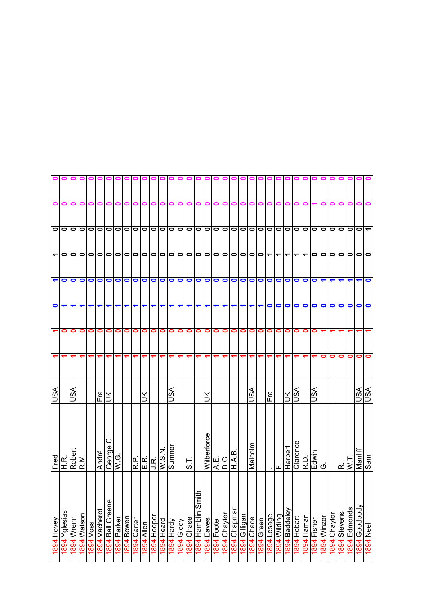|                |           |           |               |           |               |                     |                      |            | 00000000000                                                                                                           |            |                   |           |           |           |                  | $\blacksquare$         |             |           |              |                 |               |            |            |           |                                           |               |                          |                          |             |             |           |           |                         |                             |                    |
|----------------|-----------|-----------|---------------|-----------|---------------|---------------------|----------------------|------------|-----------------------------------------------------------------------------------------------------------------------|------------|-------------------|-----------|-----------|-----------|------------------|------------------------|-------------|-----------|--------------|-----------------|---------------|------------|------------|-----------|-------------------------------------------|---------------|--------------------------|--------------------------|-------------|-------------|-----------|-----------|-------------------------|-----------------------------|--------------------|
| 0              | 0         | 0         | 0             | 0         | 0             | 0                   | 0                    | 0          |                                                                                                                       |            | 0                 | 0         | 0         | 0         | 0                | 0                      |             |           | 0            | 0               | 0             | 0          | 0          | 0         | 0                                         | 0             |                          |                          |             |             |           |           |                         |                             |                    |
|                |           |           |               |           |               |                     |                      |            |                                                                                                                       |            |                   |           |           |           |                  |                        |             |           |              |                 |               |            |            |           |                                           |               |                          |                          |             |             |           |           |                         |                             |                    |
|                | olo       | $\bullet$ | $\bullet$     |           |               |                     |                      |            |                                                                                                                       |            |                   |           |           |           |                  |                        |             |           |              |                 |               |            |            |           |                                           |               |                          |                          | $\bullet$   | $\bullet$   | $\bullet$ |           |                         | lolol—                      |                    |
| $\overline{ }$ | $\bullet$ | $\bullet$ |               |           |               |                     | olololololo          |            |                                                                                                                       |            | 0 0 0 0 0 0 0 0 0 |           |           |           |                  |                        |             |           |              |                 |               |            |            |           |                                           |               | $\overline{\phantom{0}}$ | $\overline{\phantom{0}}$ | $\bullet$   | $\bullet$   | $\bullet$ | lolo      |                         | 10 I O                      |                    |
| $\blacksquare$ | $\bullet$ | $\bullet$ | $\bullet$     | $\bullet$ | $\bullet$     | $\circ$             |                      | $\bullet$  | $\bullet$                                                                                                             | $\bullet$  | $\bullet$         | $\bullet$ | $\circ$   |           | $\bullet$        | $\bullet$              | $\bullet$   | $\bullet$ | $\bullet$    | $\circ$ $\circ$ |               | $\bullet$  | O          |           | 0 0 0                                     |               | $\bullet$                | O                        | $\bullet$   | ↽           |           |           |                         | ↽                           |                    |
| $\bullet$      | ↽         | ↽         |               | ↽         | ↽             | ↽                   | $\blacktriangledown$ | ↽          | ↽                                                                                                                     | ᡪ          | ↽                 | ↽         | ↽         | ↽         | ↽                | $\blacksquare$         | ↽           | ↽         | ↽            | ↽               | ↽             | ↽          | ↽          | $\bullet$ | $\bullet$                                 | $\bullet$     | $\bullet$                | $\bullet$                | $\bullet$   | $\bullet$   | $\bullet$ | O         | $\bullet$               | $\bullet$                   | $\bullet$          |
|                | 0         | 0         | 0             | 0         | 0             | $\bullet$           | $\bullet$            | 0          | 0                                                                                                                     | 0          | 0                 | $\bullet$ | $\bullet$ | $\bullet$ | 0                | 0                      | 0           | 0         | 0            | 0               | 0             | 0          | $\bullet$  | $\bullet$ | $\bullet$                                 | $\bullet$     | 0                        | 0                        | 0           |             |           |           |                         |                             |                    |
|                |           |           |               |           |               |                     | ᡪ                    | ᠇          | ᠆                                                                                                                     |            |                   |           |           |           |                  |                        |             |           |              |                 |               |            |            | ᠆         | ᠆                                         |               | ᠆                        |                          |             | 0           | 0         | $\bullet$ | 0                       | $\bullet$                   | 0                  |
| S∕S∪           |           | li§A      |               |           | Fra           | š                   |                      |            |                                                                                                                       | š          |                   |           | SA        |           |                  |                        | š           |           |              |                 |               | SSU        |            | Fra       |                                           | š             | VSU                      |                          | ASU         |             |           |           |                         | U <sub>SA</sub>             | VSN                |
| ETR.<br>HR.    |           | Robert    | R.M           |           | André         | ပ<br><b>a</b> 6.0ag | G.<br>I≶             |            | $\begin{array}{c}\n\boxed{\mathbf{r}} \\ \boxed{\mathbf{r}} \\ \boxed{\mathbf{r}} \\ \boxed{\mathbf{r}}\n\end{array}$ |            |                   | W.S.N     | Sumner    |           | $\overline{5.8}$ |                        | Wilberforce |           | ⊔ان<br>≮ا    | H.A.B.          |               | Malcolm    |            |           | .  ட                                      | Herbert       | Clarence                 | $\overline{R}$           | Edwin<br>G. |             |           | ΙŒ        | $\overline{\mathbb{R}}$ | Manliff<br>Sam              |                    |
| 1894 Hovey     | Yglesias  | Wrenn     | <b>Watson</b> | 1894 Voss | 1894 Vacherot | 1894 Ball Greene    | 1894 Parker          | 1894 Bowen | 1894 Carter                                                                                                           | 1894 Allen | 1894 Hooper       | IHeard    | Hardy     | Giddy     | Chase            | $\equiv$<br>Hamblin Sm | Eaves       | Foote     | 1894 Chaytor | 1894 Chapman    | I894 Gilligan | 1894 Chace | 1894 Green |           | 18 <mark>94</mark> Lesage<br>1894 Wilding | 1894 Baddeley | 1894 Hobart              | 1894 Haman               | 1894 Fisher | 1894 Winzer | Chaytor   | Stevens   | Edmonds                 | 1 <mark>894</mark> Goodbody | ləə <b>n b68</b> 1 |
|                | 1894      | 1894      | 1894          |           |               |                     |                      |            |                                                                                                                       |            |                   | 1894      | 1894      | 1681      | 1894             | 1894                   | 1894        | 1894      |              |                 |               |            |            |           |                                           |               |                          |                          |             |             | 1681      | 1894      | 1894                    |                             |                    |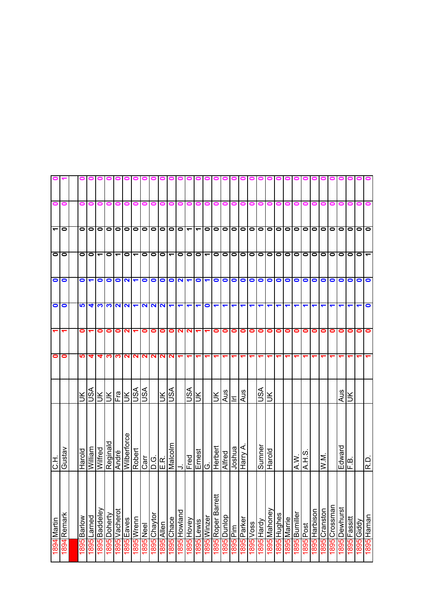|                          |             |            |                      |                             |              |                          |                   | 0                    | $\bullet$ | $\bullet$          |                    |                          |         |                          |                      |                          |                           |                      |                      |                      |                          |            |                      |                          |            |                     |       |           |                      |               |               |              |            |                          |
|--------------------------|-------------|------------|----------------------|-----------------------------|--------------|--------------------------|-------------------|----------------------|-----------|--------------------|--------------------|--------------------------|---------|--------------------------|----------------------|--------------------------|---------------------------|----------------------|----------------------|----------------------|--------------------------|------------|----------------------|--------------------------|------------|---------------------|-------|-----------|----------------------|---------------|---------------|--------------|------------|--------------------------|
| $\bullet$                | 0           | 0          | 0                    | 0                           | Ξ            |                          | 0                 |                      |           |                    | 0                  | 0                        |         | $\blacksquare$           | 0                    | 0                        | 0                         | 0                    | 0                    | 0                    |                          | o          |                      |                          |            |                     |       |           |                      |               |               |              | 0          |                          |
| $\overline{\phantom{a}}$ | $\bullet$   | $\circ$    |                      | 0                           |              | $\bullet$                | $\bullet$         | $\bullet$            |           |                    |                    | O O O O                  |         | $\overline{\phantom{0}}$ | $\blacktriangledown$ | $\bullet$                |                           | $\frac{1}{2}$        |                      |                      |                          | 0000       |                      |                          |            | 0 0 0               |       | $\bullet$ | $\overline{\bullet}$ | $\circ$       | $\bullet$     | $\bullet$    | 0          |                          |
|                          | $\circ$     | $\bullet$  | lo                   | $\blacktriangledown$        | 0            | $\overline{\phantom{0}}$ | $\bullet$         | ᠆                    | $\bullet$ | $\bullet$          | lo                 | $\overline{\phantom{0}}$ | 0       | $\bullet$                | $\bullet$            | $\overline{\phantom{0}}$ |                           | 0000                 |                      |                      | $\overline{\phantom{a}}$ | $\bullet$  | $\bullet$            | $\bullet$                | $\bullet$  | $\circ$ $\circ$     |       | $\bullet$ | $\bullet$            | $\bullet$     | $\bullet$     | $\bullet$    | $\bullet$  | $\overline{\phantom{a}}$ |
| $\bullet$                |             | $\bullet$  | $\blacktriangledown$ | $\circ$                     |              | $\overline{2}$           |                   | $\blacktriangledown$ |           |                    |                    | O O O O N                |         |                          | $\bullet$            |                          | $\bullet$                 |                      |                      |                      | 00000                    |            | $\bullet$            |                          |            | O O O O             |       |           | $\bullet$            | $\bullet$     | $\bullet$     | $\bullet$    | $\circ$    |                          |
| $\bullet$                | $\bullet$   | <b>LO</b>  | 4                    | က က                         |              | <b>NN</b>                |                   | $\blacktriangledown$ |           |                    | $N$ $N$ $N$ $\tau$ |                          | ↽       | ↽                        | $\blacktriangledown$ | $\bullet$                | $\blacktriangledown$      | $\blacktriangledown$ | $\blacktriangledown$ | $\blacktriangledown$ | $\blacktriangledown$     | ↽          | $\blacktriangledown$ |                          |            |                     | ↽     |           |                      |               |               |              |            | $\bullet$                |
| ᠆                        | ↽           | 0          |                      | 0                           | 0            | 0                        | N                 |                      | 0         | 0                  | 0                  | 0                        | N       | $\mathbf{N}$             | ↽                    |                          | 0                         | 0                    | 0                    | 0                    | $\bullet$                | 0          | 0                    | 0                        | 0          | $\bullet$           | 0     | 0         | 0                    | 0             | 0             | 0            | 0          | 0                        |
| $\bullet$                | 0           | <u> (၂</u> | 4                    | 4                           | က            | ო                        | $\mathbf{\Omega}$ | ៷                    | N         |                    | <b>NN</b>          | N                        |         |                          |                      |                          |                           |                      |                      |                      |                          |            |                      |                          |            |                     |       |           |                      |               |               |              |            |                          |
|                          |             | $\leq$     | S<                   |                             |              | 치치치                      |                   | ASU                  | VSU       |                    | Ж                  | VSN                      |         | ASU                      | $\leq$               |                          | Ж                         | $rac{1}{\sqrt{2}}$   |                      | Aus                  |                          | SSL        | š                    |                          |            |                     |       |           |                      |               | Aus           | $\preceq$    |            |                          |
| ここ                       | Gustav      | Harold     | <b>William</b>       | Wilfred                     | Reginald     | André                    | Wilberforce       | Robert               |           | <u>gidie</u><br>이미 |                    | Malcolm                  |         | $\frac{1}{\text{Fred}}$  | Ernest               | Ö                        | Herbert                   | Alfred               | Joshua               | Harry A.             |                          | Sumner     | Harold               |                          |            | I<br>A.W            | S H V |           | $\overline{M}$       |               | Edward        | F.B.         |            | R.D                      |
| 1894 Martin              | 1894 Remark | Barlow     | 1895 Larned          | 18 <mark>95</mark> Baddeley | 1895 Doherty | 1895 Vacherot            | 1895 Eaves        | 1895 Wrenn           | Neel      | Chaytor            | Allen              | Chace                    | Howland | 1895 Hovey               | Lewis                | 1895 Winzer              | $\pm$<br>1895 Roper Barre | 1895 Dunlop          | 1895 Pim             | 1895 Parker          | 1895 Voss                | 1895 Hardy | l 895 Mahoney        | anguH <mark>i 568</mark> | 895 Marrie | <b>Bumiller</b>     | Post  | Harbison  | Cranston             | 1895 Crossman | 1895 Dewhurst | 1895 Fassitt | 1895 Giddy | nsmaH <mark>568</mark> 1 |
|                          |             | 5681       |                      |                             |              |                          |                   |                      | 9681      | 9681               | 9681               | 5681                     | 1895    |                          | 1895                 |                          |                           |                      |                      |                      |                          |            |                      |                          |            | <u>968L</u><br>968L |       | 1895      | 1895                 |               |               |              |            |                          |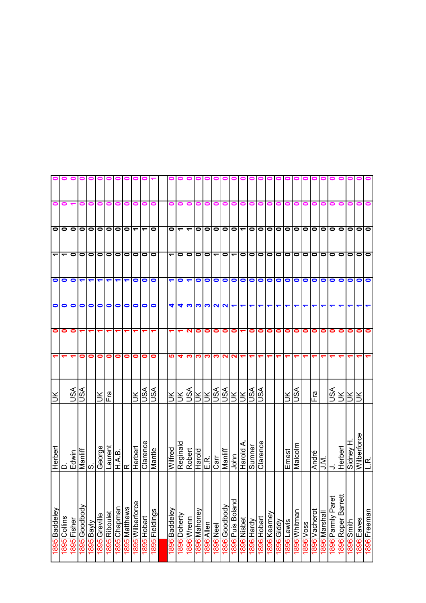|                      |                 |             |                      |                      |                      |                      | 000000                         |                      |                  |                      |                       | 01                       |                 |            |              |                     |                                      |               |                   |                      |            |             |              |            |                      |               |           |                  |                  |                   |                    |               |                     |              |
|----------------------|-----------------|-------------|----------------------|----------------------|----------------------|----------------------|--------------------------------|----------------------|------------------|----------------------|-----------------------|--------------------------|-----------------|------------|--------------|---------------------|--------------------------------------|---------------|-------------------|----------------------|------------|-------------|--------------|------------|----------------------|---------------|-----------|------------------|------------------|-------------------|--------------------|---------------|---------------------|--------------|
| 0                    | 0               |             | 0                    | 0                    | 0                    | 0                    |                                |                      |                  |                      |                       | 0                        |                 |            | 0            |                     | 0                                    | o             | 0                 | 0                    |            |             |              |            |                      |               |           |                  |                  |                   |                    |               |                     |              |
| olo                  |                 | $\bullet$   |                      | 0000                 |                      |                      | $\bullet$                      | $\bullet$            | ٣                | $\blacktriangledown$ | $\bullet$             | $\bullet$                | ᠆               | —          | $\bullet$    | $\bullet$           | 0000                                 |               |                   |                      | $\bullet$  | $\circ$     | 0            |            |                      | $\frac{1}{2}$ |           |                  | $\bullet$        | $\circ$           | $\bullet$          | $\bullet$     | 1010                |              |
| $\blacktriangledown$ | ے               | $\bullet$   | $\bullet$            | $\bullet$            | 00                   |                      | $\bullet$                      | $\bullet$            | $\bullet$        | $\bullet$            | $\bullet$             | $\overline{\phantom{0}}$ | $\bullet$       | $\bullet$  | $\bullet$    | $\bullet$           | $\blacktriangledown$                 | $\bullet$     | $\overline{r}$  0 |                      | $\bullet$  | $\bullet$   | lolo         |            | $\bullet$            | 000           |           |                  | $\bullet$        | $\circ$           | $\bullet$          | $\bullet$     | $\bullet$           | lo           |
| $\bullet$            | $\bullet$       | $\bullet$   | $\blacktriangledown$ | $\blacktriangledown$ | $\blacktriangledown$ | $\blacktriangledown$ | $\blacktriangledown$           | $\blacktriangledown$ | $\bullet$        | $\bullet$            | $\bullet$             | $\blacksquare$           | $\bullet$       | ↽          | $\bullet$    | $\bullet$           | $\bullet$                            | $\bullet$     | 0                 |                      |            | 0000        |              |            | O                    | Ō             |           | $\bullet$        | $\bullet$        | $\bullet$         | $\bullet$          | $\bullet$     | O                   | $\bullet$    |
| $\bullet$            | 0               | 0           | $\bullet$            | $\bullet$            | $\bullet$            | $\bullet$            | $\bullet$                      | $\bullet$            | 0                | $\bullet$            | $\bullet$             | 4                        | 4               | S          | က            | က                   |                                      | NN            |                   | $\blacktriangledown$ | ↽          | ↽           | ↽            | ↽          |                      |               |           |                  |                  |                   |                    |               |                     |              |
| $\bullet$            | 0               | 0           |                      |                      |                      |                      |                                |                      |                  |                      |                       |                          |                 |            | 0            | 0                   | 0                                    | $\bullet$     | $\bullet$         |                      | $\bullet$  | 0           | $\bullet$    | 0          | $\bullet$            | $\bullet$     | $\bullet$ | 0                | 0                | 0                 | 0                  | 0             | 0                   | $\bullet$    |
|                      |                 |             | 0                    | 0                    | 0                    | 0                    | 0                              | 0                    | 0                | $\bullet$            | $\bullet$             | 5                        | 4               | ∾          | ಌ∣           | ∾                   | ო                                    | N             | $\sim$            | ↽                    | ↽          |             |              |            |                      |               |           |                  |                  |                   |                    |               |                     |              |
|                      |                 | ASU         | vsn                  |                      | $\frac{1}{2}$        |                      |                                |                      | $\leq$           | VSU                  | ASU                   | Ж                        | š.              | <b>ASU</b> | ЖU           | Ж                   | VSU                                  | <b>ASU</b>    | $\frac{1}{2}$     |                      | ASU        | S∕S         |              |            | K                    | <b>ASL</b>    |           | ie<br>Fra        |                  | VSN               | šl                 | ξĶ            |                     |              |
| Herbert              | ≏               | Edwin       |                      | Manliff<br>S.        | George               | Laurent              | H.A.B.                         | $\propto$            | Herbert          | Clarence             | Mantle                | Wilfred                  | Reginald        | Robert     |              | $rac{Harold}{E.R.}$ | Carr<br>Manliff<br>John<br>Harold A. |               |                   |                      | Sumner     | Clarence    |              |            | Ernest               | Malcolm       |           | André            | $\sum_{i=1}^{n}$ |                   | Herbert            | Sidney H      | Wilberforce<br>L.R. |              |
| 1895 Baddeley        | Collins<br>1895 | 1895 Fisher | 1895 Goodbody        | 1895 Bayly           | 1895 Greville        | 1895 Riboulet        | uewdey<br>O <mark>G68</mark> 1 | 1895 Matthews        | 1895 Wilberforce | Hobart<br>9681       | <b>1895</b> Fieldings | 1896 Baddeley            | Doherty<br>1896 | 1896 Wrenn | 1896 Mahoney | 896 Allen           | <b>1896 Neel</b>                     | 1896 Goodbody | 1896 Puis Boland  | 1896 Nisbet          | 1896 Hardy | 1896 Hobart | 1896 Kearney | Vppi9 0681 | <b>Lewis</b><br>9681 | 1896 Whitman  | 1896 Voss | Vacherot<br>1896 | 1896 Marshall    | 1896 Parmly Paret | 1896 Roper Barrett | 1896<br>Smith | 1896 Eaves          | 1896 Freeman |
|                      |                 |             |                      |                      |                      |                      |                                |                      |                  |                      |                       |                          |                 |            |              |                     |                                      |               |                   |                      |            |             |              |            |                      |               |           |                  |                  |                   |                    |               |                     |              |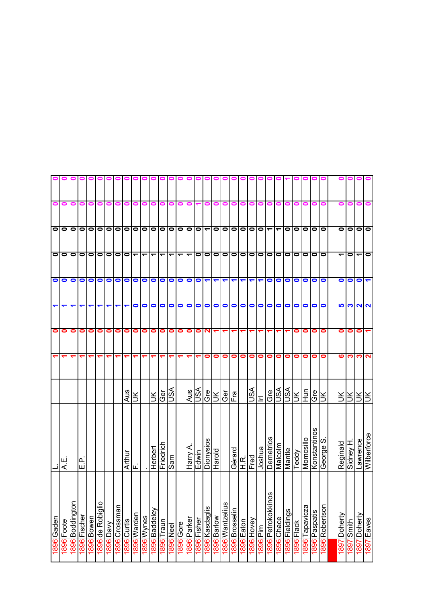|                      |           |                 |              |            |                  |           |               |             | o                    |                          |                          |                                     |                          |                          |             |               |                              |             |                                         |                         |                |                      |                      |                          |            |                |            |                   |                 |                |                          |           |           |                    |
|----------------------|-----------|-----------------|--------------|------------|------------------|-----------|---------------|-------------|----------------------|--------------------------|--------------------------|-------------------------------------|--------------------------|--------------------------|-------------|---------------|------------------------------|-------------|-----------------------------------------|-------------------------|----------------|----------------------|----------------------|--------------------------|------------|----------------|------------|-------------------|-----------------|----------------|--------------------------|-----------|-----------|--------------------|
| 0                    | 0         | 0               | 0            | 0          | 0                | 0         | 0             |             |                      |                          |                          |                                     |                          |                          |             |               |                              | 0           | 0                                       | o                       | 0              | 0                    |                      |                          |            |                |            |                   |                 |                |                          |           |           |                    |
|                      | $\circ$   | $\bullet$       | $\bullet$    | $\bullet$  | $\bullet$        | $\bullet$ | $\bullet$     | $\bullet$   | $\circ$              | $\bullet$                | $\bullet$                | $\frac{\overline{0}}{\overline{0}}$ |                          |                          | $\bullet$   | $\bullet$     | $\blacktriangledown$         | $\bullet$   | $\bullet$                               |                         | 000            |                      | $\bullet$            | $\overline{\phantom{0}}$ | ᠇          | $\bullet$      | $\bullet$  | lo                | olo             |                | 0                        | $\bullet$ | $\bullet$ | $\bullet$          |
|                      | $\circ$   | $\bullet$       | $\bullet$    | $\bullet$  | $\bullet$        | $\bullet$ | $\bullet$     | $\bullet$   | $\blacktriangledown$ | $\overline{\phantom{0}}$ | $\overline{\phantom{0}}$ | $\overline{\phantom{0}}$            | $\overline{\phantom{0}}$ | $\overline{\phantom{0}}$ | ᠆           | $\bullet$     | $\bullet$                    | $\bullet$   | $\bullet$                               | $\bullet$               | 0   0          |                      | $\bullet$            | $\bullet$                | $\bullet$  | $\bullet$      | $\bullet$  | $\bullet$         | $\circ$ $\circ$ |                | $\overline{\phantom{0}}$ | 0         | ᠆         | $\bullet$          |
| $\bullet$            | $\bullet$ | $\bullet$       | $\bullet$    | $\bullet$  | $\bullet$        | $\bullet$ | $\bullet$     | $\bullet$   | $\bullet$            | $\bullet$                | $\bullet$                | $\bullet$                           | $\bullet$                | $\bullet$                | $\bullet$   | $\bullet$     | $\blacktriangledown$         | ↽           | ↽                                       | ↽                       | ↽              | $\blacktriangledown$ | $\blacktriangledown$ | $\bullet$                | 0          | 0              | $\bullet$  | $\bullet$         | $\bullet$       | $\bullet$      | 0                        | 0         | 0         |                    |
| $\blacktriangledown$ | ↽         | ↽               |              |            | $\blacksquare$   | ↽         | ↽             |             | 0                    | $\bullet$                | $\bullet$                | $\bullet$                           | $\bullet$                | $\bullet$                | $\bullet$   | $\bullet$     | $\bullet$                    | $\bullet$   | $\bullet$                               | $\bullet$               | $\bullet$      | $\bullet$            | $\bullet$            | $\bullet$                | $\bullet$  | $\bullet$      | $\bullet$  | $\bullet$         | $\bullet$       | $\bullet$      | 5                        | ∾         | N         | 7                  |
| $\bullet$            | 0         | 0               | 0            | 0          | 0                | 0         | 0             | 0           | 0                    | 0                        | 0                        | 0                                   | 0                        | 0                        | 0           | 0             | 2                            |             |                                         |                         |                |                      |                      |                          |            |                | 0          | 0                 | 0               | 0              | 0                        | 0         | 0         |                    |
|                      |           |                 |              |            |                  | ᠆         |               |             |                      |                          |                          |                                     |                          |                          |             |               | 0                            | 0           | 0                                       | 0                       | $\bullet$      | $\bullet$            | 0                    | 0                        | 0          | 0              | 0          | 0                 | 0               | 0              | ဖ                        | ო         | ო         | $\mathbf{\Omega}$  |
|                      |           |                 |              |            |                  |           |               | Aus         | $\preceq$            |                          | ŠК                       | Ger<br>USA                          |                          |                          |             | $\frac{1}{2}$ | Gre                          | Ж           | Ger                                     | $\overline{\mathbb{E}}$ |                | ASL                  | Ξ                    | e<br>G                   | ASU        | ASU            | ЖU         | unH               | Gre             | š              | Š                        | šl        | Ж         |                    |
|                      | Щ<br>К    |                 | ن<br>سا      |            |                  |           |               | Arthur      | Щ                    |                          | Herbert                  | Friedrich                           | Sam                      |                          | Harry A     | Edwin         | Dionysios                    | Harold      |                                         |                         | H.R.<br>Gérard | Fred                 | Joshua               | Demetrios                | Malcolm    | Mantle         | Teddy      | Momcsillo         | Konstantinos    | George S       | Reginald                 | Sidney H. | Lawrence  | <b>Wilberforce</b> |
| 1896 Gaden           | Foote     | 1896 Boddington | 1896 Fischer | 1896 Bowen | 1896 de Robiglio | 1896 Davy | 1896 Crossman | 1896 Curtis | 1896 Warden          | 1896 Wynes               | Baddeley<br>1896         | Traun<br>9681                       | <b>1896</b> Neel         | <b>1896</b> Gore         | 1896 Parker | 1896 Fisher   | 1 <mark>896</mark> Kasdaglis | 1896 Barlow | snijəzµue <sub>M</sub> <mark>968</mark> | 1896 Brosselin          | 1896 Eaton     | 1896 Hovey           | 1896 Pim             | ပ္လ<br>1896 Petrokokkin  | 1896 Chace | 1896 Fieldings | 1896 Flack | Tapavicza<br>9681 | 1896 Paspatis   | 1896 Robertson | Doherty                  | Smith     | Doherty   | 1897 Eaves         |
|                      | 1896      |                 |              |            |                  |           |               |             |                      |                          |                          |                                     |                          |                          |             |               |                              |             |                                         |                         |                |                      |                      |                          |            |                |            |                   |                 |                | 1897                     | 1897      | 1897      |                    |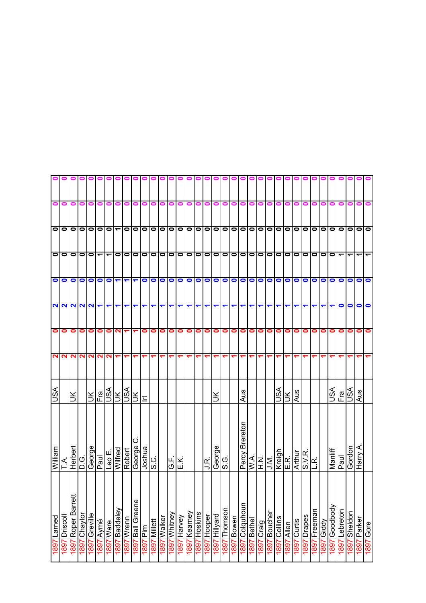|                |                  |                                                                                                                                |              |               |           |                      | o o o o o o o o o o o o o o o |            |                            |                      |                       |                               |                 |                |                 |                 |                | 000000               |                      |                      |                |                         |                         | 00              |                 |                      |                         | 0 0 1                |                               |               |                  |                          |                 |                |           |
|----------------|------------------|--------------------------------------------------------------------------------------------------------------------------------|--------------|---------------|-----------|----------------------|-------------------------------|------------|----------------------------|----------------------|-----------------------|-------------------------------|-----------------|----------------|-----------------|-----------------|----------------|----------------------|----------------------|----------------------|----------------|-------------------------|-------------------------|-----------------|-----------------|----------------------|-------------------------|----------------------|-------------------------------|---------------|------------------|--------------------------|-----------------|----------------|-----------|
| $\bullet$      | $\bullet$        | 0                                                                                                                              | $\bullet$    | 0             | 0         | 0                    | 0                             | 0          |                            |                      | o                     | 0                             | 0               |                | 0               | 0               | 0              | $\bullet$            | $\bullet$            | $\bullet$            | 0              | o                       | 0                       |                 |                 |                      | 0                       | 0                    | 0                             | o             | 0                | 0                        | 0               | 0              | 0         |
|                |                  | $\frac{1}{2}$                                                                                                                  |              |               |           |                      |                               |            |                            |                      |                       |                               |                 |                |                 |                 |                |                      |                      |                      |                |                         |                         |                 |                 |                      |                         |                      |                               |               |                  |                          |                 |                |           |
|                |                  | $\begin{array}{c} \n \text{O} & \text{O} & \text{O} & \text{O} \\ \n \text{O} & \text{O} & \text{O} & \text{O} \n \end{array}$ |              |               |           |                      | $\bullet$                     | $\bullet$  | $\bullet$                  |                      |                       |                               | lololololo      |                |                 |                 |                |                      |                      |                      |                |                         | 0 0 0 0 0 0 0 0 0 0 0 0 |                 |                 |                      |                         |                      |                               | $\bullet$     | $\bullet$        | $\overline{\phantom{0}}$ |                 |                |           |
| $\bullet$      | $\bullet$        | $\bullet$                                                                                                                      | $\bullet$    | $\bullet$     |           | $\bullet$            | ↽                             | ↽          | ↽                          | $\bullet$            | $\bullet$             | $\circ$                       |                 | $\bullet$      | $\bullet$       | $\bullet$       | $\bullet$      | 0000                 |                      |                      |                |                         | 000                     |                 | $\bullet$       | $\bullet$            | $\circ$                 |                      | $\bullet$                     | $\bullet$     | $\bullet$        | $\bullet$                | $\bullet$       | $\bullet$      | $\bullet$ |
|                |                  | $\frac{1}{2}$                                                                                                                  |              |               |           | $\blacktriangledown$ | $\blacktriangledown$          | ↽          | ↽                          | $\blacktriangledown$ | ↽                     | ↽                             | ↽               |                | ↽               | ↽               | ↽              | ↽                    | $\blacktriangledown$ | $\overline{ }$       |                | $\blacktriangledown$    | $\blacktriangledown$    | ↽               | ↽               | $\blacktriangledown$ |                         |                      |                               | ↽             |                  | $\bullet$                | $\bullet$       | $\bullet$      | 0         |
| 0              | 0                | 0                                                                                                                              | $\bullet$    | $\bullet$     | $\bullet$ | 0                    | $\mathbf{\Omega}$             |            |                            | $\bullet$            | $\bullet$             | $\bullet$                     | $\bullet$       | 0              | 0               | 0               | 0              | $\bullet$            | $\bullet$            | $\bullet$            | $\bullet$      | $\bullet$               | $\bullet$               | $\bullet$       | $\bullet$       | $\bullet$            | $\bullet$               | $\bullet$            | 0                             | 0             | 0                | $\bullet$                | 0               | $\bullet$      | $\bullet$ |
| $\mathbf{N}$   | $\sim$           | <b>NN</b>                                                                                                                      |              |               | <b>NN</b> | $\mathbf{N}$         | $\blacktriangledown$          | ↽          |                            |                      |                       |                               |                 |                | ᡪ               |                 |                | $\blacktriangledown$ | ᠇                    | $\blacktriangledown$ | ↽              |                         | ↽                       |                 |                 |                      |                         |                      |                               |               |                  |                          |                 |                |           |
| <b>ASU</b>     |                  | $\breve{\preceq}$                                                                                                              |              | Яſ            |           |                      | E <sub>ISA</sub><br>USA       | ASL        | $\leq$                     | 드                    |                       |                               |                 |                |                 |                 |                |                      |                      |                      | Aus            |                         |                         |                 | JSN             | $\leq$               | Aus                     |                      |                               |               | vsn              | Fra                      | vsn             | Aus            |           |
| William        | ⋖                | Herbert                                                                                                                        | ن<br>۵       | Daul<br>Paul  |           | Leo E.               | Wilfred                       | Robert     | O<br>George                | ا تان<br>Sor         |                       |                               | G.K.<br>E.K.    |                |                 |                 | J.R.           | George               | S.G                  |                      | Percy Brereton | $\overline{\mathbb{R}}$ | N.<br>I                 | J.M.            | Kreigh<br>E.R.  |                      | <b>Arthur</b><br>S.V.R. |                      | $\overline{\mathsf{R}}$       |               | Manliff          | Paul                     | Gordon          | Harry A.       |           |
| Larned<br>1897 | Driscoll<br>1897 | Roper Barrett<br>1897                                                                                                          | 1897 Chaytor | 1897 Greville | 1897 Aymé | 1897 Ware            | 1897 Baddeley                 | 1897 Wrenn | <b>Ball Greene</b><br>1897 | mld<br>1681          | Millett<br><u>/68</u> | Walker<br>$\frac{1897}{1897}$ | Whitney<br>1897 | Harvey<br>1887 | Kearney<br>1897 | Hoskins<br>1897 | Hooper<br>1897 | Hillyard<br>1897     | Thomson<br>1897      | 1897 Bowen           | 1897 Colquhoun | 1897 Bethel             | 1897 Craig              | Boucher<br>1681 | Collins<br>1897 | Allen<br><u>/68</u>  | Curtis<br>7681          | Drapes<br><u>/68</u> | <b>Freeman</b><br><u>1897</u> | Giddy<br>1897 | Goodbody<br>1887 | Lebreton<br>1897         | Sheldon<br>1897 | Parker<br>1897 | 1897 Gore |
|                |                  |                                                                                                                                |              |               |           |                      |                               |            |                            |                      |                       |                               |                 |                |                 |                 |                |                      |                      |                      |                |                         |                         |                 |                 |                      |                         |                      |                               |               |                  |                          |                 |                |           |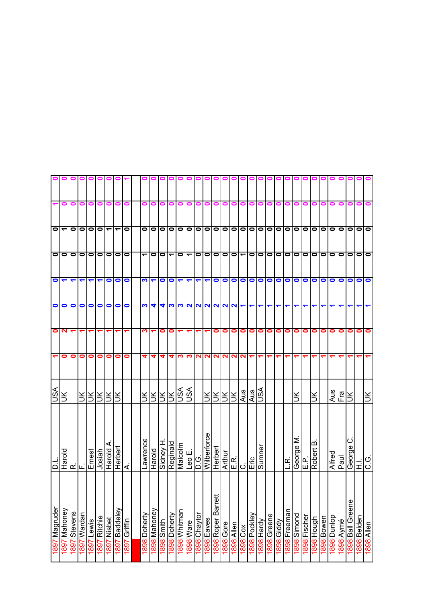| ᠆                        | 0                    | 000000<br>0          | 0                  | 0                    | 0                    | 0                   | 0                    |              |                          |                            |              |                          |                           |                          | o                                   | 0           | 000<br>0              | 0                | 00<br>$\bullet$ | $\bullet$       | 0   0  <br>$\bullet$                                  | o                    |             |                          |                    |                     |           |                             |                          |             |           |                            |
|--------------------------|----------------------|----------------------|--------------------|----------------------|----------------------|---------------------|----------------------|--------------|--------------------------|----------------------------|--------------|--------------------------|---------------------------|--------------------------|-------------------------------------|-------------|-----------------------|------------------|-----------------|-----------------|-------------------------------------------------------|----------------------|-------------|--------------------------|--------------------|---------------------|-----------|-----------------------------|--------------------------|-------------|-----------|----------------------------|
|                          |                      |                      |                    |                      |                      |                     |                      |              |                          |                            |              |                          |                           |                          |                                     |             |                       |                  |                 |                 |                                                       |                      |             |                          |                    |                     |           |                             |                          |             |           |                            |
| $\overline{\phantom{a}}$ |                      | $\bullet$            |                    | 0000                 |                      |                     | $\blacktriangledown$ | $\bullet$    | $\bullet$                | $\bullet$                  |              |                          |                           |                          | 0 0 0 0 0                           |             |                       |                  |                 |                 |                                                       | 0 0 0 0 0 0 0        |             | lol                      | $\bullet$          | lolo                |           | olo                         |                          |             | 00        | $\circ$<br>$\bullet$       |
| lolo                     |                      | $\bullet$            | $\bullet$          |                      |                      |                     | 0 0 0 0              | $\bullet$    | $\overline{\phantom{0}}$ | $\bullet$                  | $\bullet$    | $\overline{\phantom{0}}$ | $\bullet$                 | $\overline{\phantom{0}}$ | $\bullet$                           |             |                       |                  |                 |                 |                                                       | O O O O O O O        | $\bullet$   | $\overline{\phantom{0}}$ | $\bullet$          | $\bullet$           | lo        | lolo                        |                          | $\bullet$   | lo        | $\bullet$<br>$\bullet$     |
| $\bullet$                | $\blacktriangledown$ | $\blacktriangledown$ | ↽                  | $\blacktriangledown$ | $\blacktriangledown$ | $\bullet$           | $\bullet$            | $\bullet$    | က                        | $\blacktriangledown$       | $\bullet$    | $\bullet$                | $\blacktriangledown$      | ↽                        | ↽                                   | ↽           | $\bullet$             | $\bullet$        | $\bullet$       |                 | $  \circ   \circ$                                     | $\bullet$            | O           | $\bullet$                | $\bullet$          | $\bullet$           | $\bullet$ | $\bullet$                   | $\bullet$                | $\bullet$   | $\bullet$ | $\bullet$<br>$\bullet$     |
| $\bullet$                | $\bullet$            | $\bullet$            | $\bullet$          | $\bullet$            | $\bullet$            | $\bullet$           | $\bullet$            | $\bullet$    | က                        | ₹                          | ₹            |                          |                           |                          | $ U   U   U   U   U   U   U   U $   |             |                       |                  |                 |                 |                                                       | $\blacktriangledown$ | ↽           | ↽                        |                    |                     |           |                             |                          |             |           |                            |
| $\bullet$                | $\mathbf{z}$         |                      |                    |                      |                      |                     |                      |              | ∾                        |                            | 0            | 0                        |                           |                          |                                     |             | 0                     | 0                | $\bullet$       | $\bullet$       | $\bullet$                                             | $\bullet$            | $\bullet$   | 0                        | 0                  | 0                   | $\bullet$ | O                           | 0                        |             | 0         | 0                          |
| $\blacktriangledown$     | 0                    | 0                    | 0                  | 0                    | 0                    | 0                   | $\bullet$            | 0            | 4                        | 4                          | 4            |                          | च ಣ।                      | ∾                        | N                                   | $\sim$      | $\sim$                | $\mathbf{N}$     |                 | $\frac{1}{2}$   |                                                       | ᠆                    |             |                          |                    |                     |           |                             |                          |             |           |                            |
| JSA                      | š                    |                      |                    | <u>RIRIRIR</u>       |                      |                     |                      |              | ŠІ                       |                            | ERR          |                          | <b>ASIT</b>               |                          |                                     | ÌЯ          |                       | RRRI             |                 | Aus             | Aus                                                   | VSU                  |             |                          |                    | š                   |           | š                           |                          | Aus         | Fra       | $\leq$                     |
| <u>。</u>                 | Harold               | ட்⊫ட்                |                    | Ernest               |                      | Josiah<br>Harold A. | Herbert              | ∢            | awrence                  | Harold                     | Sidney H     | Reginald                 |                           |                          | D.G.<br><mark>Leo E.</mark><br>D.G. | Wilberforce | Herbert               |                  |                 |                 | בור   <br>  בור   <br>  בור    בור   <br>  בור    בור | Sumner               |             |                          | نج<br>ن            | Σ<br>George<br>E.P. | نىرا      | $\mathbf{\Omega}$<br>Robert |                          | Alfred      | Paul      | ပ<br>George<br>$\vec{E}$   |
| Magruder                 | Mahoney              | Stevens              | uepie <sub>M</sub> | Lewis                | 1897 Ritchie         | 1897 Nisbet         | <b>Aajappeg</b>      | 1897 Griffin | 1898 Dohertv             | veuouely <mark>1868</mark> | <b>Smith</b> | l 898 Doherty            | <mark>1898</mark> Whitman | 1898 Ware                | 1898 Chaytor                        | save3 868   | ≠<br>1898 Roper Barre | <b>1898</b> Gore | 1898 Allen      |                 | l 898 Pockley                                         | 1898 Hardy           | 1898 Greene | 1898 Giddy               | <b>898</b> Freeman | puouis 8681         | Fischer   | upnoH <b>868</b>            | 1 <mark>898</mark> Bowen | 1898 Dunlop | 1898 Aymé | 1898 Ball Greene<br>Belden |
| 1897                     | 1897                 | 1897                 | 1897               | 1897                 |                      |                     | 1897                 |              |                          |                            | 1898         |                          |                           |                          |                                     |             |                       |                  |                 | <b>xoo 8681</b> |                                                       |                      |             |                          |                    |                     | 18681     |                             |                          |             |           | 1898                       |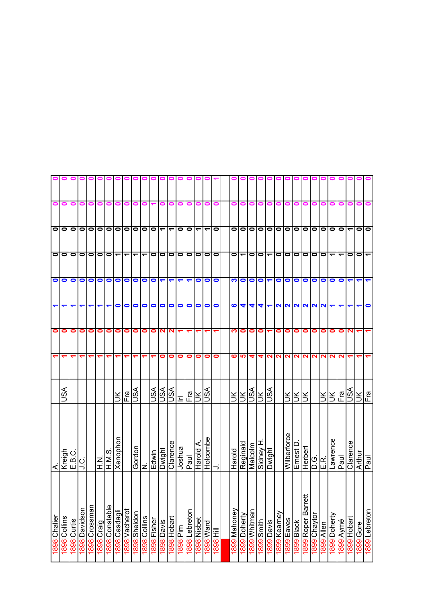| 0                    | 0                     | 0           | 0             | 0             | 0          | 0                       |               | o             | o         |             | 00        | o                    |             |              |           |                          |           | 0         | 0            |                          |               |               |                    |                   |              |           |                                     |                                                                       |           |                          |                  |             |                                       |
|----------------------|-----------------------|-------------|---------------|---------------|------------|-------------------------|---------------|---------------|-----------|-------------|-----------|----------------------|-------------|--------------|-----------|--------------------------|-----------|-----------|--------------|--------------------------|---------------|---------------|--------------------|-------------------|--------------|-----------|-------------------------------------|-----------------------------------------------------------------------|-----------|--------------------------|------------------|-------------|---------------------------------------|
|                      | $\overline{\circ}$ lo | $\bullet$   | <u> 0</u>     |               | 0   0      |                         | $\bullet$     | $\bullet$     | $\bullet$ | $\bullet$   | $\bullet$ | $\blacktriangledown$ | ے           | 0            | $\bullet$ | $\overline{\phantom{0}}$ | ᠇         | $\bullet$ | 01           | $\bullet$                | $\bullet$     | $\bullet$     | $\bullet$          | $\bullet$         | $\bullet$    |           | 0 0 0                               |                                                                       | $\bullet$ | $\bullet$                | $\bullet$        |             | $\bullet$<br>$\overline{\phantom{0}}$ |
|                      |                       |             |               |               |            |                         |               |               |           |             |           |                      |             |              |           |                          |           |           |              |                          |               |               |                    |                   |              |           |                                     |                                                                       |           |                          |                  |             |                                       |
| $\bullet$            | $\bullet$             | $\bullet$   | $\bullet$     | $\bullet$     | $\bullet$  | $\bullet$               | ᠆             | ᠆             |           |             | $\bullet$ | $\bullet$            | $\bullet$   | $\bullet$    | $\bullet$ | $\bullet$                | $\bullet$ | $\bullet$ | $\bullet$    | $\overline{\phantom{a}}$ | 0             | $\bullet$     | ᠆                  | $\bullet$         | $\bullet$    | $\circ$   |                                     | $\bullet$                                                             | $\bullet$ | $\overline{\phantom{0}}$ |                  |             | $\bullet$<br>0                        |
| $\bullet$            | $\bullet$             | $\bullet$   | $\bullet$     | $\bullet$     | $\bullet$  | $\bullet$               | $\bullet$     | $\bullet$     | $\bullet$ | $\bullet$   | $\bullet$ | ↽                    | ↽           | ↽            | ↽         | $\bullet$                | $\bullet$ | $\bullet$ | က   ထ        |                          | $\bullet$     | $\bullet$     | ↽                  | $\bullet$         | $\bullet$    | $\bullet$ | $\bullet$                           | $\bullet$                                                             | $\bullet$ | $\bullet$                | $\bullet$        |             |                                       |
| $\blacktriangledown$ | ↽                     | ↽           |               |               | ↽          | ᡪ                       | 0             | 0             | 0         | 0           | $\bullet$ | $\bullet$            | $\bullet$   | $\bullet$    | $\bullet$ | $\bullet$                | $\bullet$ | $\bullet$ | ဖ            | $\blacktriangledown$     | 4             | 4             | ↽                  | $\mathbf{\Omega}$ |              |           |                                     | <b>222222</b>                                                         |           |                          |                  |             |                                       |
| $\bullet$            | 0                     | 0           | 0             | 0             | 0          | 0                       | 0             | 0             | 0         | 0           | 0         | N                    | N           |              |           |                          |           |           | S.           | $\bullet$                | 0             | 0             |                    | 0                 | 0            | 0         | 0                                   | 0                                                                     | 0         | 0                        | 0                |             | ∾                                     |
|                      |                       |             |               |               |            |                         |               |               |           |             |           | 0                    | 0           | 0            | 0         | 0                        | 0         | 0         | ဖ            | <b>SC</b>                | 4             | 4             | N                  | N                 | $\mathbf{N}$ |           | NN                                  | N                                                                     | N         | N                        |                  |             |                                       |
|                      | $\Im$                 |             |               |               |            |                         | š             | Fra           | SSU       |             | ASU       |                      | <b>ASL</b>  | $\mathbf{r}$ | Fra       | ¥                        | ASU       |           |              |                          | $\frac{1}{2}$ | $\frac{1}{2}$ |                    |                   | ÌЯ           | $\leq$    | $\preceq$                           |                                                                       | Ж         | Ж                        | Fra              | vsn         | $\frac{1}{2}$ $\frac{1}{2}$           |
| ⋖                    | Kreigh                | E.B.C       | ان<br>ا       |               |            | $\frac{1}{\frac{1}{2}}$ | Xenophon      |               | Gordon    | Z           | Edwin     | Dwight               | Clarence    | Joshua       | Paul      | Harold A                 | Holcombe  |           | Harold       | Reginald                 | Malcolm       | Sidney H      | Dwight             |                   | Wilberforce  | Ernest D  | Herbert                             | $\frac{1}{2}$ $\frac{1}{2}$ $\frac{1}{2}$ $\frac{1}{2}$ $\frac{1}{2}$ |           | Lawrence                 | Paul             | Clarence    | Arthur                                |
| 1898 Chalier         | Collins               | 1898 Curtis | I898 Davidson | 1898 Crossman | 1898 Craig | 1898 Constable          | 1898 Casdagli | 1898 Vacherot | Sheldon   | 898 Collins | Fisher    | Davis                | 1898 Hobart | im<br>Pim    | Lebreton  | Nisbet                   | bus/W 868 |           | 1899 Mahoney | 1899 Doherty             | 1899 Whitman  | 1899 Smith    | <b>Sived</b> Davis | 899 Kearney       | Eaves        |           | ₩<br>1899 Black<br>1899 Roper Barre | 1899 Chaytor                                                          | Allen     | 1899 Doherty             | <b>1899</b> Aymé | 1899 Hobart | 1899 Gore                             |
|                      | 1898                  |             |               |               |            |                         |               |               | 1898      |             | 18681     | 1898                 |             | 1898         | 1898      | 1898                     |           | 1898 Hill |              |                          |               |               |                    |                   | 1899         |           |                                     |                                                                       | 1899      |                          |                  |             |                                       |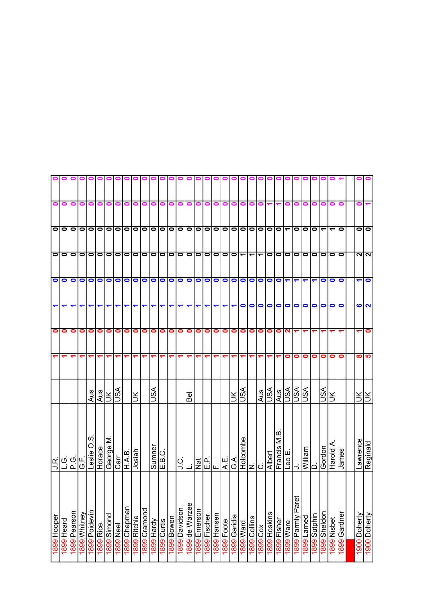|           |           | $\bullet$                |                          | $\bullet$            | 2         |                   | <b>LO</b> | Ιš                   | Reginald              | 1900 Doherty               |
|-----------|-----------|--------------------------|--------------------------|----------------------|-----------|-------------------|-----------|----------------------|-----------------------|----------------------------|
|           |           | 0                        | <b>NIN</b>               | ᅮ                    | ဖ         |                   | ထ         | šl                   | awrence               | 1900 Doherty               |
|           |           |                          |                          |                      |           |                   |           |                      |                       |                            |
|           |           | 0                        | $\bullet$                | $\bullet$            | 0         |                   | 0         |                      | James                 | 1899 Gardner               |
|           |           | $\overline{\phantom{0}}$ | $\bullet$                | 0                    | $\bullet$ |                   | 0         | ⋚                    | Harold                | 1899 Nisbet                |
|           |           |                          | lo                       | 0                    | $\bullet$ |                   | 0         | lSA                  | uop.og                | Sheldon<br>1899            |
|           |           | $\overline{\phantom{a}}$ | $\bullet$                |                      | $\bullet$ |                   | 0         |                      | וםו                   | Sutphin<br>6681            |
|           |           | $\bullet$                | $\bullet$                |                      | $\bullet$ |                   | 0         | vsn                  | William               | Larned<br>899              |
|           |           | $\bullet$                | $\bullet$                |                      | $\bullet$ |                   | 0         | VSU                  |                       | Paret<br>l 899 Parmly      |
|           |           |                          | $\bullet$                | $\blacktriangledown$ | $\bullet$ | $\mathbf{\Omega}$ | 0         | ASU                  | ш<br>0م<br>ا          | l 899 Ware                 |
|           |           | $\vert \bullet \vert$    | $\bullet$                | $\bullet$            | $\bullet$ | 0                 |           | Aus                  | a<br>⊠<br>Francis     | 1899 Fisher                |
|           |           |                          | 0                        | $\bullet$            | $\bullet$ | 0                 |           | vsn                  | Albert                | 1899 Hoskins               |
|           |           | 0 0 0 0 0                | $\overline{\phantom{0}}$ | $\bullet$            | $\bullet$ | $\bullet$         |           | Aus                  | Holcombe<br>N.<br> C. | <b>xog</b> 6681            |
|           | 0         |                          | $\overline{\phantom{0}}$ | $\bullet$            | $\bullet$ | 0                 | ᡪ         |                      |                       | 1899 Collins               |
|           | 0         |                          | $\overline{\phantom{0}}$ | $\bullet$            | $\bullet$ | 0                 |           | vsn                  |                       | pue <sub>M</sub> 668       |
|           | 0         |                          | $\bullet$                | $\bullet$            | ↽         | 0                 |           | $\leq$               | G.A                   | 1899 Garidia               |
|           |           |                          |                          | $\bullet$            | ↽         | 0                 |           |                      | A.E.                  | 899 Foote                  |
| 000       | 0         | 000                      | 00                       | $\bullet$            | ↽         | 0                 |           |                      | Щ                     | I899 Hansen                |
|           |           |                          | $\bullet$                | 0                    |           | 0                 |           |                      | ن<br>سا               | 1899 Fischer               |
| 0         |           |                          | $\bullet$                | $\bullet$            |           | 0                 |           |                      | Nat                   | Emerson<br>1899            |
|           |           |                          |                          | $\bullet$            |           | 0                 |           | <b>Bel</b>           |                       | de Warzee<br>6681          |
|           |           |                          | 0 0 0                    | $\bullet$            | ↽         | $\bullet$         |           |                      | ں<br>ا                | 1899 Davidson              |
| o l       |           | 0 0 0 0 0                |                          | $\bullet$            | ↽         | 0                 |           |                      |                       | 1899 Bowen                 |
| $\bullet$ |           |                          | $\bullet$                | $\bullet$            | ↽         | 0                 |           |                      | E.B.C.                | 899 Curtis                 |
|           |           | 000                      |                          | $\bullet$            | ↽         | 0                 |           | ASU                  | Sumner                | VpreH <b>668</b>           |
|           |           |                          | olo                      | $\bullet$            | ↽         | 0                 |           |                      |                       | <b>1899</b> Cramond        |
| 000000    | 0         |                          | $\bullet$                | $\bullet$            | ↽         | 0                 |           | ŠК                   | Josiah                | 1899 Ritchie               |
|           | 0         |                          | $\bullet$                | $\bullet$            | ↽         | 0                 | ᡪ         |                      | H.A.B.                | 1899 Chapman               |
|           | 0         | 0 0 0 0 0                |                          | $\bullet$            | ↽         | $\bullet$         |           | $\frac{2}{\sqrt{2}}$ | Carr                  | 1899 Neel                  |
|           | 0         |                          | 00                       | $\bullet$            | ↽         | 0                 |           |                      | George M              | 1899 Simond                |
|           | 0         |                          | $\bullet$                | $\bullet$            |           | 0                 |           |                      | Horace                | 1899 Rice                  |
|           | 0         |                          | $\bullet$                | $\bullet$            |           | 0                 |           | Aus                  | ၯ<br>Leslie O         | 1899 Poidevin              |
|           | 0         | $\circ$                  | $\bullet$                | $\bullet$            |           | 0                 |           |                      | ن<br>ن                | l <mark>899</mark> Whitney |
|           | 0         | $\circ$                  | $\bullet$                | $\bullet$            |           | 0                 |           |                      | P.G.                  | 1899 Pearson               |
|           | 0         | 0<br>0                   | $\bullet$                | $\bullet$            | ↽         | 0                 | ↽         |                      | اتا عا                | 899 Heard                  |
|           | $\bullet$ |                          | $\bullet$                | $\bullet$            | 7         | $\bullet$         |           |                      |                       | Hooper<br>1899             |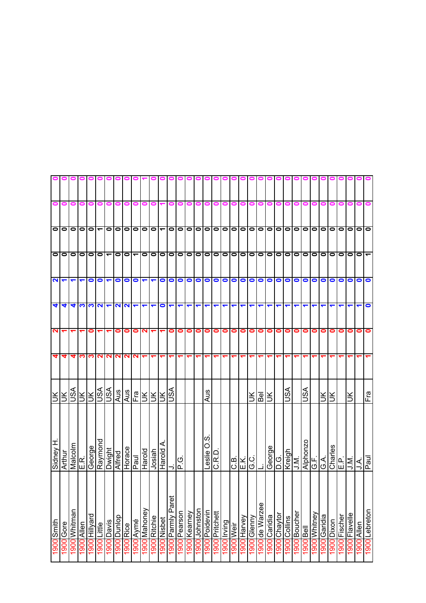|                      |                     |              |                      |                   |                |                             |             | 0000000                           |                          |                      | o                    |             | 00                   |            |              |               |                  |                |             |           |                      |             |                         |              |                     |              |                     |                       |                          |              |                |              |               |                                                 |               |
|----------------------|---------------------|--------------|----------------------|-------------------|----------------|-----------------------------|-------------|-----------------------------------|--------------------------|----------------------|----------------------|-------------|----------------------|------------|--------------|---------------|------------------|----------------|-------------|-----------|----------------------|-------------|-------------------------|--------------|---------------------|--------------|---------------------|-----------------------|--------------------------|--------------|----------------|--------------|---------------|-------------------------------------------------|---------------|
| $\bullet$            | 0                   | 0            | 0                    | 0                 | 0              | 0                           |             | o                                 |                          |                      |                      |             |                      |            |              | 0             | 0                | 0              | 0           | 0         | 0                    |             |                         |              |                     |              |                     |                       |                          |              |                |              |               |                                                 |               |
|                      | O O                 |              |                      | 0 0  <del>-</del> |                | $\bullet$                   |             | 0 0 0 0 0 + 0 0 0 0 0 0 0 0 0 0 0 |                          |                      |                      |             |                      |            |              |               |                  |                |             |           |                      |             |                         |              |                     |              |                     |                       | 0 0 0 0 0                |              |                |              |               | O O O O                                         |               |
|                      | ololo               |              |                      | 101010            |                |                             | $\bullet$   | $\bullet$                         | $\overline{\phantom{0}}$ |                      |                      |             | O O O O              |            | $\bullet$    |               |                  |                |             |           |                      |             | 0 0 0 0 0 0 0 0 0       |              |                     |              | 0 0 0 0             |                       |                          | $\bullet$    | $\blacksquare$ |              |               | $O O O \tau$                                    |               |
|                      | $\frac{1}{1}$       |              | $\blacktriangledown$ | $\bullet$         | $\blacksquare$ |                             | $\circ$     |                                   | $\bullet$                | $\blacktriangledown$ | $\blacktriangledown$ | $\bullet$   | $\circ$              |            | O            | $\circ$       |                  |                |             |           |                      |             | 00000000                |              |                     |              | 0000                |                       |                          | $\bullet$    | $\bullet$      | $\bullet$    |               | 000                                             |               |
| $\blacktriangleleft$ | 41                  | 4            |                      | $\frac{1}{2}$     |                |                             |             | $\sim$ $\sim$                     | $\blacktriangledown$     | $\blacktriangledown$ | $\blacktriangledown$ | $\bullet$   | $\blacktriangledown$ | ↽          | ↽            | ↽             |                  | ↽              | ↽           | ↽         | $\blacktriangledown$ | ↽           | ↽                       | ↽            | ↽                   |              |                     |                       |                          |              |                |              |               |                                                 | $\bullet$     |
| $\mathbf{N}$         |                     |              |                      | 0                 |                |                             | 0           | 0                                 | 0                        | N                    |                      |             | 0                    | 0          | 0            | 0             | 0                | 0              | $\bullet$   | $\bullet$ | $\bullet$            | $\bullet$   | $\bullet$               | $\bullet$    | $\bullet$           | $\bullet$    | $\bullet$           | $\bullet$             | 0                        | 0            | 0              | 0            | 0             | $\bullet$                                       | $\bullet$     |
| $\blacktriangleleft$ | 4                   | 4            | S.                   | S                 |                | <b>NN</b>                   |             | <b>NN</b>                         | N.                       |                      |                      |             |                      |            |              |               |                  |                |             | ᠆         | ↽                    | ↽           |                         |              |                     |              |                     |                       |                          |              |                |              |               |                                                 |               |
| š.                   |                     | vsn          |                      | RESIRIS<br>KRISTS |                |                             | Aus         | Aus                               | Fra<br>F                 | ξĶ                   |                      | lš          | lse                  |            |              |               | Aus              |                |             |           |                      | ŠК          | $\overline{\mathsf{B}}$ | ÌК           |                     | VSN          |                     | VSN                   |                          | ÌЮ           | š              |              | š             |                                                 | Fra           |
| H <i>d</i> rey       | Arthur              | Malcolm      | E.R.                 |                   |                | George<br>Raymond<br>Dwight | Alfred      | Horace                            | <b>Lead</b>              | Harold               | dosiah               | ⋖<br>Harold |                      | ن)<br>⊃ا ⇒ |              |               | ၯ<br>O<br>Leslie | C.R.D          |             |           |                      | 이저이         |                         | George       | Đ.G                 | Kreigh       | U.N.                |                       | Alphonzo<br>G.F.<br>G.A. |              | Charles        | E.P.         |               | $\frac{ \vec{\mathsf{x}} }{ \vec{\mathsf{x}} }$ |               |
| 1900 Smith           | 900 <sub>Gore</sub> | 1900 Whitman | 1900 Allen           | 1900 Hillyard     | 1900 Little    | 1900 Davis                  | 1900 Dunlop | 1900 Rice                         | 1900 Aymé                | I900 Mahoney         | 1900 Ritchie         | 900 Nisbet  | Parnly Paret         | Pearson    | 1900 Kearney | 1900 Johnston | I900 Poidevin    | 1900 Pritchett | 1900 Irving | 1900 Weir | 1900 Harvey          | 1900 Glenny | 1900 de Warzee          | 1900 Caridia | <b>1900 Chaytor</b> | 1900 Collins | <b>1900</b> Boucher | lleg <mark>100</mark> | 1900 Whitney             | 1900 Garidia | 1900 Dixon     | 1900 Fischer | 1900 Flavelle | 1900 Allen                                      | 1900 Lebreton |
|                      |                     |              |                      |                   |                |                             |             |                                   |                          |                      |                      |             | 1900                 | 1900       |              |               |                  |                |             |           |                      |             |                         |              |                     |              |                     |                       |                          |              |                |              |               |                                                 |               |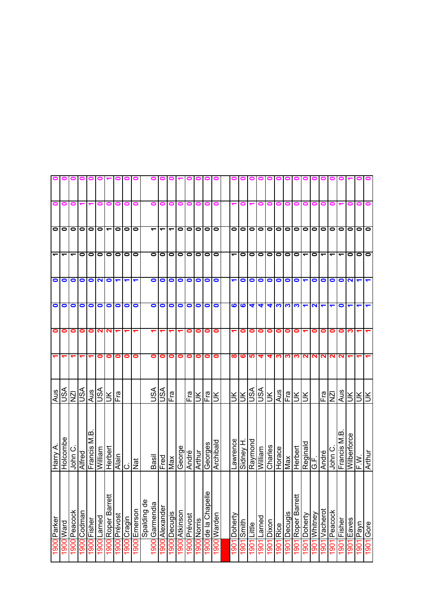| $\blacksquare$ |          |           |             | $\blacksquare$                             | ∊                        |                         |                   | Ξ                                                |             | 0                        |           |             |                                                              |           |             |               |           |           |           | ▬         |           |                            |                              |                 |           |              |                      |                               |           |                       |                                                                                                                                                                                    |               | $\blacksquare$ |                           |
|----------------|----------|-----------|-------------|--------------------------------------------|--------------------------|-------------------------|-------------------|--------------------------------------------------|-------------|--------------------------|-----------|-------------|--------------------------------------------------------------|-----------|-------------|---------------|-----------|-----------|-----------|-----------|-----------|----------------------------|------------------------------|-----------------|-----------|--------------|----------------------|-------------------------------|-----------|-----------------------|------------------------------------------------------------------------------------------------------------------------------------------------------------------------------------|---------------|----------------|---------------------------|
| 0              | 0        | $\bullet$ | $\bullet$   | $\bullet$                                  | $\overline{\phantom{0}}$ | $\bullet$               | 0                 | $\bullet$                                        |             | $\overline{\phantom{0}}$ | ᠆         | ↽           | $\bullet$                                                    | $\bullet$ | $\bullet$   | $\bullet$     |           |           | $\bullet$ | $\circ$   |           | $\bullet$                  |                              | $\bullet$       | $\bullet$ | $\bullet$    |                      | $\bullet$                     |           | $\bullet$             |                                                                                                                                                                                    | 0             | $\bullet$      | $\bullet$                 |
| ᠇              | ᡪ        | 0         | $\bullet$   | $\bullet$                                  | $\bullet$                | $\bullet$               | 0                 | $\bullet$                                        |             | $\bullet$                | $\bullet$ | $\bullet$   | $\bullet$                                                    | $\bullet$ | $\bullet$   | $\bullet$     | $\bullet$ |           | ᠆         | 0         | $\bullet$ | $\bullet$                  | $\bullet$                    | $\bullet$       | $\bullet$ | $\bullet$    | $\blacktriangledown$ | 0                             | ᠇         | ᠇                     | ᡪ                                                                                                                                                                                  | 0             | 0              | $\bullet$                 |
| 0              | 0        | 0         | 0           | $\mathbf{N}$                               | $\bullet$                |                         |                   |                                                  |             | 0                        | $\bullet$ | $\bullet$   | $\bullet$                                                    | 0         | 0           | $\bullet$     | $\bullet$ |           |           | $\bullet$ | $\bullet$ | $\bullet$                  | $\bullet$                    | $\bullet$       | $\bullet$ | $\bullet$    |                      | 0                             | $\bullet$ | 0                     | 0                                                                                                                                                                                  | N             |                |                           |
| 0              | 0        | 0         | $\bullet$   | $\bullet$                                  | 0                        | $\bullet$               | $\bullet$         | 0                                                |             | 0                        | 0         | $\bullet$   | $\bullet$                                                    | 0         | 0           | $\bullet$     | $\bullet$ |           | 6         | 6         | 4         | 4                          | 4                            | က               | က         | က            | $\blacktriangledown$ | N                             | ↽         | ᠆                     | 0                                                                                                                                                                                  | ↽             | ↽              |                           |
| 0              | 0        | 0         | 0           |                                            | ٩                        | ↽                       | ↽                 | ↽                                                |             |                          |           |             |                                                              | 0         | 0           | 0             | 0         |           |           | 0         | 0         | 0                          | 0                            | 0               | 0         | 0            |                      | 0                             | 0         | 0                     | 0                                                                                                                                                                                  | ო             |                |                           |
|                |          |           |             | 0                                          | 0                        | 0                       | 0                 | 0                                                |             | 0                        | 0         | 0           | 0                                                            | 0         | 0           | 0             | 0         |           | $\infty$  |           |           | 4                          | 4                            | S.              | ∾         |              |                      |                               | ∾         | N                     |                                                                                                                                                                                    |               |                |                           |
| s∕S            |          |           | Aus         |                                            |                          | Fra                     |                   |                                                  |             | SA                       |           | Fra         |                                                              | Fra       |             | Fra           | š         |           |           |           |           |                            |                              | Aus             | Fra       |              |                      |                               |           |                       | Aus                                                                                                                                                                                |               |                |                           |
| Holcombe       | John C   | Alfred    | Francis M.B |                                            | Herbert                  | Alain                   | ပ                 | Nat                                              |             | Basil                    |           | Max         |                                                              | André     | Arthur      | Georges       | Archibald |           | awrence   | Sidney H  |           | Milliam                    | Charles                      | Horace          | Max       | Herbert      |                      | ್                             | André     | ပ<br>John             | Francis M.B                                                                                                                                                                        |               | i<br>⊾         | Arthur                    |
|                |          |           |             |                                            |                          |                         |                   |                                                  | Spalding de |                          | Alexander | Decugis     | Atkinson                                                     | 1900      | 1900 Norris | Φ             |           |           | Doherty   |           | Little    | Larned                     | Dixon                        | Rice            | Decugis   | Roper Barret | Doherty              | Whitney                       | Vacherot  | Peacock               | Fisher<br>1901                                                                                                                                                                     | Eaves<br>1901 | Payn<br>1901   | Gore<br>1901              |
|                | 900 Ward | NZI       | VSU         | 1900 Peacock<br>1900 Codman<br>1900 Fisher |                          | $\mathbf{N}$<br>William | <b>NSU</b><br>VSU | 1900 Roper Barret<br>1900 Prévost<br>1900 Larned |             |                          |           | VSU<br>Fred | 1900 Garmendia<br>900 Emerson<br>1900 Cragin<br>1900<br>1900 | 1900      | George      | ÌЮ<br>Prévost |           | $\bullet$ |           |           | Š         | $\bullet$<br>ဖျဖ<br>$\leq$ | <b>ASU</b><br>VSN<br>Raymond | $\bullet$<br>ÌЯ |           |              | ÌЮ                   | $\bullet$<br><u>က လ</u><br>Ιš | Reginald  | $\bullet$<br>2<br>Fra | ΝZΙ<br>1900 de la Chapel<br>900 Warden<br>1901 Smith<br>1901<br>1901<br>1901<br>1901<br>1901<br>1901<br>$\frac{5}{190}$<br>$ 90\rangle$<br>$\frac{6}{90}$<br>190<br>$\overline{5}$ | $\bullet$     |                | šl<br>Ι¥Ι¥<br>Wilberforce |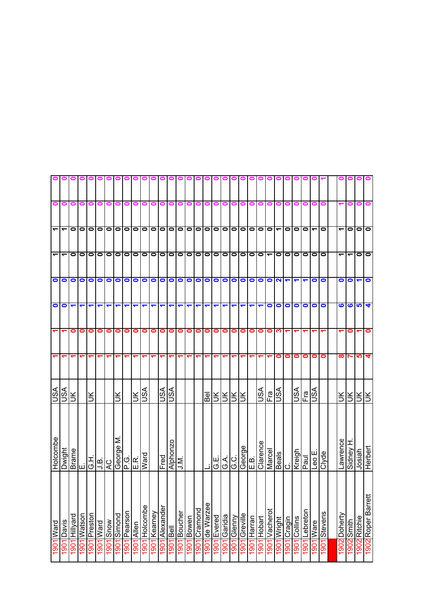| 0                        | 0                        | 0            | 0                   | 0         | 0         | 0                               | 0           |              | o          |                   |                |           |           |             |           |           | 0              | 0         | 0              | 0            | 0                                                                               | 0                    |             |                          |                          |           |            |           |                          |                 |                          |          |              |
|--------------------------|--------------------------|--------------|---------------------|-----------|-----------|---------------------------------|-------------|--------------|------------|-------------------|----------------|-----------|-----------|-------------|-----------|-----------|----------------|-----------|----------------|--------------|---------------------------------------------------------------------------------|----------------------|-------------|--------------------------|--------------------------|-----------|------------|-----------|--------------------------|-----------------|--------------------------|----------|--------------|
|                          |                          |              |                     |           |           |                                 |             |              |            |                   |                |           |           |             |           |           |                |           |                |              |                                                                                 |                      |             |                          |                          |           |            |           |                          |                 |                          |          |              |
| $\blacktriangledown$     | $\overline{\phantom{0}}$ | $\bullet$    | $\bullet$           |           |           |                                 | 0 0 0 0 0   |              |            |                   | 00000000       |           |           |             |           |           |                |           | 0 0 0 0 0 0    |              |                                                                                 |                      |             | $\bullet$                | $\overline{\phantom{0}}$ | $\bullet$ | $\bullet$  | $\bullet$ | $\overline{\phantom{0}}$ | $\bullet$       | $\overline{\phantom{0}}$ | 0        |              |
| $\overline{\phantom{0}}$ | $\overline{\phantom{0}}$ | $\bullet$    | $\bullet$           |           |           |                                 | 0000        | $\bullet$    |            | $\circ$   $\circ$ | $\bullet$      | olololo   |           |             |           | $\bullet$ |                | 00        |                | 0 0 0 0 0    |                                                                                 |                      |             | $\overline{\phantom{0}}$ | $\bullet$                | $\bullet$ | $\bullet$  | lo        | 0                        |                 | $\overline{\phantom{0}}$ | ے        |              |
| $\bullet$                | $\bullet$                | $\bullet$    | $\bullet$           | $\bullet$ | $\bullet$ | $\bullet$                       | $\bullet$   | $\bullet$    | $\bullet$  | $\bullet$         | $\bullet$      | $\bullet$ | $\bullet$ | $\bullet$   | $\bullet$ | $\bullet$ | $\bullet$      | $\bullet$ | $\bullet$      | $\bullet$    | $\circ$                                                                         |                      | $\bullet$   | $\bullet$                | $\overline{\mathbf{N}}$  |           |            |           | $\bullet$                | $\bullet$       | $\bullet$                | 0        |              |
| $\bullet$                | $\bullet$                | ↽            | ↽                   |           | ᡪ         | ↽                               | ↽           | ↽            | ↽          | ↽                 | ↽              | ↽         | ↽         | ↽           | ᡪ         | ↽         | ↽              | ↽         |                | ↽            | ↽                                                                               | $\blacktriangledown$ | ↽           | $\bullet$                | $\bullet$                | $\bullet$ | $\bullet$  | $\bullet$ | $\bullet$                | $\bullet$       | ဖ                        | ဖ        | 5            |
|                          |                          | 0            | 0                   | 0         | 0         | 0                               | 0           | 0            | 0          | 0                 | 0              | $\bullet$ | $\bullet$ | $\bullet$   | 0         | 0         | 0              | 0         | 0              | 0            | $\bullet$                                                                       | $\bullet$            | $\bullet$   | 0                        | ო                        |           |            |           |                          |                 |                          | 0        |              |
| $\blacktriangledown$     |                          |              |                     |           |           | ᠆                               | ᠵ           |              |            |                   |                |           |           |             |           |           |                |           |                |              | ᠆                                                                               |                      |             |                          | 0                        | 0         | 0          | 0         | 0                        | 0               | ထ                        |          |              |
| JSA                      | SA                       | š            |                     | š         |           |                                 | š           |              | $\leq$     | VSU               |                | VSU       | VSU       |             |           |           | $\overline{B}$ |           | <u>RIRIRI</u>  |              |                                                                                 |                      | VSN         | Fra                      | vsn                      |           | <b>ASU</b> | Fra       | <b>ASU</b>               |                 | ž.                       | 릿키       |              |
| Holcombe                 | Dwight                   | <b>Brame</b> | انىا                |           |           | اتا اقا <mark>ط</mark><br>انتار | George M    |              | 이다.<br>미   | Ward              |                | Fred      | Alphonzo  | <b>N</b> 'r |           |           |                | G.E.      |                | $rac{d}{d}$  | $\begin{array}{c c}\n\hline\n\text{George} \\ \hline\n\text{E.B.}\n\end{array}$ |                      | Clarence    | Marcel                   | <b>Beals</b>             | ن         | Kreigh     | Paul      | Leo E.                   | Clyde           | Lawrence                 | Sidney H |              |
| 1901 Ward                | Davis                    | Hillyard     | llospe $\mathsf{M}$ | Preston   | 1901 Ward | 1901 Snow                       | 1901 Simond | 1901 Pearson | 1901 Allen | Holcombe          | <b>Kearney</b> | Alexander | Bell      | Boucher     | Bowen     | Cramond   | de Warzee      | Evered    | Garidia        | l 901 Glenny | 1901 Greville                                                                   | 1901 Harran          | 1901 Hobart | 1901 Vacherot            | 1901 Wright              | Cragin    | Collins    | Lebreton  | <b>Ware</b>              | 1901<br>Stevens | 1902 Doherty             | Smith    |              |
|                          | 90                       | 1901         | 1901                | 1901      |           |                                 |             |              |            | 1901              | 1901           | 1901      | 1901      | 1901        | 1901      | 1901      | 1901           | 1901      | $\frac{50}{1}$ |              |                                                                                 |                      |             |                          |                          | 1901      | 1061       | 1001      | 1901                     |                 |                          | 1902     | 1902 Ritchie |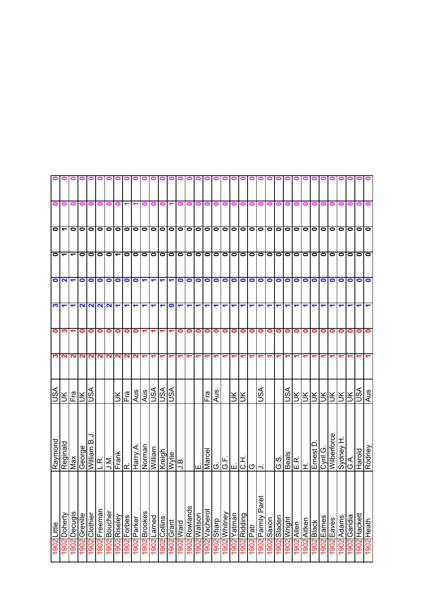|           |                           |                          |               |               |              |                      | 0000000                  |                      |             |                      |                      |                          | 0                    |             |           |             |          |            |                               |             |              |           |                   |           |                |             |                        |             |           |           |                |            |               |              |            |
|-----------|---------------------------|--------------------------|---------------|---------------|--------------|----------------------|--------------------------|----------------------|-------------|----------------------|----------------------|--------------------------|----------------------|-------------|-----------|-------------|----------|------------|-------------------------------|-------------|--------------|-----------|-------------------|-----------|----------------|-------------|------------------------|-------------|-----------|-----------|----------------|------------|---------------|--------------|------------|
| 0         | 0                         | 0                        | 0             | 0             | 0            | 0                    |                          |                      |             |                      |                      |                          |                      |             |           | 0           |          | 0          | o                             | 0           | 0            |           |                   |           |                |             |                        |             |           |           |                |            |               |              |            |
|           | $\frac{1}{1}$             | $\bullet$                |               |               |              |                      |                          |                      |             |                      |                      |                          |                      |             |           |             |          |            |                               |             |              |           |                   |           |                |             | 0 0 0 0                |             |           | $\bullet$ | $\circ$        | $\circ$    |               | 0 0 0        |            |
|           | $\mathsf{O}$              | $\overline{\phantom{0}}$ |               | 0             | 00           |                      | $\overline{\phantom{0}}$ | $\bullet$            | $\bullet$   | $\bullet$            |                      |                          | 0 0 0 0              |             | $\bullet$ | 0           |          | 0  0  0  0 |                               |             |              |           | $\bullet$         | 0   0     |                | $\bullet$   | lololo                 |             |           | $\bullet$ | $\blacksquare$ | $\bullet$  | $\bullet$     | 1010         |            |
|           | $\overline{\overline{C}}$ |                          |               | $\bullet$     | $\circ$      |                      | $\bullet$                | $\bullet$            | $\bullet$   | $\blacktriangledown$ | $\blacktriangledown$ | $\overline{\phantom{0}}$ | $\blacktriangledown$ | $\bullet$   | $\bullet$ | 0           |          | O          |                               |             |              |           | 0000000           |           |                | O           | Ō                      |             | $\bullet$ | $\bullet$ | $\bullet$      | $\bullet$  | $\bullet$     | Ō            |            |
| <u>က</u>  | ↽                         | ↽                        |               | NNNN          |              |                      | $\blacktriangledown$     | $\blacktriangledown$ | ↽           | ↽                    | $\blacktriangledown$ | ↽                        | $\bullet$            | ↽           | ↽         | ↽           |          | ↽          | ↽                             | ↽           | ↽            | ↽         | ↽                 | ↽         |                |             |                        |             |           |           |                |            |               |              |            |
| $\bullet$ | ∾                         |                          | 0             | $\bullet$     | 0            | 0                    | 0                        | $\bullet$            | 0           |                      |                      |                          |                      | 0           | 0         | 0           | 0        | 0          | $\bullet$                     | $\bullet$   | $\bullet$    | $\bullet$ | $\bullet$         | $\bullet$ | 0              | $\bullet$   | $\bullet$              | $\bullet$   | 0         | 0         | 0              | 0          | 0             | 0            | $\bullet$  |
| S         | N                         | N                        |               | <b>NN</b>     |              | <b>NN</b>            | <b>NN</b>                |                      | N           |                      |                      |                          |                      |             |           |             |          |            |                               |             |              |           |                   |           |                |             |                        |             |           |           |                |            |               |              |            |
| JSA       | $\leq$                    | Fra                      | š             | vsn           |              |                      | š                        | Fral<br>F            | Aus         | $\frac{1}{2}$        |                      | <b>ASLI</b>              |                      |             |           |             | Fra      | Aus        |                               | šl          | š            |           | JSA               |           |                | ASL         |                        |             | RRRRRI    |           |                | šl         | Ж             | VSU          | Aus        |
| Raymond   | Reginald                  | Max                      | George        | William B.J   |              | $\frac{1}{\sqrt{N}}$ | Frank                    | œ                    | Harry A.    | Norman               | William              | Kreigh                   | Wylie                | َھ<br>ح     |           | ш           | Marcel   | ය.         | ц   д <br> g  <u>ш d g  →</u> |             |              |           |                   |           | G.S.           | Beals       | E.R.<br>H.<br>Ernest I |             |           | Cyril G.  | Wilberforce    | Sydney H   | $\frac{1}{2}$ | Harold       | Rodney     |
| Little    | Doherty                   | <b>Decugis</b>           | 1902 Greville | 1902 Clothier | 1902 Freeman | 1902 Boucher         | 1902 Riseley             | 1902 Forbes          | 1902 Parker | Brookes              | Larned               | Collins                  | 1902 Grant           | <b>Ward</b> | Rowlands  | 1902 Watson | Vacherot | dueus 2061 | 1902 Whitney                  | 1902 Yatman | 1902 Ridding | 1902 Patr | 1902 Parnly Paret | Saxon     | l902<br>Sladen | 1902 Wright | 1902 Allen             | 1902 Aitken | Black     | Eames     | 1902 Eaves     | I902 Adams | 1902 Garidia  | 1902 Hackett | 1902 Heath |
| 1902      | 1902                      | 1902                     |               |               |              |                      |                          |                      |             | 1902                 | 1902                 | 1902                     |                      | 1902        | 1902      |             | 1902     |            |                               |             |              |           |                   | 1902      |                |             |                        |             | 1902      | 1902      |                |            |               |              |            |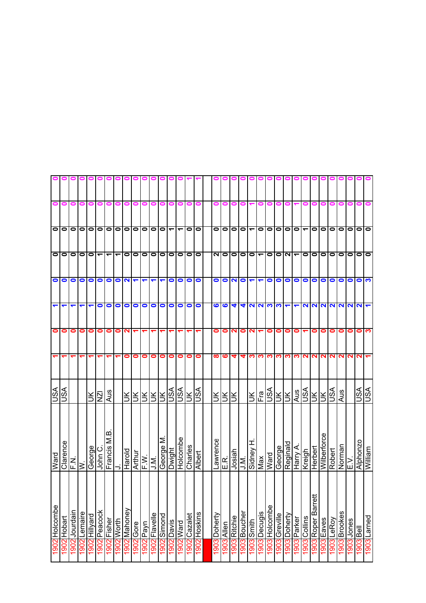|               |                      |               |              |              |                          |                      |                          |                         | 000000000            |                                 |                      |             | 0 0 1                    |                          |                |                |              |            |              |                      |                          |                          |               | 000           |              |                      |              |                    |                    |             |                |             |                     |             |
|---------------|----------------------|---------------|--------------|--------------|--------------------------|----------------------|--------------------------|-------------------------|----------------------|---------------------------------|----------------------|-------------|--------------------------|--------------------------|----------------|----------------|--------------|------------|--------------|----------------------|--------------------------|--------------------------|---------------|---------------|--------------|----------------------|--------------|--------------------|--------------------|-------------|----------------|-------------|---------------------|-------------|
| 0             | $\bullet$            | 0             | 0            | 0            | 0                        | 0                    | 0                        |                         |                      | 0                               |                      |             | o                        | 0                        | $\blacksquare$ | $\blacksquare$ |              |            | o            | 0                    |                          | 0                        | 0             | 0             | o            |                      |              |                    |                    |             |                |             |                     |             |
|               | ololol               |               |              |              |                          |                      |                          |                         | lololololololololo   |                                 |                      |             | $\overline{\phantom{0}}$ | $\overline{\phantom{0}}$ |                | $\circ$        | 0            | $\bullet$  | $\bullet$    | $\bullet$            | $\overline{\phantom{0}}$ | 000000                   |               |               |              |                      |              | $\bullet$          | $\bullet$          |             |                |             | 0 0 0 0 0           |             |
|               | O O O                |               | 0   0        |              | $\overline{\phantom{0}}$ | $\blacktriangledown$ | $\overline{\phantom{0}}$ | $\bullet$               | $\bullet$            | $\bullet$                       | $\bullet$            | $\bullet$   | $\bullet$                |                          | 0 0 0          |                | N            | $\bullet$  | $\bullet$    | $\bullet$            |                          | 01-001-0                 |               |               |              |                      | $\bullet$    | $\bullet$          | $\bullet$          | 1010        |                | $\bullet$   | lolo                |             |
| $\bullet$     | $\bullet$            | $\bullet$     | $\bullet$    | $\bullet$    | $\bullet$                | $\bullet$            | $\bullet$                | $\overline{\mathbf{N}}$ | $\blacktriangledown$ | $\blacktriangledown$            | ↽                    | ↽           | $\bullet$                | $\bullet$                | $\bullet$      | $\bullet$      | $\bullet$    | $\bullet$  | N            | $\bullet$            | $\blacktriangledown$     | $\blacktriangledown$     |               | 000           |              | $\bullet$            | $\bullet$    | $\bullet$          | $\bullet$          | $\bullet$   | O              | $\bullet$   | $\bullet$           |             |
| ↽             | $\blacktriangledown$ |               |              | ↽            | $\bullet$                | $\bullet$            | $\bullet$                | $\bullet$               | 0                    | $\bullet$                       | $\bullet$            | $\bullet$   | $\bullet$                | $\bullet$                | $\circ$        |                | ဖ            | ဖ          | 4            | $\blacktriangleleft$ |                          | $\frac{1}{2}$            |               |               |              | $\blacktriangledown$ |              |                    |                    |             |                | N N N N N N |                     |             |
| 0             | 0                    | 0             | 0            | $\bullet$    | 0                        | 0                    | 0                        | ິ                       |                      |                                 |                      |             |                          |                          |                |                | 0            | 0          | N            | 0                    | $\mathbf{N}$             |                          | $\bullet$     | $\bullet$     | 0            | $\bullet$            |              | 0                  | 0                  | $\bullet$   | $\bullet$      | $\bullet$   | $\bullet$           |             |
|               |                      |               |              |              |                          | ᠆                    | ↽                        | 0                       | 0                    | 0                               | 0                    | 0           | $\bullet$                | 0                        | 01             | $\bullet$      | ထ            | ဖ          | 4            | 4                    | <b>SP</b>                |                          |               | က္က က က       |              | ∾                    | N            | N                  | N                  | <b>NNN</b>  |                |             | N.                  |             |
| <b>ASL</b>    |                      |               |              |              | <u>SŊ</u>                | Aus                  |                          | Ж                       |                      |                                 | <u>RIRIRIR</u>       |             | ASU                      |                          | <b>SIER</b>    |                | š            |            | ₹l₹          |                      | ÌЯ                       | $rac{Fra}{USA}$          |               | $\frac{1}{2}$ |              | Aus                  | ASU          | ŠГ                 | $\leq$             | ASL         | Aus            |             | <b>ASU</b>          | ASU         |
| Ward          | Clarence             | Σ<br>Ε.       | ∣≶           | George       | John C.                  | Francis M.B          | ⊃                        | рролен                  | Arthur               | $\overline{F}$ . $\overline{W}$ | J.M.                 | Σ<br>George | Dwight                   | Holcombe                 | Charles        | Albert         | Lawrence     | E.<br>E.   | Josiah       | J.M.                 |                          | Sidney H.<br>Max<br>Ward |               | George        | Reginald     | Harry A.             | Kreigh       | Herbert            | <b>Wilberforce</b> | Robert      | Norman<br>E.V. |             | Alphonzo<br>William |             |
| 1902 Holcombe | 1902 Hobart          | 1902 Jourdain | 1902 Lemaire | harvillHiD06 | 1902 Peacock             | 1902 Fisher          | 1902 Worth               | 1902 Mahoney            | 1902 Gore            | u/ed  <b>206</b>                | <b>1902</b> Flavelle | Simond      | <b>Davis</b>             | t Ward                   | Cazalet        | 1902 Hoskins   | 1903 Doherty | 1903 Allen | 1903 Ritchie | 1903 Boucher         | 1903 Smith               | 1903 Decugis             | 1903 Holcombe | 1903 Greville | 1903 Doherty | 1903 Parker          | 1903 Collins | 1903 Roper Barrett | lEaves             | LeRoy       | <b>Brookes</b> | 1903 Jones  | 1903<br>Bell        | 1903 Larned |
|               |                      |               |              |              |                          |                      |                          |                         |                      |                                 |                      | 1902        | 1902                     | 1902                     | 1902           |                |              |            |              |                      |                          |                          |               |               |              |                      |              |                    | 1903               | <b>CO61</b> | 1903           |             |                     |             |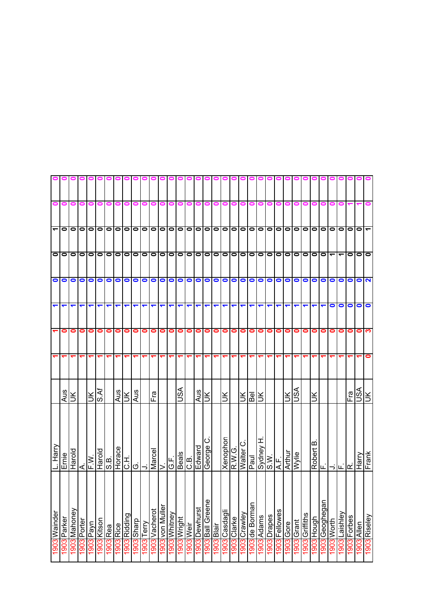|                      |             |              |             |                              |             |           | o o o o o o o o o o o |              |                         |           |                      |                 |                           |              |                  |               |                  |            | 0000          |                            |                      |                      |                                   |             | 0000          |           |            |                | 0                 |                        |                          |                          |           |               |                   |
|----------------------|-------------|--------------|-------------|------------------------------|-------------|-----------|-----------------------|--------------|-------------------------|-----------|----------------------|-----------------|---------------------------|--------------|------------------|---------------|------------------|------------|---------------|----------------------------|----------------------|----------------------|-----------------------------------|-------------|---------------|-----------|------------|----------------|-------------------|------------------------|--------------------------|--------------------------|-----------|---------------|-------------------|
| 0                    | $\bullet$   | 0            | 0           | 0                            | 0           | 0         | 0                     |              |                         | 0         |                      | o               | 0                         |              |                  | 0             | 0                | 0          | 0             | 0                          | 0                    | 0                    | o                                 |             |               |           |            |                |                   |                        |                          |                          |           |               |                   |
| $\blacktriangledown$ |             | 0000000      |             |                              |             |           |                       | $\bullet$    |                         |           |                      |                 |                           |              |                  |               |                  |            |               |                            |                      |                      | 0 0 0 0 0 0 0 0 0 0 0 0 0 0 0 0 0 |             |               |           |            |                | olololo           |                        | $\bullet$                | lo                       | $\bullet$ | $\bullet$     |                   |
|                      | 00000000    |              |             |                              |             |           |                       | $\bullet$    |                         |           |                      |                 | 0 0 0 0 0 0 0 0 0 0 0 0 0 |              |                  |               |                  |            |               |                            |                      |                      |                                   | $\bullet$   | 0   0         |           |            |                | 0 0 0 0           |                        | $\overline{\phantom{a}}$ | $\overline{\phantom{0}}$ | 0         | $\bullet$     | $\bullet$         |
|                      | OO          | $\circ$      |             | 0000                         |             |           |                       | $\bullet$    | $\bullet$               | $\bullet$ |                      |                 | 0000                      |              |                  | 0             |                  |            | 0000000       |                            |                      |                      |                                   | $\bullet$   | $\circ$       |           | $\circ$    |                | olo               |                        | $\bullet$                |                          | $\bullet$ | $\bullet$     | $\mathbf{\Omega}$ |
| $\blacktriangledown$ | ↽           |              |             | ᠆                            | ↽           | ↽         | ↽                     | ↽            | ↽                       | ↽         | $\blacktriangledown$ | ↽               | ↽                         | ↽            |                  | ↽             | ┯                | ↽          | ↽             | ↽                          | $\blacktriangledown$ | $\blacktriangledown$ | $\blacktriangledown$              | ↽           | ↽             |           |            |                |                   |                        | 0                        | $\bullet$                | 0         | $\bullet$     | $\bullet$         |
|                      | 0           | 0            | $\bullet$   | 0                            | 0           | $\bullet$ | 0                     | 0            | 0                       | 0         | $\bullet$            | $\bullet$       | 0                         | 0            | 0                | 0             | 0                | 0          | $\bullet$     | $\bullet$                  | $\bullet$            | $\bullet$            | $\bullet$                         | 0           | $\bullet$     | $\bullet$ | $\bullet$  | 0              | 01                | $\bullet$              | 0                        | 0                        | 0         | 0             | က                 |
|                      |             |              |             | ᠆                            | ᠆           | ↽         | ᠇                     |              |                         |           |                      |                 |                           |              |                  |               |                  |            |               |                            | ᠆                    | ↽                    | ᠆                                 |             |               |           |            |                |                   |                        |                          |                          |           |               |                   |
|                      | Aus         | š            |             | $\frac{1}{\sqrt{2}}$         |             |           | Aus                   | Ιš           | Aus                     |           | Fra                  |                 |                           | ASU          |                  | Aus           | š                |            | š             |                            |                      | <u>ies</u>           | ΙŘ                                |             |               | $\leq$    | ASU        |                | š                 |                        |                          |                          | Fra       | vsn           | š                 |
| L. Harry             | Ernie       | Harold       |             | S.B.<br>F.W.<br>S.B.<br>S.B. |             |           | Horace                |              | $\frac{1}{\frac{1}{2}}$ |           | Marcel               |                 | L.<br>ان                  | <b>Beals</b> | C.B.             | Edward        | ပ<br>George      |            | Xenophon      | P.W.G.<br>Walter (<br>Paul | ပ                    |                      | Sydney H.<br>S.W.<br> A.F.        |             |               | Arthur    | Wylie      |                | $\mathbf{\Omega}$ |                        |                          |                          |           |               | $F$ rank          |
| 1903 Wainder         | Parker      | 1903 Mahoney | 1903 Porter | u/ed cos                     | 1903 Kitson | 1903 Rea  | 1903 Rice             | 1903 Ridding | 1903 Sharp              | Terry     | 1903 Vacherot        | 1903 von Muller | 1903 Whitney              | 1903 Wright  | <b>1903</b> Weir | 1903 Dewhurst | 1903 Ball Greene | l903 Blair | 1903 Casdagli | 1903 Clarke                | 1903 Crawley         | 1903 de Borman       | 1903 Adams                        | 1903 Drapes | 1903 Fellowes | 903 Gore  | 1903 Grant | 1903 Griffiths | 1903 Hough        | <u>l 903 Geoghegan</u> | 1903 Worth               | Laishley                 | Forbes    | 1903<br>Allen | 1903 Riseley      |
|                      | <b>I903</b> |              |             |                              |             |           |                       |              |                         | 1903      |                      |                 |                           |              |                  |               |                  |            |               |                            |                      |                      |                                   |             |               |           |            |                |                   |                        |                          | 1903                     | 1903      |               |                   |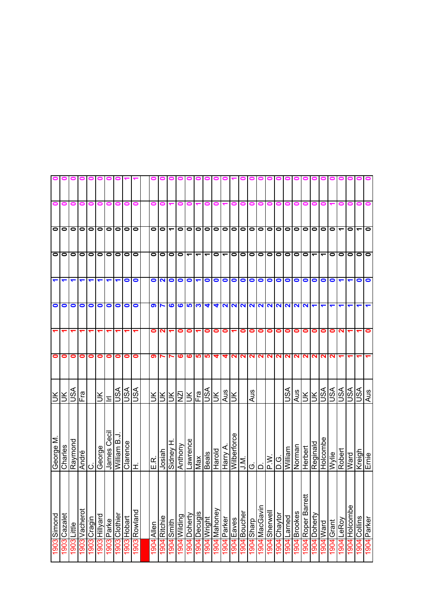|                      |                         |                      |               |                      |                      | 0 0 0 0 0            |                      |             |              |                      |                   |                 |                 |                 |                 |              |                            |                          |            |                      |           |               |                  |                   |                |                        |                          |                      |                     |            |                          |                  |                          |             |
|----------------------|-------------------------|----------------------|---------------|----------------------|----------------------|----------------------|----------------------|-------------|--------------|----------------------|-------------------|-----------------|-----------------|-----------------|-----------------|--------------|----------------------------|--------------------------|------------|----------------------|-----------|---------------|------------------|-------------------|----------------|------------------------|--------------------------|----------------------|---------------------|------------|--------------------------|------------------|--------------------------|-------------|
| 0                    | 0                       | 0                    | 0             | 0                    | 0                    | 0                    |                      |             |              |                      |                   |                 |                 |                 |                 |              |                            |                          | 0          |                      |           |               |                  |                   |                |                        |                          |                      |                     |            |                          |                  |                          |             |
|                      | $\overline{\bullet}$  0 | $\bullet$            |               | 0000                 |                      |                      | 0                    |             | $\bullet$    | $\circ$              |                   | ے               | 0               | $\bullet$       | $\bullet$       | $\bullet$    |                            | 0 0 0 0 0                |            |                      |           | $\bullet$     | $\circ$          |                   | olololo        |                        |                          |                      | $\bullet$           | $\bullet$  | $\overline{\phantom{0}}$ | $\bullet$        | $\overline{\phantom{0}}$ | $\bullet$   |
| $\bullet$            | $\bullet$               | $\bullet$            | $\circ$       |                      | 00                   |                      | $\bullet$            | $\bullet$   | $\bullet$    | $\bullet$            | $\bullet$         | $\bullet$       | $\bullet$       | ᠆               | ᠆               |              | 0                          | $\overline{\phantom{a}}$ | $\circ$    |                      | $\bullet$ | $\bullet$     | $\bullet$        | $\bullet$         | $\bullet$      | 10 I O                 |                          | $\blacktriangledown$ | ے                   | $\bullet$  | $\bullet$                | $\bullet$        | $\bullet$                | lo          |
| $\blacktriangledown$ | $\blacktriangledown$    | $\blacktriangledown$ | ↽             | $\blacktriangledown$ | $\blacktriangledown$ | $\blacktriangledown$ | $\blacktriangledown$ | $\bullet$   | $\bullet$    | $\bullet$            | NO                |                 | $\bullet$       | $\bullet$       | ↽               | $\bullet$    | $\bullet$                  | $\bullet$                | $\circ$    |                      | $\bullet$ | $\bullet$     | $\bullet$        | $\bullet$         | $\bullet$      | $\circ$                |                          | $\bullet$            | $\bullet$           | $\bullet$  |                          |                  | $\bullet$                | $\bullet$   |
| $\bullet$            | 0                       | 0                    | $\bullet$     | $\bullet$            | $\bullet$            | $\bullet$            | $\bullet$            | 0           | 0            | $\bullet$            |                   | ဖ               | ဖ               | 5               | <u>ຕ</u>        | 4            | 4                          |                          |            |                      |           | 00000000      |                  |                   | 2222           |                        |                          | ↽                    |                     |            |                          |                  |                          | ↽           |
|                      |                         |                      |               |                      |                      |                      |                      |             |              | 0                    | $\mathbf{\Omega}$ |                 | 0               | 0               |                 | 0            | 0                          | 0                        |            | 0                    | 0         | 0             | 0                | 0                 | $\bullet$      | $\bullet$              | 0                        | 0                    | 0                   | 0          | ี่                       |                  |                          | 0           |
| 0                    | 0                       | 0                    | 0             | 0                    | 0                    | 0                    | 0                    | 0           | 0            | စာ                   |                   | $\overline{ }$  | ဖ               | ဖ               | ဖာ              | S            | 4                          | 4                        | <b>NN</b>  |                      | $\sim$    | N             | N                | $\mathbf{\Omega}$ | 2              |                        | NN                       | N                    | N                   | ∾          |                          |                  |                          |             |
| š                    | š                       | VSN                  | Fra           |                      | Ж                    | Ξ                    | VSN                  | ASU         | S∕S∪         | ÌЮ                   | š                 | ŠІ              | ΝZΙ             | š               | Fra             | vsn          | $\leq$                     | <b>Aus</b>               | ŠК         |                      | Aus       |               |                  |                   | ASU            | <b>Aus</b>             | ŠГ                       | Ж                    | VSU                 | <b>ASU</b> | JSA                      | <b>ASL</b>       | vsn                      | Aus         |
| George M             | Charles                 | Raymond              | André         | ن                    | <b>a</b> buoag       | James Cecil          | <u>ل. William B</u>  | Clarence    | ェ            | E.R.                 | Josiah            | <b>H</b> VaupiS | Anthony         | Lawrence        | Max             | <b>Beals</b> | Harold                     | Wilberforce<br>Harry A.  |            | $\bar{\mathbf{z}}$ l | ۱قا       |               | W <sup>'</sup> d | O.G               | William        | Norman                 | Herbert                  | Reginald             | Holcombe            | Wylie      | Robert                   | Ward             | Kreigh                   | Ernie       |
| 1903 Simond          | Cazalet<br>1903         | Little<br>1903       | 1903 Vacherot | 1903 Cragin          | 1903 Hillyard        | 1903 Parke           | 1903 Clothier        | 1903 Hobart | 1903 Rowland | <b>Allen</b><br>1904 | Ritchie<br>1904   | 1904 Smith      | Wilding<br>1904 | Doherty<br>1904 | Decugis<br>1904 | 1904 Wright  | /l <mark>b04</mark> Mahone | 1904 Parker              | 1904 Eaves | 1904 Boucher         | daeus bos | 1904 MacGavin | Sherwell<br>1904 | 1904 Chaytor      | Larned<br>1904 | <b>Brookes</b><br>1904 | ₩<br>Roper Barre<br>1904 | Doherty<br>1904      | <b>Ward</b><br>1904 | 1904 Grant | <b>LeRoy</b><br>1904     | Holcombe<br>1904 | 1904 Collins             | 1904 Parker |
|                      |                         |                      |               |                      |                      |                      |                      |             |              |                      |                   |                 |                 |                 |                 |              |                            |                          |            |                      |           |               |                  |                   |                |                        |                          |                      |                     |            |                          |                  |                          |             |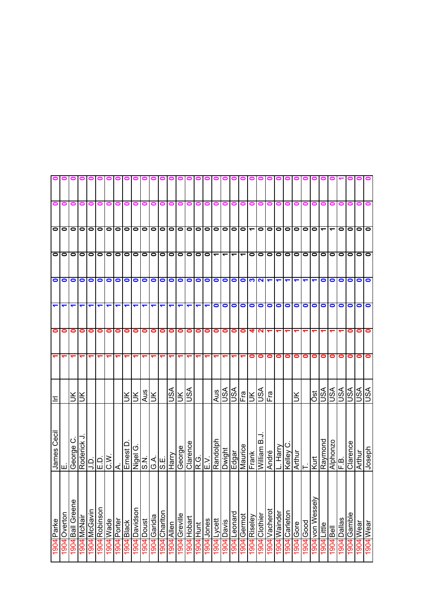|                    |             |                  |             |              |               |                      | o o o o o o o o o o o |            |                          |            |            |               |                             |               |             |                      |           | 000        |                            |                            |             |              |                                         |               |              |                   |                                          |           |                               |                      |                      |                  |                         |           |               |
|--------------------|-------------|------------------|-------------|--------------|---------------|----------------------|-----------------------|------------|--------------------------|------------|------------|---------------|-----------------------------|---------------|-------------|----------------------|-----------|------------|----------------------------|----------------------------|-------------|--------------|-----------------------------------------|---------------|--------------|-------------------|------------------------------------------|-----------|-------------------------------|----------------------|----------------------|------------------|-------------------------|-----------|---------------|
| 0                  | 0           | 0                | 0           | 0            | 0             | 0                    |                       |            |                          |            |            |               | 0                           |               |             | 0                    | 0         | 0          | 0                          | 0                          | 0           | 0            |                                         |               |              |                   |                                          |           |                               |                      |                      |                  |                         |           |               |
|                    | 00000000    |                  |             |              |               |                      |                       | $\bullet$  | $\overline{\bullet}$     |            |            |               | 0 0 0 0 0 0 0 0 0 0 0       |               |             |                      |           |            |                            |                            |             |              | $\bullet$                               | $\bullet$     | o            | $\bullet$         |                                          |           | $\overline{\phantom{a}}$ olol | $\blacktriangledown$ | $\blacktriangledown$ | $\bullet$        | $\bullet$               | $\bullet$ | $\bullet$     |
|                    | 00000000    |                  |             |              |               |                      |                       | $\bullet$  | $\overline{\phantom{0}}$ |            |            |               | 0 0 0 0 0 0 0  <del>-</del> |               |             |                      |           |            | $\overline{\phantom{a}}$   |                            |             |              | $\Gamma$ $\Gamma$ $\Gamma$              | $\bullet$     | 00           |                   |                                          |           | lololololo                    |                      |                      |                  | $\bullet$               | $\bullet$ | lo            |
|                    | OO          | $\bullet$        | $\bullet$   | O            |               | 000                  |                       | $\bullet$  | $\bullet$                | $\bullet$  | olo        |               | $\bullet$                   | $\bullet$     | $\bullet$   | $\bullet$            |           |            |                            |                            |             |              | $\begin{array}{c}\n0 \\ 0\n\end{array}$ |               |              |                   | $\blacktriangledown$                     |           | $\blacktriangledown$          | $\bullet$            | $\bullet$            | $\bullet$        | $\bullet$               | $\bullet$ | $\bullet$     |
| ᠆                  | ↽           |                  |             | ᠆            | ↽             | ↽                    | ᠆                     | ↽          | ↽                        | ↽          | ↽          | ↽             | ↽                           | ↽             |             | ↽                    |           | $\bullet$  | $\bullet$                  | $\circ$ $\circ$            |             |              | $\bullet$                               | $\bullet$     | $\bullet$    | $\bullet$         | $\bullet$                                | $\bullet$ | $\circ$                       |                      | $\bullet$            | $\bullet$        | 0                       | $\bullet$ | $\bullet$     |
| 0                  | 0           | 0                | 0           | 0            | 0             | $\bullet$            | 0                     | 0          | 0                        | 0          | $\bullet$  | 0             | 0                           | 0             | 0           | 0                    | 0         | 0          | $\bullet$                  | $\bullet$                  | $\bullet$   | 4            | N                                       |               |              |                   |                                          |           |                               |                      |                      |                  | 0                       | 0         |               |
|                    |             |                  |             |              | ᡪ             | ↽                    | ᡪ                     |            |                          |            |            |               |                             |               |             |                      |           |            |                            |                            | ᠆           | $\bullet$    | 0                                       | 0             | 0            | $\bullet$         | 0                                        | 0         | 0                             | 0                    | 0                    | 0                | 0                       | 0         |               |
| Ξ                  |             | š                | š           |              |               |                      |                       | š          | Ιš                       | <b>Aus</b> |            |               | VSN                         |               | $rac{1}{2}$ |                      |           | Aus        | <b>224</b><br>2020<br>2021 |                            |             |              |                                         | Ēra           |              |                   | $\leq$                                   |           | $\frac{1}{2}$                 |                      |                      | <b>ASL</b>       | $\overline{\mathbb{S}}$ | vsn       | ASL           |
| <b>James Cecil</b> | ш           | ن<br>George      | Roderick J  |              |               |                      | k                     | Ernest D   | O                        |            |            |               |                             | George        | Clarence    | R.G.<br>E.V.<br>R.O. |           |            | <b>Dwight</b>              | Edgar<br>Maurice<br>Frank  |             |              | William B                               | André         | Harry.       | $\circ$<br>Kelley | $\frac{\overline{Arthur}}{\overline{T}}$ |           | Kurt                          | Raymond              |                      | Alphonzo<br>F.B. | Clarence                | Arthur    | <b>ydəsor</b> |
| 1904 Parke         | 904 Overton | 1904 Ball Greene | 1904 McNair | 1904 McGavin | 1904 Robinson | epe <sub>M</sub> bog | 1904 Porter           | 1904 Black | 1904 Davidson            | Doust      | Garidia    | 1904 Chariton | Allen                       | 1904 Greville | Hobart      | 1904 Hunt            | 904 Jones | 904 Lycett | 1904 Davis                 | 1 <mark>904</mark> Leonard | 1904 Germot | 1904 Riseley | 1904 Clothier                           | 1904 Vacherot | 1904 Wainder | 1904 Carleton     | Gore                                     | Good      | 1904 von Wessely              | Little               | $\overline{1}$       | Dallas           | Gamble                  | 1904 Wear | 1904 Wear     |
|                    |             |                  |             |              |               |                      |                       |            |                          | 1904       | <b>706</b> |               | 1904                        |               | 1904        |                      |           |            |                            |                            |             |              |                                         |               |              |                   | 1904                                     | 1904      |                               | 1904                 | 1904                 | 1904             | 1904                    |           |               |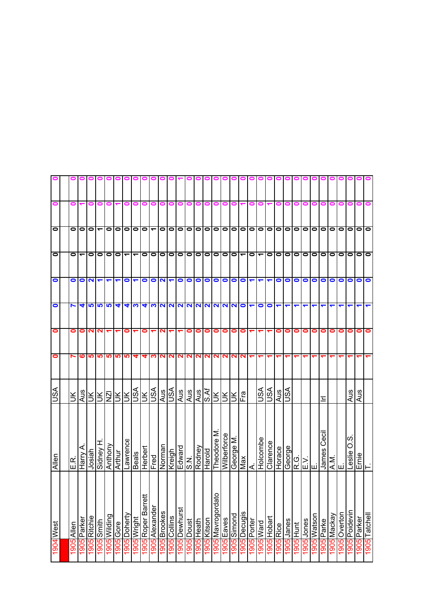| 0         | 0     |                          |                 |                          |                      |                      |                          |             |                    | 000                                                                                                      | $\bullet$          |              |           |                | 0          |              | 0                 | o                 | 0           |                           |                      |                          |                         |           |                         |                  |                        |                          |                |                  |              |                         |             |
|-----------|-------|--------------------------|-----------------|--------------------------|----------------------|----------------------|--------------------------|-------------|--------------------|----------------------------------------------------------------------------------------------------------|--------------------|--------------|-----------|----------------|------------|--------------|-------------------|-------------------|-------------|---------------------------|----------------------|--------------------------|-------------------------|-----------|-------------------------|------------------|------------------------|--------------------------|----------------|------------------|--------------|-------------------------|-------------|
| $\bullet$ | 0     | 0                        |                 | $\overline{\phantom{0}}$ | $\bullet$            | $\bullet$            | $\bullet$                | $\bullet$   | $\bullet$          |                                                                                                          |                    | -000         |           | $\bullet$      |            |              |                   | 0 0 0 0 0 0       |             |                           |                      | $\bullet$                | $\overline{\mathsf{o}}$ |           |                         | olololo          |                        |                          | $\bullet$      | $\circ$          | $\bullet$    | $\bullet$               | $\bullet$   |
| $\bullet$ | 0     | $\overline{\phantom{0}}$ | $\bullet$       | $\bullet$                | $\bullet$            | $\bullet$            | $\overline{\phantom{0}}$ | ↽           | $\bullet$          | $\bullet$                                                                                                | $\bullet$          | $\bullet$    | $\bullet$ | $\bullet$      | $\circ$    | $\bullet$    | $\bullet$         |                   | 00-         |                           | $\bullet$            | $\overline{\phantom{0}}$ | $\bullet$               | $\bullet$ | $\bullet$               | 0   0            |                        | $\bullet$                | $\bullet$      | $\bullet$        | $\bullet$    | $\bullet$               | $\bullet$   |
| $\bullet$ | 0     |                          | ON              | $\overline{\mathbf{r}}$  |                      | $\blacktriangledown$ | $\bullet$                |             | $\bullet$          |                                                                                                          | 700                |              | $\bullet$ | $\bullet$      | $\bullet$  | $\bullet$    | $\bullet$         |                   | 000         |                           | $\blacktriangledown$ | $\blacktriangledown$     | ↽                       | $\bullet$ | $\bullet$               | $\circ$          |                        | $\bullet$                | $\bullet$      | $\bullet$        | $\bullet$    | $\bullet$               | $\bullet$   |
| $\bullet$ | N     | 4                        | 5               | <b>59</b>                |                      | 4                    | 4                        | က           | ₹                  |                                                                                                          |                    |              |           | $ N N N N N N$ |            |              |                   | <b>NNNO</b>       |             |                           | $\blacktriangledown$ | $\bullet$                | $\bullet$               |           |                         |                  |                        |                          |                |                  |              |                         |             |
| $\bullet$ | 0     | 0                        | N               | 2                        |                      |                      | 0                        |             | 0                  |                                                                                                          |                    |              |           | 0              | 0          | 0            | 0                 | $\bullet$         | 0           | $\bullet$                 |                      |                          |                         | 0         | 0                       | $\bullet$        | 0                      | 0                        | 0              | 0                | 0            | 0                       | 0           |
| 0         |       | ဖ                        | <u>ທ</u>        | ம                        | <u> LO</u>           | <u> ဟ</u>            | <b>LO</b>                | 4           | 4                  | ຕ                                                                                                        | $\sim$             | N.           | N         | N              | N.         | $\mathbf{N}$ | N                 | $\mathbf{\Omega}$ | NN          |                           |                      |                          |                         |           |                         |                  |                        |                          |                |                  |              |                         |             |
| S∕S∪      | š     |                          |                 |                          |                      | <b>ASSSSS</b>        |                          | VSU         |                    | $\frac{1}{\left \frac{1}{2}\right }\frac{1}{\left \frac{1}{2}\right }\frac{1}{\left \frac{1}{2}\right }$ |                    |              | Aus       | Aus            | Aus        | s.Af         | Ж                 |                   | )제<br>기     | Fra                       |                      | JSA                      | ASU                     | Aus       | VSU                     |                  |                        |                          | 드              |                  |              | Aus                     | Aus         |
| Allen     | E.R.  | Harry A                  | Josiah          |                          | Sidney H.<br>Anthony | Arthur               | Lawrence                 | Beals       | Herbert            | Fred                                                                                                     | Norman             | Kreigh       | Edward    | S.N.           | Rodney     | Harold       | Theodore M        | Wilberforce       | George M    | Max                       | ∢                    | Holcombe                 | Clarence                | Horace    | George                  | d > <br> ռ ш ш   |                        |                          | Cecil<br>James | $\sum_{i=1}^{n}$ | ші           | <u>ဖ</u><br>O<br>Leslie | Ernie       |
| 1904 West | Allen | 1905 Parker              | 1905<br>Ritchie | 1905 Smith               | 1905 Wilding         | 1905 Gore            | 1905 Doherty             | 1905 Wright | 1905 Roper Barrett | 1905 Alexander                                                                                           | <b>905</b> Brookes | 1905 Collins | Dewhurst  | Doust          | 1905 Heath | 1905 Kitson  | 1905 Mavrogordato | 1905 Eaves        | 1905 Simond | <mark>1905</mark> Decugis | 1905 Porter          | 1905 Ward                | 1905 Hobart             | 1905 Rice | səuer <mark>1061</mark> | <u>1905 Hunt</u> | səuor <mark>906</mark> | 1905 <mark>Watson</mark> | Parke          | 1905 Mackay      | 1905 Overton | 1905 Poidevin           | 1905 Parker |
|           | 1905  |                          |                 |                          |                      |                      |                          |             |                    |                                                                                                          |                    |              | 1905      | 1905           |            |              |                   |                   |             |                           |                      |                          |                         |           |                         |                  |                        |                          | 1905           |                  |              |                         |             |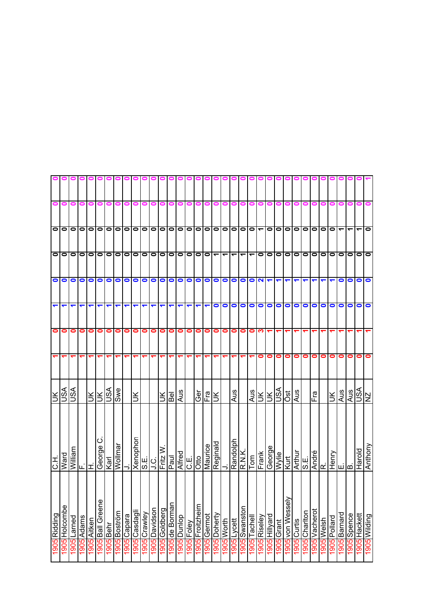|                      |           |           |            |                                                         |                           |           |                          |             | 00            |                                 |           |                        |                                      |           |             |            |             |                          |                          |            |                             |                          |                          |                           |                      |                 |            |         |                                             |                            |           |                               |           |              |              |
|----------------------|-----------|-----------|------------|---------------------------------------------------------|---------------------------|-----------|--------------------------|-------------|---------------|---------------------------------|-----------|------------------------|--------------------------------------|-----------|-------------|------------|-------------|--------------------------|--------------------------|------------|-----------------------------|--------------------------|--------------------------|---------------------------|----------------------|-----------------|------------|---------|---------------------------------------------|----------------------------|-----------|-------------------------------|-----------|--------------|--------------|
| 0                    | 0         | 0         | 0          | 0                                                       | 0                         | 0         |                          |             |               |                                 |           |                        |                                      |           |             |            | 0           | 0                        |                          | o          | 0                           |                          |                          |                           |                      |                 |            |         |                                             |                            |           |                               |           |              |              |
|                      | 0         | $\bullet$ |            | 0000                                                    |                           |           | $\overline{\phantom{0}}$ | $\bullet$   |               | $\frac{\mathsf{O}}{\mathsf{O}}$ |           | 0000                   |                                      |           | $\bullet$   | $\bullet$  | 0           |                          |                          |            | 0000                        |                          | $\overline{\phantom{0}}$ | $\bullet$                 | $\bullet$            | $\bullet$       | $\bullet$  |         | 0 0 0                                       |                            | $\bullet$ | ↽                             |           |              | $\bullet$    |
| $\bullet$            | $\bullet$ | $\bullet$ | $\bullet$  | $\bullet$                                               | $\bullet$                 | $\bullet$ | $\bullet$                | $\bullet$   | $\bullet$     | $\bullet$                       | $\bullet$ | $\bullet$              | lolo                                 |           | $\bullet$   | $\bullet$  | $\bullet$   | $\overline{\phantom{0}}$ | $\overline{\phantom{0}}$ |            | $\frac{1}{2}$               | $\overline{\phantom{0}}$ | $\bullet$                | $\bullet$                 | $\bullet$            | $\bullet$       | $\bullet$  | $\circ$ |                                             | $\bullet$                  | $\bullet$ | $\bullet$                     | $\bullet$ | $\bullet$    | $\bullet$    |
| $\bullet$            | $\bullet$ | $\bullet$ | $\bullet$  | $\bullet$                                               | $\bullet$                 | $\bullet$ | $\bullet$                | $\bullet$   | 0             | $\bullet$                       | $\bullet$ | $\bullet$              | $\bullet$                            | $\bullet$ | $\bullet$   | $\bullet$  | $\bullet$   | $\bullet$                | $\bullet$                | $\bullet$  |                             | $\bullet$                | $\mathbf{\Omega}$        | $\blacktriangledown$      | $\blacktriangledown$ |                 |            |         |                                             |                            |           | 0                             | 0         | $\bullet$    | $\bullet$    |
| $\blacktriangledown$ | ↽         | ↽         |            |                                                         | ↽                         | ↽         |                          |             | ↽             | ↽                               |           |                        |                                      |           |             |            |             | $\bullet$                | $\bullet$                | $\circ$    |                             | $\bullet$                | $\bullet$                | $\bullet$                 | $\bullet$            | $\bullet$       | $\bullet$  | $\circ$ |                                             | $\bullet$                  | $\bullet$ | 0                             | 0         | $\bullet$    | $\bullet$    |
| $\bullet$            | 0         | 0         | 0          | 0                                                       | 0                         | 0         | 0                        | 0           | 0             | 0                               | 0         | 0                      | 0                                    | 0         | 0           | 0          | 0           | 0                        | 0                        | 0          | $\bullet$                   | 0                        | က                        |                           |                      |                 |            |         |                                             |                            |           |                               |           |              |              |
|                      |           |           |            |                                                         |                           |           |                          |             |               |                                 |           |                        |                                      |           |             |            |             |                          |                          |            | ᠆                           |                          | 0                        | 0                         | 0                    | 0               | 0          | 0       | 0                                           | 0                          | 0         | 0                             | 0         | 0            | 0            |
| $\leq$               | ASL       | ASU       |            | $\frac{1}{2}$ $\frac{1}{2}$ $\frac{1}{2}$ $\frac{1}{2}$ |                           |           | Swe                      |             | š             |                                 |           | š                      | Bel                                  | Aus       |             | ලි         | Fra         | š                        |                          | Aus        |                             | Aus                      | Ж                        | $\leq$                    | VSN                  | lsc             | Aus        |         | ie<br>Fra                                   |                            | š         | Aus                           | Aus       | USA<br>NZ    |              |
| エご                   | Ward      | William   | أعالما     |                                                         | $\circ$<br>George<br>Karl |           | Wollmar                  |             | Xenophon      | Η.                              | i<br>J.C. | Fritz $\overline{W}$ . | <b>Danik</b><br>Paul                 |           | C.E.        | Otto       | Maurice     | Reginald                 |                          | Randolph   | Tom<br>Tom                  |                          | Frank                    | eeorge                    | Wylie                | Kurt            | Arthur     | S.E.    | André<br>R.                                 |                            |           | $\frac{1}{\sqrt{\text{uod}}}$ |           | Harold       | Anthony      |
| 1905 Ridding         | Holcombe  | Larned    | 1905 Adams | 1905 Aitken                                             | 1905 Ball Greene          | 1905Behr  | 1905 Boström             | 1905 Capara | 1905 Casdagli | <mark>1905</mark> Crawley       | Davidson  | 1905 Goldberg          | <u>1905 de Borman</u><br>1905 Dunlop |           | l 905 Foley | Froitzheim | 1905 Germot | 905 Doherty              | 1905 Worth               | 1905Lycett | 1 <mark>905</mark> Swanston | 1905 Tachell             | 1905 Riseley             | he AlliH <mark>906</mark> | 1905 Grant           | 1905 von Wessel | 905 Curtis |         | <mark>1905</mark> Charlton<br>1905 Vacherot | usiə/v <mark> </mark> 2061 | Pollard   | 1905 Barnard                  | Spence    | 1905 Hackett | 1905 Wilding |
|                      | 1905      | 1905      |            |                                                         |                           |           |                          |             |               |                                 | 1905      |                        |                                      |           |             | 1905       |             |                          |                          |            |                             |                          |                          |                           |                      |                 |            |         |                                             |                            | 1905      |                               | 1905      |              |              |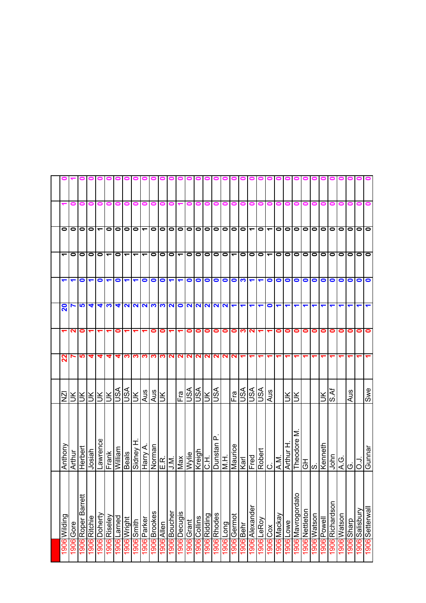|      | 1906 Wilding               | Anthony                           | $\bar{\mathsf{N}}$ | ನ             | ↽         | 20                                                                                                | ↽                    | ᅮ                        | 0                        |   |           |
|------|----------------------------|-----------------------------------|--------------------|---------------|-----------|---------------------------------------------------------------------------------------------------|----------------------|--------------------------|--------------------------|---|-----------|
|      | 1906 Gore                  | Arthur                            |                    |               | ∾         |                                                                                                   |                      | 0                        | 0                        | 0 |           |
|      | ₩<br>1906 Roper Barre      | Herbert                           | ŠІ                 | <u> LO</u>    | 0         | <b>SP</b>                                                                                         | $\bullet$            | $\bullet$                | $\bullet$                |   |           |
|      | 1906 Ritchie               | Josiah                            | Я                  | 4             |           | 4                                                                                                 |                      |                          | $\overline{\phantom{a}}$ | 0 |           |
|      | 1906 Doherty               | Lawrence                          |                    | 4             |           |                                                                                                   | $\bullet$            | $\circ$ $\circ$          |                          | 0 |           |
|      | 1906 Riseley               |                                   |                    | 4             | ↽         | च।∾।                                                                                              | $\blacktriangledown$ | $\overline{\phantom{0}}$ | $\bullet$                | 0 |           |
|      | 1906 Larned                | <b>Frank</b><br>Frank             | REBRE              | 4             | 0         |                                                                                                   | $\bullet$            | $\bullet$                | $\bullet$                |   |           |
|      | 1906 Wright                | <b>Beals</b>                      |                    | က             |           |                                                                                                   | $\blacktriangledown$ | $\overline{\phantom{0}}$ | $\bullet$                |   |           |
|      | 1906 Smith                 | I<br>Sidney                       |                    |               | ᡪ         | $\frac{4 U U U W U O}{\sqrt{2}}$                                                                  | ↽                    | ے                        | $\bullet$                | 0 | $\bullet$ |
|      | 906 Parker                 | Harry                             | Aus                |               |           |                                                                                                   | $\bullet$            | ᠇                        | $\overline{\phantom{0}}$ | 0 | $\bullet$ |
|      | 906 Brookes                | Norman                            | Aus                |               | 0         |                                                                                                   | $\bullet$            | 0                        | $\bullet$                |   | 0         |
|      | 906 Allen                  | ER<br>UNAXIE<br>VANG              | ÌЯ                 | <b>000000</b> | 0         |                                                                                                   | $\bullet$            | $\bullet$                |                          |   | $\bullet$ |
|      | 906 <mark> </mark> Boucher |                                   |                    |               | ↽         |                                                                                                   | $\blacktriangledown$ | 101-                     | lololo                   | 0 |           |
| 9061 | Decugis                    |                                   | Fra<br>USA         | $\sim$        |           |                                                                                                   | $\blacktriangledown$ |                          |                          |   |           |
| 1906 | Grant                      |                                   |                    | N.            | 0         |                                                                                                   | $\bullet$            | $\bullet$                | $\bullet$                |   |           |
|      | 1906 Collins               | Kreigh                            | JSA                | N.            | 0         | $\frac{1}{2} \mathcal{A} \mathcal{A} \mathcal{A} \mathcal{A} \mathcal{A} \mathcal{A} \mathcal{A}$ | $\bullet$            | $\bullet$                | $\circ$                  | 0 |           |
|      | 1906 Ridding               | بر<br>ن                           | $\leq$             | N             | 0         |                                                                                                   | $\bullet$            |                          |                          | 0 | $\bullet$ |
|      | 906 Rhodes                 | <b></b><br>Dunstan                | ASU                | N             | 0         |                                                                                                   | $\bullet$            | $\circ$                  | $\circ$ $\circ$          | 0 |           |
|      | puo <sub>1</sub> 906       | HW                                |                    |               | $\bullet$ |                                                                                                   |                      |                          |                          | 0 |           |
|      | 1 <mark>906</mark> Germot  | Maurice                           | Fa                 | NN            |           |                                                                                                   |                      |                          |                          | 0 |           |
|      | 1906 <sub>Behr</sub>       | $\overline{K}$ arl                |                    | ᠇             | 0 M N     |                                                                                                   | ဝ ဝ က                | 101-101                  | 0 0 0                    | 0 |           |
|      | 1906 Alexander             | Fred                              | <u>ngla</u><br>Naj |               |           |                                                                                                   | $\blacktriangledown$ |                          | $\overline{\phantom{0}}$ | 0 |           |
|      | 1906 LeRoy                 | C.<br>Robert                      |                    |               | ↽         | $\blacktriangledown$                                                                              | $\blacktriangledown$ | $\bullet$                | $\bullet$                | 0 |           |
|      | 806 Cox                    |                                   | Aus                |               | ↽         | $\bullet$                                                                                         | $\bullet$            | $\overline{\phantom{0}}$ | $\blacktriangledown$     |   |           |
|      | 906 Mackay                 | I⊼.<br>A.M.                       |                    |               | 0         | $\blacktriangledown$                                                                              | $\bullet$            | $\bullet$                | $\bullet$                |   |           |
| 1906 | Lowe                       | ᆂ<br>$\overline{\mathsf{Arthur}}$ | Š                  |               | 0         | ↽                                                                                                 | $\bullet$            | $\bullet$                | $\bullet$                |   |           |
| 1906 | 요<br>Mavrogorda            | Σ                                 | lЖ                 |               | 0         |                                                                                                   | oo                   | lololo                   | 0 0 0                    | o |           |
| 9061 | Nettleton                  |                                   |                    |               | 0         | ↽                                                                                                 |                      |                          |                          | ▬ |           |
|      | 1906 Watson                | Theodore  <br>GH<br>S.            |                    |               | 0         |                                                                                                   | $\bullet$            |                          |                          |   |           |
| 1906 | Powell                     | Kenneth                           | $\leq$             |               | 0         | ↽                                                                                                 | $\bullet$            | $\bullet$                | $\bullet$                |   |           |
|      | 1906 Richardson            | John                              | ম<br>১.১           |               | 0         |                                                                                                   | $\bullet$            | $\bullet$                | 0                        |   |           |
|      | 1906 Watson                | $\overline{Q}$                    |                    |               | 0         |                                                                                                   | $\bullet$            | $\bullet$                | $\bullet$                |   |           |
|      | 1906 Sharp                 | C.                                | Aus                |               | 0         |                                                                                                   | $\bullet$            | $\bullet$                | $\bullet$                |   |           |
|      | 1906 Salisbury             | r o                               |                    |               | 0         |                                                                                                   | $\bullet$            | $\bullet$                | $\bullet$                |   |           |
|      | 1906 Setterwall            | Gunnar                            | Swe                |               | 0         | ↽                                                                                                 | $\bullet$            | lo                       | lo                       |   |           |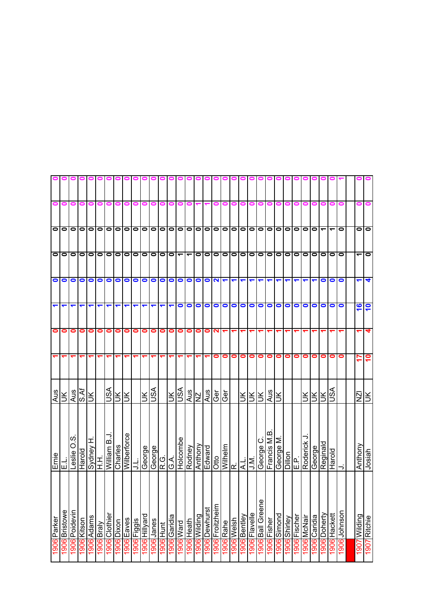|                      |           |                  |                         |            |                   |               |            |             | 000         |                   |              | $\bullet$                             | 01                  |                      |                          |               |               | 00              |                         |                      |                         |               |                      |             |             |               |              |                    |                                           |                      |              |              |                          |                 |
|----------------------|-----------|------------------|-------------------------|------------|-------------------|---------------|------------|-------------|-------------|-------------------|--------------|---------------------------------------|---------------------|----------------------|--------------------------|---------------|---------------|-----------------|-------------------------|----------------------|-------------------------|---------------|----------------------|-------------|-------------|---------------|--------------|--------------------|-------------------------------------------|----------------------|--------------|--------------|--------------------------|-----------------|
| 0                    | 0         | 0                | 0                       | 0          | 0                 | 0             |            |             |             |                   |              |                                       |                     |                      |                          |               |               | 0               | 0                       | 0                    | 0                       | 0             |                      |             |             |               |              |                    |                                           |                      |              |              |                          |                 |
|                      | olo       | $\bullet$        |                         |            |                   |               | 0 0 0 0 0  | $\bullet$   |             |                   |              | 0 0 0 0 0 0 0                         |                     |                      |                          |               |               |                 |                         |                      |                         |               | 0 0 0 0 0 0          | $\bullet$   | $\bullet$   | $\bullet$     | $\bullet$    | lo                 | lol                                       | $\blacktriangledown$ | ᠆            | $\bullet$    | 0                        | $\bullet$       |
|                      | 0         | $\bullet$        | $\bullet$               | $\bullet$  | $\bullet$         | 0  0          |            | $\bullet$   |             | $\circ$   $\circ$ | $\bullet$    | 00-                                   |                     |                      | $\overline{\phantom{0}}$ | $\bullet$     |               | 0               |                         |                      |                         | 00000         |                      | $\bullet$   | $\bullet$   | $\bullet$     | $\bullet$    | lo                 | 1010                                      |                      | $\bullet$    | lo           | $\overline{\phantom{0}}$ | $\bullet$       |
| $\bullet$            | $\bullet$ | $\bullet$        | $\bullet$               | $\bullet$  | $\bullet$         | $\bullet$     | $\bullet$  | $\bullet$   | $\bullet$   | $\bullet$         | $\bullet$    | $\bullet$                             | $\bullet$           | $\bullet$            | $\bullet$                | $\bullet$     | $\bullet$     | $\mathbf{N}$    | $\blacktriangledown$    | $\blacktriangledown$ | $\overline{\mathbf{r}}$ |               | $\blacktriangledown$ | ↽           |             |               |              |                    |                                           | $\bullet$            | $\bullet$    | $\bullet$    | ↽                        |                 |
| $\blacktriangledown$ | ↽         | ↽                |                         |            | ↽                 | ↽             | ↽          | ↽           | ↽           | ↽                 | ↽            | ↽                                     | ↽                   | $\bullet$            | $\bullet$                | $\bullet$     | $\bullet$     | $\bullet$       | $\bullet$               | $\bullet$            |                         | $\circ$       | $\bullet$            | $\bullet$   | $\bullet$   | $\bullet$     | $\bullet$    | $\bullet$          | $\bullet$                                 | $\bullet$            | $\bullet$    | $\bullet$    | 16                       | 10              |
| $\bullet$            | 0         | 0                | 0                       | 0          | 0                 | 0             | 0          | 0           | 0           | 0                 | 0            | 0                                     | $\bullet$           | 0                    | 0                        | 0             | 0             | N               |                         |                      |                         |               |                      |             |             |               |              |                    |                                           |                      |              |              |                          |                 |
|                      |           |                  |                         |            |                   |               |            |             |             |                   |              |                                       |                     |                      |                          |               |               | 0               | 0                       | 0                    | $\bullet$               | $\bullet$     | 0                    | 0           | 0           | 0             | 0            | 0                  | 0                                         | 0                    | 0            | 0            | 5                        | $\overline{10}$ |
| Aus                  | š         | Aus              | $\overline{\text{S.M}}$ | K          |                   | VSN           | ŠК         | Ж           |             | ÌЮ                | VSN          |                                       | Ιš                  | ASU                  |                          | $rac{MS}{NS}$ | Aus           | Ger             | Ğēr                     |                      | $ \vec{z} $             |               | šĶ                   | Aus         | š           |               |              | Ж                  | $\frac{1}{2}$ $\frac{1}{2}$ $\frac{1}{2}$ |                      |              |              | ΙŽΙ                      | š               |
| Ernie                | ші        | ၯ<br>0<br>Leslie | Harold                  |            | Sydney H.<br>H.H. | Villiam B.J   | Charles    | Wilberforce |             | George            | George       | $\frac{1}{\frac{1}{2}}$ $\frac{1}{2}$ |                     | Holcombe             | Rodney                   | Anthony       | Edward        | Otto            | Wilhelm<br>R.L.<br>J.M. |                      |                         |               | George               | Francis M.B | Σ<br>George | <b>Dillon</b> | ن<br>سا      | Roderick           | George<br>George<br>George                |                      | Harold       | ⇁            | Anthony                  | Josiah          |
| 1906 Parker          | Bristowe  | Poidevin         | noshy <b> 906</b>       | 1906 Adams | 1906 Braly        | 1906 Clothier | 1906 Dixon | 1906 Eaves  | 1906 Figgis | I906 Hillyard     | 906<br>Janes | 1906 Hunt                             | <b>1906</b> Garidia | pue <sub>M</sub> 906 | 1906 Heath               | 1906 Wilding  | 1906 Dewhurst | I906 Froitzheim | <b>I906</b> Rahe        | 1906 Welsh           | 1906 Bentley            | 1906 Flavelle | 1906 Ball Greene     | 1906 Fisher | 1906 Simond | 1906 Shirley  | 1906 Fischer | <b>1906 McNair</b> | <u>1906</u> Caridia                       | 1906 Doherty         | 1906 Hackett | 1906 Johnson | 1907 Wilding             | 1907 Ritchie    |
|                      | 1906      | 1906             |                         |            |                   |               |            |             |             |                   |              |                                       |                     |                      |                          |               |               |                 |                         |                      |                         |               |                      |             |             |               |              |                    |                                           |                      |              |              |                          |                 |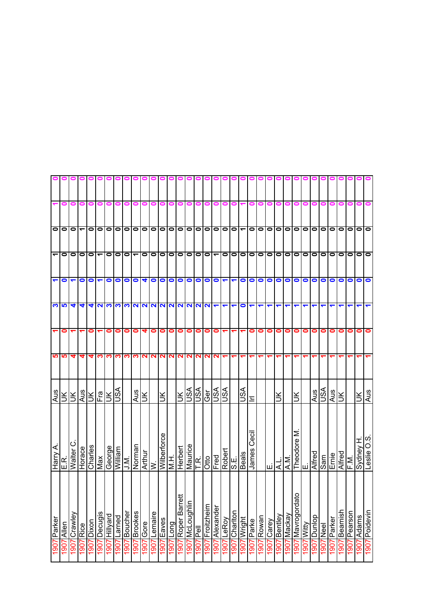|                      |                           |                      |                          |                                                                |                          |               |             |                  | $\circ$ $\circ$          |               | 000             |               | 01           |                       |                    |                            |                    |                          |                      |                |                                                    |               |            |            |                 |                |                                |                      |                |              |                |                 |                 |            |               |
|----------------------|---------------------------|----------------------|--------------------------|----------------------------------------------------------------|--------------------------|---------------|-------------|------------------|--------------------------|---------------|-----------------|---------------|--------------|-----------------------|--------------------|----------------------------|--------------------|--------------------------|----------------------|----------------|----------------------------------------------------|---------------|------------|------------|-----------------|----------------|--------------------------------|----------------------|----------------|--------------|----------------|-----------------|-----------------|------------|---------------|
| ᠆                    | 0                         | 0                    | 0                        | 0                                                              | 0                        | 0             |             |                  |                          |               |                 |               | 0            |                       |                    | 0                          | 0                  | 0                        | o                    | 0              |                                                    |               |            |            |                 |                |                                |                      |                |              |                |                 |                 |            |               |
|                      | O O                       |                      | $\overline{\phantom{0}}$ | $\bullet$                                                      | 0   0                    |               |             |                  | $\bullet$                |               |                 |               | 0 0 0 0 0    |                       | $\bullet$          | 0 0 0 0 0                  |                    |                          |                      |                |                                                    | $\bullet$     | $\bullet$  | $\circ$    |                 |                | 0 0 0 0                        |                      |                | $\bullet$    | $\circ$        | $\bullet$       | $\bullet$       | $\bullet$  | lo            |
| $\blacktriangledown$ | 0                         | $\bullet$            | 0                        |                                                                | $\overline{\phantom{0}}$ | $\bullet$     | $\bullet$   | $\bullet$        | $\overline{\phantom{0}}$ | $\bullet$     | lo              | $\bullet$     | $\bullet$    | $\bullet$             | $\bullet$          | $\circ$                    | $\bullet$          | $\overline{\phantom{0}}$ |                      | ololo          |                                                    | $\bullet$     | $\bullet$  | $\bullet$  | lo              | $\bullet$      | 0   0                          |                      | $\bullet$      | $\bullet$    | $\circ$        | $\bullet$       | $\bullet$       | $\bullet$  | lo            |
|                      | $\overline{P}$            | $\blacktriangledown$ | $\bullet$                | $\bullet$                                                      | $\blacktriangledown$     | $\bullet$     | $\bullet$   | $\bullet$        | $\bullet$                | 4             | $\circ$         |               | $\bullet$    | $\bullet$             | $\bullet$          | $\bullet$                  | $\bullet$          | $\bullet$                | $\blacktriangledown$ | $\blacksquare$ |                                                    | 0             |            | $\circ$    |                 | $\bullet$      | $\circ$                        |                      | $\bullet$      | $\bullet$    | $\bullet$      | $\bullet$       | $\bullet$       | $\bullet$  | $\bullet$     |
|                      | က က                       | ₹                    | ₹                        | 4                                                              | ဂ၊က                      |               | က က         |                  | $\mathbf{N}$             |               |                 |               | NNNNNNNN     |                       |                    |                            |                    | ↽                        | ↽                    | ↽              | $\bullet$                                          | ↽             | ↽          | ↽          |                 |                |                                |                      |                |              |                |                 |                 |            |               |
| $\blacktriangledown$ | 0                         |                      |                          | 0                                                              |                          | 0             | 0           | 0                | 0                        | 4             | $\bullet$       | $\bullet$     | 0            | 0                     | 0                  | 0                          | 0                  | 0                        |                      |                |                                                    | 0             | 0          | 0          | 0               | $\bullet$      | $\bullet$                      | 0                    | 0              | 0            | 0              | 0               | 0               | 0          | 0             |
| ဖာ                   | ம                         | 4                    | 4                        | 4                                                              | က                        | က             | ∾           | က                | ∾                        | N             |                 | <b>NN</b>     | N            | N                     | N                  | $\mathbf{N}$               | $\mathbf{N}$       | N                        |                      | ᠆              |                                                    |               |            |            |                 |                |                                |                      |                |              |                |                 |                 |            |               |
| Aus                  |                           | Ιš                   |                          | $\frac{2}{\sqrt{2}}$ $\frac{1}{\sqrt{2}}$ $\frac{1}{\sqrt{2}}$ |                          |               | ASU         |                  | Aus                      | š             |                 | š             |              | š                     | JSA                | VSU                        | Ğ<br>Ö             | VSN                      | S∕S∪                 |                | ASU                                                | 드             |            |            | š               |                | š                              |                      | Aus            | VSU          | Aus            | š               |                 | Ж          | Aus           |
| ⋖<br>Harry           | F.<br>E                   | Walter C             | Horace                   | Charles                                                        | Max                      | <b>George</b> | William     | $\sum_{i=1}^{n}$ | Norman                   | <b>Arthur</b> | ∣≶              | Wilberforce   | エミ           | Herbert               | Maurice            | ΓŘ.                        | Otto               | Fred                     |                      |                | $\frac{ \overline{\text{Robet}} }{ \text{Roblet}}$ | Ceci<br>James |            | ш          | ⋜               | $\overline{M}$ | Σ<br>Theodore<br>E.            |                      | <b>Alfred</b>  | Sam          | Ernie          | Alfred          | F.M.            | Sydney H   | Leslie O.S    |
| Parker<br>1907       | Allen<br>$\overline{500}$ | Crawley<br>1907      | <b>Rice</b><br>1907      | 1907 Dixon                                                     | 1907 Decugis             | pue/illH 206  | 1907 Larned | 1907 Boucher     | Brookes<br>1907          | Gore<br>1061  | Lemaire<br>1061 | Eaves<br>1007 | Long<br>1907 | Roper Barrett<br>1061 | McLoughlin<br>1907 | $\overline{P}$ ell<br>1907 | Froitzheim<br>1907 | <b>1907</b> Alexander    | 1907 LeRoy           | 1907 Charlton  | 1907 Wright                                        | 1907 Parke    | 1907 Rowan | 1907 Carey | Bentley<br>1007 | Mackay<br>1061 | 요<br><u>Mavrogorda</u><br>1907 | <b>Witty</b><br>1907 | Dunlop<br>1007 | Neel<br>1907 | Parker<br>1907 | Beamish<br>1907 | Pearson<br>1907 | 1907 Adams | 1907 Poidevin |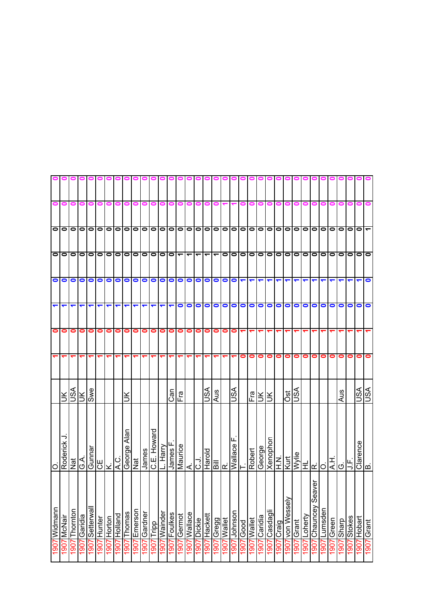|              |                            |                  |                 |                                       |             |             | 00000        |                       |                 |                 | 000000               |                 |                 |                  |                          |                      |                 | 00                       |             |                                                       |                                   |             |                          |                      | 0                        |                     |               |                 |                                                                                                                                                                                                  |                 |               |               |                |                |            |
|--------------|----------------------------|------------------|-----------------|---------------------------------------|-------------|-------------|--------------|-----------------------|-----------------|-----------------|----------------------|-----------------|-----------------|------------------|--------------------------|----------------------|-----------------|--------------------------|-------------|-------------------------------------------------------|-----------------------------------|-------------|--------------------------|----------------------|--------------------------|---------------------|---------------|-----------------|--------------------------------------------------------------------------------------------------------------------------------------------------------------------------------------------------|-----------------|---------------|---------------|----------------|----------------|------------|
| 0            | 0                          | 0                | 0               | 0                                     | 0           | 0           | 0            |                       |                 |                 |                      | o               | 0               | o                |                          | 0                    | 0               | 0                        |             |                                                       | 0                                 |             |                          |                      |                          |                     |               |                 |                                                                                                                                                                                                  |                 |               |               |                |                |            |
|              | 000000000                  |                  |                 |                                       |             |             |              | $\bullet$             | $\bullet$       |                 | 0 0 0 0 0            |                 |                 |                  |                          |                      |                 |                          |             |                                                       |                                   |             | 0 0 0 0 0 0 0 0          | $\bullet$            | $\overline{\phantom{0}}$ | $\bullet$           |               |                 | olololo                                                                                                                                                                                          |                 | $\bullet$     | lo            | $\bullet$      | $\bullet$      |            |
|              | ololololololo              |                  |                 |                                       |             |             |              | $\bullet$             | $\bullet$       |                 | $\sim$ $\sim$ $\sim$ |                 |                 |                  | $\overline{\phantom{a}}$ | $\blacktriangledown$ | ↽               | $\overline{\phantom{a}}$ |             |                                                       |                                   |             | 00000                    | $\bullet$            | $\overline{\phantom{0}}$ | $\bullet$           |               |                 | olololo                                                                                                                                                                                          |                 | $\bullet$     | lo            | $\bullet$      | $\bullet$      | $\bullet$  |
|              | $\circ$                    | $\bullet$        | $\bullet$       | $\bullet$                             | $\circ$     |             | $\bullet$    | $\bullet$             | $\bullet$       | $\bullet$       | $\bullet$            | $\bullet$       | $\bullet$       | $\bullet$        | $\bullet$                | $\bullet$            |                 | $\circ$                  |             | $\vert \mathbf{r} \vert$ o $\vert \mathbf{c} \vert$ o |                                   |             | $\overline{\phantom{0}}$ | $\blacktriangledown$ | $\blacktriangledown$     |                     | ↽             |                 |                                                                                                                                                                                                  |                 |               |               |                |                | $\bullet$  |
| ↽            | ↽                          |                  |                 | ↽                                     | ↽           | ↽           | ↽            | ↽                     | ↽               | ↽               | ↽                    | ↽               | ↽               | $\bullet$        | $\bullet$                | $\bullet$            | $\bullet$       | $\bullet$                | $\bullet$   |                                                       | 000                               |             | $\bullet$                | $\bullet$            | $\bullet$                | $\bullet$           | $\bullet$     | $\bullet$       | $\bullet$                                                                                                                                                                                        |                 | $\bullet$     | $\bullet$     | 0              | 0              | $\bullet$  |
| 0            | 0                          | 0                | 0               | 0                                     | 0           | $\bullet$   | 0            | 0                     | 0               | 0               | 0                    | 0               | 0               | 0                | 0                        | 0                    | 0               | 0                        | 0           | $\bullet$                                             | ↽                                 |             |                          |                      |                          |                     |               |                 |                                                                                                                                                                                                  |                 |               |               |                |                |            |
|              |                            |                  |                 |                                       | ᡪ           | ↽           | ᡪ            |                       |                 |                 |                      |                 |                 |                  |                          |                      |                 |                          |             |                                                       | 0                                 | $\bullet$   | 0                        | 0                    | 0                        | 0                   | 0             | 0               | 0                                                                                                                                                                                                | 0               | 0             | 0             | 0              | 0              | 0          |
|              | $\preceq$                  | USA              | Ж               | Swe                                   |             |             |              |                       |                 |                 |                      |                 |                 | កូ<br>E<br>F<br> |                          |                      | vsn             | Aus                      |             | ss∪                                                   |                                   | Fra         | Ж                        | š                    |                          | Öst                 | ASU           |                 |                                                                                                                                                                                                  |                 |               | Aus           |                | S∕S∪           | VSL        |
|              | Roderick                   | Nat              | ∢<br>⊙          | $rac{\text{Gunnar}}{\text{CE}}$<br>K. |             |             | ici<br>I∢    | Alan<br>Nat<br>George |                 | James           | Howard<br>بىر<br>ن   | Harry           | ட<br>James      | Maurice          | $\overline{C}$           |                      | Harold          |                          | 圖예          |                                                       | $\frac{\text{Wallace}}{\text{T}}$ | Robert      | George                   | Xenophon             | N H                      | Kurt                |               |                 | $\begin{array}{c} \underline{\text{N} \parallel \text{m}} \\\underline{\text{N} \parallel \text{m} \parallel \text{m}} \\\underline{\text{N} \parallel \text{m} \parallel \text{m}} \end{array}$ |                 | ∣∓∣⊙          |               | َبِيا<br>ح     | Clarence       | ۱œ         |
| 1907 Widmann | McNair<br>$\overline{500}$ | Thornton<br>1907 | Garidia<br>1907 | llewahaS 2061                         | 1907 Hunter | 1907 Horton | 1907 Holland | Thomas<br>1907        | Emerson<br>1907 | Gardner<br>1907 | Tripp<br>1061        | Wainder<br>1007 | Foulkes<br>1907 | Germot<br>1061   | Wallace<br>1907          | Dickie<br>1907       | Hackett<br>1907 | <b>Cregg</b><br>1907     | 1907 Wallet | 1907 Johnson                                          | $1907$ Good                       | 1907 Wallet | 1907 Caridia             | 1907 Casdagli        | TCraig<br>1907           | von Wessely<br>1907 | Grant<br>1907 | Loherty<br>1907 | eaver<br>Chauncey S<br>1907                                                                                                                                                                      | Lumsden<br>1907 | Green<br>1007 | Sharp<br>1907 | Stokes<br>1907 | Hobart<br>1907 | 1907 Grant |
|              |                            |                  |                 |                                       |             |             |              |                       |                 |                 |                      |                 |                 |                  |                          |                      |                 |                          |             |                                                       |                                   |             |                          |                      |                          |                     |               |                 |                                                                                                                                                                                                  |                 |               |               |                |                |            |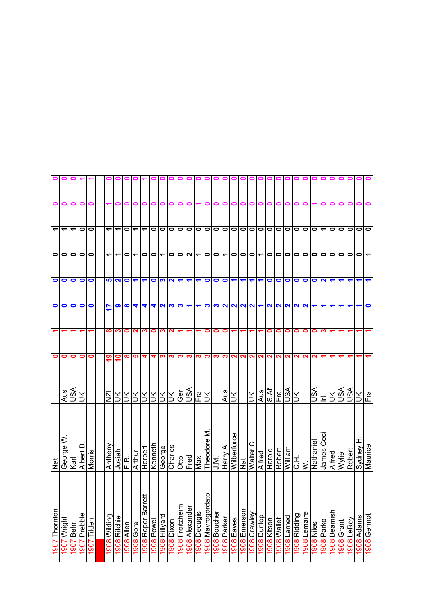|    |           | 0<br>$\bullet$<br>$\bullet$<br>$\bullet$<br>$\bullet$ | $\bullet$<br>$\bullet$<br>$\bullet$ |                         | $\bullet$                      |   |                   | vsn<br>vsn<br>$\frac{1}{2}$ Era | H ⁄Aəup/S<br>Maurice<br>Robert<br>Wylie | 1908 Germot<br>1908 Adams<br>1908 LeRoy |      |
|----|-----------|-------------------------------------------------------|-------------------------------------|-------------------------|--------------------------------|---|-------------------|---------------------------------|-----------------------------------------|-----------------------------------------|------|
|    |           |                                                       |                                     |                         |                                |   |                   |                                 |                                         |                                         |      |
|    |           |                                                       |                                     |                         |                                |   |                   |                                 |                                         |                                         |      |
|    |           |                                                       |                                     |                         |                                |   |                   |                                 |                                         |                                         |      |
|    |           |                                                       |                                     |                         |                                |   |                   |                                 |                                         | 1908 Grant                              |      |
|    |           |                                                       | 0                                   |                         |                                |   |                   | $\leq$                          | Alfred                                  | 1908 Beamish                            |      |
|    |           | $\overline{\phantom{0}}$                              | $\bullet$                           | $\mathbf{\Omega}$       |                                |   |                   | τ                               | James Cecil                             | Parke                                   | 1908 |
|    |           |                                                       |                                     | $\bullet$               |                                | 0 | $\mathbf{\Omega}$ | ASU                             | Nathanie                                | <b>1908</b> Niles                       |      |
|    |           |                                                       |                                     | $\bullet$               |                                | 0 |                   |                                 |                                         | <b>1908</b> Lemaire                     |      |
|    |           | O O                                                   | lololo                              | $\bullet$               | 2222                           | 0 | <b>NN</b>         | Ж                               | $rac{1}{\sqrt{2}}$                      | 1908 Ridding                            |      |
|    |           | $\bullet$                                             | $\bullet$                           | $\bullet$               |                                | 0 | N                 | VSN                             | <b>William</b>                          | Larned                                  | 1908 |
|    |           | $\bullet$                                             | $\bullet$                           | $\bullet$               |                                | 0 | $\mathbf{\Omega}$ | Fra                             | Robert                                  | <b>908</b> Wallet                       |      |
|    |           | $\bullet$                                             | $\bullet$                           | $\bullet$               | <b>NN</b>                      | 0 | $\sim$            | S.Af                            | Harold                                  | 908 Kitson                              |      |
|    |           | $\bullet$                                             | $\blacktriangledown$                | ↽                       |                                |   | $\mathbf{N}$      | Aus                             | Alfred                                  | 1908 Dunlop                             |      |
|    |           | $\bullet$                                             |                                     | $\blacktriangledown$    |                                |   | $\mathbf{N}$      | $\leq$                          | Walter C                                | 1908 Crawley                            |      |
|    | o         |                                                       | $ o $ o $ o $                       |                         |                                |   |                   |                                 | $\frac{1}{2}$                           | l908 Emerson                            |      |
|    | o         | 0 0 0                                                 |                                     | $\overline{\mathbf{r}}$ | $\frac{1}{2}$                  |   | <b>DINO</b>       | ÌК                              | Wilberforce                             | 1908 Eaves                              |      |
|    |           |                                                       | $\overline{\phantom{0}}$            | $\bullet$               |                                | 0 |                   | Aus                             | Harry A.                                | 1908 Parker                             |      |
|    |           | $\frac{1}{\overline{0}}$                              | $\circ$  0                          | $\bullet$               | S                              | 0 | ∾                 |                                 | J.M.                                    | 1908 Boucher                            |      |
| 01 |           |                                                       |                                     | $\bullet$               | <u>က</u>                       | 0 | S.                | š                               | Theodore M                              | 1908 Mavrogordato                       |      |
|    |           | $\bullet$                                             | $\overline{\phantom{0}}$            |                         |                                |   | ო                 | Fra                             | Max                                     | 1908 Decugis                            |      |
|    |           | $\bullet$                                             | ואו                                 | ↽                       |                                |   | ო                 | VSL                             | Fred                                    | Alexander                               | 1908 |
|    |           | $\bullet$                                             | $\circ$                             | $\blacktriangledown$    |                                |   | က                 | Ğēr                             | $\frac{1}{10}$                          | 908 Froitzheim                          |      |
|    |           | $\circ$                                               |                                     | $\overline{\mathbf{N}}$ | ဂျုက္ပုလ                       | N | က၊                |                                 | Charles                                 | 1908 Dixon                              |      |
|    |           | $\bullet$                                             | $\overline{\phantom{0}}$            | က                       |                                | က | က                 |                                 | George                                  | pue/illHig06                            |      |
|    |           | $\bullet$                                             | $\bullet$                           | $\bullet$               | 4                              | 0 | 4                 | RRRR                            | Kenneth                                 | <b>1908 Powell</b>                      |      |
|    |           | ٣                                                     | $\bullet$                           |                         | 4                              | ∾ | 4                 |                                 | Herbert                                 | 1908 Roper Barrett                      |      |
|    |           | ے                                                     | $\overline{\phantom{0}}$            | $\blacktriangledown$    | 4                              | N | မာ                | ŠК                              | Arthur                                  | 1908 Gore                               |      |
|    |           | 0                                                     | $\bullet$                           | $\bullet$               | $\infty$                       | 0 | ထ                 | ЭK                              | E.R.                                    | 1908 Allen                              |      |
|    |           | ᠆                                                     | $\overline{\phantom{0}}$            | <b>52</b>               | ၈                              | ო | e                 | ž.                              | Josiah                                  | 1908 Ritchie                            |      |
|    |           | $\overline{\phantom{a}}$                              | $\blacktriangledown$                |                         | 17                             | ဖ | ဇ္                | $\overline{2}$                  | Anthony                                 | 1908 Wilding                            |      |
|    |           |                                                       |                                     |                         |                                |   |                   |                                 |                                         |                                         |      |
|    |           | $\bullet$                                             | $\bullet$                           | $\bullet$               | $\bullet$                      |   | 0                 |                                 | Morris                                  | 1907 Tilden                             |      |
|    |           | $\bullet$                                             | $\bullet$                           | $\bullet$               | $\bullet$                      |   | 0                 | š                               | Albert D                                | Prebble                                 | 1907 |
|    | 0         | ᠇                                                     | $\bullet$                           | $\bullet$               | $\bullet$                      |   | 0                 | SA                              | Karl                                    | Behr                                    | 1907 |
|    | 0         | ᠆                                                     | $\bullet$                           | $\bullet$               | $\overline{\bullet}$ $\bullet$ |   | 0                 | Aus                             | George W                                | Wright                                  | 907  |
|    | $\bullet$ | $\overline{\phantom{0}}$                              | $\bullet$                           | $\bullet$               |                                |   | $\bullet$         |                                 | Nat                                     | Thornton                                | 1907 |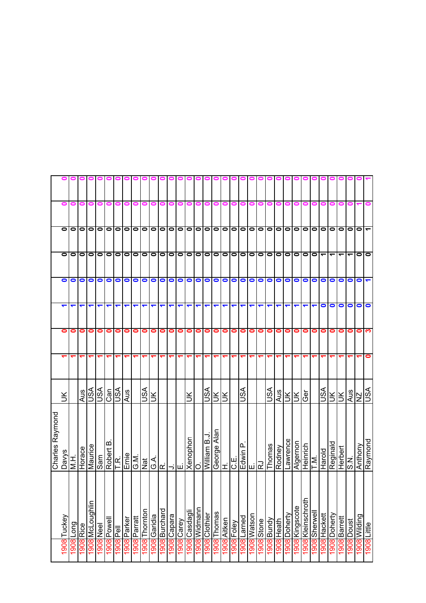|                 | o                 | Ξ         | 0         | ▬               | $\blacksquare$ | ∊           |                       |             |             |           |           |           |           |           |           |                      | 0                    | 0                    | Ξ           | ▬                    | 0                    |                      |                      |            |            |             |               |                  |           |           |           |              |            |               |                          |
|-----------------|-------------------|-----------|-----------|-----------------|----------------|-------------|-----------------------|-------------|-------------|-----------|-----------|-----------|-----------|-----------|-----------|----------------------|----------------------|----------------------|-------------|----------------------|----------------------|----------------------|----------------------|------------|------------|-------------|---------------|------------------|-----------|-----------|-----------|--------------|------------|---------------|--------------------------|
|                 | 0                 | 0         | 0         | $\bullet$       | $\bullet$      | $\bullet$   | $\bullet$             | $\bullet$   | $\bullet$   | $\bullet$ | $\bullet$ | $\bullet$ | 00        |           | $\bullet$ | $\bullet$            | $\bullet$            | $\bullet$            | $\bullet$   | $\bullet$            | 00                   |                      | $\bullet$            | $\bullet$  | $\bullet$  | $\bullet$   | $\bullet$     | $\bullet$        | $\bullet$ | $\bullet$ | $\bullet$ | $\bullet$    | 0          | 0             | $\overline{\phantom{0}}$ |
|                 | 0                 | 0         | $\bullet$ | $\bullet$       | 0              | $\bullet$   | $\bullet$             | $\bullet$   | $\bullet$   | $\bullet$ | $\bullet$ | $\bullet$ | $\circ$   | $\bullet$ | $\bullet$ | $\bullet$            | $\bullet$            | $\bullet$            | $\bullet$   | $\bullet$            | $\overline{\bullet}$ |                      | $\bullet$            | $\bullet$  | $\bullet$  | $\bullet$   | $\bullet$     | $\bullet$        | $\bullet$ | ᠆         | ᠆         | ᡪ            |            | 0             | $\bullet$                |
|                 | $\bullet$         | 0         | 0         | 0               | 0              | 0           | $\bullet$             | $\bullet$   | $\bullet$   | $\bullet$ | $\bullet$ | $\bullet$ | $\bullet$ | $\bullet$ | $\bullet$ | $\bullet$            | $\bullet$            | $\bullet$            | $\bullet$   | $\bullet$            | $\bullet$            | $\bullet$            | $\bullet$            | $\bullet$  | $\bullet$  | $\bullet$   | $\bullet$     | $\bullet$        | $\bullet$ | $\bullet$ | 0         | 0            | 0          | 0             |                          |
|                 | ↽                 | ↽         |           |                 | ↽              | ↽           | ↽                     | ↽           | ↽           | ↽         | ↽         | ↽         | ↽         | ↽         | ↽         | $\blacktriangledown$ | $\blacktriangledown$ | $\blacktriangledown$ | ↽           | $\blacktriangledown$ | $\blacktriangledown$ | $\blacktriangledown$ | $\blacktriangledown$ | ↽          | ↽          | ↽           | ↽             | ↽                | ↽         | 0         | 0         | 0            | 0          | 0             | $\bullet$                |
|                 | 0                 | 0         | 0         | 0               | 0              | 0           | 0                     | 0           | 0           | 0         | 0         | 0         | 0         | 0         | 0         | 0                    | 0                    | 0                    | 0           | 0                    | 0                    | 0                    | 0                    | 0          | 0          | 0           | 0             | 0                | 0         | 0         | 0         | 0            | 0          | 0             | က                        |
|                 |                   |           |           |                 |                |             |                       |             |             |           |           |           |           |           |           |                      |                      |                      |             |                      |                      |                      |                      |            |            |             |               |                  |           |           |           |              |            |               | 0                        |
|                 | $\breve{\preceq}$ |           | Aus       | S<              | VSU            |             | $\frac{1}{\sqrt{2}}$  | Aus         |             | ASU       | š         |           |           |           | š         |                      | vsn                  | ŠГ                   | š           |                      | VSN                  |                      |                      | JSA        | Aus        | Š           | Ιš            | ලි               |           | ASU       | š.        | š            | Aus        | $\frac{1}{2}$ |                          |
| Charles Raymond | <b>Davys</b>      | H<br>N.   | Horace    | Maurice         | Sam            | Robert B    | ΤR.                   | Emie        | ©.<br>⊙     | Nat       | ≺<br>Ö    | Ιœ        |           | ⇒∣ய       | Xenophon  | lO                   | William B.J          | Alan<br>George       | Ê           | <b>O.E</b>           | ൨                    |                      |                      | Thomas     | Rodney     | Lawrence    | Algernon      | Heinrich         | ΓŅ.       | Harold    | Reginald  | Herbert      | z<br>ഗ     | Anthony       | Raymond                  |
|                 | Tuckey            | puo_18061 | 1908 Rice | 1908 McLoughlin | 1908 Neel      | 1908 Powell |                       | 1908 Parker | 908 Parratt | Thornton  | Garidia   | Burchard  | Capara    | Carey     | Casdagli  | 1908 Widmann         | 1908 Clothier        | Thomas               | 1908 Aitken | I908 Foley           | 1908 Larned          | 1908 Watson          | augs 806             | 1908 Bundy | 1908 Heath | 908 Doherty | 908 Kingscote | 908 Kleinschroth | Sherwell  | Hackett   | Doherty   | 1908 Barrett | 1908 Doust | 1908 Wilding  | 1908 Little              |
|                 | 1908              |           |           |                 |                |             | lləd <mark>806</mark> |             |             | 806       | 908       | 8061      | 1908      | 1908      | 1908      |                      |                      | 1908                 |             |                      |                      |                      |                      |            |            |             |               |                  | 1908      | 1908      | 1908      |              |            |               |                          |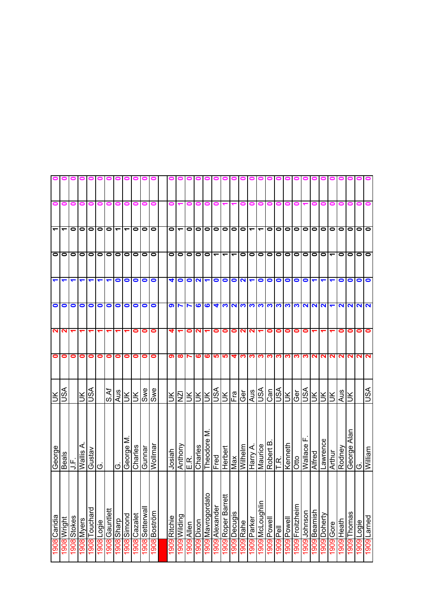|                          |                          |                |                                   |               |                      |                          |                                           |                          |              | 0               | 0            | 0            |                          |           |                      |                                   |               |                        | $\bullet$    |                |                          |                                          |             |                               |             |                 |                            |              |              |           |            |           |                         |         |
|--------------------------|--------------------------|----------------|-----------------------------------|---------------|----------------------|--------------------------|-------------------------------------------|--------------------------|--------------|-----------------|--------------|--------------|--------------------------|-----------|----------------------|-----------------------------------|---------------|------------------------|--------------|----------------|--------------------------|------------------------------------------|-------------|-------------------------------|-------------|-----------------|----------------------------|--------------|--------------|-----------|------------|-----------|-------------------------|---------|
| 0                        | o                        | 0              | 0                                 | 0             | o                    | 0                        | $\blacksquare$                            |                          |              |                 |              |              |                          |           |                      |                                   |               |                        |              |                |                          |                                          | 0           |                               |             |                 |                            |              |              |           |            |           |                         |         |
| $\overline{\phantom{0}}$ | $\overline{\phantom{0}}$ | $\bullet$      | $\bullet$                         | 00            |                      | $\overline{\phantom{a}}$ |                                           | $\overline{\phantom{0}}$ | $\bullet$    | $\bullet$       | $\bullet$    | $\bullet$    | $\overline{\phantom{a}}$ | $\bullet$ | $\overline{\bullet}$ | $\bullet$                         | 0             |                        | $\circ$      |                | $\overline{\phantom{0}}$ | $\overline{\phantom{0}}$                 |             | 000                           |             | $\bullet$       | $\bullet$                  | $\bullet$    | $\bullet$    | $\bullet$ | $\bullet$  | $\bullet$ | $\bullet$               | $\circ$ |
|                          | O <sub>1</sub>           | $\bullet$      | $\bullet$                         | 00            |                      |                          | 0 0 0                                     |                          | $\bullet$    | $\bullet$       | $\bullet$    | $\circ$      |                          |           | 10 I O               | $\bullet$                         | ᠇             | ᠆                      | ᠆            | $\bullet$      | $\bullet$                | $\frac{\overline{0}}{\overline{0}}$      |             |                               |             | $\bullet$       | $\bullet$                  | $\bullet$    | $\bullet$    |           | $\bullet$  | $\bullet$ | $\circ$                 |         |
| $\blacktriangledown$     | ↽                        | ↽              |                                   | ↽             | $\blacktriangledown$ | ↽                        | $\bullet$                                 | $\bullet$                | $\bullet$    | 0               | $\bullet$    | 4            | $\bullet$                | ON        |                      | ↽                                 | $\bullet$     | $\bullet$              |              | ON             | ↽                        | $\bullet$                                |             | 000                           |             | $\bullet$       | $\bullet$                  |              |              |           | $\bullet$  | $\bullet$ | $\bullet$               |         |
| $\bullet$                | 0                        | 0              | 0                                 | $\bullet$     | $\bullet$            | $\bullet$                | $\bullet$                                 | $\bullet$                | 0            | 0               | $\bullet$    | $\bullet$    |                          | N         | $\bullet$            | ဖ                                 | 4             | က                      | ဂျက          |                | က                        | က                                        |             | က က က                         |             | က               | $\mathbf{\Omega}$          | NN           |              |           |            |           | <b>NNNN</b>             |         |
|                          | NN                       |                |                                   |               |                      |                          |                                           |                          | 0            | 0               | 0            | T            |                          | 0         | N                    |                                   | 0             | 0                      | 0            | N              | N                        |                                          | 0           | 0                             | 0           | 0               | 0                          |              |              |           | 0          | 0         | 0                       |         |
| $\bullet$                | 0                        | 0              | 0                                 | 0             | 0                    | 0                        | 0                                         | 0                        | 0            | 0               | 0            | თ            | $\infty$                 |           | ဖ                    | ဖ                                 | ம             | <u> ဟ</u>              | 4            | S              | က                        | ∾                                        |             | က က                           | က           | က               | က                          | ∾            | N            |           | <b>NNN</b> |           | ៧៷                      |         |
| $\leq$                   | ASU                      |                | $\frac{1}{2}$                     |               |                      | S.Af                     | $\frac{2}{3}$ $\frac{1}{2}$ $\frac{1}{2}$ |                          |              | aws             |              | Ж            | ΙΣI                      |           | ER                   | Ж                                 | $\frac{1}{2}$ |                        | Fa           | $\overline{G}$ | Aus                      | AS∩                                      |             | $rac{\text{Can}}{\text{USA}}$ | Ж           | Ger             | vsn                        | Ж            | $\leq$       | Ι¥        | Aus        | ÌХ        |                         | ASU     |
| George                   | Beals                    | ヒラ             | ⋖<br>$\overline{\mathsf{Wallis}}$ | Gustav        | Ö                    |                          | O                                         | George M                 | Charles      | Gunnar          | Wollmar      | Josiah       | Anthony                  | E.R       | Charles              | Σ<br>Theodore                     | Fred          | Herbert                | Max          | Wilhelm        |                          | Harry A.<br>Maurice<br>Robert B.<br>T.R. |             |                               | Kenneth     | Otto            | Wallace                    | Alfred       | Lawrence     | Arthur    | Rodney     | ⊼<br>Alāi | George<br>G.<br>William |         |
| 1908 Caridia             | 908 Wright               | 1908<br>Stokes | <b>908 Myers</b>                  | 1908 Touchard | 1908 Logie           | 1908 Gauntlett           | dieys 8061                                | 1908 Simond              | 1908 Cazalet | 1908 Setterwall | 1908 Boström | 1909 Ritchie | goal Wilding             | Allen     | 1909 Dixon           | 의<br><mark>1909</mark> Mavrogorda | Alexander     | l≠<br>1909 Roper Barre | 1909 Decugis | 909 Rahe       | 1909 Parker              | nildpuoJaM <mark> 609</mark>             | 1909 Powell | 1909<br>Pell                  | 1909 Powell | 1909 Froitzheim | 1 <mark>909</mark> Johnson | 1909 Beamish | 1909 Doherty | Gore      | Heath      | Thomas    | Logie                   | Larned  |
|                          |                          |                |                                   |               |                      |                          |                                           |                          |              |                 |              |              |                          | 1909      |                      |                                   | 1909          |                        |              |                |                          |                                          |             |                               |             |                 |                            |              |              | 6061      | 6061       | 6061      | 1909                    | 1909    |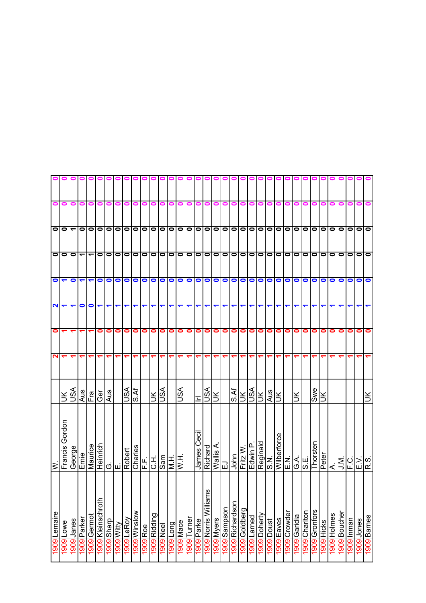|                  | ≥           |              | $\mathbf{\Omega}$ | 0 | 2                        | $\bullet$            | $\bullet$                | $\bullet$                |   |  |
|------------------|-------------|--------------|-------------------|---|--------------------------|----------------------|--------------------------|--------------------------|---|--|
| Francis          | Gordon      | š            |                   | ↽ | $\overline{\phantom{0}}$ | ᠆                    | $\bullet$                | $\bullet$                |   |  |
| George           |             | ASU          |                   | ↽ | ↽                        | 0                    | 0                        | $\overline{\phantom{0}}$ |   |  |
| Ernie            |             | Aus          |                   |   | $\bullet$                | $\blacktriangledown$ | $\overline{\phantom{0}}$ | $\bullet$                |   |  |
| Maurice          |             |              |                   |   | $\bullet$                | ↽                    | ٣                        | $\bullet$                |   |  |
| Heinrich         |             | Fra<br>Ger   |                   | 0 | $\blacktriangledown$     | $\bullet$            | $\bullet$                | $\bullet$                |   |  |
|                  |             | Aus          |                   | 0 | $\overline{\phantom{0}}$ | $\bullet$            | $\bullet$                | $\bullet$                |   |  |
| ் ய              |             |              |                   | 0 | ↽                        | $\bullet$            | $\bullet$                | $\bullet$                |   |  |
| Robert           |             | lisA         |                   | 0 | ↽                        | $\bullet$            | $\bullet$                | $\bullet$                |   |  |
| Charles          |             | S.Af         |                   | 0 | ↽                        | $\bullet$            | $\bullet$                | $\bullet$                |   |  |
| F.F.             |             |              |                   | 0 | ↽                        | $\bullet$            | $\bullet$                | $\bullet$                |   |  |
| СH.              |             | $\leq$       |                   | 0 | ↽                        | $\bullet$            | $\bullet$                | $\bullet$                |   |  |
| Sam              |             | vsn          |                   | 0 | ↽                        | $\bullet$            | ololo                    | lololol                  |   |  |
| HW               |             |              |                   | 0 | ↽                        | oo                   |                          |                          |   |  |
| H<br>NH          |             | VSU          |                   | 0 | ↽                        |                      |                          |                          |   |  |
|                  |             |              |                   | 0 | ↽                        | $\bullet$            | $\bullet$                | $\bullet$                |   |  |
| James            | Cecil       | $\mathbf{r}$ |                   | 0 | ᅮ                        | $\bullet$            | $\bullet$                | $\bullet$                |   |  |
| Richard          |             | VSL          |                   | 0 | ↽                        | $\bullet$            | $\bullet$                | $\circ$                  |   |  |
| Wallis A         |             | $\leq$       |                   | 0 | ↽                        | $\bullet$            | $\bullet$                | $\bullet$                |   |  |
| 교                |             |              |                   | 0 | ↽                        | $\bullet$            | $\bullet$                | $\bullet$                | 0 |  |
| John             |             | S.Af         |                   | 0 | ↽                        | $\bullet$            | $\bullet$                | $\bullet$                | 0 |  |
| Fritz W.         |             | <b>NSIN</b>  |                   | 0 | $\blacktriangledown$     | $\bullet$            | 00                       | olo                      | 0 |  |
| Edwin P          |             |              |                   | 0 | $\blacktriangledown$     |                      |                          |                          | 0 |  |
|                  | Reginald    | Ж            |                   | 0 | ↽                        | $\bullet$            | $\bullet$                | $\bullet$                |   |  |
| نج<br>و          |             | Aus          |                   | 0 | ↽                        | $\bullet$            | $\bullet$                | O                        |   |  |
|                  | Wilberforce | Ιš           |                   | 0 | ↽                        | $\bullet$            | $\circ$                  | $\circ$                  |   |  |
| خ<br>سا          |             |              |                   | 0 | ↽                        | $\bullet$            | $\bullet$                | $\bullet$                |   |  |
| $\frac{1}{2}$ وا |             | š            |                   | 0 | ↽                        | $\bullet$            | 0   0                    | 0   0                    |   |  |
|                  |             |              |                   | 0 |                          | $\bullet$            |                          |                          |   |  |
|                  | Thorsten    | <b>Swe</b>   |                   | 0 | ↽                        | $\bullet$            | $\circ$   $\circ$        | 0   0                    |   |  |
| Peter            |             | š            |                   | 0 |                          | 0                    |                          |                          |   |  |
| ₹.               |             |              |                   | 0 |                          | 0                    | $\bullet$                | $\bullet$                |   |  |
| .<br>ב−          |             |              |                   | 0 |                          | $\bullet$            | $\bullet$                | $\bullet$                |   |  |
| C.<br>F.         |             |              |                   | 0 | $\overline{\phantom{0}}$ | 0                    | 0                        | $\bullet$                |   |  |
| $\geq$           |             |              |                   | 0 | ↽                        | 0                    | $\bullet$                | $\bullet$                |   |  |
| R.S.             |             | š            |                   | 0 |                          | $\bullet$            | $\bullet$                | $\bullet$                |   |  |
|                  |             |              |                   |   |                          |                      |                          |                          |   |  |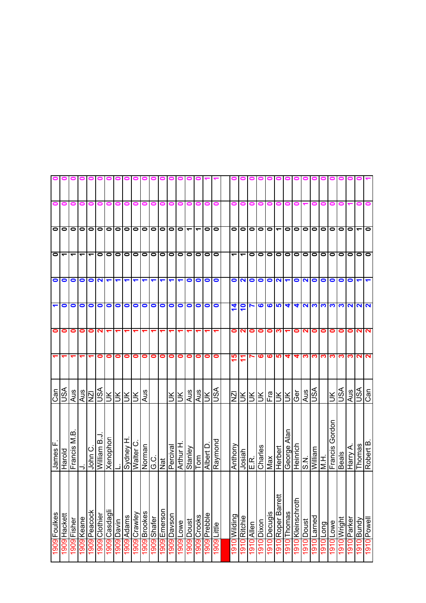|                      |                          |                          |                          |                          |                    |               |                        |                      |              |             |                    |                 |                |              |                          |             |                 |             |                      |                          |                       |            | $\bullet$              |                                  |                         |                                         |                     |               |                                 |                                 |              |                |                      |                   |
|----------------------|--------------------------|--------------------------|--------------------------|--------------------------|--------------------|---------------|------------------------|----------------------|--------------|-------------|--------------------|-----------------|----------------|--------------|--------------------------|-------------|-----------------|-------------|----------------------|--------------------------|-----------------------|------------|------------------------|----------------------------------|-------------------------|-----------------------------------------|---------------------|---------------|---------------------------------|---------------------------------|--------------|----------------|----------------------|-------------------|
| 0                    | 0                        | 0                        | 0                        | 0                        | 0                  | Ξ             |                        |                      |              |             |                    |                 |                |              |                          | 0           |                 | 0           | 0                    |                          |                       |            |                        |                                  |                         |                                         |                     |               |                                 |                                 |              |                |                      |                   |
| $\bullet$            | $\bullet$                | $\bullet$                | $\bullet$                | $\bullet$                | $\bullet$          | $\bullet$     | $\bullet$              | $\bullet$            | $\bullet$    | $\bullet$   | $\bullet$          | $\bullet$       | $\bullet$      | $\bullet$    | $\overline{\phantom{0}}$ | ے           | $\bullet$       | $\bullet$   | 0                    | $\bullet$                | $\bullet$             | $\bullet$  | $\bullet$              | $\overline{\phantom{0}}$         | $\bullet$               | $\circ$                                 | $\bullet$           | $\bullet$     | $\bullet$                       | $\bullet$                       | 0            | $\bullet$      | $\blacktriangledown$ | $\bullet$         |
| $\bullet$            | $\overline{\phantom{0}}$ | $\overline{\phantom{0}}$ | $\overline{\phantom{0}}$ | $\overline{\phantom{0}}$ | $\bullet$          | $\bullet$     | $\bullet$              | $\bullet$            | $\bullet$    | $\bullet$   | 1010               |                 | $\bullet$      | $\bullet$    | $\bullet$                | $\bullet$   | $\bullet$       | $\bullet$   | $\blacktriangledown$ | $\overline{\phantom{0}}$ | 0                     | 0          | $\bullet$              | $\bullet$                        | $\bullet$               | 00                                      |                     | $\bullet$     | $\bullet$                       | $\bullet$                       | $\bullet$    | $\bullet$      | $\bullet$            | lo                |
| $\circ$              |                          | $\bullet$                | $\bullet$                | $\bullet$                |                    | $\mathbf{N}$  | $\blacktriangledown$   | $\blacktriangledown$ |              |             |                    |                 |                |              | $\bullet$                | $\bullet$   | $\bullet$       | $\bullet$   | ON                   |                          | $\bullet$             | $\bullet$  | $\bullet$              | $\mathbf{\Omega}$                |                         |                                         | O <sub>N</sub>      | $\bullet$     | $\bullet$                       | $\bullet$                       | $\bullet$    | $\bullet$      |                      |                   |
| $\blacktriangledown$ | $\bullet$                | $\bullet$                | $\bullet$                | $\bullet$                | $\bullet$          | $\bullet$     | $\bullet$              | $\bullet$            | 0            | $\bullet$   | $\bullet$          | $\bullet$       | $\bullet$      | $\bullet$    | $\bullet$                | $\bullet$   | $\bullet$       | $\bullet$   | 14                   | 10                       | $\blacktriangleright$ | ဖ          | <u>ဖ ဖ</u>             |                                  | $\blacktriangledown$    |                                         | <b>4 5 3</b>        |               | က                               | က၊                              | က            |                | <b>NNN</b>           |                   |
| 0                    | 0                        | 0                        | 0                        | $\bullet$                | $\mathbf{a}$       | ↽             | ↽                      |                      |              |             |                    |                 | ↽              |              |                          |             |                 |             | 0                    | $\mathbf{\Omega}$        | 0                     | 0          | 0                      | ∾                                | ↽                       |                                         | 01                  | 0             | 0                               | 0                               | 0            | 0              | NN                   |                   |
|                      | ↽                        |                          |                          |                          | 0                  | 0             | 0                      | 0                    | 0            | 0           | 0                  | 0               | 0              | 0            | 0                        | 0           | 0               | 0           | 15                   | ᡓ                        | r                     | ဖ          | ဖ                      | S                                | 4                       | 4                                       | ∾                   | ო             | ო                               | ო                               | ო            | ო              | $\mathbf{\Omega}$    | $\mathbf{\Omega}$ |
| $\frac{C}{C}$        | ASU                      | Aus                      | Aus                      | IZN                      | <b>ASU</b>         |               | FR <sub>R</sub>        | УŊ                   | š            | Aus         |                    |                 | š              | š            | Aus                      | Aus         | š               | VSN         | $\bar{\mathsf{z}}$   | Ж                        | ЭK                    | š          | Fra                    | Ж                                | ΙŘ                      | Ger                                     | Aus                 | ASU           |                                 | š                               | S∕S∪         | Aus            | vsn                  | Can               |
| James                | Harold                   | Francis M.B              | っ                        | John C.                  | <b>Villiam B.J</b> | Xenophon      |                        | Sydney H             | ပ<br>Walter  | Norman      | G.C                | hat             | Percival       | Arthur H     | Stanley                  | Tom         | Albert D        | Raymond     | Anthony              | Josiah                   | E.R.                  | Charles    | Max                    | Herbert                          | Alan<br>George          | Heinrich<br>S.N.                        |                     | William       | $\frac{1}{2}$                   | Gordon<br>Francis <sup></sup>   | <b>Beals</b> | Harry A.       | Thomas               | Robert B          |
| 1909 Foulkes         | 1909 Hackett             | Fisher<br>1909           | 1909 Keane               | 1909 Peacock             | 1909 Clothier      | 1909 Casdagli | uived <mark>606</mark> | 1909 Adams           | 1909 Crawley | 909 Brookes | <b>1909</b> Shafer | Emerson<br>6061 | Davson<br>1909 | Lowe<br>1909 | Doust<br>1909            | 1909 Crooks | Prebble<br>1909 | 1909 Little | puipli/Violo16       | 910 Ritchie              | 1910 Allen            | 1910 Dixon | <b>Decugis</b><br>1910 | ≠<br>Roper Barre<br>$\mathsf{P}$ | Thomas<br>$\circ$       | Kleinschroth<br>$\overline{\mathsf{C}}$ | Doust<br><u>l 0</u> | Larned<br>O   | Long<br>$\overline{\mathsf{C}}$ | Lowe<br>$\overline{\mathsf{C}}$ | hdoiwholo    | Parker<br>1910 | Vpung 10191          | 1910 Powell       |
|                      |                          |                          |                          |                          |                    |               |                        |                      |              |             |                    |                 |                |              |                          |             |                 |             |                      |                          |                       |            |                        | $\overline{9}$                   | $\overline{\mathsf{P}}$ | $\overline{\mathsf{P}}$                 | $\overline{9}$      | $\frac{5}{2}$ | $\overline{191}$                | $\overline{191}$                |              |                |                      |                   |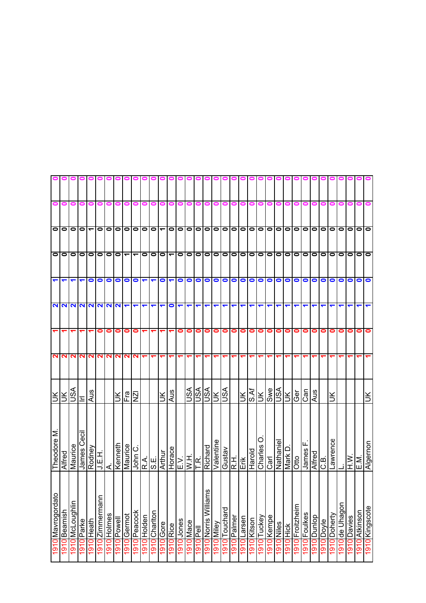|                         |                      |                      |             |                          |                                            |              |                    |                          | o                        |              |                      |                  | 01                   |                      |            |                                                                            |                          | 0 0 1                    |               |             |                                       |                      |                         |            |                          |                |                 |                     |                |                    |           |                |               |               |                |
|-------------------------|----------------------|----------------------|-------------|--------------------------|--------------------------------------------|--------------|--------------------|--------------------------|--------------------------|--------------|----------------------|------------------|----------------------|----------------------|------------|----------------------------------------------------------------------------|--------------------------|--------------------------|---------------|-------------|---------------------------------------|----------------------|-------------------------|------------|--------------------------|----------------|-----------------|---------------------|----------------|--------------------|-----------|----------------|---------------|---------------|----------------|
| 0                       | 0                    | 0                    | 0           | 0                        | 0                                          | 0            |                    |                          |                          |              |                      |                  |                      |                      |            |                                                                            | 0                        | 0                        | 0             | 0           | 0                                     | 0                    |                         |            |                          |                |                 |                     |                |                    |           |                |               |               |                |
| olo                     |                      | $\bullet$            | $\bullet$   | $\overline{\phantom{0}}$ | $\bullet$                                  |              | 00                 | $\bullet$                |                          | O O          |                      |                  |                      |                      |            |                                                                            |                          |                          |               |             |                                       |                      | ~ 0 0 0 0 0 0 0 0 0 0 0 |            | $\overline{\bullet}$     | $\bullet$      | 0  0            |                     | olo            |                    | 00        |                | $\bullet$     | $\bullet$     | $\bullet$      |
|                         | $\circ$              | $\bullet$            | $\bullet$   | $\bullet$                | $\bullet$                                  |              | 0   0              | $\overline{\phantom{0}}$ | $\overline{\phantom{0}}$ | $\bullet$    | $\bullet$            | $\bullet$        | 100                  |                      |            | $\bullet$                                                                  |                          |                          |               |             |                                       | 0000000              |                         | $\bullet$  | $\overline{\phantom{0}}$ | $\bullet$      | $\bullet$       | lo                  | 10 I O         |                    | 00        |                | $\bullet$     | $\bullet$     | $\bullet$      |
| $\overline{\mathbf{r}}$ | $\blacktriangledown$ | $\blacktriangledown$ | ↽           | $\bullet$                | $\bullet$                                  | $\bullet$    | $\bullet$          | $\bullet$                | $\bullet$                | ↽            | $\blacktriangledown$ | $\bullet$        | $\blacktriangledown$ | $\bullet$            | $\bullet$  | $\bullet$                                                                  | $\bullet$                | $\bullet$                | $\bullet$     | $\bullet$   | $\circ$                               |                      | $\bullet$               | $\bullet$  | $\bullet$                | $\bullet$      | $\bullet$       | $\bullet$           | $\bullet$      | $\bullet$          | $\bullet$ | $\bullet$      | 0             | 0             | $\bullet$      |
|                         | <b>NNN</b>           |                      |             |                          |                                            |              | $\frac{2}{n}$      |                          | ↽                        | ↽            | ↽                    | ↽                | $\bullet$            | $\blacktriangledown$ | ↽          | ↽                                                                          | ↽                        | ↽                        | ↽             | ↽           | ↽                                     | $\blacktriangledown$ | ↽                       | ↽          |                          |                |                 |                     |                |                    |           |                |               |               |                |
|                         |                      |                      |             |                          | 0                                          | 0            | 0                  | 0                        | 0                        |              |                      |                  |                      | 0                    | 0          | 0                                                                          | 0                        | 0                        | 0             | $\bullet$   | $\bullet$                             | $\bullet$            | 0                       | 0          | 0                        | 0              | 0               | $\bullet$           | 0              | 0                  |           | 0              | 0             | 0             | $\bullet$      |
| $\mathbf{N}$            | N                    | N                    | N           | $\mathbf{\Omega}$        | $\mathbf{N}$                               | $\mathbf{N}$ | $\sim$             | $\mathbf{\Omega}$        | N.                       |              |                      |                  |                      |                      |            |                                                                            |                          |                          |               |             | ᠆                                     |                      |                         |            |                          |                |                 |                     |                |                    |           |                |               |               |                |
| š.                      |                      | ASU                  | τ           | Aus                      |                                            |              | Ж                  | ie<br>Fra                | $\bar{z}$                |              |                      | ŠК               | Aus                  |                      | <b>ASU</b> | VSU                                                                        | VSN                      | $\leq$                   | vsn           |             | $\leq$                                | S.Af                 | $\leq$                  | Swe        | VSN                      | $\leq$         | Ger             | Can                 | Aus            |                    | š         |                |               |               |                |
| Theodore M              | Alfred               | Maurice              | James Cecil | Rodney                   | J.E.H.                                     | ∢            | Kenneth            | Maurice                  | John C.                  | ا≪∣⊔<br>ا¤ان |                      | Arthur           |                      |                      |            | $\frac{\frac{\text{Horse}}{\text{E.V.}}}{\frac{\text{W.H.}}{\text{T.R.}}}$ | Richard                  | Valentine                | Gustav        |             | $\frac{1}{\frac{1}{2}}$ $\frac{1}{2}$ | Harold               | O<br>Charles            | Carl       | Nathaniel                | $\Box$<br>Mark | Otto            | ட<br>James          | Alfred<br>C.B. |                    | Lawrence  |                | $\frac{N}{E}$ |               | Algernon       |
| 1910 Mavrogordato       | Beamish              | 1910 McLoughlin      | 910 Parke   | 1910 Heath               | $\mathord{\text{\rm c}}$<br>1910 Zimmerman | 1910 Holmes  | <b>1910</b> Powell | 1910 Gernot              | 1910 Peacock             | 1910 Holden  | 1910 Chariton        | <b>1910</b> Gore | <b>910</b> Rice      | Jones                | Mace       | 1910<br>Pell                                                               | ms<br>1910 Norris Willia | vəliM <mark>lo L6</mark> | 1910 Touchard | 1910 Palmer | 1910 Larsen                           | 1910 Kitson          | 1910 Tuckey             | 1910 Kempe | 1910 Niles               | 910 Hick       | 1910 Froitzheim | <b>1910</b> Foulkes | Dunlop         | <b>alvod</b> Doyle | Doherty   | 1910 de Uhagon | Davies        | 1910 Atkinson | 1910 Kingscote |
|                         | 1910                 |                      |             |                          |                                            |              |                    |                          |                          |              |                      |                  |                      | 0161                 | 1910       |                                                                            |                          |                          |               |             |                                       |                      |                         |            |                          |                |                 |                     | 1910           |                    | 1910      |                | 1910          |               |                |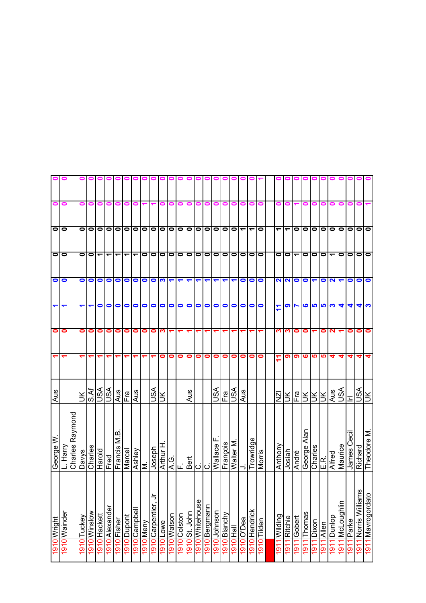|                       | Ξ            |                    | o            | Ξ                        | $\blacksquare$                 |                |             |             |              |           |                      |             |             |                |             |                 |              |             |              |           | $\blacksquare$           |                          |                |              |                   |                |                            |                |                |                          | ∊          |                   |                             |                   |
|-----------------------|--------------|--------------------|--------------|--------------------------|--------------------------------|----------------|-------------|-------------|--------------|-----------|----------------------|-------------|-------------|----------------|-------------|-----------------|--------------|-------------|--------------|-----------|--------------------------|--------------------------|----------------|--------------|-------------------|----------------|----------------------------|----------------|----------------|--------------------------|------------|-------------------|-----------------------------|-------------------|
| $\bullet$             | $\bullet$    |                    | $\bullet$    | 0                        | $\bullet$                      | $\bullet$      | 0           | 0           | $\bullet$    | $\bullet$ | $\bullet$            | $\bullet$   | $\bullet$   | $\bullet$      | $\bullet$   | $\bullet$       | $\bullet$    | $\bullet$   | $\bullet$    | $\bullet$ | $\overline{\phantom{0}}$ | $\overline{\phantom{0}}$ | $\bullet$      | ᠆            | ٣                 | $\bullet$      | $\bullet$                  | o              | $\bullet$      | $\bullet$                | $\bullet$  | $\bullet$         | $\bullet$                   | $\bullet$         |
| $\bullet$             | $\bullet$    |                    | $\bullet$    | 0                        | ᠆                              | ᡪ              | ᡪ           | ᡪ           | ᡪ            | 0         | $\bullet$            | $\bullet$   | $\bullet$   | $\bullet$      | $\bullet$   | $\bullet$       | $\bullet$    | $\bullet$   | $\bullet$    | $\bullet$ | $\bullet$                | $\bullet$                | $\bullet$      | 0            | $\bullet$         | ᠆              | $\bullet$                  | o              | $\bullet$      | $\overline{\phantom{0}}$ | $\bullet$  | 0                 | $\bullet$                   | $\bullet$         |
| $\bullet$             | $\bullet$    |                    | $\bullet$    | 0                        | $\bullet$                      | $\bullet$      | 0           | $\bullet$   | 0            | 0         | $\bullet$            | က           |             |                |             |                 |              |             |              |           | 0                        | $\bullet$                | $\bullet$      | N            | $\mathbf{\Omega}$ | $\bullet$      | $\bullet$                  | ↽              | $\bullet$      | N                        |            | 0                 | 0                           | $\bullet$         |
|                       | ↽            |                    | ↽            | $\overline{\phantom{0}}$ | 0                              | $\bullet$      | 0           | 0           | 0            | 0         | $\bullet$            | $\bullet$   | $\bullet$   | 0              | $\bullet$   | $\bullet$       | 0            | 0           | $\bullet$    | $\bullet$ | $\bullet$                | $\bullet$                | $\bullet$      | ٣<br>↽       | െ                 |                | ဖ                          | <u> များ</u>   |                | က                        | 4          | 4                 | 4                           | က                 |
| 0                     | 0            |                    | 0            | 0                        | 0                              | 0              | 0           | 0           | 0            | 0         | 0                    | ∾           | ↽           |                |             |                 |              |             |              |           | ↽                        |                          | ↽              | ო            | ო                 | 0              | 0                          | ↽              | 0              | 2                        |            | 0                 | 0                           | 0                 |
|                       |              |                    |              |                          |                                |                |             |             |              |           |                      | 0           | 0           | 0              | 0           | 0               | 0            | 0           | 0            | 0         | 0                        | 0                        | 0              | ᡪ            | თ                 | စာ             | ဖ                          | <u> မျာ</u>    | <b>LO</b>      | 4                        | 4          | 4                 | 4                           | 4                 |
| Aus                   |              |                    | $\leq$       |                          | $\frac{\text{SUS}}{\text{IN}}$ | VSN            | Aus         | Fra         | Aus          |           | VSU                  | š           |             |                | Aus         |                 |              | VSU         | Fra          | VSN       | Aus                      |                          |                | N<br>N       | š                 | Fra            |                            | RRR            |                | Aus                      | s∕s∪       | Ξ                 | S∕S∪                        |                   |
| George $\overline{W}$ | Harry        | Raymond<br>Charles | <b>Davys</b> | Charles                  | ploueH                         | Fred           | Francis M.B | Marcel      | Ashley       | Σ         | Joseph               | I<br>Arthur |             | ଓ<br>< ⊩       | <b>Bert</b> | $\overline{O}$  | ن            | Wallace     | François     | Walter M  | ⊃                        | Trowridge                | Morris         | Anthony      | Josiah            | André          | Alan<br>George             | Charles        | ند.<br>سا      | Alfred                   | Maurice    | <b>James</b> Ceci | Richard                     | Theodore M        |
| 1910 Wright           | 1910 Wainder |                    | 1910 Tuckey  | 1910 Winslow             | 1910 Hackett                   | 1910 Alexander | 1910 Fisher | 1910 Dupont | 1910 Campbel | 910 Meny  | Carpentier, J<br>016 | Lowe        | 1910 Watson | Colston<br>c   | St. John    | 1910 Whitehouse | 910 Bergmann | 910 Johnson | 1910 Blanchy | 1910 Hall | 1910 O'Dea               | 1910 Hendrick            | 1910<br>Tilden | 1911 Wilding | Ritchie           | Gobert         | $\overline{\text{Thomas}}$ | Dixon          | Allen          | Dunlop                   | McLoughlin | Parke             | <b>SU</b><br>Norris Willian | 1911 Mavrogordato |
|                       |              |                    |              |                          |                                |                |             |             |              |           |                      | 1910        |             | $\overline{5}$ | $\bar{5}$   |                 |              |             |              |           |                          |                          |                |              | $\overline{5}$    | $\overline{5}$ | $\overline{5}$             | $\overline{5}$ | $\overline{5}$ | $\overline{5}$           | 191        | 191               | $\frac{1}{9}$               |                   |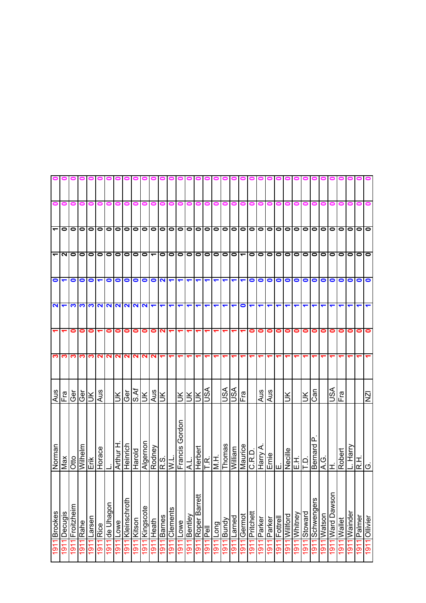|           |           | 0                                   |                                     | $\bullet$            |                                                                                                                                                                                                                                                                                                                                                                                              | $\bullet$         |              | ΙZΝ                      | $\left  \frac{1}{\alpha} \right $ | 1911 Ollivier                               |  |
|-----------|-----------|-------------------------------------|-------------------------------------|----------------------|----------------------------------------------------------------------------------------------------------------------------------------------------------------------------------------------------------------------------------------------------------------------------------------------------------------------------------------------------------------------------------------------|-------------------|--------------|--------------------------|-----------------------------------|---------------------------------------------|--|
|           |           |                                     | O O O O                             | $\bullet$            |                                                                                                                                                                                                                                                                                                                                                                                              | 0                 |              |                          |                                   | Palmer<br>1911                              |  |
|           |           | $\bullet$                           |                                     | $\bullet$            |                                                                                                                                                                                                                                                                                                                                                                                              | 0                 |              |                          | L. Harry                          | Wainder<br>$\overline{5}$                   |  |
|           |           | $\bullet$                           |                                     | $\bullet$            |                                                                                                                                                                                                                                                                                                                                                                                              | 0                 |              | Fra                      | Robert                            | Wallet<br>$\overline{5}$                    |  |
|           |           | $\bullet$                           | $\circ$                             | $\bullet$            |                                                                                                                                                                                                                                                                                                                                                                                              | 0                 |              | VSN                      | <b>II</b>                         | Ward Dawson<br>$\overline{191}$             |  |
|           |           | $\bullet$                           |                                     | $\bullet$            |                                                                                                                                                                                                                                                                                                                                                                                              | 0                 |              |                          | G.<br>∢                           | Watson<br>1911                              |  |
|           |           |                                     |                                     | $\bullet$            |                                                                                                                                                                                                                                                                                                                                                                                              | 0                 |              | Can                      | <u>n</u><br>Bernard               | Schwengers<br>$\overline{5}$                |  |
|           |           |                                     |                                     |                      |                                                                                                                                                                                                                                                                                                                                                                                              | 0                 |              | ÌХ                       |                                   | Stoward<br>$\overline{91}$                  |  |
|           |           |                                     |                                     | oo                   |                                                                                                                                                                                                                                                                                                                                                                                              | $\bullet$         |              |                          | 립티                                | Whitney<br>$\frac{1}{9}$                    |  |
|           |           | O O O O                             | O O O O O                           | $\bullet$            |                                                                                                                                                                                                                                                                                                                                                                                              | $\bullet$         |              | š                        | Necille                           | <b>Willford</b><br>$\overline{5}$           |  |
|           |           | $\bullet$                           |                                     | O                    |                                                                                                                                                                                                                                                                                                                                                                                              | $\bullet$         |              |                          |                                   | Fottrell<br>191                             |  |
|           |           | $\overline{\bullet}$                | 0   0                               | $\bullet$            | ↽                                                                                                                                                                                                                                                                                                                                                                                            | $\bullet$         |              |                          | $\frac{1}{2}$                     | Parker<br>1911                              |  |
|           |           | $\bullet$                           | $\bullet$                           | $\bullet$            | ↽                                                                                                                                                                                                                                                                                                                                                                                            | 0                 |              | Aus<br>Aus               | Harry A.                          | 1911 Parker                                 |  |
|           |           |                                     |                                     | $\bullet$            | ↽                                                                                                                                                                                                                                                                                                                                                                                            | 0                 |              |                          | C.R.D.                            | Pritchett<br>1911                           |  |
|           | 0         |                                     |                                     | $\blacktriangledown$ | $\bullet$                                                                                                                                                                                                                                                                                                                                                                                    |                   |              | Fral                     | Maurice                           | Gernot<br>$\frac{1911}{2}$                  |  |
|           | 0         | 0000000                             | 0000000                             | $\blacktriangledown$ | ↽                                                                                                                                                                                                                                                                                                                                                                                            |                   |              | <b>ASU</b>               | William                           | ∣Larned<br>1911                             |  |
|           | 0         |                                     |                                     | $\blacktriangledown$ | ↽                                                                                                                                                                                                                                                                                                                                                                                            |                   |              | VSN                      | Thomas                            | Bundy<br>$\frac{1}{9}$                      |  |
|           | 0         |                                     |                                     | ↽                    |                                                                                                                                                                                                                                                                                                                                                                                              |                   |              |                          |                                   | Long<br>$\overline{5}$                      |  |
| 91        | 0         |                                     |                                     | ↽                    |                                                                                                                                                                                                                                                                                                                                                                                              |                   |              | vsn                      | Herbert<br>T.R.<br>M.H.           | $\overline{\overline{P}}$<br>$\overline{5}$ |  |
|           |           |                                     |                                     | ↽                    |                                                                                                                                                                                                                                                                                                                                                                                              |                   |              | š                        |                                   | Roper Barrett<br>1911                       |  |
|           |           | $\overline{\phantom{0}}$            | $\overline{\phantom{0}}$            | ↽                    |                                                                                                                                                                                                                                                                                                                                                                                              |                   |              | ž                        | خ                                 | Bentley<br>$\overline{5}$                   |  |
|           |           |                                     |                                     | $\blacktriangledown$ |                                                                                                                                                                                                                                                                                                                                                                                              |                   |              | Ж                        | Gordon                            | Lowe<br><u>51</u>                           |  |
|           |           | $\frac{\overline{0}}{\overline{0}}$ | 000                                 | $\vert$ a $\vert$    | ↽                                                                                                                                                                                                                                                                                                                                                                                            |                   |              |                          | Rodney<br>R.S.<br>Francis         | Clements<br>$\overline{91}$                 |  |
| $\bullet$ |           |                                     |                                     |                      | $\blacktriangledown$                                                                                                                                                                                                                                                                                                                                                                         | $\mathbf{\Omega}$ |              | Ιš                       |                                   | <b>Barnes</b><br>191                        |  |
| 0         |           | $\bullet$                           | $\overline{\phantom{0}}$            | $\bullet$            |                                                                                                                                                                                                                                                                                                                                                                                              | 0                 | N            | Aus                      |                                   | Fleath<br>$\overline{5}$                    |  |
|           |           | 0 0                                 |                                     | $\bullet$            |                                                                                                                                                                                                                                                                                                                                                                                              | $\bullet$         | $\sim$       | Ж                        | Algernon                          | Kingscote<br>1911                           |  |
| $\bullet$ | o         |                                     | $\frac{\overline{0}}{\overline{0}}$ | $\bullet$            | $\frac{1}{2} \frac{1}{2} \frac{1}{2} \frac{1}{2} \frac{1}{2} \frac{1}{2} \frac{1}{2} \frac{1}{2} \frac{1}{2} \frac{1}{2} \frac{1}{2} \frac{1}{2} \frac{1}{2} \frac{1}{2} \frac{1}{2} \frac{1}{2} \frac{1}{2} \frac{1}{2} \frac{1}{2} \frac{1}{2} \frac{1}{2} \frac{1}{2} \frac{1}{2} \frac{1}{2} \frac{1}{2} \frac{1}{2} \frac{1}{2} \frac{1}{2} \frac{1}{2} \frac{1}{2} \frac{1}{2} \frac{$ | $\bullet$         | $\mathbf{N}$ | $\overline{\text{S.Af}}$ | Harold                            | 1911 Kitson                                 |  |
|           |           | $\bullet$                           |                                     | $\bullet$            |                                                                                                                                                                                                                                                                                                                                                                                              | 0                 | $\sim$       | Ger                      | Heinrich                          | 1911 Kleinschroth                           |  |
|           |           | 0000                                | N 0 0 0 0 0 0                       | $\bullet$            |                                                                                                                                                                                                                                                                                                                                                                                              | 0                 | N            | УŊ                       | Arthur H                          | 1911 Lowe                                   |  |
|           | 0         |                                     |                                     | $\bullet$            |                                                                                                                                                                                                                                                                                                                                                                                              | 0                 | $\sim$       |                          |                                   | 1911 de Uhagon                              |  |
|           |           |                                     |                                     | $\blacktriangledown$ |                                                                                                                                                                                                                                                                                                                                                                                              |                   | <u>က လ</u>   | Aus                      | Horace                            | Rice<br>1911                                |  |
|           | 0         |                                     |                                     | $\bullet$            |                                                                                                                                                                                                                                                                                                                                                                                              | 0                 |              | Ж                        | Ērik<br>Erik                      | Larsen<br>$\overline{5}$                    |  |
|           |           | $\circ$ $\circ$                     |                                     | $\bullet$            | က က                                                                                                                                                                                                                                                                                                                                                                                          | 0                 | ∾            | Ger                      | Wilhelm                           | Rahe<br>$\overline{9}$                      |  |
|           | 0         |                                     |                                     | $\bullet$            |                                                                                                                                                                                                                                                                                                                                                                                              | 0                 | ო            | Ger                      | Otto                              | Froitzheim<br>$\overline{5}$                |  |
|           | 0         | $\bullet$                           |                                     | $\overline{\bullet}$ | $\frac{2}{1}$                                                                                                                                                                                                                                                                                                                                                                                |                   | က            | Fra<br>F                 | Max                               | Decugis<br><u>৯</u>                         |  |
|           | $\bullet$ | $\overline{\phantom{0}}$            | − l                                 |                      |                                                                                                                                                                                                                                                                                                                                                                                              |                   | က ၊          | $\frac{20}{3}$           | Norman                            | <b>Brookes</b><br>1911                      |  |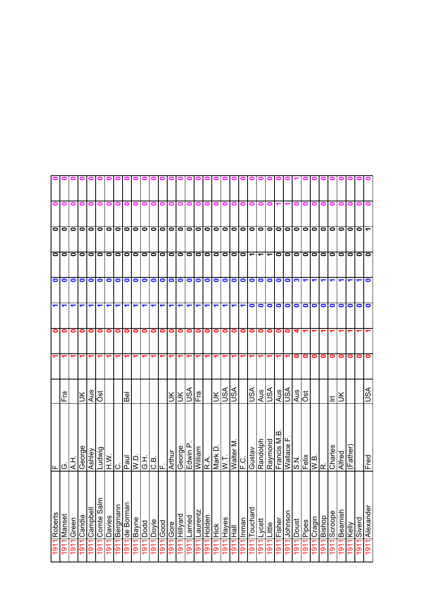|                      |                                   |                           |                           |                    |                    |                 | 0 0 0 0 0        |                |                                               |              |                           |             | 0000        |                         |                                |                | 000           |                                | $\bullet$               |                    |                      | 0 0              |                |                          |                |                |                          |                       |                                                                                                                                                                                                                                                                                                                                                                                                                                                                                               |                |                           |                             |                        |                |                |
|----------------------|-----------------------------------|---------------------------|---------------------------|--------------------|--------------------|-----------------|------------------|----------------|-----------------------------------------------|--------------|---------------------------|-------------|-------------|-------------------------|--------------------------------|----------------|---------------|--------------------------------|-------------------------|--------------------|----------------------|------------------|----------------|--------------------------|----------------|----------------|--------------------------|-----------------------|-----------------------------------------------------------------------------------------------------------------------------------------------------------------------------------------------------------------------------------------------------------------------------------------------------------------------------------------------------------------------------------------------------------------------------------------------------------------------------------------------|----------------|---------------------------|-----------------------------|------------------------|----------------|----------------|
| 0                    | 0                                 | 0                         | 0                         | 0                  | 0                  | 0               | 0                | o              |                                               |              |                           |             | 0           |                         |                                | o              | 0             | 0                              | 0                       | $\bullet$          | 0                    | 0                |                |                          |                |                |                          |                       |                                                                                                                                                                                                                                                                                                                                                                                                                                                                                               |                |                           |                             |                        |                |                |
| olo                  |                                   | $\bullet$                 |                           |                    |                    |                 | 0 0 0 0 0        |                |                                               |              |                           |             |             |                         |                                |                |               |                                |                         |                    |                      |                  |                |                          |                |                |                          |                       |                                                                                                                                                                                                                                                                                                                                                                                                                                                                                               |                | olo                       |                             | $\mathbf{C}$           | $\bullet$      |                |
| O                    |                                   | $\bullet$                 |                           |                    |                    |                 | 0 0 0 0          | $\bullet$      |                                               |              | 0 0 0 0 0 0 0 0 0 0 0 0 0 |             |             |                         |                                |                |               |                                |                         |                    |                      |                  |                | $\overline{\phantom{0}}$ | $\bullet$      | $\bullet$      | $\bullet$                | lo                    | 10 I O                                                                                                                                                                                                                                                                                                                                                                                                                                                                                        |                | 00                        |                             | $\bullet$              | $\bullet$      | $\bullet$      |
| $\bullet$            | $\bullet$                         | $\bullet$                 | $\bullet$                 | $\bullet$          | $\bullet$          | $\bullet$       | $\bullet$        | $\bullet$      | $\bullet$                                     | $\bullet$    | $\bullet$                 | $\bullet$   | $\circ$     |                         | $\bullet$                      | $\bullet$      | $\bullet$     | $\bullet$                      | $\bullet$               | 0 0 0              |                      |                  | $\bullet$      | $\bullet$                | $\bullet$      | $\bullet$      | က                        |                       | ↽                                                                                                                                                                                                                                                                                                                                                                                                                                                                                             |                |                           |                             |                        |                | $\bullet$      |
| $\blacktriangledown$ | ↽                                 | ↽                         | ↽                         |                    | ↽                  | ↽               | ↽                | ↽              | ↽                                             | ↽            | ↽                         | ↽           | ↽           | ↽                       | ↽                              | ↽              | ↽             | ↽                              | ↽                       | ↽                  | $\blacktriangledown$ | $\bullet$        | $\bullet$      | $\bullet$                | $\bullet$      | $\bullet$      | $\bullet$                | $\bullet$             | $\bullet$                                                                                                                                                                                                                                                                                                                                                                                                                                                                                     | $\bullet$      | $\bullet$                 | $\bullet$                   | 0                      | 0              | $\bullet$      |
| $\bullet$            | 0                                 | 0                         | 0                         | 0                  | 0                  | 0               | 0                | 0              | 0                                             | $\bullet$    | 0                         | $\bullet$   | 0           | $\bullet$               | 0                              | 0              | 0             | 0                              | 0                       | $\bullet$          |                      | $\circ$          | $\bullet$      | $\bullet$                | 0              | $\bullet$      |                          |                       |                                                                                                                                                                                                                                                                                                                                                                                                                                                                                               |                |                           |                             |                        |                |                |
|                      |                                   |                           |                           |                    |                    | ᡪ               | ᡪ                | ↽              |                                               |              |                           |             |             |                         |                                |                |               |                                |                         |                    | ᠆                    | ᡪ                |                |                          |                |                | 0                        | 0                     | 0                                                                                                                                                                                                                                                                                                                                                                                                                                                                                             | 0              | 0                         | 0                           | 0                      | 0              | 0              |
|                      | Fra                               |                           | Ж                         | $rac{1}{\sqrt{3}}$ |                    |                 |                  | Bel            |                                               |              |                           |             | š           |                         | <b>NSIN</b>                    | in<br>Fra      |               | Ж                              |                         | <u>vsn</u>         |                      | VSN              | Aus            | ASL                      | Aus            | ASU            | Aus<br>Öst               |                       |                                                                                                                                                                                                                                                                                                                                                                                                                                                                                               |                | Ξ                         | š                           |                        |                | VSU            |
| ن∟ا∟                 |                                   | エマ                        | George                    | Ashley             |                    | H.W.H<br>Ludwig | ن                | Paul           | ▏▏▏▏<br>▏ <u>▏</u><br>▏<br>▏ӦӦ <mark>҅</mark> |              |                           |             |             |                         | La uiwp <del>]</del><br>George | William        |               | R.A.<br>Mark D.                |                         | W.T.<br>Walter M.  | C.<br>E.C.           | Gustav           | Randolph       | Raymond                  | Francis M.B    | Wallace        |                          |                       | $\begin{array}{c c} & \text{if } & \text{if } & \text{if } & \text{if } & \text{if } & \text{if } & \text{if } & \text{if } & \text{if } & \text{if } & \text{if } & \text{if } & \text{if } & \text{if } & \text{if } & \text{if } & \text{if } & \text{if } & \text{if } & \text{if } & \text{if } & \text{if } & \text{if } & \text{if } & \text{if } & \text{if } & \text{if } & \text{if } & \text{if } & \text{if } & \text{if } & \text{if } & \text{if } & \text{if } & \text{if } &$ |                |                           | Alfred                      | (Father)               |                | Fred           |
| Roberts<br>1911      | Manset<br>$\overline{\mathsf{P}}$ | Green<br>$\overline{191}$ | Caridia<br>$\overline{5}$ | Campbell<br>1911   | Comte Salm<br>1911 | lDavies<br>1911 | Bergmann<br>1911 | 1911 de Borman | lBayne<br>1911                                | Dodd<br>1911 | Doyle<br>$\overline{9}$   | Good<br>191 | Gore<br>191 | pue/l <u>liH</u><br>191 | Larned<br>191                  | aurentz<br>191 | Holden<br>191 | Hick<br>Hick<br>$\overline{5}$ | Hayes<br>$\overline{5}$ | <b>MAL</b><br>1911 | l Inman<br>1911      | Touchard<br>1911 | Lycett<br>1911 | Little<br>1911           | Fisher<br>1911 | Johnson<br>191 | Doust<br>$\overline{18}$ | Pipes<br><u>l 6 l</u> | Cragin<br>191                                                                                                                                                                                                                                                                                                                                                                                                                                                                                 | Bishop<br>1911 | Scroope<br>$\overline{5}$ | Beamish<br>$\overline{191}$ | Kelly<br>$\frac{1}{9}$ | Siverd<br>1911 | 1911 Alexander |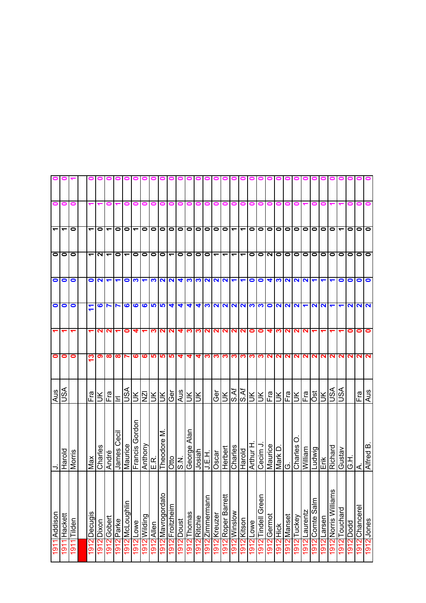| $\bullet$                | $\bullet$                | 0         |                          |               |                          |                      |                 | 0              |                     | 90            | 0                        | 01                 |           |                | 9<br>0          | 0                      | 0                                          | 000<br>0           | 0                                              | o                        | 000       |                      |                      |                                          |        | o            |          |                      |                      |                          |                          |                   |                      |
|--------------------------|--------------------------|-----------|--------------------------|---------------|--------------------------|----------------------|-----------------|----------------|---------------------|---------------|--------------------------|--------------------|-----------|----------------|-----------------|------------------------|--------------------------------------------|--------------------|------------------------------------------------|--------------------------|-----------|----------------------|----------------------|------------------------------------------|--------|--------------|----------|----------------------|----------------------|--------------------------|--------------------------|-------------------|----------------------|
|                          |                          |           |                          |               |                          |                      |                 |                |                     |               |                          |                    |           |                |                 |                        |                                            |                    |                                                |                          |           |                      |                      |                                          |        |              |          |                      |                      |                          |                          |                   |                      |
| $\overline{\phantom{a}}$ | $\overline{\phantom{0}}$ | 0         | ᠆                        | 0             | $\overline{\phantom{0}}$ | 0                    | $\bullet$       | ٣              | $\bullet$           | $\bullet$     | 00                       |                    | lО        | $\bullet$      | $\bullet$       |                        | 0000                                       |                    |                                                | $\blacktriangledown$     | $\bullet$ | $\bullet$            | $\bullet$            | o                                        |        | 0   0        |          | $\bullet$            | $\circ$              | $\bullet$                | $\overline{\phantom{0}}$ | $\bullet$         | <u>olo</u>           |
|                          | O O                      |           | $\overline{\phantom{0}}$ | $\frac{1}{2}$ |                          | $\bullet$            | ᠆               | 0              | $\bullet$           | $\bullet$     | $\overline{\phantom{a}}$ |                    | $\bullet$ | $\bullet$      | $\circ$         |                        |                                            |                    | $ D + L $                                      | $\overline{\phantom{0}}$ | $\bullet$ |                      |                      | $\overline{\overline{\text{O}}\text{N}}$ |        | 00           |          | $\bullet$            | 10                   | $\bullet$                | $\bullet$                | $\bullet$         | $\overline{\bullet}$ |
| $\bullet$                | $\bullet$                | $\bullet$ | $\bullet$                | $\frac{1}{2}$ |                          | $\blacktriangledown$ | $\bullet$       | က              |                     | က             |                          | <b>2</b>           |           | 4 ಬ            | S.              |                        |                                            |                    | $\frac{2}{2}$                                  |                          | $\bullet$ | $\bullet$            | $\blacktriangledown$ | <b>PINN</b>                              |        |              |          | $\blacktriangledown$ | $\blacktriangledown$ |                          | 0                        | $\bullet$         |                      |
| $\bullet$                | $\bullet$                | 0         | ↽                        |               | $\frac{2}{7}$            |                      | ဖ               | ဖ              |                     | 6994          |                          |                    | ₹         | 4              | 4               |                        |                                            |                    |                                                |                          |           | <b>MNNNNMO</b>       |                      | $NN$ $N$ $\tau$                          |        |              |          | $\sim$ $\sim$        |                      |                          | ↽                        | 222               |                      |
| $\blacktriangledown$     |                          |           |                          | 2             | N                        |                      | 0               |                |                     | ∾             | NI                       | N                  | 4         | က              | <u>က</u>        | $\mathbf{z}$           |                                            |                    |                                                | <b>NNNN</b>              | $\bullet$ | $\bullet$            | 4                    | <u>က လျ</u>                              |        | N.           | N        |                      |                      |                          |                          | 0                 |                      |
| $\bullet$                | 0                        | 0         | က                        | ၈၊            | $\infty$                 | ထ                    |                 | ဖ              | <b>SC</b>           | <b>SC</b>     |                          | <u> ဟ</u>          | 4         | 4              | 4               | ∾                      | က က                                        |                    | <u>က</u>                                       | S                        | က         | က လ                  |                      |                                          |        | NNNN         |          |                      | NN                   | $\mathbf{N}$             | N                        | $\mathbf{\Omega}$ |                      |
| Aus                      | SSU                      |           | Fra                      | šl            | Fra                      | Ξ                    | JSA             | š              | $\overline{\Sigma}$ |               |                          | )<br>기기의           | Aus       | šl             | ΙŘ              |                        | <b>Ger</b>                                 |                    | $\frac{ \mathbf{S} \mathbf{A} }{ \mathbf{S} }$ | S.Af                     |           | <b>REER</b>          |                      |                                          |        |              |          | 집지도입                 | $\leq$               | l<br>S∕                  | S∕S                      |                   |                      |
| ⊃                        | Harold                   | Morris    | Max                      | Charles       | André                    | <b>James Cecil</b>   | Maurice         | Francis Gordon | Anthony             | E.R           | Theodore M               | $rac{1}{\sqrt{2}}$ |           | Alan<br>George | Josiah          | H E H                  | $\overline{\frac{\text{cos}}{\text{cos}}}$ |                    | Herbert<br>Charles                             | Harold                   | Arthur H  | Cecim J              | Maurice              | Mark D.                                  | O      | O<br>Charles | William  | Ludwig               | Erik                 | Richard                  | Gustav                   | 제                 | A.<br>Alfred B.      |
| 1911 Addison             | Hackett                  | Tilden    | Decugis                  | 1912 Dixon    | 1912 Gobert              | 1912 Parke           | 1912 McLoughlin | 1912 Lowe      | 1912 Wilding        | 1912<br>Allen | Mavrogordato             | Froitzheim         | Doust     | Thomas         | 1912<br>Ritchie | $\subset$<br>Zimmerman | 1912 Kreuzer                               | 1912 Roper Barrett | 1912 Winslow                                   | 1912 Kitson              | 1912 Lowe | <b>Tindell Green</b> | 912 Germot           | <b>Hick</b>                              | Manset | Tuckey       | Laurentz | Comte Sain           | tLarsen              | εm<br>1912 Norris Willia | 1912 Touchard            | 1912 Dodd         |                      |
|                          | 191                      | 1911      | 1912                     |               |                          |                      |                 |                |                     |               | <u>ଧ</u><br>191          | 1912               | 1912      | 1912           |                 | 1912                   |                                            |                    |                                                |                          |           | 1912                 |                      | 1912                                     | 1912   | 1912         | 1912     | 1912                 | 1912                 |                          |                          |                   |                      |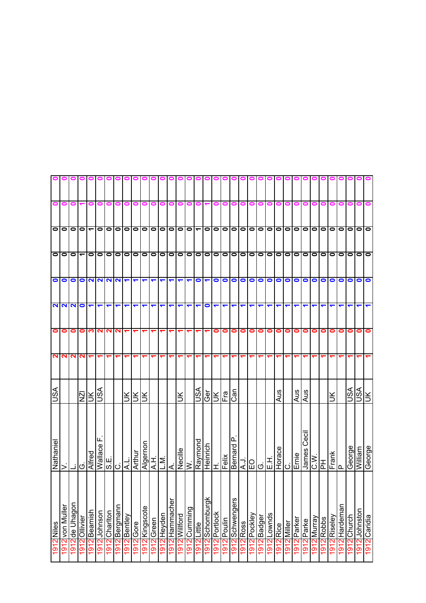|               |                                     |                |               |                                                   |                          |                      | 0 0 0 0 0       |              |                          |                      |                      |                      | ooooooo              |                      |                          |                      | 000               |                  |             |                 |                      |              |                                                                                                                                                                                                                                                                                                                                                                                                                                                              | 00          |             | 0 0 1       |                |                     |                                |                      |                 |                  |                |               |              |
|---------------|-------------------------------------|----------------|---------------|---------------------------------------------------|--------------------------|----------------------|-----------------|--------------|--------------------------|----------------------|----------------------|----------------------|----------------------|----------------------|--------------------------|----------------------|-------------------|------------------|-------------|-----------------|----------------------|--------------|--------------------------------------------------------------------------------------------------------------------------------------------------------------------------------------------------------------------------------------------------------------------------------------------------------------------------------------------------------------------------------------------------------------------------------------------------------------|-------------|-------------|-------------|----------------|---------------------|--------------------------------|----------------------|-----------------|------------------|----------------|---------------|--------------|
| 0             | 0                                   | 0              |               | 0                                                 | 0                        | 0                    | 0               |              |                          |                      |                      | 0                    | 0                    |                      |                          | 0                    |                   | 0                | 0           | 0               | 0                    | 0            | 0                                                                                                                                                                                                                                                                                                                                                                                                                                                            |             |             |             |                |                     |                                |                      |                 |                  |                |               |              |
|               | 00000000                            |                |               |                                                   |                          |                      |                 | $\bullet$    | $\overline{\phantom{0}}$ |                      |                      |                      | 00000                |                      | $\overline{\phantom{0}}$ | $\blacktriangledown$ |                   |                  |             |                 |                      |              | 00000000000                                                                                                                                                                                                                                                                                                                                                                                                                                                  |             |             |             |                |                     | $\overline{\phantom{a}}$ ololo |                      | lolo            |                  | $\bullet$      | $\bullet$     | $\bullet$    |
|               | <b>ololol</b> <del>e</del> lolololo |                |               |                                                   |                          |                      |                 | $\bullet$    |                          |                      |                      |                      |                      |                      |                          |                      |                   |                  |             |                 |                      |              | 0 0 0 0 0 0 0 0 0 0 0 0 0 0                                                                                                                                                                                                                                                                                                                                                                                                                                  |             | <u>olol</u> |             |                |                     | 0 0 0 0                        |                      | 1010            |                  | $\bullet$      | $\bullet$     | lo           |
|               | OO                                  | $\bullet$      |               |                                                   |                          |                      | $ O V V V V  =$ |              |                          | $\blacktriangledown$ | $\blacktriangledown$ | $\blacktriangledown$ | $\blacktriangledown$ | $\blacktriangledown$ | ↽                        | $\bullet$            |                   | $\blacksquare$   |             |                 |                      | 00000        |                                                                                                                                                                                                                                                                                                                                                                                                                                                              | $\bullet$   | $\circ$     |             | $\circ$        |                     | olo                            |                      | $\bullet$       | $\bullet$        | $\bullet$      | $\bullet$     | $\bullet$    |
|               | <b>NNNO</b>                         |                |               | $\blacktriangledown$                              | $\overline{\phantom{a}}$ | $\blacktriangledown$ | ↽               | ↽            | ↽                        | ↽                    | ↽                    | ↽                    | ↽                    | ↽                    |                          | ↽                    | 0                 | ↽                | ↽           | ↽               | $\blacktriangledown$ | ↽            | ↽                                                                                                                                                                                                                                                                                                                                                                                                                                                            | ᠆           | ↽           | ↽           |                |                     |                                |                      |                 |                  |                |               |              |
| 0             | 0                                   | 0              | 0             | ∾                                                 |                          | <b>NNN</b>           |                 |              |                          |                      |                      |                      |                      |                      |                          |                      |                   | 0                | $\bullet$   | $\bullet$       | $\bullet$            | $\bullet$    | 0                                                                                                                                                                                                                                                                                                                                                                                                                                                            | 0           | $\bullet$   | $\bullet$   | $\bullet$      | 0                   | 01                             | 0                    | 0               | 0                | 0              | 0             | $\bullet$    |
| $\sim$        | $\mathbf{N}$                        | $\mathbf{N}$   | $\mathbf{N}$  | ᠆                                                 | ᠆                        | $\blacktriangledown$ | ᠆               |              |                          |                      |                      |                      |                      |                      |                          |                      |                   |                  |             |                 | ᠆                    | ↽            | ↽                                                                                                                                                                                                                                                                                                                                                                                                                                                            |             |             |             |                |                     |                                |                      |                 |                  |                |               |              |
| ASU           |                                     |                |               | $\frac{ \overline{\Sigma} }{ \overline{\Sigma} }$ |                          |                      |                 |              | ЭŖ                       | lЖ                   |                      |                      |                      | š                    |                          | S∕SU                 | Ger               | Ж                | ie<br>F     | Can             |                      |              |                                                                                                                                                                                                                                                                                                                                                                                                                                                              |             | Aus         |             | Aus            | Aus                 |                                |                      |                 |                  | VSN            | S∕S∪          |              |
| Nathanie      | >                                   |                | ٰ ن           | <b>Alfred</b><br>Wallace I                        | Щ                        |                      | $\frac{1}{2}$   | A.L.         | Arthur                   | Algernon<br>A.H.     |                      | L.M.                 | ا∢                   |                      | Necille<br>W.            | Raymond              | Heinrich<br>H.    |                  | Felix       | உ               |                      |              | $\begin{array}{c c} \hline \texttt{R} & \texttt{R} \\ \hline \texttt{R} & \texttt{R} \\ \hline \texttt{R} & \texttt{R} \\ \hline \texttt{R} & \texttt{R} \\ \hline \texttt{R} & \texttt{R} \\ \hline \texttt{R} & \texttt{R} \\ \hline \texttt{R} & \texttt{R} \\ \hline \texttt{R} & \texttt{R} \\ \hline \texttt{R} & \texttt{R} \\ \hline \texttt{R} & \texttt{R} \\ \hline \texttt{R} & \texttt{R} \\ \hline \texttt{R} & \texttt{R} \\ \hline \texttt{$ |             | Horace      | ن           | Ernie          | ات<br>Ceci<br>James | $rac{\text{C.W.}}{\text{PH}}$  |                      | Frank<br>P      |                  | George         | William       | George       |
| 1912<br>Niles | 1912 von Muller                     | 1912 de Uhagon | 1912 Ollivier | 1912 Beamish                                      | 1912 Johnson             | 1912 Charlton        | 1912 Bergmann   | 1912 Bentley | $1912$ Gore              | Kingscote<br>1912    | Green<br>1912        | Heyden<br>1912       | 1912 Hammacher       | Willford<br>1912     | Cumming<br>1912          | $1912$ Little        | Schomburg<br>1912 | Portlock<br>1912 | 1912 Poulin | 1912 Schwengers | 1912 Ross            | 1912 Pockley | 1912 Badger                                                                                                                                                                                                                                                                                                                                                                                                                                                  | 1912 Lownds | 1912 Rice   | 1912 Miller | Parker<br>1912 | Parke<br>1912       | 1912 Murray                    | <b>Robbs</b><br>1912 | Riseley<br>1912 | Hardeman<br>1912 | Church<br>1912 | 1912 Johnston | 1912 Caridia |
|               |                                     |                |               |                                                   |                          |                      |                 |              |                          |                      |                      |                      |                      |                      |                          |                      |                   |                  |             |                 |                      |              |                                                                                                                                                                                                                                                                                                                                                                                                                                                              |             |             |             |                |                     |                                |                      |                 |                  |                |               |              |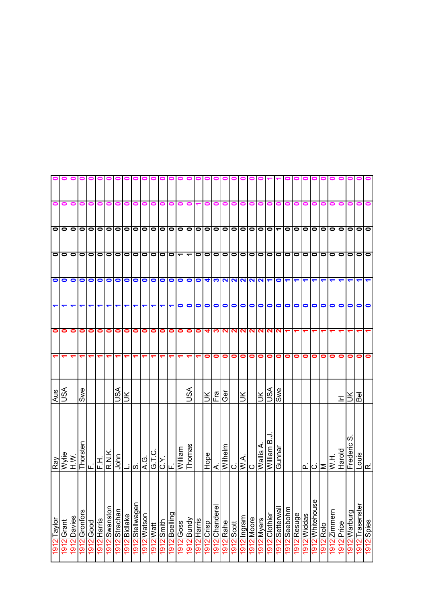| $\bullet$            | $\bullet$      | $\bullet$ | $\bullet$     | 0         | 0           | 0                    | o o o o o o o o o o o o o o o      | 0                    | 0          | 0           | 0                    | o     | 0                        |           | o                        |            |           | 0              | 0         | 0          | 0           | 0          | o                                                                                                                                                                                                             |               |           |                      | 0               | 0                    |            | o         | 0               | 0         | 0            |                 |
|----------------------|----------------|-----------|---------------|-----------|-------------|----------------------|------------------------------------|----------------------|------------|-------------|----------------------|-------|--------------------------|-----------|--------------------------|------------|-----------|----------------|-----------|------------|-------------|------------|---------------------------------------------------------------------------------------------------------------------------------------------------------------------------------------------------------------|---------------|-----------|----------------------|-----------------|----------------------|------------|-----------|-----------------|-----------|--------------|-----------------|
|                      |                |           |               |           |             |                      |                                    |                      |            |             |                      |       |                          |           |                          |            |           |                |           |            |             |            |                                                                                                                                                                                                               |               |           |                      |                 |                      |            |           |                 |           |              | 0               |
|                      |                |           |               |           |             |                      |                                    |                      |            |             |                      |       |                          |           |                          |            |           |                |           |            |             |            |                                                                                                                                                                                                               |               |           |                      |                 | 0 0 0 0 0            |            |           |                 | olololo   |              |                 |
|                      | ololo          |           |               | 0 0 0 0   |             |                      | 00                                 |                      |            |             | 0 0 0 0 0            |       |                          |           | $\overline{\phantom{0}}$ |            |           |                |           |            |             |            | 00000000000                                                                                                                                                                                                   |               |           |                      |                 | lololol              |            | $\bullet$ |                 | 0 0 0 0 0 |              |                 |
|                      |                |           |               | 0000      |             |                      | 0                                  |                      | $\bullet$  |             |                      |       |                          |           |                          |            |           |                |           |            |             |            | 000000000400000000                                                                                                                                                                                            |               |           | $\blacktriangledown$ |                 | $\blacktriangledown$ | ↽          | ↽         | ↽               |           |              | ↽               |
| $\blacktriangledown$ | ↽              | ↽         | ↽             | ↽         | ↽           | $\blacktriangledown$ | ↽                                  | $\blacktriangledown$ | ↽          | ↽           | $\blacktriangledown$ | ↽     | $\overline{\phantom{0}}$ | $\bullet$ | $\bullet$                | $\bullet$  | $\bullet$ | $\bullet$      | $\bullet$ |            |             |            | 0 0 0 0 0                                                                                                                                                                                                     |               |           |                      | 000             |                      | $\bullet$  | $\bullet$ | $\bullet$       | $\bullet$ | $\bullet$    | $\bullet$       |
| $\bullet$            | 0              | 0         | $\bullet$     | $\bullet$ | 0           | 0                    | 0                                  | $\bullet$            | 0          | $\bullet$   | $\circ$              |       | 0                        | 0         | 0                        | $\bullet$  | 4         |                |           |            |             |            | <b>MNNNNNN</b>                                                                                                                                                                                                |               |           |                      |                 |                      |            |           |                 |           |              |                 |
|                      |                |           |               |           | ᠆           | ↽                    |                                    | ᠇                    |            |             |                      |       |                          |           |                          |            | 0         | $\bullet$      | $\bullet$ | $\bullet$  | $\bullet$   | $\bullet$  | $\bullet$                                                                                                                                                                                                     | $\bullet$     | $\bullet$ | $\bullet$            | $\circ$ $\circ$ |                      | 0          | 0         | 0               | 0         | 0            |                 |
| Aus                  | VSU            |           | Swe           |           |             |                      | VSN                                | ŠК                   |            |             |                      |       |                          |           | SA                       |            | Ж         | Fra            | Gēr       |            | Ж           |            | $\frac{1}{2}$                                                                                                                                                                                                 |               | Swe       |                      |                 |                      |            |           |                 | 드         | ləя<br>ÌК    |                 |
| Ray                  | Wylie          | l><br>±   |               |           |             |                      | Thorsten<br>F.H.<br>R.N.K.<br>John | ند.                  | တြ         |             | G.T.C.<br>A.G.       |       | C.Y                      | welll!M   | Thomas                   |            | Hope      |                |           |            |             |            | $\begin{array}{ c c }\n\hline\n\text{Mihelmh} & \text{Mihelmh} \\ \hline\n\text{Mihelmh} & \text{Mihelmh} \\ \hline\n\text{Mihelmh} & \text{Mihelmh} \\ \hline\n\text{Mihelmh} & \text{Mihelmh}\n\end{array}$ |               | Jeuune    |                      |                 | ⊠انا                 |            |           | $\overline{MN}$ | Harold    | Frederic S   | Louis           |
| 1912 Taylor          | Grant          | Davies    | 1912 Gronfors | 1912 Good | 1912 Harris | 1912 Swanston        | 1912 Strachan                      | 1912<br>Bidlake      | Stellwagen | 1912 Watson | 1912 Watt            | diuus | 6uilləog                 | Goss      | <b>Bundy</b>             | 912 Harris | 912 Crisp | 1912 Chanderel | 1912 Rahe | 1912 Scott | 1912 Ingram | 1912 Moore | 1912 Myers                                                                                                                                                                                                    | 1912 Clothier | Setterwal | Seebohm              | Resuge          | <b>Widdas</b>        | Whitehouse | Rolo      | Zimmern         | 912 Price | 1912 Warburg |                 |
|                      | $\overline{5}$ | 1912      |               |           |             |                      |                                    |                      | 1912       |             |                      | 1912  | 1912                     | 1912      | 1912                     |            |           |                |           |            |             |            |                                                                                                                                                                                                               |               | 1912      | 1912                 | 1912            | 1912                 | 1912       | 1912      | 1912            |           |              | 1912 Trasenster |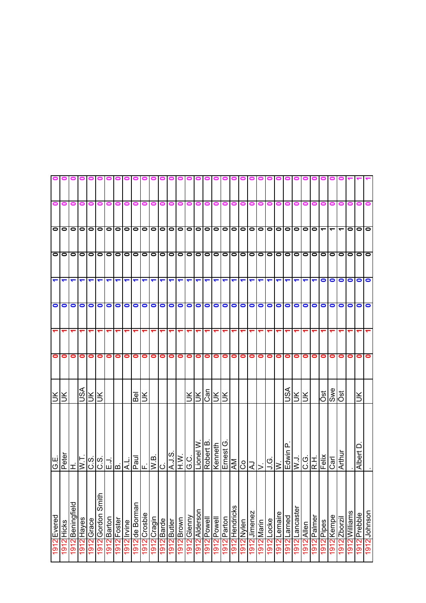|                      |                                                     |             |                      |                      |                      |             | o o o o o o o o o o o o o o o o o                                                                               |             |                |         |        |           |                                                                                                                                                                                |           |        |                      |                      |                      |             |                | 000        |              |                                                                                                                                                                                                                                                                                                                                                                                                                | $\bullet$           |         |                      |           |               |        |                         |                          |           |                  |                      |              |
|----------------------|-----------------------------------------------------|-------------|----------------------|----------------------|----------------------|-------------|-----------------------------------------------------------------------------------------------------------------|-------------|----------------|---------|--------|-----------|--------------------------------------------------------------------------------------------------------------------------------------------------------------------------------|-----------|--------|----------------------|----------------------|----------------------|-------------|----------------|------------|--------------|----------------------------------------------------------------------------------------------------------------------------------------------------------------------------------------------------------------------------------------------------------------------------------------------------------------------------------------------------------------------------------------------------------------|---------------------|---------|----------------------|-----------|---------------|--------|-------------------------|--------------------------|-----------|------------------|----------------------|--------------|
| $\bullet$            | $\bullet$                                           | $\bullet$   |                      | $\circ$              | $\bullet$            | $\bullet$   | 0                                                                                                               | $\bullet$   | 0              | 0       | 0      | $\bullet$ | 0                                                                                                                                                                              | 0         | 0      | 0                    | $\bullet$            | 0                    | P           | P              | $\bullet$  | 0            | 0                                                                                                                                                                                                                                                                                                                                                                                                              |                     |         |                      | o         | 0             | 0      | 0                       | 0                        | $\bullet$ | 0                | $\bullet$            |              |
|                      |                                                     |             |                      |                      |                      |             |                                                                                                                 |             |                |         |        |           |                                                                                                                                                                                |           |        |                      |                      |                      |             |                |            |              |                                                                                                                                                                                                                                                                                                                                                                                                                |                     |         |                      |           |               |        |                         | $\overline{\phantom{0}}$ |           |                  | $\lceil 0 0  \rceil$ |              |
|                      |                                                     |             |                      |                      |                      |             |                                                                                                                 |             |                |         |        |           |                                                                                                                                                                                |           |        |                      |                      |                      |             |                |            |              |                                                                                                                                                                                                                                                                                                                                                                                                                |                     |         |                      |           |               |        |                         |                          |           |                  |                      |              |
|                      | $\frac{1}{\sqrt{2}}\left \frac{1}{\sqrt{2}}\right $ |             | $\blacktriangledown$ |                      |                      |             | $ \bm{\tau} $ $ \bm{\tau} $ $ \bm{\tau} $ $ \bm{\tau} $ $ \bm{\tau} $ $ \bm{\tau} $ $ \bm{\tau} $ $ \bm{\tau} $ |             |                |         |        |           |                                                                                                                                                                                |           |        | $\blacktriangledown$ | $\blacktriangledown$ | $\blacktriangledown$ |             |                |            |              | $\frac{1}{\sqrt{2}}\frac{1}{\sqrt{2}}\frac{1}{\sqrt{2}}\frac{1}{\sqrt{2}}\frac{1}{\sqrt{2}}\frac{1}{\sqrt{2}}\frac{1}{\sqrt{2}}\frac{1}{\sqrt{2}}\frac{1}{\sqrt{2}}\frac{1}{\sqrt{2}}\frac{1}{\sqrt{2}}\frac{1}{\sqrt{2}}\frac{1}{\sqrt{2}}\frac{1}{\sqrt{2}}\frac{1}{\sqrt{2}}\frac{1}{\sqrt{2}}\frac{1}{\sqrt{2}}\frac{1}{\sqrt{2}}\frac{1}{\sqrt{2}}\frac{1}{\sqrt{2}}\frac{1}{\sqrt{2}}\frac{1}{\sqrt{2}}$ |                     |         | $\blacktriangledown$ |           | $\frac{1}{2}$ |        | $\bullet$               |                          |           |                  | 00000                |              |
| $\bullet$            | $\bullet$                                           | $\bullet$   |                      | $\circ$              |                      | $\circ$     | 0                                                                                                               |             | $\bullet$      |         |        |           | 00000000                                                                                                                                                                       |           |        |                      |                      |                      |             |                |            |              | 00000000                                                                                                                                                                                                                                                                                                                                                                                                       |                     |         |                      | 0000      |               |        | $\bullet$               | $\bullet$                | $\bullet$ | $\bullet$        | $\circ$              |              |
| $\blacktriangledown$ |                                                     |             |                      |                      |                      |             |                                                                                                                 |             |                |         |        |           |                                                                                                                                                                                |           |        |                      |                      |                      |             |                |            |              |                                                                                                                                                                                                                                                                                                                                                                                                                |                     |         |                      |           |               |        |                         |                          |           |                  |                      |              |
| $\bullet$            | 0                                                   | 0           | $\bullet$            | $\bullet$            | $\bullet$            | $\bullet$   | $\bullet$                                                                                                       | $\bullet$   | o              |         | O O O  |           | $\bullet$                                                                                                                                                                      | $\bullet$ | 0      | $\bullet$            | $\bullet$            | $\bullet$            | $\bullet$   | $\circ$        |            | $\bullet$    |                                                                                                                                                                                                                                                                                                                                                                                                                | $\circ \circ \circ$ |         | $\bullet$            | $\circ$   |               | 0      | 0                       | 0                        | 0         | 0                | $\bullet$            | $\bullet$    |
| ₹l₹                  |                                                     |             |                      | $\frac{1}{\sqrt{2}}$ |                      |             |                                                                                                                 |             | Bel            |         |        |           |                                                                                                                                                                                |           |        | ЯR                   |                      | $\frac{2}{15}$       |             |                |            |              |                                                                                                                                                                                                                                                                                                                                                                                                                |                     |         | ASU                  | <u>RK</u> |               |        | $\overline{\text{est}}$ | Swe<br>Öst               |           |                  | ÌХ                   |              |
| G.E.                 | $\frac{Peter}{H}$                                   |             |                      |                      |                      |             |                                                                                                                 |             |                |         |        |           | $\begin{array}{ c c c c }\hline \frac{1}{ a }&\frac{1}{ b }&\frac{1}{ b }&\frac{1}{ b }\\ \hline \frac{1}{ b }&\frac{1}{ b }&\frac{1}{ b }&\frac{1}{ b }\\ \hline \end{array}$ |           |        | Lionel W             | Robert B             | Kenneth              |             |                |            |              |                                                                                                                                                                                                                                                                                                                                                                                                                |                     |         |                      |           |               |        |                         |                          | Arthur    |                  | Albert D             |              |
| Evered               | Hicks                                               | Beningfield | 1912 Hayes           | 1912 Grace           | 급<br>1912 Gordon Smi | 1912 Barton | 1912 Foster                                                                                                     | 1912 Irvine | 1912 de Borman | Crosbie | Cragin | Barde     | 1912 Butler                                                                                                                                                                    | Brown     | Glenny | Alderson             | <b>Powell</b>        | 1912 Powell          | 1912 Parton | 1912 Hendricks | 1912 Nylen | 1912 Jimenez | 1912 Marin                                                                                                                                                                                                                                                                                                                                                                                                     | 1912 Locke          | Lemaire | Larned               | Lancaster | Allen         | Palmer | Pipes                   | 1912 Kempe               | Zborzil   | 1912<br>Williams | 1912 Prebble         | 1912 Johnson |
| 1912                 | 1912                                                | 1912        |                      |                      |                      |             |                                                                                                                 |             |                | 1912    | 7161   | 1912      |                                                                                                                                                                                | 1912      | 1912   | 1912                 | 1912                 |                      |             |                |            |              |                                                                                                                                                                                                                                                                                                                                                                                                                |                     | 1912    | 1912                 | 1912      | 1912          | 1912   | 1912                    |                          | 1912      |                  |                      |              |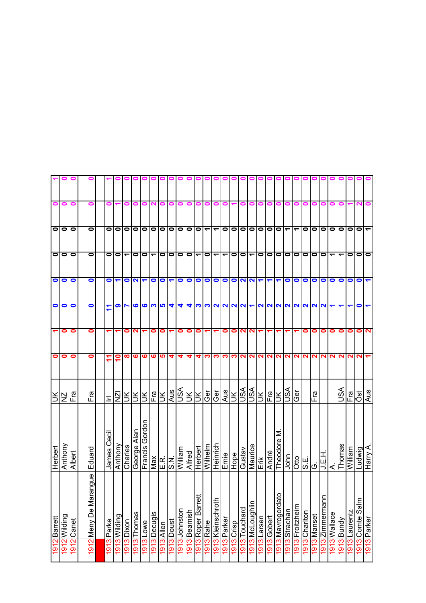| 0         | $\blacksquare$ |            | 0                        |            |                    |            |                |                   |              |           |           |           |              |                   |                          |                          |             |               |                         |                      |             |              |                   |                          |            |              |             |                   |               |            |                |                 | 0              |
|-----------|----------------|------------|--------------------------|------------|--------------------|------------|----------------|-------------------|--------------|-----------|-----------|-----------|--------------|-------------------|--------------------------|--------------------------|-------------|---------------|-------------------------|----------------------|-------------|--------------|-------------------|--------------------------|------------|--------------|-------------|-------------------|---------------|------------|----------------|-----------------|----------------|
| $\bullet$ | 0              | 0          | $\bullet$                | $\bullet$  | 0                  | $\bullet$  | 0              | 0                 | $\bullet$    | $\bullet$ | $\bullet$ | $\bullet$ | $\bullet$    | $\bullet$         | $\overline{\phantom{0}}$ | $\overline{\phantom{0}}$ | $\bullet$   | $\bullet$     | $\bullet$               | $\bullet$            | $\bullet$   | $\bullet$    | $\bullet$         | $\overline{\phantom{0}}$ | ᠆          | $\bullet$    | 0           | $\bullet$         | 0             | 0          | $\bullet$      | $\bullet$       | $\overline{ }$ |
| $\bullet$ | 0              | $\bullet$  | $\bullet$                | 0          | 0                  | ᡪ          | 0              | 0                 | ᡪ            | 0         | 0         | 0         | 0            | ے                 | $\bullet$                | $\overline{\phantom{0}}$ | ᠆           | $\bullet$     | $\bullet$               | ᠇                    | 0           | $\bullet$    | $\bullet$         | $\bullet$                | $\bullet$  | $\bullet$    | $\bullet$   | $\bullet$         | ᠆             |            | 0              | $\bullet$       | $\bullet$      |
| $\bullet$ | $\bullet$      | 0          | 0                        | 0          |                    | 0          | N              |                   | $\bullet$    | $\bullet$ |           | 0         | $\bullet$    | $\bullet$         | $\bullet$                | $\bullet$                | $\bullet$   | $\bullet$     | $\overline{\mathbf{c}}$ | $\mathbf{N}$         |             |              |                   | $\bullet$                | $\bullet$  | $\bullet$    | 0           | $\bullet$         | $\bullet$     | 0          | 0              | $\bullet$       | $\blacksquare$ |
| $\bullet$ | $\bullet$      | 0          | 0                        | F          | თ                  |            | ဖ              | ဖ                 | က            | <b>LO</b> | 4         | 4         | 4            | ∾                 | က                        |                          | 2<br>2      | 2<br>2        |                         | $\blacktriangledown$ | N           | $\mathbf{N}$ | $\mathbf{\Omega}$ | $\mathbf{N}$             | $\sim$     | $\mathbf{N}$ | N           | $\mathbf{\Omega}$ | ᠆             |            |                | 0               | ↽              |
|           | 0              | 0          | 0                        | ↽          |                    | 0          | ∾              |                   | 0            | 0         | ↽         | 0         | 0            | 0                 |                          |                          | 0           | 0             | $\mathbf{\Omega}$       | N                    |             |              |                   |                          |            | 0            | 0           | 0                 | 0             | 0          | 0              | 0               | $\mathbf{N}$   |
| $\bullet$ | 0              | 0          | 0                        | 7          | $\overline{1}$     | ထ          | ဖ              | ဖ                 | $\mathbf{o}$ | မာ        | 4         | 4         | 4            | 4                 | က                        | ∾                        | က           |               | <b>M</b>                | $\mathbf{N}$         | N.          | $\mathbf{N}$ | $\sim$            | $\mathbf{z}$             |            | <b>NIN</b>   | N           | N                 | 2             | N          | N              | N               |                |
| ŠΙ        | ZN             | Fra        | Fra                      | Ξ          | $\bar{\mathsf{z}}$ | š          | š              | š                 | Fra          | Ě         | Aus       | JSA       | š            | š                 | ල්                       | ල්                       | Aus         | $\frac{1}{2}$ |                         | lsv                  | š           | Fra          | š                 | ASU                      | ලි         |              | Fra         |                   |               | JSA        | Fra            | <b>Jack</b>     | Aus            |
| Herbert   | Anthony        | Albert     | Eduard                   | James Ceci | Anthony            | Charles    | Alan<br>George | Gordon<br>Francis | Max          | E.R.      | N'S       | William   | Alfred       | Herbert           | Wilhelm                  | Heinrich                 | Ernie       | Hope          | Gustav                  | Maurice              | Enk         | André        | Σ<br>Theodore     | John                     | Otto       | S.E.         | O           | <b>HEE</b>        | $\dot{\prec}$ | Thomas     | <b>Milliam</b> | Ludwig          | Harry A        |
| Barrett   | 1Wilding       | 1912 Canet | angue<br>1912 Meny De Ma | 1913 Parke | 1913 Wilding       | 1913 Dixon | Thomas         | Lowe              | Decugis      | Allen     | Doust     | Johnston  | 1913 Beamish | 1913 Roper Barret | 913 Rahe                 | 1913 Kleinschroth        | 1913 Parker | 1913 Crisp    | 1913 Touchard           | 1913 McLoughlin      | 1913 Larsen | 1913 Gobert  | 1913 Mavrogordat  | Strachan                 | Froitzheim | Charlton     | 1913 Manset | Zimmermann        | 1913 Wallace  | 1913 Bundy | 1913 Laurentz  | 1913 Comte Salm | 1913 Parker    |
| 1912      | $\overline{5}$ |            |                          |            |                    |            | 1913           | 1913              | 1913         | 1913      | 1913      | 1913      |              |                   |                          |                          |             |               |                         |                      |             |              |                   | 1913                     | 1913       | 1913         |             | 1913              |               |            |                |                 |                |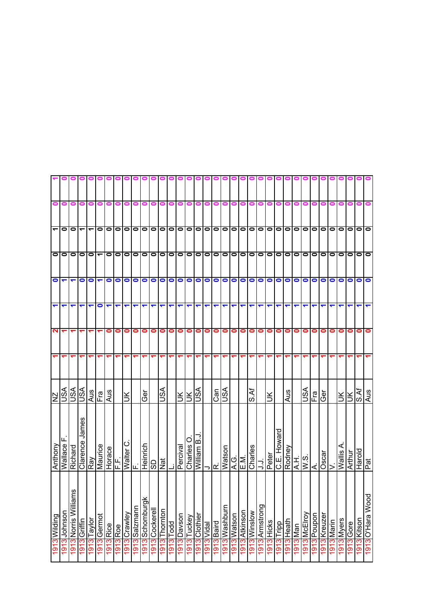| 0                        | 0                    | 0                        | 0                        | 0                        | 0                            |                      |            |                          |           |           | 0 0 0 0 1      | 01<br>0   | ⊂         |           | o            | 0<br>0      | 0             | 0             | 0             | 0           | 0             | 000          |                |            |                   |           |           |                         |           |                                            |            |            |           |                          |
|--------------------------|----------------------|--------------------------|--------------------------|--------------------------|------------------------------|----------------------|------------|--------------------------|-----------|-----------|----------------|-----------|-----------|-----------|--------------|-------------|---------------|---------------|---------------|-------------|---------------|--------------|----------------|------------|-------------------|-----------|-----------|-------------------------|-----------|--------------------------------------------|------------|------------|-----------|--------------------------|
|                          |                      |                          |                          |                          |                              |                      |            |                          |           |           |                |           |           |           |              |             |               |               |               |             |               |              |                |            |                   |           |           |                         |           |                                            |            |            |           |                          |
| $\overline{\phantom{a}}$ | $\circ$              | $\bullet$                | $\overline{\phantom{a}}$ | $\overline{\phantom{0}}$ |                              | O O O                |            | $\bullet$                | $\bullet$ |           |                |           |           |           |              |             |               |               |               |             |               |              |                |            |                   |           |           |                         |           | $\bullet$                                  | $\bullet$  | $\bullet$  | O O O     |                          |
| $\bullet$                | $\bullet$            | $\bullet$                | $\bullet$                | $\overline{\phantom{a}}$ |                              | $\bullet$            | $\bullet$  | $\bullet$                | $\bullet$ | $\bullet$ | lo             | 0 0       |           | $\bullet$ | $\bullet$    | $\bullet$   | $\bullet$     | 00            |               | 00          |               | $\bullet$    | $\bullet$      | $\bullet$  | $\bullet$         | $\bullet$ | 10 I O    |                         | $\bullet$ | $\bullet$                                  | $\bullet$  | $\bullet$  | $\bullet$ | $\bullet$                |
| $\bullet$                | $\blacktriangledown$ |                          | $\bullet$                | $\bullet$                | $\blacksquare$               | $\bullet$            | $\bullet$  | 0                        | $\bullet$ | $\bullet$ | $\bullet$      | $\bullet$ | $\bullet$ | $\bullet$ | $\bullet$    | $\bullet$   | $\bullet$     | $\bullet$     | $\bullet$     | O           | $\bullet$     | $\bullet$    | $\bullet$      | $\bullet$  | $\bullet$         | $\bullet$ | $\bullet$ | $\bullet$               | $\bullet$ | $\bullet$                                  | $\bullet$  | $\bullet$  | $\bullet$ | $\bullet$                |
| ↽                        | ↽                    |                          | ↽                        | ᠆                        | 0                            | ↽                    | ↽          |                          |           |           |                |           |           |           |              |             |               |               | ↽             | ↽           | ↽             | ↽            | ↽              |            |                   |           |           |                         |           |                                            |            |            |           |                          |
| N                        |                      |                          |                          |                          |                              | 0                    | 0          | 0                        | 0         | 0         | 0              | 0         | 0         | 0         | 0            | 0           | 0             | 0             | $\bullet$     | 0           | 0             | 0            | $\bullet$      | 0          | 0                 | 0         | $\bullet$ | 0                       | 0         | 0                                          | 0          | 0          | 0         | 0                        |
|                          |                      |                          |                          |                          | ᠇                            |                      | ↽          |                          |           |           |                |           |           |           |              |             |               |               |               | ᠆           | ᡪ             |              |                |            |                   |           |           |                         |           |                                            |            |            |           |                          |
| ZN                       | ASU                  | vsn                      | $\mathbb{S}^1$           |                          | $rac{\text{MS}}{\text{Fig}}$ | $\frac{2}{\sqrt{2}}$ |            | š                        |           | Gēr       |                | ASU       |           | š         | š            | VSU         |               | $\frac{c}{c}$ | VSU           |             |               | ই<br>o,      |                | š          |                   | Aus       |           | VSU                     | Fral      | Ger                                        |            | ЭK         | $\leq$    | $\overline{\text{S.Af}}$ |
| Anthony                  | ш<br>Wallace         | Richard                  | Clarence James           | Ray<br>Maurice<br>Horace |                              |                      | ب<br>سا    | $\circ$<br><b>Walter</b> | ட்        | Heinrich  | ခြ             | Nat       |           | Perciva   | O<br>Charles | William B.J |               | ⇒l⊄l          | <b>Watson</b> | $rac{G}{E}$ |               | Charles      | :ر             | Peter      | Howard<br>Ш.<br>О | Rodney    |           | $\frac{2}{\frac{1}{2}}$ | $\leq$    | $\overline{\frac{\text{cos}}{\text{cos}}}$ | >          | Wallis A   | Arthur    | рат<br>PloueH            |
| 1913 Wilding             | Johnson              | εã<br>1913 Norris Willia | 1913 Griffin             | 1913 Taylor              | 1913 Germot                  |                      |            | 1913 Crawley             | Salzmann  | Schomburg | 1913 Cockerell | Thornton  | Todd      | Davson    | Tuckey       | Clothier    | I913<br>Vidal | 1913 Baird    | 1913 Washburn | 1913 Watson | 1913 Atkinson | 1913 Winslow | 1913 Armstrong | 1913 Hicks | Tripp             | Heath     |           | 1913 McElroy            | Poupon    | Kreuzer                                    | 1913 Marin | 1913 Myers | 1913 Gore | 1913 Kitson              |
|                          | 1913                 |                          |                          |                          |                              | 1913 Rice            | $1913$ Roe |                          | 1913      | 8161      |                | 1913      | 1913      | 1913      | 1913         | 1913        |               |               |               |             |               |              |                |            | 1913              | 1913      | I913 Man  |                         | 1913      | 1913                                       |            |            |           |                          |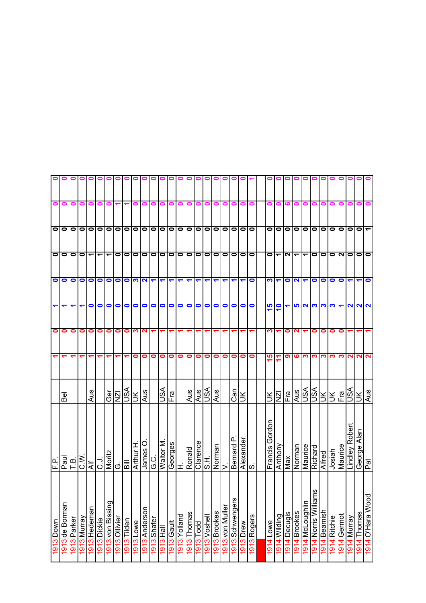|                      |                       |             |             |                          |               |                  |               |             | $\blacksquare$ | 0             | 0           | 0                    |            |           |           |           |              |                                  |                 |                      |                      |             |                   |                      |           |                           |                      |                     |           |              |             |                |                      |                         |
|----------------------|-----------------------|-------------|-------------|--------------------------|---------------|------------------|---------------|-------------|----------------|---------------|-------------|----------------------|------------|-----------|-----------|-----------|--------------|----------------------------------|-----------------|----------------------|----------------------|-------------|-------------------|----------------------|-----------|---------------------------|----------------------|---------------------|-----------|--------------|-------------|----------------|----------------------|-------------------------|
| 0                    | 0                     | 0           | 0           | 0                        | 0             | 0                |               |             |                |               |             |                      |            |           |           | 0         |              | 0                                | o               | 0                    |                      |             |                   |                      |           |                           |                      |                     |           |              |             |                |                      |                         |
|                      | $\overline{\circ}$ lo | $\bullet$   | 0           |                          | 1010          |                  | $\bullet$     | $\bullet$   | $\bullet$      | $\bullet$     | 0   0       |                      | $\bullet$  | $\bullet$ | $\bullet$ | $\bullet$ | $\bullet$    | 00000                            |                 |                      |                      |             | 0                 | $\bullet$            | $\bullet$ | O O O                     |                      |                     | $\bullet$ | $\bullet$    | $\bullet$   | $\bullet$      | $\bullet$            | $\blacktriangledown$    |
| $\bullet$            | $\bullet$             | 0           | $\bullet$   | $\overline{\phantom{0}}$ | ᠆             | ᠆                | 0             | $\bullet$   | 0              | $\bullet$     | $\bullet$   | $\bullet$            | $\bullet$  | $\bullet$ | $\bullet$ | $\bullet$ | $\bullet$    | $\bullet$                        | $\bullet$       | 0   0                |                      | $\bullet$   | 0                 |                      | N         |                           | $\blacktriangledown$ | $\bullet$           | $\bullet$ | $\bullet$    | NO          |                | $\bullet$            | lo                      |
| $\bullet$            | $\bullet$             | $\bullet$   | $\bullet$   | $\bullet$                | $\bullet$     | $\bullet$        | $\bullet$     | $\bullet$   | S.             | $\sim$        |             | $\blacktriangledown$ | ↽          |           |           | ↽         |              |                                  |                 | $\blacktriangledown$ | $\blacktriangledown$ | $\bullet$   | <u> ကျ</u>        | $\blacktriangledown$ | $\bullet$ | $\mathbf{N}$ $\mathbf{r}$ |                      | $\bullet$           | $\bullet$ | $\bullet$    | $\bullet$   | ↽              | $\blacktriangledown$ | $\bullet$               |
| $\blacktriangledown$ | ↽                     | ↽           |             | 0                        | 0             | 0                | 0             | 0           | 0              | 0             | $\bullet$   | $\bullet$            | $\bullet$  | 0         | 0         | 0         | $\bullet$    | $\bullet$                        | $\bullet$       | $\bullet$            | $\bullet$            | $\bullet$   | 15                | e                    |           |                           | <b>5233</b>          |                     | က         | S.           | ↽           |                | <u>NNN</u>           |                         |
| 0                    | 0                     | 0           | 0           | 0                        | 0             | 0                | 0             | 0           | ო              | N             |             |                      |            |           |           |           |              |                                  |                 |                      |                      |             | ო                 |                      | 0         |                           |                      | 0                   | 0         | 0            | 0           |                |                      |                         |
|                      |                       |             |             |                          |               |                  |               |             | 0              | 0             | 0           | 0                    | 0          | 0         | 0         | 0         | 0            | 0                                | 0               | 0                    | 0                    | $\bullet$   | ۱Ω                |                      | စာ        | ဖျက                       |                      | ო                   | ო         | ო            | ო           | N              | N                    | $\overline{\mathbf{v}}$ |
|                      | <u>ଚ</u> ୍ଚ           |             |             | Aus                      |               | Ger              | <b>ZN</b>     | vsn         | $\leq$         | Aus           |             | VSU                  | 이<br>그     |           | Aus       | Aus       | VSU          | Aus                              |                 | Can                  | ÌЮ                   |             | š                 | ΣÎ                   | Fra       |                           |                      | $\frac{1}{2}$       | Ж         | Ж            | Fra         | S∕S∪           | š                    | Aus                     |
| ρĹ.<br>╙             | $P$ aul               | Т.В.        | <b>W</b>    | ₹                        | $\frac{1}{2}$ | Moritz           | Ö             | Шg          | Arthur H       | O<br>James    | ن<br>ق      | Walter M             | Georges    | 工         | Ronald    | Clarence  | H.S          | $\frac{\text{Norman}}{\text{V}}$ |                 | Bernard P            | Alexander<br>S.      |             | Gordon<br>Francis | Anthony              | Max       | Norman                    | Maurice              | Richard             | Alfred    | Josiah       | Maurice     | Lindley Robert | George Alan<br>Pat   |                         |
| 1913 Down            | 1913 de Borman        | 1913 Parker | 1913 Murray | 1913 Hedeman             | 1913 Dickie   | 1913 von Bissing | 1913 Ollivier | 1913 Tilden | 1913 Lowe      | 1913 Anderson | 1913 Shafer | 同                    | 1913 Gault | Yolland   | Thomas    | Todd      | 1913 Voshell | 1913 Brookes                     | 1913 von Muller | 1913 Schwengers      | 1913 Drew            | 1913 Rogers | 1914 Lowe         | l 914 Wilding        | Decugis   | <b>Brookes</b>            | 1914 McLoughlin      | εs<br>Norris Willia | Beamish   | 1914 Ritchie | 1914 Germot | 1914 Murray    | 1914 Thomas          | 1914 O'Hara Wood        |
|                      |                       |             |             |                          |               |                  |               |             |                |               |             | 1913                 |            | 1913      | 1913      | 1913      |              |                                  |                 |                      |                      |             |                   |                      | 1914      | 1914                      |                      | 1914                | 1914      |              |             |                |                      |                         |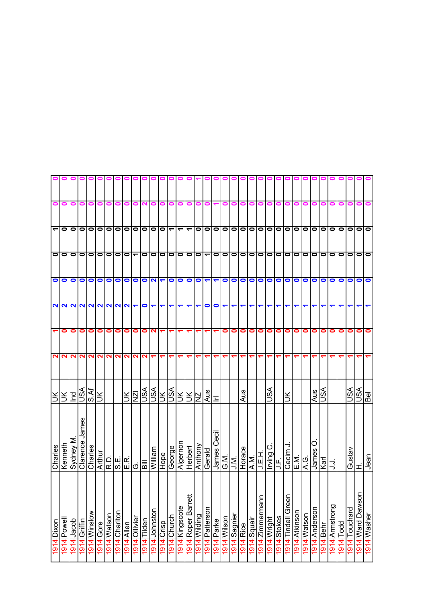| $\bullet$<br>0  <br>$\bullet$<br>$\bullet$<br>0<br>0<br>0<br>0<br>0<br>0<br>0<br>0<br>0<br>o<br>o<br> 0 0 0 0<br>$\circ$<br> 0 0 0 0<br>lololo<br>$\bullet$<br>$\bullet$<br>$\bullet$<br>$\overline{\phantom{0}}$<br>$\bullet$<br>$\overline{\phantom{0}}$<br>0<br> 0 <br>$\bullet$<br>$\circ$<br>$\bullet$<br>$\bullet$<br>$\bullet$<br>$\bullet$<br>$\bullet$<br>$\bullet$<br> 0   0<br>$\overline{\phantom{0}}$<br>$\circ$<br>$\overline{\phantom{a}}$<br>$\overline{\phantom{0}}$<br>᠆<br> 0 0 0<br>$\lceil 0 0 0 0 0 $<br>olo<br>$\circ$<br>lololo<br>$\circ$<br>$\blacktriangledown$<br>$\bullet$<br>$\bullet$<br>$\overline{\phantom{0}}$<br>$\circ$<br>$\bullet$<br>00<br>$\bullet$<br>lololo<br>$\bullet$<br>$\bullet$<br>$\circ$<br>1010<br>$\overline{\bullet}\,\overline{\bullet}$<br>$\bullet$<br>$\bullet$<br>$\bullet$<br>$\bullet$<br>$\bullet$<br>$\bullet$<br>$\bullet$<br>$\bullet$<br>$\bullet$<br>N<br>$\blacktriangledown$<br>olo<br>$\bullet$<br>$\bullet$<br>000<br>$\bullet$<br>$\bullet$<br>$\bullet$<br>$\bullet$<br>$\bullet$<br>$\bullet$<br>$\bullet$<br>$\bullet$<br>$\bullet$<br>$\bullet$<br>$\bullet$<br>$\bullet$<br>$\bullet$<br>$\bullet$<br>$\blacktriangledown$<br>$\blacktriangledown$<br>NNNNNNNNN-<br>$\bullet$<br>$\bullet$<br>0<br>$\blacktriangledown$<br>↽<br>↽<br>↽<br>↽<br>↽<br>↽<br>↽<br>↽<br>↽<br>0<br>0<br>0<br>0<br>0<br>0<br>$\bullet$<br>$\bullet$<br>N<br>0<br>$\bullet$<br>$\bullet$<br>0<br>0<br>$\bullet$<br>0<br>0<br>$\bullet$<br>0<br>0<br>0<br>0<br>0<br>0<br>0<br>0<br>0<br>0<br>NN<br>$\mathbf{N}$<br>$\mathbf{N}$<br><b>NN</b><br>$\sim$<br>NN<br>N<br>$\sim$<br>RRK<br>R<br>VSN<br><b>ASU</b><br>ASU<br>S∕S<br>VSU<br>vsn<br>ASU<br><b>S.Af</b><br>Aus<br>Aus<br>Aus<br>ΙZΝ<br>₹l₹<br>pq<br>Ж<br>ləg<br>š<br>Ж<br>$\Sigma$<br>š<br>F<br>Clarence James<br>ات<br>Cecil<br>Sydney M<br>Kenneth<br>Algernor<br>Anthony<br>っ<br>Charles<br>Charles<br>George<br>Herbert<br>A.M.<br>A.M.<br>William<br>James<br>Gustav<br>James<br>Gerald<br>Cecim<br><b>H</b> 3 T<br>Hope<br>Irving<br>Jean<br>G.M.<br>$\frac{EM}{A.G.}$<br>J.M.<br>Karl<br>J.F.<br>Шg<br>ミ<br>ΙΞ<br>1914 Ward Dawson<br>₩<br><b>Tindell Green</b><br>$\mathbf{C}$<br>Roper Barre<br>1914<br>Zimmerman<br>1914 Armstrong<br>1914 Kingscote<br>Patterson<br>Anderson<br>Touchard<br>Johnston<br>Atkinson<br>1914 Chariton<br>1914 Winslow<br>1914 Washer<br>1914 Watson<br>1914 Watson<br>puipliW14191<br>1914 Sagnier<br>914 Church<br>914 Stokes<br>1914 Ollivier<br>l914 Wilson<br>1914 Squair<br>914 Wright<br>Powell<br>Tilden<br>914 Griffin<br>Parke<br>Jacob<br>Dixon<br>1914 Gore<br>1914 Crisp<br>Todd<br>1914 Allen<br>1914 Rice<br>Behr<br>1914<br>1914<br>1914<br>1914<br>1914<br>1914<br>1914<br>914<br>1914<br>1914<br>1914<br>1914<br>1914<br>1914 |  |  |  |  |  |  |
|-------------------------------------------------------------------------------------------------------------------------------------------------------------------------------------------------------------------------------------------------------------------------------------------------------------------------------------------------------------------------------------------------------------------------------------------------------------------------------------------------------------------------------------------------------------------------------------------------------------------------------------------------------------------------------------------------------------------------------------------------------------------------------------------------------------------------------------------------------------------------------------------------------------------------------------------------------------------------------------------------------------------------------------------------------------------------------------------------------------------------------------------------------------------------------------------------------------------------------------------------------------------------------------------------------------------------------------------------------------------------------------------------------------------------------------------------------------------------------------------------------------------------------------------------------------------------------------------------------------------------------------------------------------------------------------------------------------------------------------------------------------------------------------------------------------------------------------------------------------------------------------------------------------------------------------------------------------------------------------------------------------------------------------------------------------------------------------------------------------------------------------------------------------------------------------------------------------------------------------------------------------------------------------------------------------------------------------------------------------------------------------------------------------------------------------------------------------------------------------------------------------------------------------------------------------------------------------------------------------------------------------------------------------------------------------------------------------------------------------------------------------------------------------------------|--|--|--|--|--|--|
|                                                                                                                                                                                                                                                                                                                                                                                                                                                                                                                                                                                                                                                                                                                                                                                                                                                                                                                                                                                                                                                                                                                                                                                                                                                                                                                                                                                                                                                                                                                                                                                                                                                                                                                                                                                                                                                                                                                                                                                                                                                                                                                                                                                                                                                                                                                                                                                                                                                                                                                                                                                                                                                                                                                                                                                                 |  |  |  |  |  |  |
|                                                                                                                                                                                                                                                                                                                                                                                                                                                                                                                                                                                                                                                                                                                                                                                                                                                                                                                                                                                                                                                                                                                                                                                                                                                                                                                                                                                                                                                                                                                                                                                                                                                                                                                                                                                                                                                                                                                                                                                                                                                                                                                                                                                                                                                                                                                                                                                                                                                                                                                                                                                                                                                                                                                                                                                                 |  |  |  |  |  |  |
|                                                                                                                                                                                                                                                                                                                                                                                                                                                                                                                                                                                                                                                                                                                                                                                                                                                                                                                                                                                                                                                                                                                                                                                                                                                                                                                                                                                                                                                                                                                                                                                                                                                                                                                                                                                                                                                                                                                                                                                                                                                                                                                                                                                                                                                                                                                                                                                                                                                                                                                                                                                                                                                                                                                                                                                                 |  |  |  |  |  |  |
|                                                                                                                                                                                                                                                                                                                                                                                                                                                                                                                                                                                                                                                                                                                                                                                                                                                                                                                                                                                                                                                                                                                                                                                                                                                                                                                                                                                                                                                                                                                                                                                                                                                                                                                                                                                                                                                                                                                                                                                                                                                                                                                                                                                                                                                                                                                                                                                                                                                                                                                                                                                                                                                                                                                                                                                                 |  |  |  |  |  |  |
|                                                                                                                                                                                                                                                                                                                                                                                                                                                                                                                                                                                                                                                                                                                                                                                                                                                                                                                                                                                                                                                                                                                                                                                                                                                                                                                                                                                                                                                                                                                                                                                                                                                                                                                                                                                                                                                                                                                                                                                                                                                                                                                                                                                                                                                                                                                                                                                                                                                                                                                                                                                                                                                                                                                                                                                                 |  |  |  |  |  |  |
|                                                                                                                                                                                                                                                                                                                                                                                                                                                                                                                                                                                                                                                                                                                                                                                                                                                                                                                                                                                                                                                                                                                                                                                                                                                                                                                                                                                                                                                                                                                                                                                                                                                                                                                                                                                                                                                                                                                                                                                                                                                                                                                                                                                                                                                                                                                                                                                                                                                                                                                                                                                                                                                                                                                                                                                                 |  |  |  |  |  |  |
|                                                                                                                                                                                                                                                                                                                                                                                                                                                                                                                                                                                                                                                                                                                                                                                                                                                                                                                                                                                                                                                                                                                                                                                                                                                                                                                                                                                                                                                                                                                                                                                                                                                                                                                                                                                                                                                                                                                                                                                                                                                                                                                                                                                                                                                                                                                                                                                                                                                                                                                                                                                                                                                                                                                                                                                                 |  |  |  |  |  |  |
|                                                                                                                                                                                                                                                                                                                                                                                                                                                                                                                                                                                                                                                                                                                                                                                                                                                                                                                                                                                                                                                                                                                                                                                                                                                                                                                                                                                                                                                                                                                                                                                                                                                                                                                                                                                                                                                                                                                                                                                                                                                                                                                                                                                                                                                                                                                                                                                                                                                                                                                                                                                                                                                                                                                                                                                                 |  |  |  |  |  |  |
|                                                                                                                                                                                                                                                                                                                                                                                                                                                                                                                                                                                                                                                                                                                                                                                                                                                                                                                                                                                                                                                                                                                                                                                                                                                                                                                                                                                                                                                                                                                                                                                                                                                                                                                                                                                                                                                                                                                                                                                                                                                                                                                                                                                                                                                                                                                                                                                                                                                                                                                                                                                                                                                                                                                                                                                                 |  |  |  |  |  |  |
|                                                                                                                                                                                                                                                                                                                                                                                                                                                                                                                                                                                                                                                                                                                                                                                                                                                                                                                                                                                                                                                                                                                                                                                                                                                                                                                                                                                                                                                                                                                                                                                                                                                                                                                                                                                                                                                                                                                                                                                                                                                                                                                                                                                                                                                                                                                                                                                                                                                                                                                                                                                                                                                                                                                                                                                                 |  |  |  |  |  |  |
|                                                                                                                                                                                                                                                                                                                                                                                                                                                                                                                                                                                                                                                                                                                                                                                                                                                                                                                                                                                                                                                                                                                                                                                                                                                                                                                                                                                                                                                                                                                                                                                                                                                                                                                                                                                                                                                                                                                                                                                                                                                                                                                                                                                                                                                                                                                                                                                                                                                                                                                                                                                                                                                                                                                                                                                                 |  |  |  |  |  |  |
|                                                                                                                                                                                                                                                                                                                                                                                                                                                                                                                                                                                                                                                                                                                                                                                                                                                                                                                                                                                                                                                                                                                                                                                                                                                                                                                                                                                                                                                                                                                                                                                                                                                                                                                                                                                                                                                                                                                                                                                                                                                                                                                                                                                                                                                                                                                                                                                                                                                                                                                                                                                                                                                                                                                                                                                                 |  |  |  |  |  |  |
|                                                                                                                                                                                                                                                                                                                                                                                                                                                                                                                                                                                                                                                                                                                                                                                                                                                                                                                                                                                                                                                                                                                                                                                                                                                                                                                                                                                                                                                                                                                                                                                                                                                                                                                                                                                                                                                                                                                                                                                                                                                                                                                                                                                                                                                                                                                                                                                                                                                                                                                                                                                                                                                                                                                                                                                                 |  |  |  |  |  |  |
|                                                                                                                                                                                                                                                                                                                                                                                                                                                                                                                                                                                                                                                                                                                                                                                                                                                                                                                                                                                                                                                                                                                                                                                                                                                                                                                                                                                                                                                                                                                                                                                                                                                                                                                                                                                                                                                                                                                                                                                                                                                                                                                                                                                                                                                                                                                                                                                                                                                                                                                                                                                                                                                                                                                                                                                                 |  |  |  |  |  |  |
|                                                                                                                                                                                                                                                                                                                                                                                                                                                                                                                                                                                                                                                                                                                                                                                                                                                                                                                                                                                                                                                                                                                                                                                                                                                                                                                                                                                                                                                                                                                                                                                                                                                                                                                                                                                                                                                                                                                                                                                                                                                                                                                                                                                                                                                                                                                                                                                                                                                                                                                                                                                                                                                                                                                                                                                                 |  |  |  |  |  |  |
|                                                                                                                                                                                                                                                                                                                                                                                                                                                                                                                                                                                                                                                                                                                                                                                                                                                                                                                                                                                                                                                                                                                                                                                                                                                                                                                                                                                                                                                                                                                                                                                                                                                                                                                                                                                                                                                                                                                                                                                                                                                                                                                                                                                                                                                                                                                                                                                                                                                                                                                                                                                                                                                                                                                                                                                                 |  |  |  |  |  |  |
|                                                                                                                                                                                                                                                                                                                                                                                                                                                                                                                                                                                                                                                                                                                                                                                                                                                                                                                                                                                                                                                                                                                                                                                                                                                                                                                                                                                                                                                                                                                                                                                                                                                                                                                                                                                                                                                                                                                                                                                                                                                                                                                                                                                                                                                                                                                                                                                                                                                                                                                                                                                                                                                                                                                                                                                                 |  |  |  |  |  |  |
|                                                                                                                                                                                                                                                                                                                                                                                                                                                                                                                                                                                                                                                                                                                                                                                                                                                                                                                                                                                                                                                                                                                                                                                                                                                                                                                                                                                                                                                                                                                                                                                                                                                                                                                                                                                                                                                                                                                                                                                                                                                                                                                                                                                                                                                                                                                                                                                                                                                                                                                                                                                                                                                                                                                                                                                                 |  |  |  |  |  |  |
|                                                                                                                                                                                                                                                                                                                                                                                                                                                                                                                                                                                                                                                                                                                                                                                                                                                                                                                                                                                                                                                                                                                                                                                                                                                                                                                                                                                                                                                                                                                                                                                                                                                                                                                                                                                                                                                                                                                                                                                                                                                                                                                                                                                                                                                                                                                                                                                                                                                                                                                                                                                                                                                                                                                                                                                                 |  |  |  |  |  |  |
|                                                                                                                                                                                                                                                                                                                                                                                                                                                                                                                                                                                                                                                                                                                                                                                                                                                                                                                                                                                                                                                                                                                                                                                                                                                                                                                                                                                                                                                                                                                                                                                                                                                                                                                                                                                                                                                                                                                                                                                                                                                                                                                                                                                                                                                                                                                                                                                                                                                                                                                                                                                                                                                                                                                                                                                                 |  |  |  |  |  |  |
|                                                                                                                                                                                                                                                                                                                                                                                                                                                                                                                                                                                                                                                                                                                                                                                                                                                                                                                                                                                                                                                                                                                                                                                                                                                                                                                                                                                                                                                                                                                                                                                                                                                                                                                                                                                                                                                                                                                                                                                                                                                                                                                                                                                                                                                                                                                                                                                                                                                                                                                                                                                                                                                                                                                                                                                                 |  |  |  |  |  |  |
|                                                                                                                                                                                                                                                                                                                                                                                                                                                                                                                                                                                                                                                                                                                                                                                                                                                                                                                                                                                                                                                                                                                                                                                                                                                                                                                                                                                                                                                                                                                                                                                                                                                                                                                                                                                                                                                                                                                                                                                                                                                                                                                                                                                                                                                                                                                                                                                                                                                                                                                                                                                                                                                                                                                                                                                                 |  |  |  |  |  |  |
|                                                                                                                                                                                                                                                                                                                                                                                                                                                                                                                                                                                                                                                                                                                                                                                                                                                                                                                                                                                                                                                                                                                                                                                                                                                                                                                                                                                                                                                                                                                                                                                                                                                                                                                                                                                                                                                                                                                                                                                                                                                                                                                                                                                                                                                                                                                                                                                                                                                                                                                                                                                                                                                                                                                                                                                                 |  |  |  |  |  |  |
|                                                                                                                                                                                                                                                                                                                                                                                                                                                                                                                                                                                                                                                                                                                                                                                                                                                                                                                                                                                                                                                                                                                                                                                                                                                                                                                                                                                                                                                                                                                                                                                                                                                                                                                                                                                                                                                                                                                                                                                                                                                                                                                                                                                                                                                                                                                                                                                                                                                                                                                                                                                                                                                                                                                                                                                                 |  |  |  |  |  |  |
|                                                                                                                                                                                                                                                                                                                                                                                                                                                                                                                                                                                                                                                                                                                                                                                                                                                                                                                                                                                                                                                                                                                                                                                                                                                                                                                                                                                                                                                                                                                                                                                                                                                                                                                                                                                                                                                                                                                                                                                                                                                                                                                                                                                                                                                                                                                                                                                                                                                                                                                                                                                                                                                                                                                                                                                                 |  |  |  |  |  |  |
|                                                                                                                                                                                                                                                                                                                                                                                                                                                                                                                                                                                                                                                                                                                                                                                                                                                                                                                                                                                                                                                                                                                                                                                                                                                                                                                                                                                                                                                                                                                                                                                                                                                                                                                                                                                                                                                                                                                                                                                                                                                                                                                                                                                                                                                                                                                                                                                                                                                                                                                                                                                                                                                                                                                                                                                                 |  |  |  |  |  |  |
|                                                                                                                                                                                                                                                                                                                                                                                                                                                                                                                                                                                                                                                                                                                                                                                                                                                                                                                                                                                                                                                                                                                                                                                                                                                                                                                                                                                                                                                                                                                                                                                                                                                                                                                                                                                                                                                                                                                                                                                                                                                                                                                                                                                                                                                                                                                                                                                                                                                                                                                                                                                                                                                                                                                                                                                                 |  |  |  |  |  |  |
|                                                                                                                                                                                                                                                                                                                                                                                                                                                                                                                                                                                                                                                                                                                                                                                                                                                                                                                                                                                                                                                                                                                                                                                                                                                                                                                                                                                                                                                                                                                                                                                                                                                                                                                                                                                                                                                                                                                                                                                                                                                                                                                                                                                                                                                                                                                                                                                                                                                                                                                                                                                                                                                                                                                                                                                                 |  |  |  |  |  |  |
|                                                                                                                                                                                                                                                                                                                                                                                                                                                                                                                                                                                                                                                                                                                                                                                                                                                                                                                                                                                                                                                                                                                                                                                                                                                                                                                                                                                                                                                                                                                                                                                                                                                                                                                                                                                                                                                                                                                                                                                                                                                                                                                                                                                                                                                                                                                                                                                                                                                                                                                                                                                                                                                                                                                                                                                                 |  |  |  |  |  |  |
|                                                                                                                                                                                                                                                                                                                                                                                                                                                                                                                                                                                                                                                                                                                                                                                                                                                                                                                                                                                                                                                                                                                                                                                                                                                                                                                                                                                                                                                                                                                                                                                                                                                                                                                                                                                                                                                                                                                                                                                                                                                                                                                                                                                                                                                                                                                                                                                                                                                                                                                                                                                                                                                                                                                                                                                                 |  |  |  |  |  |  |
|                                                                                                                                                                                                                                                                                                                                                                                                                                                                                                                                                                                                                                                                                                                                                                                                                                                                                                                                                                                                                                                                                                                                                                                                                                                                                                                                                                                                                                                                                                                                                                                                                                                                                                                                                                                                                                                                                                                                                                                                                                                                                                                                                                                                                                                                                                                                                                                                                                                                                                                                                                                                                                                                                                                                                                                                 |  |  |  |  |  |  |
|                                                                                                                                                                                                                                                                                                                                                                                                                                                                                                                                                                                                                                                                                                                                                                                                                                                                                                                                                                                                                                                                                                                                                                                                                                                                                                                                                                                                                                                                                                                                                                                                                                                                                                                                                                                                                                                                                                                                                                                                                                                                                                                                                                                                                                                                                                                                                                                                                                                                                                                                                                                                                                                                                                                                                                                                 |  |  |  |  |  |  |
|                                                                                                                                                                                                                                                                                                                                                                                                                                                                                                                                                                                                                                                                                                                                                                                                                                                                                                                                                                                                                                                                                                                                                                                                                                                                                                                                                                                                                                                                                                                                                                                                                                                                                                                                                                                                                                                                                                                                                                                                                                                                                                                                                                                                                                                                                                                                                                                                                                                                                                                                                                                                                                                                                                                                                                                                 |  |  |  |  |  |  |
|                                                                                                                                                                                                                                                                                                                                                                                                                                                                                                                                                                                                                                                                                                                                                                                                                                                                                                                                                                                                                                                                                                                                                                                                                                                                                                                                                                                                                                                                                                                                                                                                                                                                                                                                                                                                                                                                                                                                                                                                                                                                                                                                                                                                                                                                                                                                                                                                                                                                                                                                                                                                                                                                                                                                                                                                 |  |  |  |  |  |  |
|                                                                                                                                                                                                                                                                                                                                                                                                                                                                                                                                                                                                                                                                                                                                                                                                                                                                                                                                                                                                                                                                                                                                                                                                                                                                                                                                                                                                                                                                                                                                                                                                                                                                                                                                                                                                                                                                                                                                                                                                                                                                                                                                                                                                                                                                                                                                                                                                                                                                                                                                                                                                                                                                                                                                                                                                 |  |  |  |  |  |  |
|                                                                                                                                                                                                                                                                                                                                                                                                                                                                                                                                                                                                                                                                                                                                                                                                                                                                                                                                                                                                                                                                                                                                                                                                                                                                                                                                                                                                                                                                                                                                                                                                                                                                                                                                                                                                                                                                                                                                                                                                                                                                                                                                                                                                                                                                                                                                                                                                                                                                                                                                                                                                                                                                                                                                                                                                 |  |  |  |  |  |  |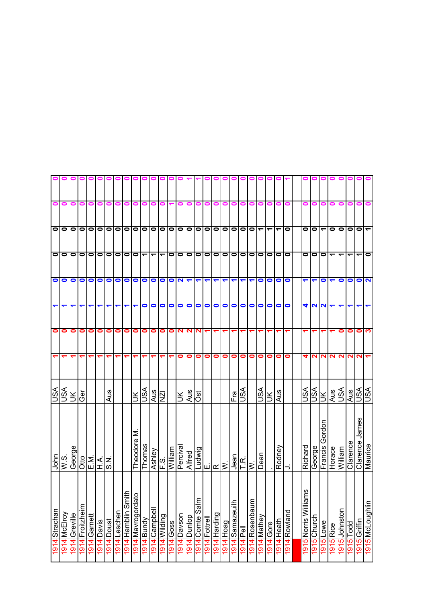|                          |          |               |                 |                            |            |            |              | 00                 | $\blacksquare$    |                          | 00                       | $\blacksquare$           |            |           |                      |                      |                     |              |                                                   |                 |                                 |                |                          |           |                      |             |                          |              |                                |                      |                          |           |                |                                |
|--------------------------|----------|---------------|-----------------|----------------------------|------------|------------|--------------|--------------------|-------------------|--------------------------|--------------------------|--------------------------|------------|-----------|----------------------|----------------------|---------------------|--------------|---------------------------------------------------|-----------------|---------------------------------|----------------|--------------------------|-----------|----------------------|-------------|--------------------------|--------------|--------------------------------|----------------------|--------------------------|-----------|----------------|--------------------------------|
| 0                        | 0        | 0             | 0               | 0                          | 0          | 0          | 0            |                    |                   |                          |                          |                          |            |           |                      | o                    | 0                   | 0            | 0                                                 | 0               | 0                               | 0              | o                        |           |                      |             |                          |              |                                |                      |                          |           |                |                                |
| $\overline{\phantom{0}}$ |          | 0000000       |                 |                            |            |            |              | $\bullet$          | $\bullet$         | $\bullet$                |                          |                          | olololo    |           | $\bullet$            | $\circ$              |                     | $\circ$      |                                                   | 0000            |                                 |                | $\overline{\phantom{a}}$ | ᠆         | $\blacktriangledown$ | $\bullet$   | $\bullet$                | $\mathbf{C}$ | $\blacktriangledown$           | $\bullet$            | $\bullet$                | $\bullet$ | $\bullet$      |                                |
|                          | 00000000 |               |                 |                            |            |            | $\bullet$    | $\bullet$          | $\bullet$         | $\overline{\phantom{0}}$ | $\overline{\phantom{0}}$ | $\overline{\phantom{0}}$ | $\circ$    |           | $\bullet$            | $\bullet$            |                     | $\circ$      |                                                   | 0 0 0 0 0       |                                 |                |                          | $\bullet$ | $\circ$              |             |                          | O O O        |                                | $\blacktriangledown$ | $\overline{\phantom{0}}$ |           |                | $\bullet$                      |
|                          | $\circ$  | $\bullet$     | $\bullet$       | $\bullet$                  | $\bullet$  | O          | $\bullet$    | $\bullet$          | $\bullet$         | $\bullet$                | $\circ$                  |                          | <b>PIP</b> |           | $\blacktriangledown$ | $\blacktriangledown$ | ↽                   |              | ↽                                                 | ↽               | $\overline{\mathbf{r}}$         |                | $\bullet$                | $\bullet$ | $\bullet$            | $\bullet$   | ↽                        | ↽            | $\bullet$                      | ↽                    | $\bullet$                | $\bullet$ | $\bullet$      | $\overline{\mathbf{c}}$        |
| ↽                        | ↽        |               |                 | ᠆                          | ↽          | ↽          | ᠆            | ↽                  | ↽                 | 0                        | $\bullet$                | $\bullet$                | $\bullet$  | $\bullet$ | $\bullet$            | $\bullet$            | $\bullet$           | $\bullet$    | $\bullet$                                         |                 | $\circ$ $\circ$                 |                | $\bullet$                | $\bullet$ | $\bullet$            | $\bullet$   | 4                        | <b>NN</b>    |                                |                      |                          |           |                |                                |
| 0                        | 0        | 0             | 0               | 0                          | 0          | 0          | 0            | 0                  | 0                 | 0                        | 0                        | 0                        | 0          | N         | ี N                  | N                    |                     |              |                                                   |                 |                                 |                |                          |           |                      |             |                          |              |                                |                      | 0                        | 0         | 0              | က                              |
|                          |          |               |                 |                            | ᡪ          | ↽          | ↽            |                    |                   |                          |                          |                          |            | 0         | o                    | 0                    | 0                   | 0            | $\bullet$                                         | 0               | $\bullet$                       | $\bullet$      | 0                        | 0         | 0                    | $\bullet$   | q                        | N            | N                              | $\sim$               | N                        | N         | N              |                                |
| VSV                      | vsn      | š             | Ğ               |                            |            | Aus        |              |                    | $\leq$            | vsn                      | Aus<br>NZI               |                          |            | Ж         | Aus<br>Öst           |                      |                     |              |                                                   |                 | Er<br>USA                       |                | VSN                      | $\leq$    | Aus                  |             | VSU                      | <b>ASU</b>   | ŠГ                             | Aus                  | ASL                      | Aus       | vsn            | ASL                            |
| John                     | S.M      | George        |                 | alzi≺is<br>S⊡∓l∾           |            |            |              |                    | Σ<br>Theodore     | Thomas                   | Ashley                   | is<br>H                  | William    | Perciva   | Alfred               |                      |                     |              | $\frac{\frac{\text{Ludwig}}{\text{E}}}{\text{N}}$ |                 | $rac{\text{Jean}}{\text{F.R.}}$ |                | Dean                     |           | Rodney               |             | Richard                  | George       | Gordon<br>Francis <sup>(</sup> | Horace               | William                  | Clarence  | Clarence James | Maurice                        |
| 1914 Strachan            | McElroy  | 1914 Greville | 1914 Froitzheim | 1 <mark>914</mark> Garnett | 1914 Davis | 1914 Doust | 1914 Leschen | 1914 Hamblin Smith | 1914 Mavrogordato | TBundy                   | lleddure() <del> </del>  | 1914 Wilding             | 1914 Goss  | Davson    | punlop               | 1914 Comte Salm      | <b>914 Fottrell</b> | 1914 Harding | <b>PeoHipte</b>                                   | 1914 Samazeuilh | 1914 Pell                       | 1914 Rosenbaum | 1914 Mathey              | 1914 Gore | 1914 Heath           | 914 Rowland | ms<br>1915 Norris Willia | 915 Church   | 1915 Lowe                      | 1915 Rice            | Johnston                 | Todd      | 1915 Griffin   | ullupno py <mark>  1916</mark> |
|                          | 1914     |               |                 |                            |            |            |              |                    |                   | 1914                     |                          |                          |            | 1914      | 1914                 |                      |                     |              |                                                   |                 |                                 |                |                          |           |                      |             |                          |              |                                |                      | 1915                     | 1915      |                |                                |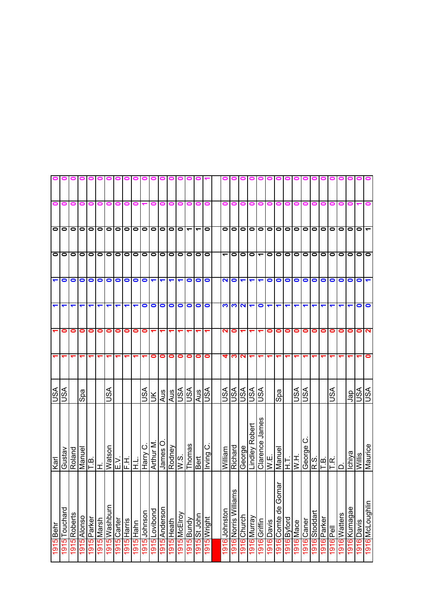|                      |           |              |             |             |                         |                              |             |             | 0         |              |               |               | $\bullet$     |              |            |           |              |               |                          |                      |                      |                          |            |                        |            |                  |                   |                            |                          |                                                                                                                                                |              |               |            |                 |
|----------------------|-----------|--------------|-------------|-------------|-------------------------|------------------------------|-------------|-------------|-----------|--------------|---------------|---------------|---------------|--------------|------------|-----------|--------------|---------------|--------------------------|----------------------|----------------------|--------------------------|------------|------------------------|------------|------------------|-------------------|----------------------------|--------------------------|------------------------------------------------------------------------------------------------------------------------------------------------|--------------|---------------|------------|-----------------|
| 0                    | 0         | 0            | 0           | 0           | 0                       | 0                            |             |             |           |              |               |               |               |              |            |           | 0            | 0             | o                        | 0                    | o                    |                          |            |                        |            |                  |                   |                            |                          |                                                                                                                                                |              |               |            |                 |
|                      | $\circ$   | $\bullet$    | $\bullet$   | $\bullet$   | $\bullet$               | $\bullet$                    | $\bullet$   | $\bullet$   | $\bullet$ | $\bullet$    | $\bullet$     | $\bullet$     | 10 IO         |              | ᠆          | ᠆         | $\bullet$    | 0             | $\bullet$                | 0                    |                      | $\bullet$                | $\bullet$  | $\bullet$              | $\bullet$  | $\bullet$        | lo                | $\circ$   $\circ$          |                          | $\bullet$                                                                                                                                      | $\bullet$    | 0             | 0          |                 |
| $\bullet$            | $\bullet$ | $\bullet$    | $\bullet$   | $\bullet$   | $\bullet$               | $\bullet$                    | $\bullet$   | $\bullet$   | $\bullet$ | $\bullet$    | $\bullet$     | $\bullet$     | 1010          |              | $\bullet$  | $\bullet$ | $\bullet$    |               | $\bullet$                | 0                    |                      | $\overline{\phantom{0}}$ | $\bullet$  | $\bullet$              | $\bullet$  | $\bullet$        | lo                | $\circ$                    |                          | $\bullet$                                                                                                                                      | $\bullet$    | 0             | $\bullet$  | $\bullet$       |
| $\blacktriangledown$ | $\bullet$ | $\bullet$    | $\bullet$   | $\bullet$   | $\bullet$               | $\bullet$                    | $\bullet$   | $\bullet$   | $\bullet$ | $\bullet$    | ↽             |               | ↽             |              | 0          | $\bullet$ | $\bullet$    | $\mathbf{N}$  | $\bullet$                | $\blacktriangledown$ | $\blacktriangledown$ | $\blacktriangledown$     | $\bullet$  | $\bullet$              | $\bullet$  | $\bullet$        | $\bullet$         | $\bullet$                  | $\bullet$                | 0                                                                                                                                              | $\bullet$    | 0             | 0          |                 |
| $\blacktriangledown$ | ↽         | ↽            | ↽           |             | ↽                       | ↽                            | ↽           |             | ↽         | 0            | 0             | $\bullet$     | $\bullet$     | $\bullet$    | 0          | $\bullet$ | $\bullet$    | က             | က                        | 2                    | $\blacktriangledown$ | $\bullet$                | ↽          | ↽                      |            |                  |                   |                            |                          |                                                                                                                                                |              |               | 0          | $\bullet$       |
|                      | 0         | 0            | 0           | 0           | 0                       | 0                            | 0           | 0           | 0         | 0            |               |               |               |              |            |           |              | ี่            | 0                        |                      |                      |                          | 0          | 0                      | 0          | 0                | $\bullet$         | 0                          | 0                        | 0                                                                                                                                              | 0            | 0             | 0          |                 |
|                      |           |              |             |             |                         |                              |             |             |           |              | 0             | 0             | 0             | 0            | 0          | 0         | 0            | 4             | က                        | N                    | ↽                    |                          |            |                        |            |                  |                   |                            |                          |                                                                                                                                                |              |               |            |                 |
| <b>ASU</b>           | S∕S       |              | Spa         |             |                         | JSA                          |             |             |           | JSA          | $\leq$        | Aus           | $\frac{1}{2}$ |              |            | Aus       | VSN          | vsn           | <u>ialal</u><br>Indialal |                      |                      | VSU                      |            | Spa                    |            | <b>ASU</b>       | VSU               |                            |                          | <b>ASI</b>                                                                                                                                     |              | der           | SA         | VSU             |
| Karl                 | Gustav    | Roland       | Manuel      | T.B.        | Ê                       | Watson                       | ΚË          | 玉           | 궆         | ပ<br>Harry   | Arthur M      | O<br>James    | Rodney        | W.S.         | Thomas     | Bert      | ن)<br>Irving | William       | Richard                  | George               | Lindley Robert       | Clarence James           | W.E.       | Manuel                 | 도          | H W              | George            |                            |                          | $\begin{bmatrix} 0 \\ 0 \\ 0 \\ 0 \end{bmatrix} \begin{bmatrix} 0 \\ 0 \\ 0 \\ 0 \end{bmatrix} \begin{bmatrix} 0 \\ 0 \\ 0 \\ 0 \end{bmatrix}$ | ≏            | <u>Ichiya</u> | Willis     |                 |
| 1915 Behr            | Touchard  | 1915 Roberts | 1915 Alonso | 1915 Parker | <mark>1915</mark> Marsh | 1915 <mark> </mark> Washburn | 1915 Carter | 1915 Harris | 1915 Hahn | 1915 Johnson | 1915 Lovibond | 1915 Anderson | l915 Heath    | 1915 McElroy | 1915 Bundy | St John   | 1915 Wright  | 1916 Johnston | ms<br>1916 Norris Willia | 1916 Church          | 1916 Murray          | 1916 Griffin             | 1916 Davis | oma<br>1916 Comte de G | 916 Byford | <b>1916</b> Mace | <b>1916</b> Caner | <mark>1916</mark> Stoddart | <mark>1916</mark> Parker |                                                                                                                                                | 1916 Watters | 1916 Kumagae  | 1916 Davis |                 |
|                      | 1915      |              |             |             |                         |                              |             |             |           |              |               |               |               |              |            | 1915      |              |               |                          |                      |                      |                          |            |                        |            |                  |                   |                            |                          | I916<br>Pell                                                                                                                                   |              |               |            | 1916 McLoughlin |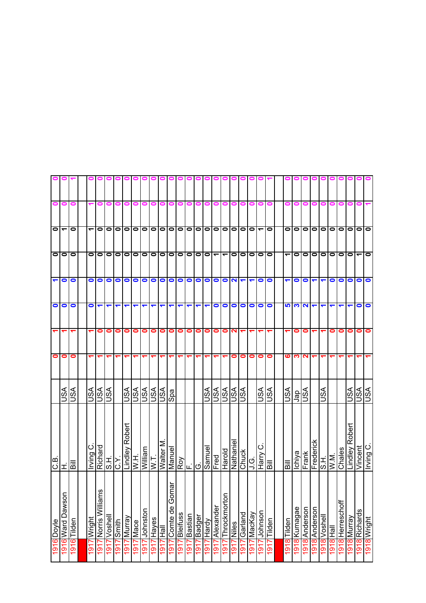| 0                    | 0                        | 0                                              |             | 0                   | 0            |           |             |                        |           |                |             |                    |           |           |                                    |                | 0                        | 0                            | 0                       | 0                     | 0                         |                          |           |                                      |              |           |                            |                           |           |                  |                        |               |             |
|----------------------|--------------------------|------------------------------------------------|-------------|---------------------|--------------|-----------|-------------|------------------------|-----------|----------------|-------------|--------------------|-----------|-----------|------------------------------------|----------------|--------------------------|------------------------------|-------------------------|-----------------------|---------------------------|--------------------------|-----------|--------------------------------------|--------------|-----------|----------------------------|---------------------------|-----------|------------------|------------------------|---------------|-------------|
| $\circ$              | $\overline{\phantom{a}}$ | 0                                              | ے           | $\bullet$           | $\bullet$    | $\bullet$ | $\bullet$   | $\bullet$              | $\bullet$ | $\bullet$      | ololo       |                    |           | $\bullet$ | $\bullet$                          | $\bullet$      | $\bullet$                |                              |                         |                       | $\frac{1}{10}$            | $\overline{\phantom{0}}$ | $\bullet$ | 0                                    | $\bullet$    | lo        | $\circ$ $\circ$            |                           | $\bullet$ | $\bullet$        | $\bullet$              | $\bullet$     | $\bullet$   |
|                      | olo                      | $\bullet$                                      | 0           | $\bullet$           | $\bullet$    | $\bullet$ | $\bullet$   | $\bullet$              | $\bullet$ | $\bullet$      | $\bullet$   | 0   0              |           | $\bullet$ | $\bullet$                          | $\bullet$      | $\overline{\phantom{0}}$ | $\overline{\phantom{0}}$     |                         |                       | O O                       | $\circ$                  |           | $\overline{\phantom{0}}$             | $\bullet$    | lo        | $\circ$                    |                           | $\bullet$ | $\bullet$        | $\bullet$              | ے             | $\bullet$   |
| $\blacktriangledown$ | $\bullet$                | $\bullet$                                      | 0           | $\bullet$           | $\bullet$    | $\bullet$ | $\bullet$   | $\bullet$              | $\bullet$ | $\bullet$      | $\bullet$   | $\bullet$          | $\bullet$ | $\bullet$ | $\bullet$                          | $\bullet$      | $\bullet$                | $\bullet$                    | $\overline{\mathbf{N}}$ | $\blacktriangleright$ | $\blacktriangledown$      | $\bullet$                | O         |                                      | $\bullet$    | $\bullet$ | ↽                          | ↽                         | $\bullet$ | $\bullet$        | 0                      | $\bullet$     | $\bullet$   |
| $\bullet$            | 0                        | 0                                              | 0           | $\blacksquare$      | ↽            | ↽         | ↽           | ↽                      |           | ↽              |             |                    |           |           |                                    | ↽              | 0                        | $\bullet$                    | $\bullet$               | $\bullet$             | $\bullet$                 | $\bullet$                | $\bullet$ | 5                                    | <u>ကုုလ</u>  |           | ↽                          | ↽                         |           |                  |                        | 0             | $\bullet$   |
|                      |                          |                                                |             | 0                   | 0            | 0         | 0           | 0                      | 0         | 0              | 0           | 0                  | 0         | 0         | 0                                  | 0              | 0                        | 0                            | $\mathbf{\Omega}$       | ᠆                     |                           |                          |           |                                      | 0            | 0         |                            |                           |           | 0                | 0                      | 0             | $\bullet$   |
| $\bullet$            | 0                        | 0                                              |             |                     |              |           |             |                        |           |                |             |                    |           |           |                                    |                |                          |                              | 0                       | $\bullet$             | $\bullet$                 | 0                        | 0         | ဖ                                    | ∾            | N         |                            |                           |           |                  |                        |               |             |
|                      | lSA                      | ASU                                            | JSA         | <b>ASL</b>          |              |           | JSA         | <b>ASL</b>             | VSN       | VSN            | vsn         | Spa                |           |           |                                    | <b>ASL</b>     | vsn                      | $\overline{\mathbb{S}}^4$    | vsn                     | <b>ASU</b>            |                           | VSN                      | vsn       | lisA                                 | gel          | vsn       |                            | ASU                       |           |                  | $\overline{\text{MS}}$ | VSU           | VSU         |
| ها<br>ان             | H                        | $\overline{\overline{\overline{\overline{B}}}$ | ن<br>Irving | Richard             | S.H.         | ζŸ.       |             | Lindley Robert<br>W.H. | William   | ΣN             | Walter M    | Manuel             |           |           | $\frac{\partial}{\partial \alpha}$ | Samuel         | Fred                     | Harold                       |                         | Nathaniel<br>Chuck    | ن<br>ڊ                    | ပ<br>Harry               | liig      | $\overline{\overline{\overline{a}}}$ | Ichiya       | Frank     |                            | Frederick<br>S.H.<br>W.M. |           | Chales           | Lindley Robert         | Vincent       | Irving C.   |
| 1916 Doyle           | 1916 Ward Dawson         | 1916<br>Tilden                                 | Wright      | ms<br>Norris Willia | 1917 Voshell | Smith     | 1917 Murray | Mace                   | Johnston  | Hayes          | lleH        | omar<br>Comte de G | ssnµelB   | Bastian   | Badger                             | Hardy          | Alexander                | $\overline{5}$<br>Throckmort | <b>INiles</b>           | 1917 Garland          | 1 <mark>917</mark> MacKay | 1917 Johnson             | Tilden    | 1918<br>Tilden                       | 1918 Kumagae | Anderson  | <mark>1918</mark> Anderson | 1918 Voshell              | lieH      | 1918 Herreschoff | 1918 Murray            | 1918 Richards | 1918 Wright |
|                      |                          |                                                | 1917        | 1917                |              | 1917      |             | 1917                   | 1917      | $\overline{9}$ | <u>4161</u> | 1917               | 1917      | 1917      | 1917                               | $\overline{5}$ | $\frac{1}{91}$           | $\overline{\mathsf{P}}$      | 1917                    |                       |                           |                          | 1917      |                                      |              | 8161      |                            |                           | 1918      |                  |                        |               |             |

 $\blacksquare$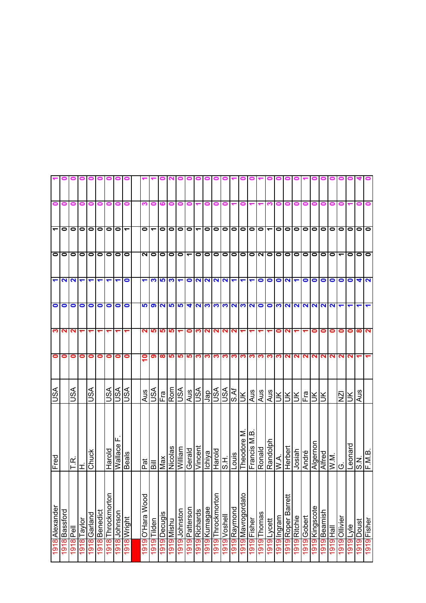|                          |                                                                                                                                                                                                                                                                                                                                                                                              |                       | 0         | $\bullet$            | $\circ$              |                      |                          | 0            |                      |                          |                     |                     |                       |                          |                      |           |                     |           |                              |                      |                          |                         |                          |                |                    |                      |                |                 |           |                          |                    |                |                 |             |
|--------------------------|----------------------------------------------------------------------------------------------------------------------------------------------------------------------------------------------------------------------------------------------------------------------------------------------------------------------------------------------------------------------------------------------|-----------------------|-----------|----------------------|----------------------|----------------------|--------------------------|--------------|----------------------|--------------------------|---------------------|---------------------|-----------------------|--------------------------|----------------------|-----------|---------------------|-----------|------------------------------|----------------------|--------------------------|-------------------------|--------------------------|----------------|--------------------|----------------------|----------------|-----------------|-----------|--------------------------|--------------------|----------------|-----------------|-------------|
| $\bullet$                | 0                                                                                                                                                                                                                                                                                                                                                                                            | 0                     | 0         | 0                    | 0                    | 0                    | 0                        | 0            | ო                    | 0                        | ဖ                   | 0                   | 0                     | 0                        |                      | 0         | 0                   | 0         | ↽                            | 0                    |                          |                         |                          | 0              | 0                  | 0                    | 0              | 0               | 0         | 0                        | 0                  |                | 0               | 0           |
| $\overline{\phantom{a}}$ | $\bullet$                                                                                                                                                                                                                                                                                                                                                                                    | $\bullet$             | $\bullet$ | $\bullet$            | $\circ$ $\circ$      |                      | $\overline{\phantom{a}}$ |              | $\bullet$            | $\overline{\phantom{0}}$ | $\bullet$           | 0                   | $\bullet$             | $\bullet$                | $\blacktriangledown$ | $\bullet$ | $\bullet$           | $\bullet$ | 0                            |                      | $\overline{\phantom{0}}$ | $\circ$                 | $\overline{\phantom{0}}$ | $\bullet$      | $\bullet$          | $\circ$   $\circ$    |                | $\bullet$       | $\bullet$ | 0                        | 0                  | $\bullet$      | $\bullet$       | lo          |
| $\bullet$                | $\bullet$                                                                                                                                                                                                                                                                                                                                                                                    | $\bullet$             | $\bullet$ | $\bullet$            | $\circ$              | $\bullet$            | $\bullet$                | $\bullet$    | NO                   |                          | $\bullet$           | $\bullet$           | 0                     | $\overline{\phantom{0}}$ | $\bullet$            | $\bullet$ | $\bullet$           |           | 000                          |                      | $\bullet$                | $\sim$                  | $\bullet$                | $\bullet$      | $\bullet$          | $\bullet$            | $\bullet$      | 0               | $\bullet$ | $\bullet$                |                    | $\bullet$      | $\bullet$       | $\bullet$   |
|                          | $\frac{1}{2} \frac{1}{2} \frac{1}{2} \frac{1}{2} \frac{1}{2} \frac{1}{2} \frac{1}{2} \frac{1}{2} \frac{1}{2} \frac{1}{2} \frac{1}{2} \frac{1}{2} \frac{1}{2} \frac{1}{2} \frac{1}{2} \frac{1}{2} \frac{1}{2} \frac{1}{2} \frac{1}{2} \frac{1}{2} \frac{1}{2} \frac{1}{2} \frac{1}{2} \frac{1}{2} \frac{1}{2} \frac{1}{2} \frac{1}{2} \frac{1}{2} \frac{1}{2} \frac{1}{2} \frac{1}{2} \frac{$ |                       |           |                      | $\blacktriangledown$ | $\blacktriangledown$ | $\blacktriangledown$     | $\bullet$    | $\blacktriangledown$ |                          |                     | က   က               | $\blacktriangledown$  |                          | $O N N N \tau \tau$  |           |                     |           |                              |                      | $\blacktriangledown$     |                         | $\circ$ $\circ$          |                | $ Q  =  Q $        |                      |                |                 | $\bullet$ | $\bullet$                |                    | $\bullet$      | $\frac{4}{2}$   |             |
| $\circ$                  |                                                                                                                                                                                                                                                                                                                                                                                              | $\bullet$             |           | O O O                |                      |                      | $\circ$                  |              |                      |                          |                     |                     |                       |                          |                      |           |                     |           |                              |                      |                          |                         |                          |                |                    |                      |                |                 |           |                          |                    |                |                 |             |
|                          | <b>MN</b>                                                                                                                                                                                                                                                                                                                                                                                    |                       | ↽         | $\blacktriangledown$ | $\blacktriangledown$ | ↽                    | ↽                        | ᠆            | N                    | <b>SP</b>                |                     | <u> ဖာ ဖာ</u>       |                       | 0                        | က လ                  |           | N                   |           | NN                           |                      | ↽                        | ↽                       |                          | 0              | N                  |                      |                | 0               | o         | 0                        | 0                  | 0              | $\infty$        | $\sim$      |
| 0                        | 0                                                                                                                                                                                                                                                                                                                                                                                            | 0                     | $\bullet$ | $\bullet$            | $\bullet$            | 0                    | $\bullet$                | 0            | ≗                    | တ ထ                      |                     | <b>IQ</b>           | <b>SP</b>             | <b>SP</b>                |                      | က က       |                     |           |                              |                      |                          | က တြိုက္တြိုက္တြိုက္တြိ |                          |                |                    |                      |                | <b>NNNNN</b>    |           | N                        | N                  | N              |                 |             |
| S∕S∪                     |                                                                                                                                                                                                                                                                                                                                                                                              | SSU                   |           | VSN                  |                      |                      | <b>ASL</b>               | vsn          | Aus                  | vsn                      | $F$ ra              | Rom<br>USA          |                       | Aus                      | vsn                  | Jap       | VSN                 | vsn       | <b>S.Af</b>                  | Ж                    | Aus                      | Aus                     | Aus                      | Ж              | ÌЮ                 | ÌЮ                   | Fra            | š.              | š         |                          | $\bar{\mathsf{z}}$ | š              | Aus             |             |
| Fred                     |                                                                                                                                                                                                                                                                                                                                                                                              | $\propto$<br>$\vdash$ | Iτ        | Chuck                |                      |                      | ய<br>Harold<br>Wallace   | <b>Beals</b> | $\frac{m}{n}$        |                          | Max                 | Nicolas             | William               | Gerald                   | Vincent              | Ichiya    | Harold              |           | S.H.<br>Louis<br>Theodore M. |                      | Francis                  | Ronald                  | Randolph<br>W.A.         |                | Herbert            | Josiah               | André          | Algernon        | Alfred    | $\overline{\text{WM}}$ . | Ö                  |                | Leonard<br>S.N. | F.M.B.      |
| Alexander                | Bassford<br>$\infty$                                                                                                                                                                                                                                                                                                                                                                         | 히                     | Taylor    | Garland              | 1918 Benedict        | 1918 Throckmorton    | 1918 Johnson             | 1918 Wright  | <b>O'Hara Wood</b>   | Tilden<br><u>19</u>      | Decugis<br><u>ග</u> | Mishu<br><u>l 9</u> | Johnston<br><u> တ</u> | Patterson<br>တ           | Richards<br><u>ത</u> | Kumagae   | <b>Throckmorton</b> | Voshell   | 191 <mark>9</mark> Raymond   | 요<br>1919 Mavrogorda | Fisher                   | Thomas                  | Lycett                   | Ingram<br>9    | Roper Barrett<br>9 | Ritchie<br><u>19</u> | Gobert<br>9    | Kingscote<br>19 | Beamish   | 一旦<br><u>စ</u>           | Ollivier           | <b>alciple</b> | 1919 Doust      | 1919 Fisher |
| 1918                     | $\overline{5}$                                                                                                                                                                                                                                                                                                                                                                               | 1918                  | 1918      | 1918                 |                      |                      |                          |              | 1919                 | $\overline{5}$           | $\overline{5}$      | $\overline{5}$      | $\overline{5}$        | $\overline{191}$         | $\overline{5}$       | 1919      | l919                | 1919      |                              |                      | 1919                     | 1919                    | 1919                     | $\overline{9}$ | $\overline{5}$     | $\overline{5}$       | $\overline{5}$ | $\overline{5}$  | 1919      | $\overline{9}$           | 1919               |                |                 |             |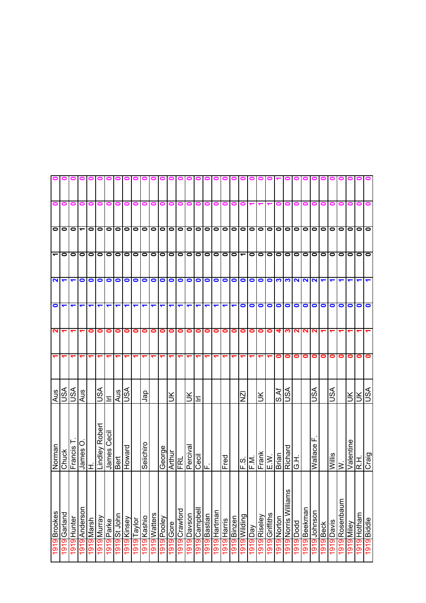|                      |                      |                      |                      |            |                |             |              |             | o           |             |              |              |                  |               |           |              |              |              |             |             |                                     |                      |                 |                |             |                          |                       |              |              |           |            |                |            |                  |                    |
|----------------------|----------------------|----------------------|----------------------|------------|----------------|-------------|--------------|-------------|-------------|-------------|--------------|--------------|------------------|---------------|-----------|--------------|--------------|--------------|-------------|-------------|-------------------------------------|----------------------|-----------------|----------------|-------------|--------------------------|-----------------------|--------------|--------------|-----------|------------|----------------|------------|------------------|--------------------|
| 0                    | 0                    | 0                    | 0                    | 0          | 0              | 0           | 0            |             |             |             |              |              |                  |               |           |              | 0            | 0            | 0           | o           | 0                                   |                      |                 |                |             |                          |                       |              |              |           |            |                |            |                  |                    |
|                      | olo                  | $\bullet$            | $\blacktriangledown$ | $\bullet$  | $\bullet$      | $\bullet$   | $\bullet$    | $\bullet$   |             | 0           |              | 0 0 0 0 0    |                  |               |           |              |              |              |             |             |                                     |                      | 0000000         | $\bullet$      | $\bullet$   | $\bullet$                | $\bullet$             | lo           | olo          |           | $\bullet$  | $\bullet$      | $\bullet$  | $\bullet$        | $\bullet$          |
| $\blacktriangledown$ | $\bullet$            | $\bullet$            | $\bullet$            | $\bullet$  | $\bullet$      | 0  0        |              | $\bullet$   | $\circ$     |             | $\bullet$    | $\bullet$    | 0  0             |               | $\bullet$ | $\bullet$    | 00           |              |             |             | 100-1010                            |                      |                 | $\bullet$      | $\bullet$   | $\bullet$                | $\bullet$             | lo           | lolo         |           | $\bullet$  | lo             | $\bullet$  | $\bullet$        | $\bullet$          |
| 2                    | $\blacktriangledown$ | $\blacktriangledown$ | $\bullet$            | $\bullet$  | $\bullet$      | $\bullet$   | $\bullet$    | $\bullet$   | $\bullet$   | $\bullet$   | $\bullet$    | $\bullet$    | $\bullet$        | $\bullet$     | $\bullet$ | $\bullet$    | $\bullet$    | $\bullet$    | $\bullet$   | $\bullet$   | $\circ$                             |                      | $\bullet$       | $\bullet$      | <b>CO</b>   | က                        | <b>NN</b>             |              | $\sim$       |           |            |                |            |                  |                    |
| $\bullet$            | ↽                    | ↽                    | ↽                    |            | ᡪ              | ↽           | ↽            | ᡪ           | ↽           | ↽           | ↽            | ↽            | ↽                | ↽             | ↽         | ↽            | ↽            |              | ↽           | ↽           | $\bullet$                           | $\bullet$            | $\bullet$       | $\bullet$      | $\bullet$   | $\bullet$                | $\bullet$             | $\bullet$    | $\bullet$    | $\bullet$ | $\bullet$  | $\bullet$      | 0          | 0                | $\bullet$          |
| $\mathbf{\Omega}$    |                      |                      |                      | 0          | 0              | 0           | 0            | 0           | 0           | 0           | 0            | $\bullet$    | $\bullet$        | $\bullet$     | 0         | 0            | 0            | 0            | 0           | $\bullet$   | $\bullet$                           | $\bullet$            | 0               | $\bullet$      | 4           | <u>က</u>                 | NN                    |              | N            |           |            |                |            |                  |                    |
| $\blacktriangledown$ |                      |                      |                      |            |                | ᡪ           |              |             |             |             |              |              |                  |               |           |              |              |              |             |             | ᠆                                   | ᡪ                    | ᠆               |                | 0           | 0                        | 0                     | 0            | 0            | 0         | 0          | 0              | 0          | 0                | 0                  |
| Aus                  | S∕S∪                 | ASU                  | Aus                  |            | VSU            | Ξ           | Aus          | S∕S∪        |             | ger         |              |              | š                |               | š         | 드            |              |              |             |             | ΝZΙ                                 |                      | š               |                | S.Af        | SA                       |                       |              | lSA          |           | VSN        |                | Š          | Ж                | lse                |
| Norman               | Chuck                | Francis              | O<br>James           | ェ          | Lindley Robert | James Cecil | Bert         | Howard      |             | Seiichiro   |              | George       | Arthur           | FRL           | Perciva   | Cecil<br>F.  |              |              | Fred        |             | $\frac{ \mathbf{c} }{ \mathbf{c} }$ |                      | $Frank$<br>E.W. |                | Brian       | Richard                  | ΙΞ<br>Ό               |              | щ<br>Wallace |           | Willis     | $\geq$         | Valentine  | $\overline{R}$ . | Craig              |
| 1919 Brookes         | Garland              | 1919 Hunter          | 1919 Anderson        | 1919 Marsh | 1919 Murray    | 1919 Parke  | 1919 St John | 1919 Kinsey | 1919 Taylor | 1919 Kashio | I919 Watters | l 919 Pooley | <b>1919</b> Gore | 1919 Crawford | Davson    | 1919 Campbel | 1919 Bastian | 1919 Hartman | 1919 Harris | 1919 Binzen | 1919 Wilding                        | yeq <mark>616</mark> | 1919 Riseley    | 1919 Griffiths | 1919 Norton | εu<br>1919 Norris Willia | ppog <sub>l</sub> 616 | 1919 Beekman | 1919 Johnson | 1919 Beck | 1919 Davis | 1919 Rosenbaum | 1919 Miley | 1919 Hotham      | <b>alppig 6161</b> |
|                      | 1919                 |                      |                      |            |                |             |              |             |             |             |              |              |                  |               | 1919      |              |              |              |             |             |                                     |                      |                 |                |             |                          |                       |              |              |           |            |                |            |                  |                    |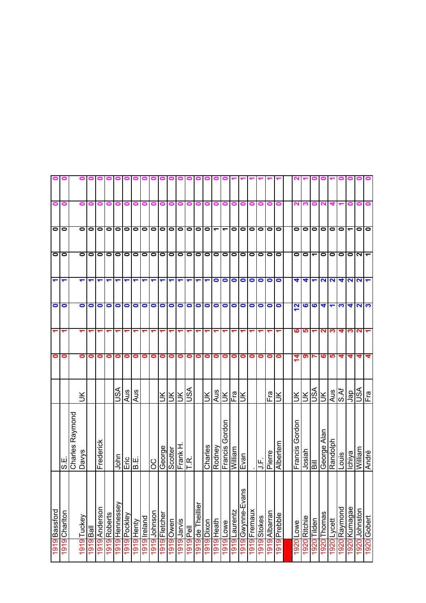|      | 1919 Bassford               |                   |                         | 0         |                         | 0         | ᡪ                    | $\bullet$                 | $\bullet$                | 0 |  |
|------|-----------------------------|-------------------|-------------------------|-----------|-------------------------|-----------|----------------------|---------------------------|--------------------------|---|--|
|      | 1919 Charlton               | Э.<br>С           |                         | 0         | ᡪ                       | O         | ↽                    | $\bullet$                 | $\bullet$                | Ξ |  |
|      |                             | Charles Raymond   |                         |           |                         |           |                      |                           |                          |   |  |
|      | 1919 Tuckey                 | <b>Davys</b>      | š                       | 0         |                         | $\bullet$ | ᡪ                    | 0                         | 0                        | o |  |
|      | llsd of 91                  |                   |                         | 0         |                         | 0         | ↽                    | $\bullet$                 | $\bullet$                |   |  |
|      | 1919 Anderson               | Frederick         |                         | 0         |                         | $\bullet$ |                      | $\bullet$                 | $\bullet$                |   |  |
|      | 1919 Roberts                |                   |                         | 0         |                         | 0         |                      | $\bullet$                 | $\bullet$                |   |  |
| 1919 | Hennessey                   | John              | Ast                     | 0         |                         | $\bullet$ |                      | $\bullet$                 | $\bullet$                |   |  |
| 1919 | Pockley                     | نوابي.<br>سا      | Aus                     | 0         |                         | 0         |                      | $\bullet$                 | $\bullet$                |   |  |
| 1919 | Henty                       |                   | Aus                     | 0         |                         | 0         |                      | $\bullet$                 | $\bullet$                |   |  |
| 1919 | Ireland                     |                   |                         | 0         |                         | 0         |                      | $\bullet$                 | $\bullet$                |   |  |
| 1919 | Johnson                     | ပ္ပ               |                         | 0         |                         | 0         |                      | $\bullet$                 | $\bullet$                |   |  |
| 1919 | Fletcher                    | George            | š                       | 0         |                         | $\bullet$ | ↽                    | $\bullet$                 | $\bullet$                |   |  |
| 1919 | Owen                        | Scotter           | ⋚                       | 0         |                         | 0         | ↽                    | $\bullet$                 | $\bullet$                |   |  |
| 1919 | <b>Sivler</b>               | Frank H           | ⋚                       | 0         |                         | $\bullet$ | ↽                    | $\bullet$                 | $\bullet$                |   |  |
|      | 1919<br>Pell                | F.<br>F.          | vsn                     | 0         |                         | $\bullet$ | ↽                    | $\bullet$                 | $\bullet$                | 0 |  |
|      | 1919 de Theillier           |                   |                         | 0         |                         | $\bullet$ | ↽                    | $\bullet$                 | $\bullet$                |   |  |
|      | 1919 Dixon                  | Charles           | Ж                       | 0         |                         | $\bullet$ | ↽                    | $\blacksquare$            | lol                      |   |  |
|      | 1919 Heath                  | Rodney            | Aus                     | 0         |                         | $\bullet$ | $\bullet$            | $\bullet$                 | $\overline{\phantom{0}}$ | Ξ |  |
|      | 1919 Lowe                   | Gordon<br>Francis | š                       | 0         |                         | $\bullet$ | 0                    | $\bullet$                 | $\overline{\phantom{0}}$ |   |  |
|      | 1919 Laurentz               | <b>William</b>    | Fra                     | 0         |                         | $\bullet$ | $\bullet$            | $\bullet$                 | $\bullet$                |   |  |
|      | SU<br>1919 Gwynne-Eva       | Evan              | š                       | 0         |                         | 0         | 0                    | 0                         | $\bullet$                |   |  |
|      | 1919 Fremaux                |                   |                         | 0         |                         | 0         | 0                    | $\bullet$                 | $\bullet$                |   |  |
|      | 1919 Stokes                 | 马                 |                         | $\bullet$ |                         | $\bullet$ | $\bullet$            | $\bullet$                 | $\bullet$                |   |  |
|      | nsureqly <mark>616</mark> 1 | Pierre            | Fra                     | 0         |                         | $\bullet$ | $\bullet$            | $\bullet$                 | $\bullet$                |   |  |
|      | 1919 Prebble                | Albertem          | š                       | 0         |                         | $\bullet$ | O                    | $\bullet$                 | $\bullet$                | 0 |  |
|      |                             |                   |                         |           |                         |           |                      |                           |                          |   |  |
| 1920 | Lowe                        | Gordon<br>Francis | š                       | 4         | ဖ                       | <u>2</u>  | 4                    | 0                         | 0                        | N |  |
| 1920 | Ritchie                     | Josiah            | ¥                       | თ         | ഥ                       | ဖ         | 4                    | $\bullet$                 | $\bullet$                |   |  |
| 1920 | Tilden                      | $\bar{a}$         | S∕S                     |           |                         | ဖ         |                      | ᠆                         | $\bullet$                |   |  |
| 1920 | Thomas                      | George Alan       | $\leq$                  | ဖ         | $\overline{\mathbf{r}}$ | 4         | 2                    | $\bullet$                 | $\bullet$                |   |  |
|      | 1920 Lycett                 | Randolph          | Aus                     | <u> မ</u> | ო                       |           | $\mathbf{N}$         | $\bullet$                 | $\bullet$                |   |  |
| 1920 | Raymond                     | Louis             | S.Af                    | 4         | 4                       | က         | 4                    | $\bullet$                 | $\bullet$                |   |  |
|      | 1920 Kumagae                | Ichiya            | der                     | 4         | ∾                       | 4         | $\mathbf{N}$         | $\bullet$                 | $\overline{\phantom{0}}$ |   |  |
|      | 1920 Johnston               | <b>Milliam</b>    | $\overline{\mathbb{S}}$ | 4         | ี                       | N         | $\sim$               | $\mathbf{N}$ $\mathbf{r}$ | $\bullet$                |   |  |
|      | 1920 Gobert                 | André             | Fra                     | 4         |                         | က         | $\blacktriangledown$ |                           | 10                       | 0 |  |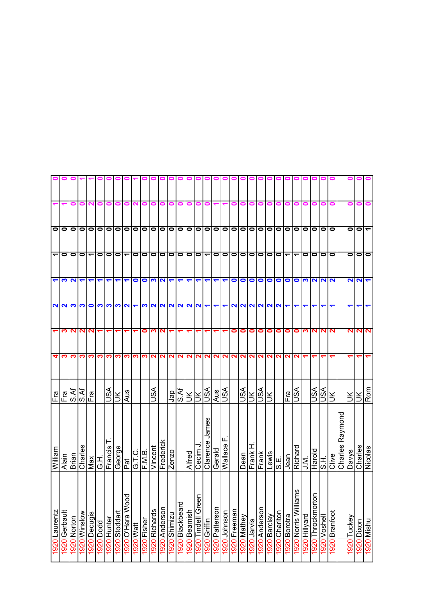|   |           | $\circ$                  |                                |                      | $\sim$    |                         | Rom        | Nicolas            | nusiyi                    | 0761       |
|---|-----------|--------------------------|--------------------------------|----------------------|-----------|-------------------------|------------|--------------------|---------------------------|------------|
| Ξ | $\bullet$ | $\bullet$                | N                              | ↽                    | 2         |                         | Ιš         | Charles            | Dixon                     | 1920       |
| c | $\bullet$ | $\bullet$                | N                              | ↽                    | N         |                         | ЭK         | <b>Davys</b>       | Tuckey                    | 1920       |
|   |           |                          |                                |                      |           |                         |            | Raymond<br>Charles |                           |            |
|   | $\bullet$ | $\bullet$                | $\mathbf{\Omega}$              |                      | N         |                         | ŠК         | <b>Clive</b>       | Branfoot                  | 1920       |
|   | $\bullet$ | $\bullet$                | $\mathbf{\Omega}$              |                      | ี่        |                         | VSU        | エの                 | 1920 Voshell              |            |
|   | 0         | 0                        | $\mathbf{N}$                   |                      | ี่        |                         | lSA        | Harold             | r<br>1920 Throckmortor    |            |
|   | $\bullet$ | $\bullet$                | က                              |                      | ∾         |                         |            | i<br>⊃∶            | 1920 Hillyard             |            |
|   | $\bullet$ | ے                        | $\bullet$                      | ↽                    | 0         | 2                       | vsn        | Richard            | 2u<br>1920 Norris Willian |            |
|   |           | $\blacktriangledown$     |                                | $\blacksquare$       | $\bullet$ | $\mathbf{\Omega}$       | Fa         | Jean               | 1920 Borotra              |            |
|   | 00        | $\sim$                   | $\overline{\bullet}$ $\bullet$ | $\mathbf{N}$         | 0         | 2                       |            | انا<br> S          | 1920 Chartton             |            |
|   | $\bullet$ | $\bullet$                | $\bullet$                      | $\mathbf{N}$         | 0         | $\mathbf{N}$            | š          | Lewis              | 1920 Barclay              |            |
|   | $\bullet$ | $\bullet$                | $\bullet$                      | $\mathbf{\Omega}$    | 0         | N                       | ASU        | Frank              | 1920 Anderson             |            |
|   | $\bullet$ | $\bullet$                | $\bullet$                      | $\mathbf{N}$         | 0         | N                       | ¥          | 工<br>Frank         | 920 Jarvis                |            |
|   | $\bullet$ | $\bullet$                | 0                              | $\mathbf{N}$         | 0         | N                       | S∕S        | Dean               | 920 Mathey                |            |
|   | $\bullet$ | $\bullet$                | $\bullet$                      | $\sim$               | 0         | $\overline{\mathbf{r}}$ |            |                    | Freeman                   | 1920       |
|   | $\bullet$ | $\bullet$                |                                | ↽                    |           | N                       | S∕S∪       | щ<br>Wallace       | Johnson                   | 1920       |
|   | $\bullet$ | $\bullet$                |                                | ↽                    |           | N                       | Aus        | Gerald             | Patterson                 | 1920       |
|   | $\bullet$ | ᠆                        |                                | ↽                    |           | N                       |            | James<br>Clarence  | Griffin                   | 1920       |
|   | $\bullet$ | $\bullet$                |                                | <b>NNN</b>           |           | NI                      | <b>ISQ</b> | Cecim              | Tindell Greer             | 1920       |
|   | $\bullet$ | $\bullet$                |                                |                      |           | $\mathbf{N}$            | š          | Alfred             | Beamish                   | 1920       |
|   | $\bullet$ | $\bullet$                |                                |                      |           | 2                       | ব্<br>Ιŵ   |                    | Blackbeard                | 1920       |
|   | $\bullet$ | $\bullet$                |                                | $\mathbf{N}$         |           | N                       | ger        | Zenzo              | 920 Shimizu               |            |
|   | $\bullet$ | $\bullet$                | $\mathbf{N}$                   | $\sim$               | ∾         | N                       |            | Frederick          | 1920 Anderson             |            |
|   | $\bullet$ | $\bullet$                | က                              | $\mathbf{N}$         | ო         | N                       | JSA        | Vincent            | 1920 Richards             |            |
|   | $\bullet$ | $\bullet$                | $\bullet$                      | က                    | 0         | ∾                       |            | F.M.B.             | 1920 Fisher               |            |
|   | $\bullet$ | $\bullet$                | 0                              | $\blacktriangledown$ |           | ∾                       |            | G.T.C.             | 1920 Watt                 |            |
|   |           | $\overline{\phantom{0}}$ |                                | $\mathbf{\Omega}$    | ↽         | က                       | Aus        | $\overline{P}$ at  | 1920 O'Hara Wood          |            |
|   | $\circ$   | $\circ$                  | ↽                              | က၊                   | ↽         | <u>က</u> ၊              | ¥          | George             | 1920 Stoddart             |            |
|   | $\bullet$ | $\bullet$                |                                | က                    |           | က                       | S∕S∪       | Francis            | 1920 Hunter               |            |
|   | $\bullet$ | 0                        |                                | က                    |           | က                       |            | 工り                 | 1920 Dodd                 |            |
|   | 0         | ᡪ                        |                                | 0                    | ี่        | ო                       | Fra        | Ñax                | <b>Decugis</b>            | 1920       |
|   | 0         | 0                        |                                | က                    | ี่        | ∾                       | አ<br>አ     | Charles            | 920 Winslow               |            |
|   | 0         | 0                        | N                              | က                    | N         | ∾                       | s.Af       | Brian              | 1920 Norton               |            |
|   | 0         | 0                        | က                              | N                    | ო         | ო                       | Fra        | Alain              | Gerbault                  | <b>920</b> |
|   | 0         | ᠆                        |                                | 2                    |           | 4                       | Fra        | William            | Laurentz                  | 1920       |